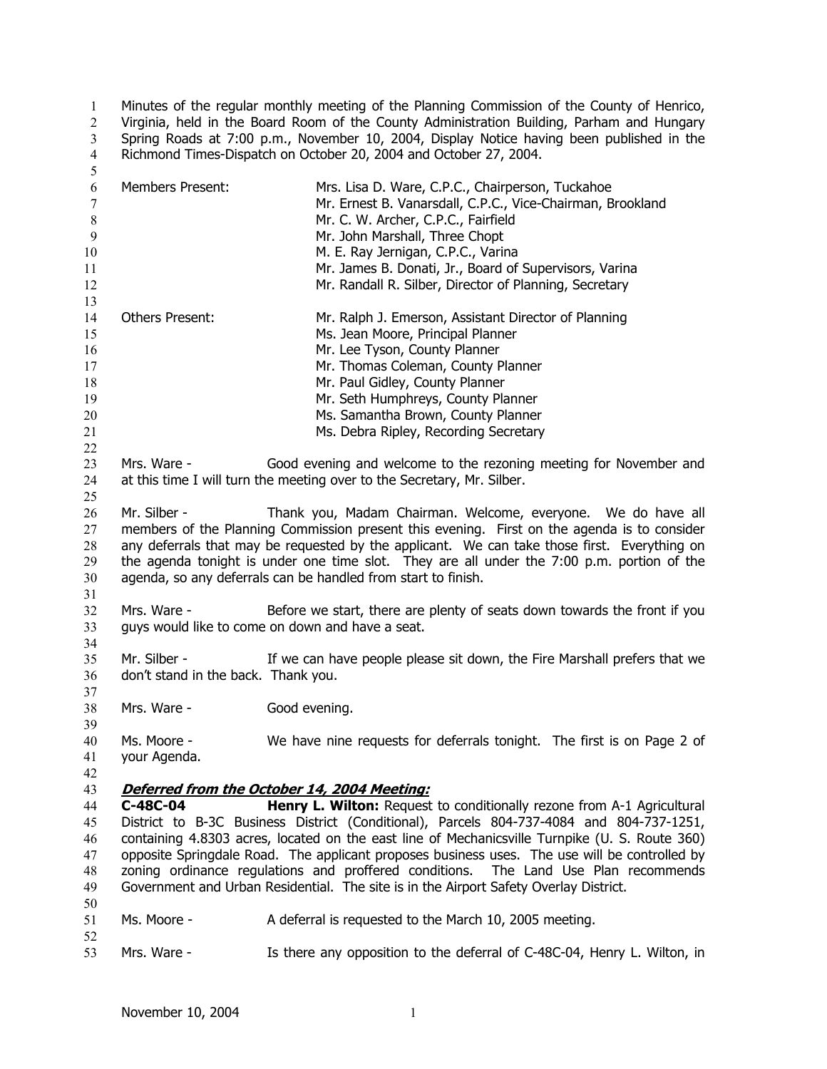Minutes of the regular monthly meeting of the Planning Commission of the County of Henrico, Virginia, held in the Board Room of the County Administration Building, Parham and Hungary Spring Roads at 7:00 p.m., November 10, 2004, Display Notice having been published in the Richmond Times-Dispatch on October 20, 2004 and October 27, 2004. 1 2 3 4 5

| 6      | <b>Members Present:</b>                                                                      | Mrs. Lisa D. Ware, C.P.C., Chairperson, Tuckahoe                                               |  |
|--------|----------------------------------------------------------------------------------------------|------------------------------------------------------------------------------------------------|--|
| $\tau$ |                                                                                              | Mr. Ernest B. Vanarsdall, C.P.C., Vice-Chairman, Brookland                                     |  |
| $8\,$  |                                                                                              | Mr. C. W. Archer, C.P.C., Fairfield                                                            |  |
| 9      |                                                                                              | Mr. John Marshall, Three Chopt                                                                 |  |
| 10     |                                                                                              | M. E. Ray Jernigan, C.P.C., Varina                                                             |  |
| 11     |                                                                                              | Mr. James B. Donati, Jr., Board of Supervisors, Varina                                         |  |
| 12     |                                                                                              | Mr. Randall R. Silber, Director of Planning, Secretary                                         |  |
| 13     |                                                                                              |                                                                                                |  |
| 14     | Others Present:                                                                              | Mr. Ralph J. Emerson, Assistant Director of Planning                                           |  |
| 15     |                                                                                              | Ms. Jean Moore, Principal Planner                                                              |  |
| 16     |                                                                                              | Mr. Lee Tyson, County Planner                                                                  |  |
| 17     |                                                                                              | Mr. Thomas Coleman, County Planner                                                             |  |
|        |                                                                                              |                                                                                                |  |
| 18     |                                                                                              | Mr. Paul Gidley, County Planner                                                                |  |
| 19     |                                                                                              | Mr. Seth Humphreys, County Planner                                                             |  |
| 20     |                                                                                              | Ms. Samantha Brown, County Planner                                                             |  |
| 21     |                                                                                              | Ms. Debra Ripley, Recording Secretary                                                          |  |
| 22     |                                                                                              |                                                                                                |  |
| 23     | Mrs. Ware -                                                                                  | Good evening and welcome to the rezoning meeting for November and                              |  |
| 24     |                                                                                              | at this time I will turn the meeting over to the Secretary, Mr. Silber.                        |  |
| 25     |                                                                                              |                                                                                                |  |
| 26     | Mr. Silber -                                                                                 | Thank you, Madam Chairman. Welcome, everyone. We do have all                                   |  |
| 27     |                                                                                              | members of the Planning Commission present this evening. First on the agenda is to consider    |  |
| 28     | any deferrals that may be requested by the applicant. We can take those first. Everything on |                                                                                                |  |
| 29     | the agenda tonight is under one time slot. They are all under the 7:00 p.m. portion of the   |                                                                                                |  |
| 30     |                                                                                              | agenda, so any deferrals can be handled from start to finish.                                  |  |
| 31     |                                                                                              |                                                                                                |  |
| 32     | Mrs. Ware -                                                                                  | Before we start, there are plenty of seats down towards the front if you                       |  |
| 33     |                                                                                              |                                                                                                |  |
|        |                                                                                              | guys would like to come on down and have a seat.                                               |  |
| 34     |                                                                                              |                                                                                                |  |
| 35     | Mr. Silber -                                                                                 | If we can have people please sit down, the Fire Marshall prefers that we                       |  |
| 36     | don't stand in the back. Thank you.                                                          |                                                                                                |  |
| 37     |                                                                                              |                                                                                                |  |
| 38     | Mrs. Ware -                                                                                  | Good evening.                                                                                  |  |
| 39     |                                                                                              |                                                                                                |  |
| 40     | Ms. Moore -                                                                                  | We have nine requests for deferrals tonight. The first is on Page 2 of                         |  |
| 41     | your Agenda.                                                                                 |                                                                                                |  |
| 42     |                                                                                              |                                                                                                |  |
| 43     |                                                                                              | Deferred from the October 14, 2004 Meeting:                                                    |  |
| 44     | C-48C-04                                                                                     | <b>Henry L. Wilton:</b> Request to conditionally rezone from A-1 Agricultural                  |  |
| 45     |                                                                                              | District to B-3C Business District (Conditional), Parcels 804-737-4084 and 804-737-1251,       |  |
| 46     |                                                                                              | containing 4.8303 acres, located on the east line of Mechanicsville Turnpike (U. S. Route 360) |  |
| 47     |                                                                                              | opposite Springdale Road. The applicant proposes business uses. The use will be controlled by  |  |
| 48     |                                                                                              | zoning ordinance regulations and proffered conditions.<br>The Land Use Plan recommends         |  |
| 49     |                                                                                              | Government and Urban Residential. The site is in the Airport Safety Overlay District.          |  |
| 50     |                                                                                              |                                                                                                |  |
| 51     | Ms. Moore -                                                                                  | A deferral is requested to the March 10, 2005 meeting.                                         |  |
|        |                                                                                              |                                                                                                |  |
| 52     |                                                                                              | Is there any opposition to the deferral of C-48C-04, Henry L. Wilton, in                       |  |
| 53     | Mrs. Ware -                                                                                  |                                                                                                |  |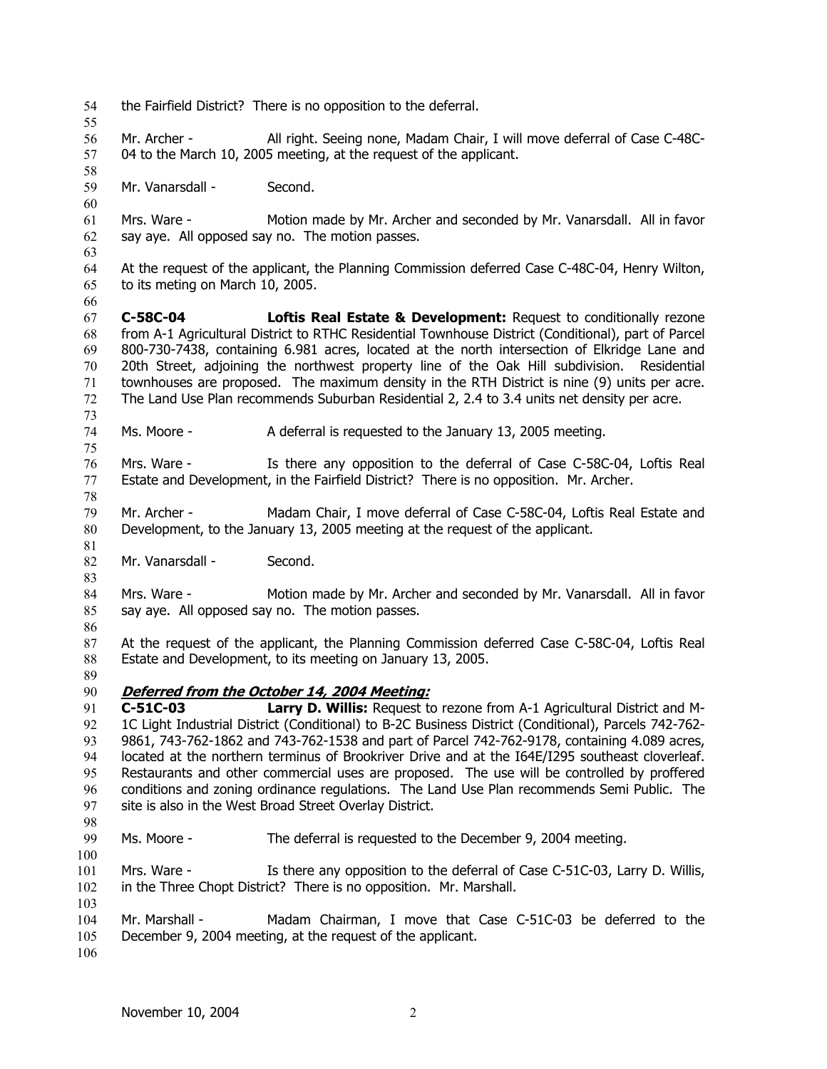54 the Fairfield District? There is no opposition to the deferral. 55 56 57 58 59 60 61 62 63 64 65 66 67 68 69 70 71 72 73 74 75 76 77 78 79 80 81 82 83 84 85 86 87 88 89 Mr. Archer - All right. Seeing none, Madam Chair, I will move deferral of Case C-48C-04 to the March 10, 2005 meeting, at the request of the applicant. Mr. Vanarsdall - Second. Mrs. Ware - Motion made by Mr. Archer and seconded by Mr. Vanarsdall. All in favor say aye. All opposed say no. The motion passes. At the request of the applicant, the Planning Commission deferred Case C-48C-04, Henry Wilton, to its meting on March 10, 2005. **C-58C-04 Loftis Real Estate & Development:** Request to conditionally rezone from A-1 Agricultural District to RTHC Residential Townhouse District (Conditional), part of Parcel 800-730-7438, containing 6.981 acres, located at the north intersection of Elkridge Lane and 20th Street, adjoining the northwest property line of the Oak Hill subdivision. Residential townhouses are proposed. The maximum density in the RTH District is nine (9) units per acre. The Land Use Plan recommends Suburban Residential 2, 2.4 to 3.4 units net density per acre. Ms. Moore - A deferral is requested to the January 13, 2005 meeting. Mrs. Ware - Is there any opposition to the deferral of Case C-58C-04, Loftis Real Estate and Development, in the Fairfield District? There is no opposition. Mr. Archer. Mr. Archer - Madam Chair, I move deferral of Case C-58C-04, Loftis Real Estate and Development, to the January 13, 2005 meeting at the request of the applicant. Mr. Vanarsdall - Second. Mrs. Ware - Motion made by Mr. Archer and seconded by Mr. Vanarsdall. All in favor say aye. All opposed say no. The motion passes. At the request of the applicant, the Planning Commission deferred Case C-58C-04, Loftis Real Estate and Development, to its meeting on January 13, 2005. 90 **Deferred from the October 14, 2004 Meeting:** 91 92 93 94 95 96 97 98 99 100 101 102 103 104 105 106 **C-51C-03 Larry D. Willis:** Request to rezone from A-1 Agricultural District and M-1C Light Industrial District (Conditional) to B-2C Business District (Conditional), Parcels 742-762- 9861, 743-762-1862 and 743-762-1538 and part of Parcel 742-762-9178, containing 4.089 acres, located at the northern terminus of Brookriver Drive and at the I64E/I295 southeast cloverleaf. Restaurants and other commercial uses are proposed. The use will be controlled by proffered conditions and zoning ordinance regulations. The Land Use Plan recommends Semi Public. The site is also in the West Broad Street Overlay District. Ms. Moore - The deferral is requested to the December 9, 2004 meeting. Mrs. Ware - Is there any opposition to the deferral of Case C-51C-03, Larry D. Willis, in the Three Chopt District? There is no opposition. Mr. Marshall. Mr. Marshall - Madam Chairman, I move that Case C-51C-03 be deferred to the December 9, 2004 meeting, at the request of the applicant.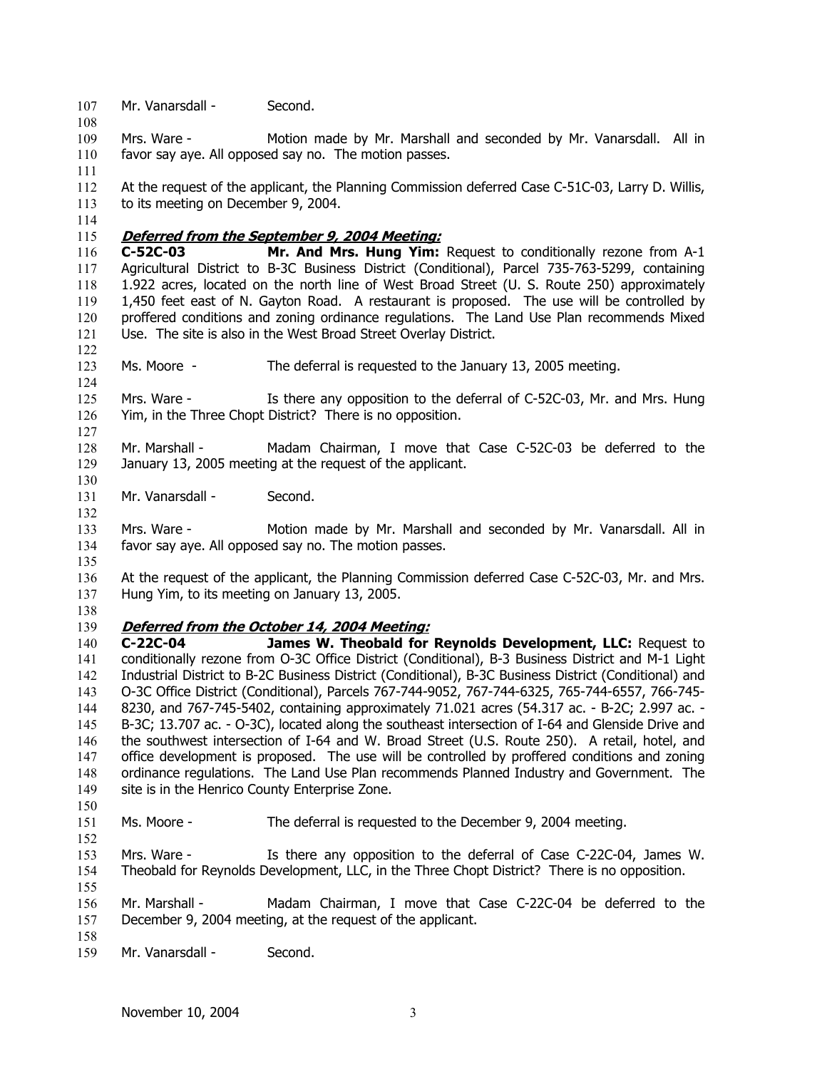107 Mr. Vanarsdall - Second.

109 110 Mrs. Ware - Motion made by Mr. Marshall and seconded by Mr. Vanarsdall. All in favor say aye. All opposed say no. The motion passes.

112 113 At the request of the applicant, the Planning Commission deferred Case C-51C-03, Larry D. Willis, to its meeting on December 9, 2004.

115 **Deferred from the September 9, 2004 Meeting:**

116 117 118 119 120 121 **C-52C-03 Mr. And Mrs. Hung Yim:** Request to conditionally rezone from A-1 Agricultural District to B-3C Business District (Conditional), Parcel 735-763-5299, containing 1.922 acres, located on the north line of West Broad Street (U. S. Route 250) approximately 1,450 feet east of N. Gayton Road. A restaurant is proposed. The use will be controlled by proffered conditions and zoning ordinance regulations. The Land Use Plan recommends Mixed Use. The site is also in the West Broad Street Overlay District.

123 Ms. Moore - The deferral is requested to the January 13, 2005 meeting.

125 126 Mrs. Ware - Is there any opposition to the deferral of C-52C-03, Mr. and Mrs. Hung Yim, in the Three Chopt District? There is no opposition.

128 129 Mr. Marshall - Madam Chairman, I move that Case C-52C-03 be deferred to the January 13, 2005 meeting at the request of the applicant.

131 Mr. Vanarsdall - Second.

133 134 Mrs. Ware - Motion made by Mr. Marshall and seconded by Mr. Vanarsdall. All in favor say aye. All opposed say no. The motion passes.

136 137 At the request of the applicant, the Planning Commission deferred Case C-52C-03, Mr. and Mrs. Hung Yim, to its meeting on January 13, 2005.

138

135

108

111

114

122

124

127

130

132

#### 139 **Deferred from the October 14, 2004 Meeting:**

140 141 142 143 144 145 146 147 148 149 **C-22C-04 James W. Theobald for Reynolds Development, LLC:** Request to conditionally rezone from O-3C Office District (Conditional), B-3 Business District and M-1 Light Industrial District to B-2C Business District (Conditional), B-3C Business District (Conditional) and O-3C Office District (Conditional), Parcels 767-744-9052, 767-744-6325, 765-744-6557, 766-745- 8230, and 767-745-5402, containing approximately 71.021 acres (54.317 ac. - B-2C; 2.997 ac. - B-3C; 13.707 ac. - O-3C), located along the southeast intersection of I-64 and Glenside Drive and the southwest intersection of I-64 and W. Broad Street (U.S. Route 250). A retail, hotel, and office development is proposed. The use will be controlled by proffered conditions and zoning ordinance regulations. The Land Use Plan recommends Planned Industry and Government. The site is in the Henrico County Enterprise Zone.

150 151

152

155

158

Ms. Moore - The deferral is requested to the December 9, 2004 meeting.

153 154 Mrs. Ware - Is there any opposition to the deferral of Case C-22C-04, James W. Theobald for Reynolds Development, LLC, in the Three Chopt District? There is no opposition.

156 157 Mr. Marshall - Madam Chairman, I move that Case C-22C-04 be deferred to the December 9, 2004 meeting, at the request of the applicant.

159 Mr. Vanarsdall - Second.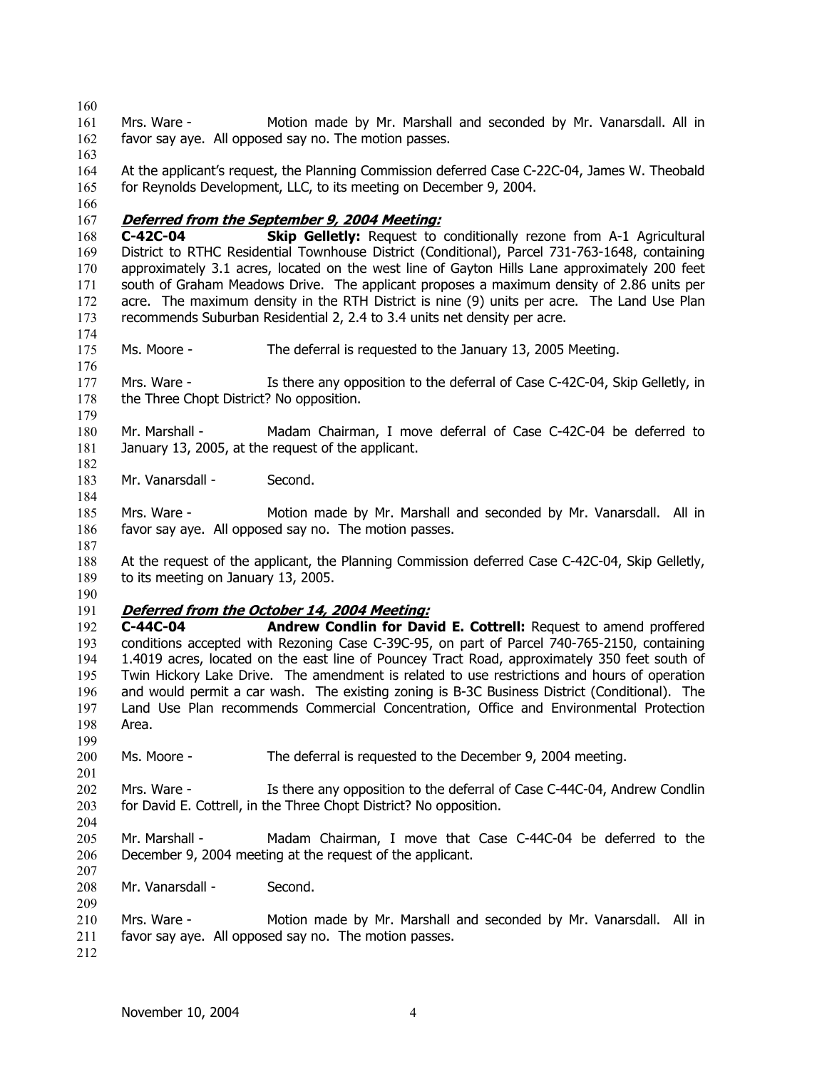161 162 163 164 165 166 Mrs. Ware - Motion made by Mr. Marshall and seconded by Mr. Vanarsdall. All in favor say aye. All opposed say no. The motion passes. At the applicant's request, the Planning Commission deferred Case C-22C-04, James W. Theobald for Reynolds Development, LLC, to its meeting on December 9, 2004. 167 **Deferred from the September 9, 2004 Meeting:** 168 169 170 171 172 173 174 175 176 177 178 179 180 181 182 183 184 185 186 187 188 189 190 **C-42C-04 Skip Gelletly:** Request to conditionally rezone from A-1 Agricultural District to RTHC Residential Townhouse District (Conditional), Parcel 731-763-1648, containing approximately 3.1 acres, located on the west line of Gayton Hills Lane approximately 200 feet south of Graham Meadows Drive. The applicant proposes a maximum density of 2.86 units per acre. The maximum density in the RTH District is nine (9) units per acre. The Land Use Plan recommends Suburban Residential 2, 2.4 to 3.4 units net density per acre. Ms. Moore - The deferral is requested to the January 13, 2005 Meeting. Mrs. Ware - Is there any opposition to the deferral of Case C-42C-04, Skip Gelletly, in the Three Chopt District? No opposition. Mr. Marshall - Madam Chairman, I move deferral of Case C-42C-04 be deferred to January 13, 2005, at the request of the applicant. Mr. Vanarsdall - Second. Mrs. Ware - Motion made by Mr. Marshall and seconded by Mr. Vanarsdall. All in favor say aye. All opposed say no. The motion passes. At the request of the applicant, the Planning Commission deferred Case C-42C-04, Skip Gelletly, to its meeting on January 13, 2005. 191 **Deferred from the October 14, 2004 Meeting:** 192 193 194 195 196 197 198 199 200 201 202 203 204 205 206 207 208 209 210 211 212 **C-44C-04 Andrew Condlin for David E. Cottrell:** Request to amend proffered conditions accepted with Rezoning Case C-39C-95, on part of Parcel 740-765-2150, containing 1.4019 acres, located on the east line of Pouncey Tract Road, approximately 350 feet south of Twin Hickory Lake Drive. The amendment is related to use restrictions and hours of operation and would permit a car wash. The existing zoning is B-3C Business District (Conditional). The Land Use Plan recommends Commercial Concentration, Office and Environmental Protection Area. Ms. Moore - The deferral is requested to the December 9, 2004 meeting. Mrs. Ware - Is there any opposition to the deferral of Case C-44C-04, Andrew Condlin for David E. Cottrell, in the Three Chopt District? No opposition. Mr. Marshall - Madam Chairman, I move that Case C-44C-04 be deferred to the December 9, 2004 meeting at the request of the applicant. Mr. Vanarsdall - Second. Mrs. Ware - Motion made by Mr. Marshall and seconded by Mr. Vanarsdall. All in favor say aye. All opposed say no. The motion passes.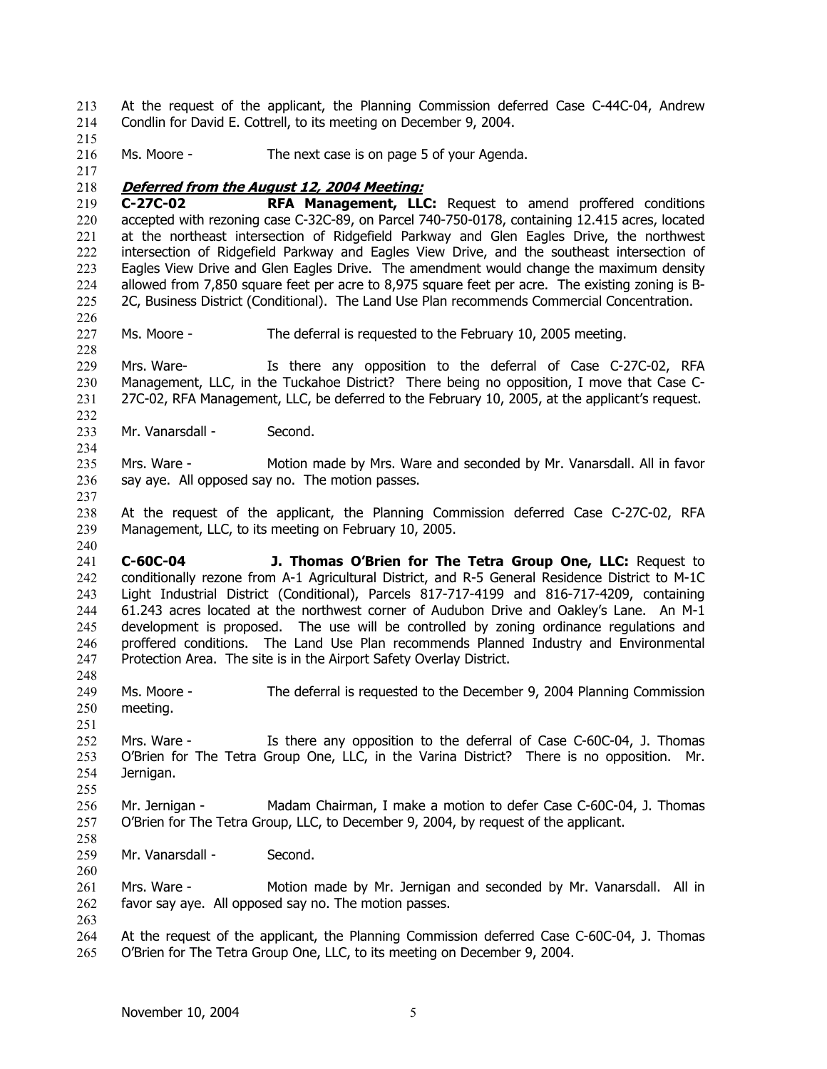At the request of the applicant, the Planning Commission deferred Case C-44C-04, Andrew Condlin for David E. Cottrell, to its meeting on December 9, 2004. 213 214

216 Ms. Moore - The next case is on page 5 of your Agenda.

217

226

228

232

234

237

240

251

260

263

215

#### 218 **Deferred from the August 12, 2004 Meeting:**

219 220 221 222 223 224 225 **C-27C-02 RFA Management, LLC:** Request to amend proffered conditions accepted with rezoning case C-32C-89, on Parcel 740-750-0178, containing 12.415 acres, located at the northeast intersection of Ridgefield Parkway and Glen Eagles Drive, the northwest intersection of Ridgefield Parkway and Eagles View Drive, and the southeast intersection of Eagles View Drive and Glen Eagles Drive. The amendment would change the maximum density allowed from 7,850 square feet per acre to 8,975 square feet per acre. The existing zoning is B-2C, Business District (Conditional). The Land Use Plan recommends Commercial Concentration.

227 Ms. Moore - The deferral is requested to the February 10, 2005 meeting.

229 230 231 Mrs. Ware- Is there any opposition to the deferral of Case C-27C-02, RFA Management, LLC, in the Tuckahoe District? There being no opposition, I move that Case C-27C-02, RFA Management, LLC, be deferred to the February 10, 2005, at the applicant's request.

233 Mr. Vanarsdall - Second.

235 236 Mrs. Ware - Motion made by Mrs. Ware and seconded by Mr. Vanarsdall. All in favor say aye. All opposed say no. The motion passes.

238 239 At the request of the applicant, the Planning Commission deferred Case C-27C-02, RFA Management, LLC, to its meeting on February 10, 2005.

241 242 243 244 245 246 247 **C-60C-04 J. Thomas O'Brien for The Tetra Group One, LLC:** Request to conditionally rezone from A-1 Agricultural District, and R-5 General Residence District to M-1C Light Industrial District (Conditional), Parcels 817-717-4199 and 816-717-4209, containing 61.243 acres located at the northwest corner of Audubon Drive and Oakley's Lane. An M-1 development is proposed. The use will be controlled by zoning ordinance regulations and proffered conditions. The Land Use Plan recommends Planned Industry and Environmental Protection Area. The site is in the Airport Safety Overlay District.

248 249 250 Ms. Moore - The deferral is requested to the December 9, 2004 Planning Commission meeting.

252 253 254 255 Mrs. Ware - Is there any opposition to the deferral of Case C-60C-04, J. Thomas O'Brien for The Tetra Group One, LLC, in the Varina District? There is no opposition. Mr. Jernigan.

256 257 258 Mr. Jernigan - Madam Chairman, I make a motion to defer Case C-60C-04, J. Thomas O'Brien for The Tetra Group, LLC, to December 9, 2004, by request of the applicant.

259 Mr. Vanarsdall - Second.

261 262 Mrs. Ware - Motion made by Mr. Jernigan and seconded by Mr. Vanarsdall. All in favor say aye. All opposed say no. The motion passes.

264 265 At the request of the applicant, the Planning Commission deferred Case C-60C-04, J. Thomas O'Brien for The Tetra Group One, LLC, to its meeting on December 9, 2004.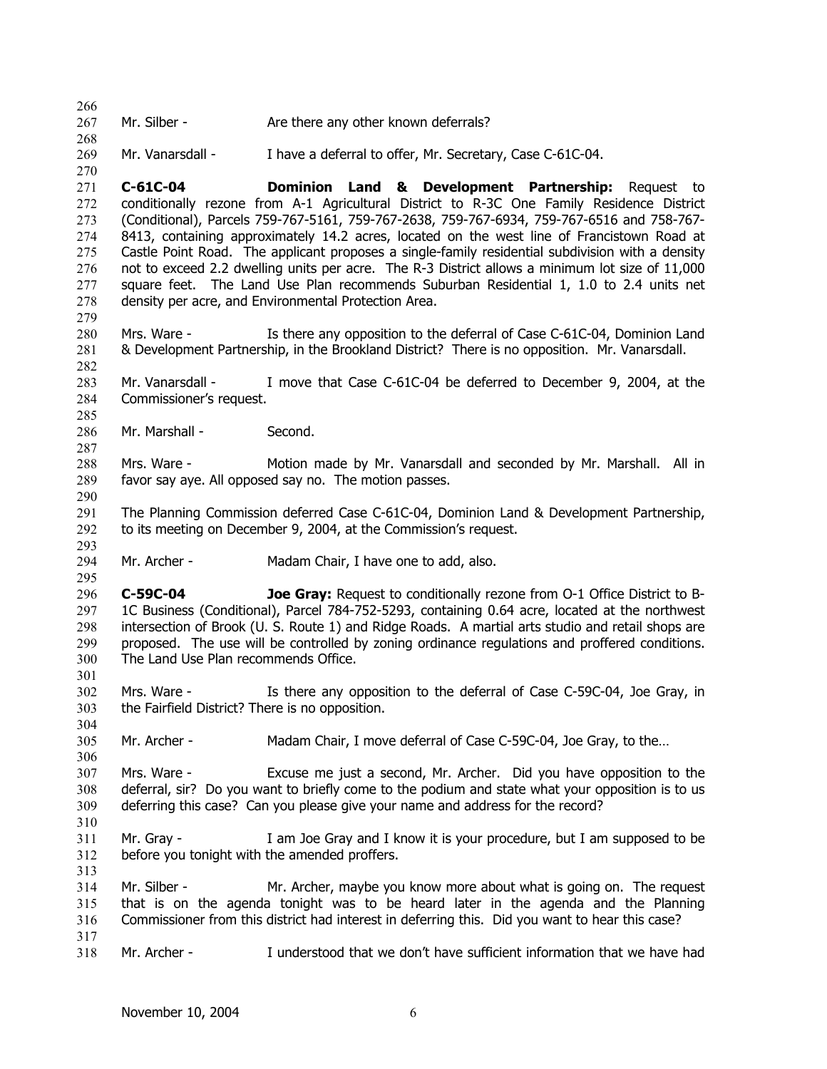268 269 270 271 272 273 274 275 276 277 278 279 280 281 282 283 284 285 286 287 288 289 290 291 292 293 294 295 296 297 298 299 300 301 302 303 304 305 306 307 308 309 310 311 312 313 314 315 316 317 318 Mr. Vanarsdall - I have a deferral to offer, Mr. Secretary, Case C-61C-04. **C-61C-04 Dominion Land & Development Partnership:** Request to conditionally rezone from A-1 Agricultural District to R-3C One Family Residence District (Conditional), Parcels 759-767-5161, 759-767-2638, 759-767-6934, 759-767-6516 and 758-767- 8413, containing approximately 14.2 acres, located on the west line of Francistown Road at Castle Point Road. The applicant proposes a single-family residential subdivision with a density not to exceed 2.2 dwelling units per acre. The R-3 District allows a minimum lot size of 11,000 square feet. The Land Use Plan recommends Suburban Residential 1, 1.0 to 2.4 units net density per acre, and Environmental Protection Area. Mrs. Ware - Is there any opposition to the deferral of Case C-61C-04, Dominion Land & Development Partnership, in the Brookland District? There is no opposition. Mr. Vanarsdall. Mr. Vanarsdall - I move that Case C-61C-04 be deferred to December 9, 2004, at the Commissioner's request. Mr. Marshall - Second. Mrs. Ware - Motion made by Mr. Vanarsdall and seconded by Mr. Marshall. All in favor say aye. All opposed say no. The motion passes. The Planning Commission deferred Case C-61C-04, Dominion Land & Development Partnership, to its meeting on December 9, 2004, at the Commission's request. Mr. Archer - Madam Chair, I have one to add, also. **C-59C-04 Joe Gray:** Request to conditionally rezone from O-1 Office District to B-1C Business (Conditional), Parcel 784-752-5293, containing 0.64 acre, located at the northwest intersection of Brook (U. S. Route 1) and Ridge Roads. A martial arts studio and retail shops are proposed. The use will be controlled by zoning ordinance regulations and proffered conditions. The Land Use Plan recommends Office. Mrs. Ware - Is there any opposition to the deferral of Case C-59C-04, Joe Gray, in the Fairfield District? There is no opposition. Mr. Archer - Madam Chair, I move deferral of Case C-59C-04, Joe Gray, to the… Mrs. Ware - Excuse me just a second, Mr. Archer. Did you have opposition to the deferral, sir? Do you want to briefly come to the podium and state what your opposition is to us deferring this case? Can you please give your name and address for the record? Mr. Gray - I am Joe Gray and I know it is your procedure, but I am supposed to be before you tonight with the amended proffers. Mr. Silber - Mr. Archer, maybe you know more about what is going on. The request that is on the agenda tonight was to be heard later in the agenda and the Planning Commissioner from this district had interest in deferring this. Did you want to hear this case? Mr. Archer - I understood that we don't have sufficient information that we have had

Mr. Silber - Are there any other known deferrals?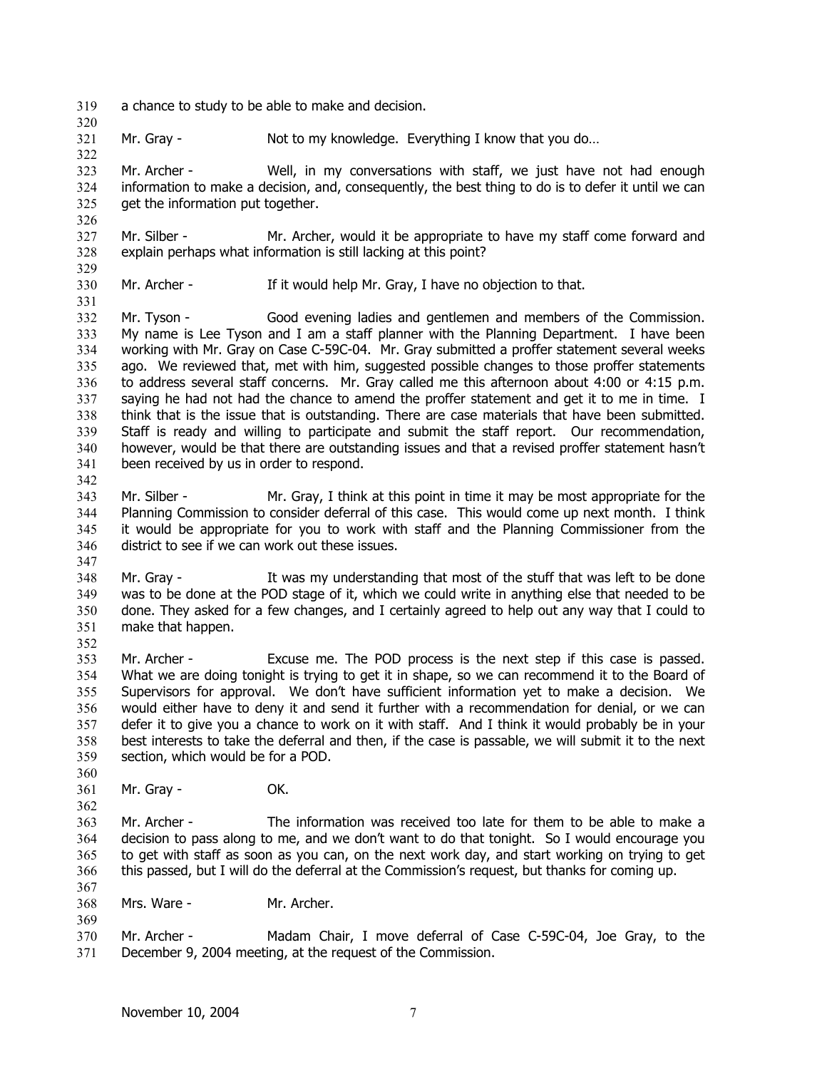- 319 a chance to study to be able to make and decision.
- 321 Mr. Gray - Not to my knowledge. Everything I know that you do...

323 324 325 Mr. Archer - Well, in my conversations with staff, we just have not had enough information to make a decision, and, consequently, the best thing to do is to defer it until we can get the information put together.

- 327 328 Mr. Silber - Mr. Archer, would it be appropriate to have my staff come forward and explain perhaps what information is still lacking at this point?
- 330 Mr. Archer - If it would help Mr. Gray, I have no objection to that.

332 333 334 335 336 337 338 339 340 341 Mr. Tyson - Good evening ladies and gentlemen and members of the Commission. My name is Lee Tyson and I am a staff planner with the Planning Department. I have been working with Mr. Gray on Case C-59C-04. Mr. Gray submitted a proffer statement several weeks ago. We reviewed that, met with him, suggested possible changes to those proffer statements to address several staff concerns. Mr. Gray called me this afternoon about 4:00 or 4:15 p.m. saying he had not had the chance to amend the proffer statement and get it to me in time. I think that is the issue that is outstanding. There are case materials that have been submitted. Staff is ready and willing to participate and submit the staff report. Our recommendation, however, would be that there are outstanding issues and that a revised proffer statement hasn't been received by us in order to respond.

- 343 344 345 346 Mr. Silber - Mr. Gray, I think at this point in time it may be most appropriate for the Planning Commission to consider deferral of this case. This would come up next month. I think it would be appropriate for you to work with staff and the Planning Commissioner from the district to see if we can work out these issues.
- 347

342

320

322

326

329

331

- 348 349 350 351 352 Mr. Gray - It was my understanding that most of the stuff that was left to be done was to be done at the POD stage of it, which we could write in anything else that needed to be done. They asked for a few changes, and I certainly agreed to help out any way that I could to make that happen.
- 353 354 355 356 357 358 359 Mr. Archer - Excuse me. The POD process is the next step if this case is passed. What we are doing tonight is trying to get it in shape, so we can recommend it to the Board of Supervisors for approval. We don't have sufficient information yet to make a decision. We would either have to deny it and send it further with a recommendation for denial, or we can defer it to give you a chance to work on it with staff. And I think it would probably be in your best interests to take the deferral and then, if the case is passable, we will submit it to the next section, which would be for a POD.
- 360 361 Mr. Gray - **OK.**
- 362

367

- 
- 363 364 365 366 Mr. Archer - The information was received too late for them to be able to make a decision to pass along to me, and we don't want to do that tonight. So I would encourage you to get with staff as soon as you can, on the next work day, and start working on trying to get this passed, but I will do the deferral at the Commission's request, but thanks for coming up.
- 368 Mrs. Ware - Mr. Archer.
- 370 371 Mr. Archer - Madam Chair, I move deferral of Case C-59C-04, Joe Gray, to the December 9, 2004 meeting, at the request of the Commission.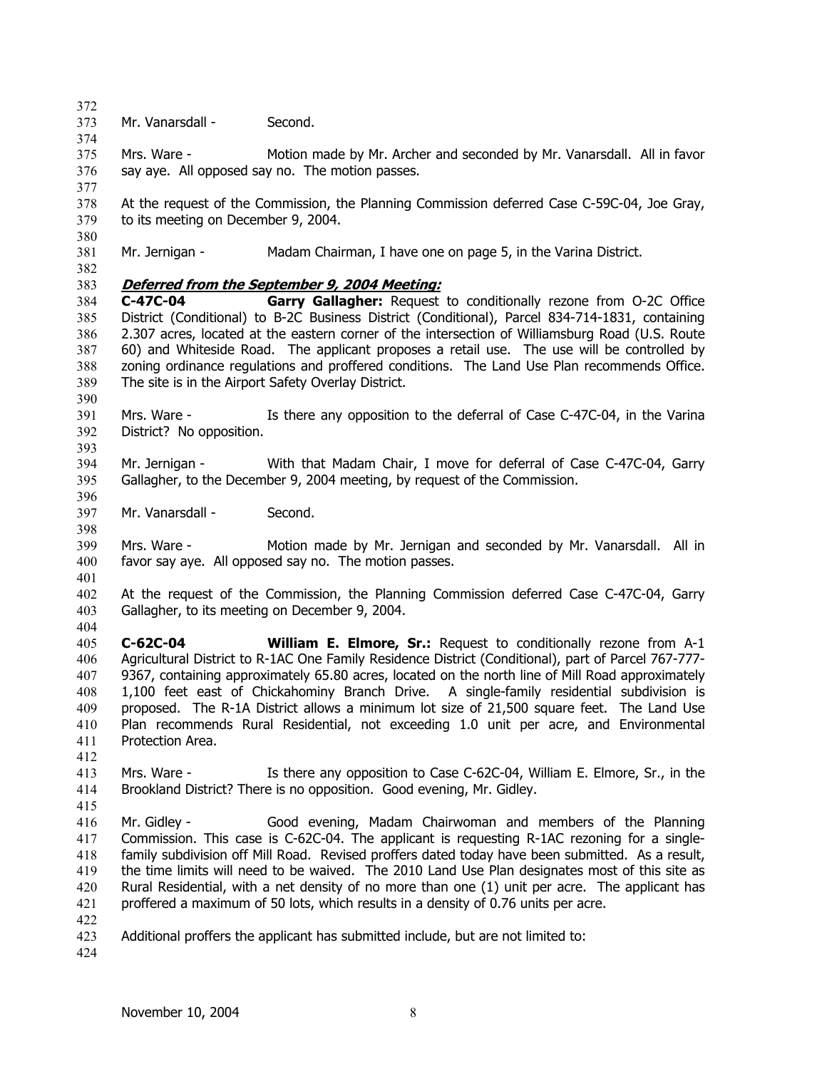372 373 Mr. Vanarsdall - Second.

375 376 Mrs. Ware - Motion made by Mr. Archer and seconded by Mr. Vanarsdall. All in favor say aye. All opposed say no. The motion passes.

378 379 At the request of the Commission, the Planning Commission deferred Case C-59C-04, Joe Gray, to its meeting on December 9, 2004.

381 Mr. Jernigan - Madam Chairman, I have one on page 5, in the Varina District.

382

380

374

377

# 383 **Deferred from the September 9, 2004 Meeting:**

384 385 386 387 388 389 **C-47C-04 Garry Gallagher:** Request to conditionally rezone from O-2C Office District (Conditional) to B-2C Business District (Conditional), Parcel 834-714-1831, containing 2.307 acres, located at the eastern corner of the intersection of Williamsburg Road (U.S. Route 60) and Whiteside Road. The applicant proposes a retail use. The use will be controlled by zoning ordinance regulations and proffered conditions. The Land Use Plan recommends Office. The site is in the Airport Safety Overlay District.

391 392 Mrs. Ware - Is there any opposition to the deferral of Case C-47C-04, in the Varina District? No opposition.

393

398

404

412

390

394 395 396 Mr. Jernigan - With that Madam Chair, I move for deferral of Case C-47C-04, Garry Gallagher, to the December 9, 2004 meeting, by request of the Commission.

397 Mr. Vanarsdall - Second.

399 400 401 Mrs. Ware - Motion made by Mr. Jernigan and seconded by Mr. Vanarsdall. All in favor say aye. All opposed say no. The motion passes.

402 403 At the request of the Commission, the Planning Commission deferred Case C-47C-04, Garry Gallagher, to its meeting on December 9, 2004.

405 406 407 408 409 410 411 **C-62C-04 William E. Elmore, Sr.:** Request to conditionally rezone from A-1 Agricultural District to R-1AC One Family Residence District (Conditional), part of Parcel 767-777- 9367, containing approximately 65.80 acres, located on the north line of Mill Road approximately 1,100 feet east of Chickahominy Branch Drive. A single-family residential subdivision is proposed. The R-1A District allows a minimum lot size of 21,500 square feet. The Land Use Plan recommends Rural Residential, not exceeding 1.0 unit per acre, and Environmental Protection Area.

413 414 Mrs. Ware - Is there any opposition to Case C-62C-04, William E. Elmore, Sr., in the Brookland District? There is no opposition. Good evening, Mr. Gidley.

415 416 417 418 419 420 421 Mr. Gidley - Good evening, Madam Chairwoman and members of the Planning Commission. This case is C-62C-04. The applicant is requesting R-1AC rezoning for a singlefamily subdivision off Mill Road. Revised proffers dated today have been submitted. As a result, the time limits will need to be waived. The 2010 Land Use Plan designates most of this site as Rural Residential, with a net density of no more than one (1) unit per acre. The applicant has proffered a maximum of 50 lots, which results in a density of 0.76 units per acre.

422

<sup>423</sup>  Additional proffers the applicant has submitted include, but are not limited to: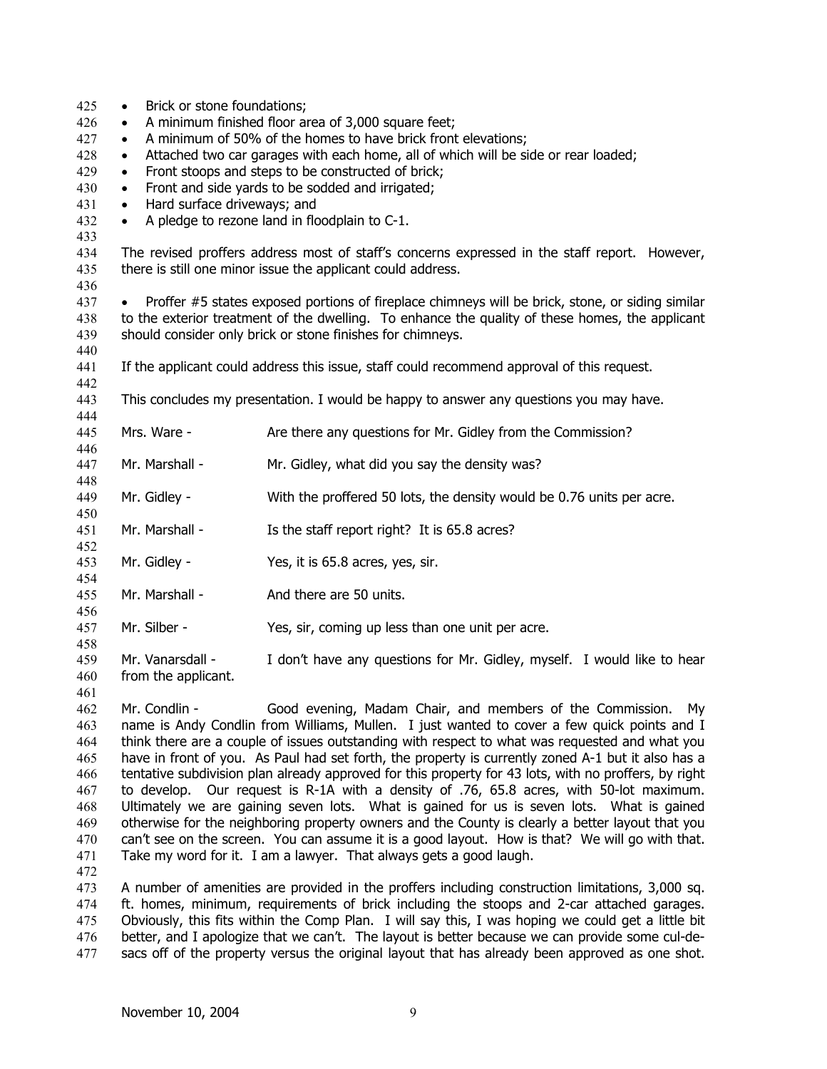| 425 | Brick or stone foundations;<br>$\bullet$                                                              |                                                                                                  |  |
|-----|-------------------------------------------------------------------------------------------------------|--------------------------------------------------------------------------------------------------|--|
| 426 | A minimum finished floor area of 3,000 square feet;                                                   |                                                                                                  |  |
| 427 | A minimum of 50% of the homes to have brick front elevations;<br>$\bullet$                            |                                                                                                  |  |
| 428 | Attached two car garages with each home, all of which will be side or rear loaded;<br>$\bullet$       |                                                                                                  |  |
| 429 | Front stoops and steps to be constructed of brick;                                                    |                                                                                                  |  |
| 430 | Front and side yards to be sodded and irrigated;                                                      |                                                                                                  |  |
| 431 | Hard surface driveways; and<br>$\bullet$                                                              |                                                                                                  |  |
| 432 | $\bullet$                                                                                             | A pledge to rezone land in floodplain to C-1.                                                    |  |
| 433 |                                                                                                       |                                                                                                  |  |
| 434 |                                                                                                       | The revised proffers address most of staff's concerns expressed in the staff report. However,    |  |
| 435 | there is still one minor issue the applicant could address.                                           |                                                                                                  |  |
| 436 |                                                                                                       |                                                                                                  |  |
| 437 |                                                                                                       | Proffer #5 states exposed portions of fireplace chimneys will be brick, stone, or siding similar |  |
| 438 | to the exterior treatment of the dwelling. To enhance the quality of these homes, the applicant       |                                                                                                  |  |
| 439 | should consider only brick or stone finishes for chimneys.                                            |                                                                                                  |  |
| 440 |                                                                                                       |                                                                                                  |  |
| 441 |                                                                                                       | If the applicant could address this issue, staff could recommend approval of this request.       |  |
| 442 |                                                                                                       |                                                                                                  |  |
| 443 |                                                                                                       | This concludes my presentation. I would be happy to answer any questions you may have.           |  |
| 444 |                                                                                                       |                                                                                                  |  |
| 445 | Mrs. Ware -                                                                                           | Are there any questions for Mr. Gidley from the Commission?                                      |  |
| 446 |                                                                                                       |                                                                                                  |  |
| 447 | Mr. Marshall -                                                                                        | Mr. Gidley, what did you say the density was?                                                    |  |
| 448 |                                                                                                       |                                                                                                  |  |
| 449 | Mr. Gidley -                                                                                          | With the proffered 50 lots, the density would be 0.76 units per acre.                            |  |
| 450 |                                                                                                       |                                                                                                  |  |
| 451 | Mr. Marshall -                                                                                        | Is the staff report right? It is 65.8 acres?                                                     |  |
| 452 |                                                                                                       |                                                                                                  |  |
| 453 | Mr. Gidley -                                                                                          | Yes, it is 65.8 acres, yes, sir.                                                                 |  |
| 454 |                                                                                                       |                                                                                                  |  |
| 455 | Mr. Marshall -                                                                                        | And there are 50 units.                                                                          |  |
| 456 |                                                                                                       |                                                                                                  |  |
| 457 | Mr. Silber -                                                                                          | Yes, sir, coming up less than one unit per acre.                                                 |  |
| 458 |                                                                                                       |                                                                                                  |  |
| 459 | Mr. Vanarsdall -                                                                                      | I don't have any questions for Mr. Gidley, myself. I would like to hear                          |  |
| 460 | from the applicant.                                                                                   |                                                                                                  |  |
| 461 |                                                                                                       |                                                                                                  |  |
| 462 | Mr. Condlin -                                                                                         | Good evening, Madam Chair, and members of the Commission.<br>My                                  |  |
| 463 |                                                                                                       | name is Andy Condlin from Williams, Mullen. I just wanted to cover a few quick points and I      |  |
| 464 | think there are a couple of issues outstanding with respect to what was requested and what you        |                                                                                                  |  |
| 465 | have in front of you. As Paul had set forth, the property is currently zoned A-1 but it also has a    |                                                                                                  |  |
| 466 | tentative subdivision plan already approved for this property for 43 lots, with no proffers, by right |                                                                                                  |  |
| 467 | to develop. Our request is R-1A with a density of .76, 65.8 acres, with 50-lot maximum.               |                                                                                                  |  |
| 468 | Ultimately we are gaining seven lots. What is gained for us is seven lots. What is gained             |                                                                                                  |  |
| 469 | otherwise for the neighboring property owners and the County is clearly a better layout that you      |                                                                                                  |  |
| 470 | can't see on the screen. You can assume it is a good layout. How is that? We will go with that.       |                                                                                                  |  |
|     |                                                                                                       |                                                                                                  |  |

471

472 473 474 475 476 477 A number of amenities are provided in the proffers including construction limitations, 3,000 sq. ft. homes, minimum, requirements of brick including the stoops and 2-car attached garages. Obviously, this fits within the Comp Plan. I will say this, I was hoping we could get a little bit better, and I apologize that we can't. The layout is better because we can provide some cul-desacs off of the property versus the original layout that has already been approved as one shot.

Take my word for it. I am a lawyer. That always gets a good laugh.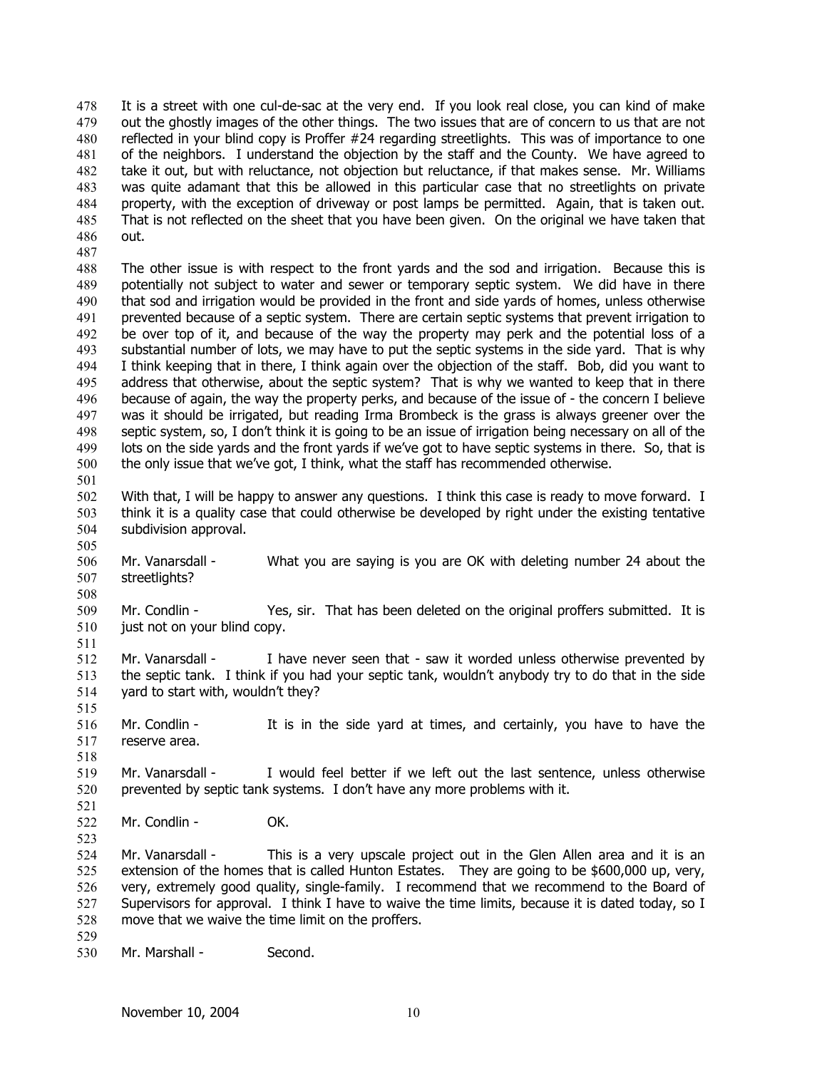It is a street with one cul-de-sac at the very end. If you look real close, you can kind of make out the ghostly images of the other things. The two issues that are of concern to us that are not reflected in your blind copy is Proffer #24 regarding streetlights. This was of importance to one of the neighbors. I understand the objection by the staff and the County. We have agreed to take it out, but with reluctance, not objection but reluctance, if that makes sense. Mr. Williams was quite adamant that this be allowed in this particular case that no streetlights on private property, with the exception of driveway or post lamps be permitted. Again, that is taken out. That is not reflected on the sheet that you have been given. On the original we have taken that out. 478 479 480 481 482 483 484 485 486

487

501

505

508

511

515

518

521

523

488 489 490 491 492 493 494 495 496 497 498 499 500 The other issue is with respect to the front yards and the sod and irrigation. Because this is potentially not subject to water and sewer or temporary septic system. We did have in there that sod and irrigation would be provided in the front and side yards of homes, unless otherwise prevented because of a septic system. There are certain septic systems that prevent irrigation to be over top of it, and because of the way the property may perk and the potential loss of a substantial number of lots, we may have to put the septic systems in the side yard. That is why I think keeping that in there, I think again over the objection of the staff. Bob, did you want to address that otherwise, about the septic system? That is why we wanted to keep that in there because of again, the way the property perks, and because of the issue of - the concern I believe was it should be irrigated, but reading Irma Brombeck is the grass is always greener over the septic system, so, I don't think it is going to be an issue of irrigation being necessary on all of the lots on the side yards and the front yards if we've got to have septic systems in there. So, that is the only issue that we've got, I think, what the staff has recommended otherwise.

502 503 504 With that, I will be happy to answer any questions. I think this case is ready to move forward. I think it is a quality case that could otherwise be developed by right under the existing tentative subdivision approval.

506 507 Mr. Vanarsdall - What you are saying is you are OK with deleting number 24 about the streetlights?

509 510 Mr. Condlin - Yes, sir. That has been deleted on the original proffers submitted. It is just not on your blind copy.

- 512 513 514 Mr. Vanarsdall - I have never seen that - saw it worded unless otherwise prevented by the septic tank. I think if you had your septic tank, wouldn't anybody try to do that in the side yard to start with, wouldn't they?
- 516 517 Mr. Condlin - It is in the side yard at times, and certainly, you have to have the reserve area.
- 519 520 Mr. Vanarsdall - I would feel better if we left out the last sentence, unless otherwise prevented by septic tank systems. I don't have any more problems with it.
- 522 Mr. Condlin - **OK.**

524 525 526 527 528 529 Mr. Vanarsdall - This is a very upscale project out in the Glen Allen area and it is an extension of the homes that is called Hunton Estates. They are going to be \$600,000 up, very, very, extremely good quality, single-family. I recommend that we recommend to the Board of Supervisors for approval. I think I have to waive the time limits, because it is dated today, so I move that we waive the time limit on the proffers.

530 Mr. Marshall - Second.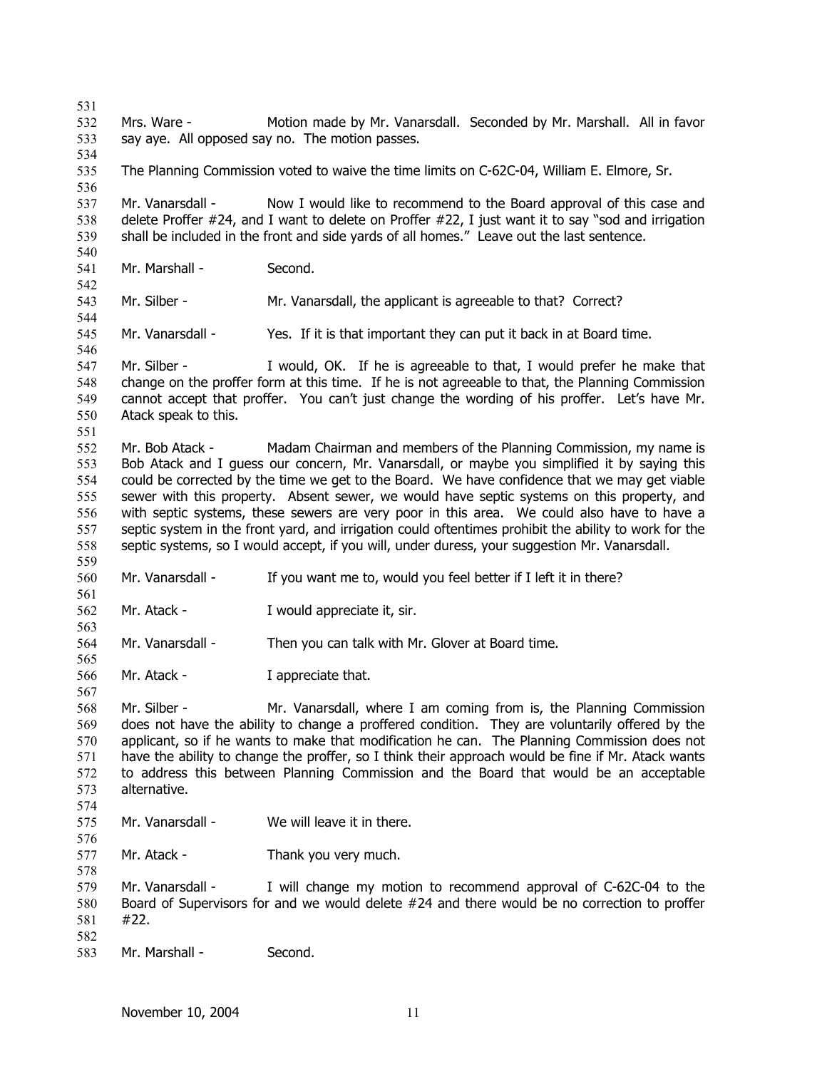531 532 533 534 535 536 537 538 539 540 541 542 543 544 545 546 547 548 549 550 551 552 553 554 555 556 557 558 559 560 561 562 563 564 565 566 567 568 569 570 571 572 573 574 575 576 577 578 579 580 581 582 583 Mrs. Ware - Motion made by Mr. Vanarsdall. Seconded by Mr. Marshall. All in favor say aye. All opposed say no. The motion passes. The Planning Commission voted to waive the time limits on C-62C-04, William E. Elmore, Sr. Mr. Vanarsdall - Now I would like to recommend to the Board approval of this case and delete Proffer #24, and I want to delete on Proffer #22, I just want it to say "sod and irrigation shall be included in the front and side yards of all homes." Leave out the last sentence. Mr. Marshall - Second. Mr. Silber - Mr. Vanarsdall, the applicant is agreeable to that? Correct? Mr. Vanarsdall - Yes. If it is that important they can put it back in at Board time. Mr. Silber - I would, OK. If he is agreeable to that, I would prefer he make that change on the proffer form at this time. If he is not agreeable to that, the Planning Commission cannot accept that proffer. You can't just change the wording of his proffer. Let's have Mr. Atack speak to this. Mr. Bob Atack - Madam Chairman and members of the Planning Commission, my name is Bob Atack and I guess our concern, Mr. Vanarsdall, or maybe you simplified it by saying this could be corrected by the time we get to the Board. We have confidence that we may get viable sewer with this property. Absent sewer, we would have septic systems on this property, and with septic systems, these sewers are very poor in this area. We could also have to have a septic system in the front yard, and irrigation could oftentimes prohibit the ability to work for the septic systems, so I would accept, if you will, under duress, your suggestion Mr. Vanarsdall. Mr. Vanarsdall - If you want me to, would you feel better if I left it in there? Mr. Atack - I would appreciate it, sir. Mr. Vanarsdall - Then you can talk with Mr. Glover at Board time. Mr. Atack - I appreciate that. Mr. Silber - Mr. Vanarsdall, where I am coming from is, the Planning Commission does not have the ability to change a proffered condition. They are voluntarily offered by the applicant, so if he wants to make that modification he can. The Planning Commission does not have the ability to change the proffer, so I think their approach would be fine if Mr. Atack wants to address this between Planning Commission and the Board that would be an acceptable alternative. Mr. Vanarsdall - We will leave it in there. Mr. Atack - Thank you very much. Mr. Vanarsdall - I will change my motion to recommend approval of C-62C-04 to the Board of Supervisors for and we would delete #24 and there would be no correction to proffer #22. Mr. Marshall - Second.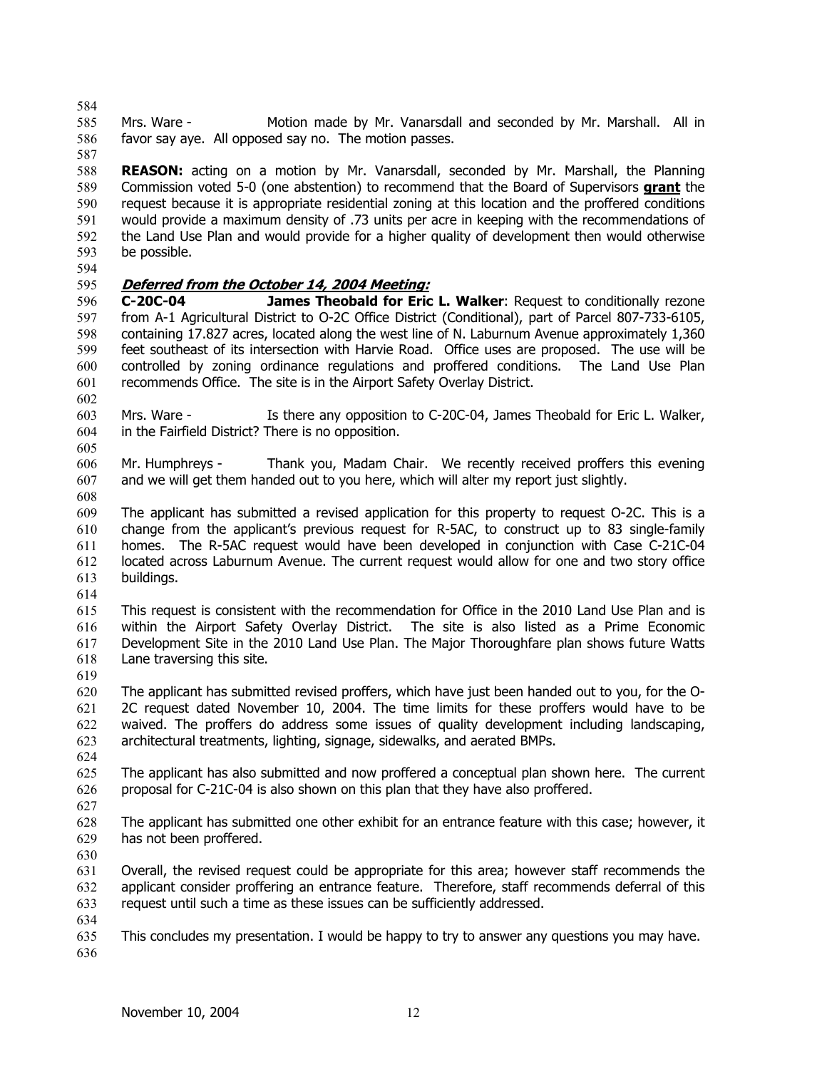584

585 586 Mrs. Ware - Motion made by Mr. Vanarsdall and seconded by Mr. Marshall. All in favor say aye. All opposed say no. The motion passes.

587 588 **REASON:** acting on a motion by Mr. Vanarsdall, seconded by Mr. Marshall, the Planning Commission voted 5-0 (one abstention) to recommend that the Board of Supervisors **grant** the request because it is appropriate residential zoning at this location and the proffered conditions would provide a maximum density of .73 units per acre in keeping with the recommendations of the Land Use Plan and would provide for a higher quality of development then would otherwise be possible. 589 590 591 592 593

594

# 595 **Deferred from the October 14, 2004 Meeting:**

596 597 598 599 600 601 **C-20C-04 James Theobald for Eric L. Walker**: Request to conditionally rezone from A-1 Agricultural District to O-2C Office District (Conditional), part of Parcel 807-733-6105, containing 17.827 acres, located along the west line of N. Laburnum Avenue approximately 1,360 feet southeast of its intersection with Harvie Road. Office uses are proposed. The use will be controlled by zoning ordinance regulations and proffered conditions. The Land Use Plan recommends Office. The site is in the Airport Safety Overlay District.

603 604 Mrs. Ware - Is there any opposition to C-20C-04, James Theobald for Eric L. Walker, in the Fairfield District? There is no opposition.

605

602

606 607 Mr. Humphreys - Thank you, Madam Chair. We recently received proffers this evening and we will get them handed out to you here, which will alter my report just slightly.

608

609 610 611 612 613 The applicant has submitted a revised application for this property to request O-2C. This is a change from the applicant's previous request for R-5AC, to construct up to 83 single-family homes. The R-5AC request would have been developed in conjunction with Case C-21C-04 located across Laburnum Avenue. The current request would allow for one and two story office buildings.

614

615 616 617 618 This request is consistent with the recommendation for Office in the 2010 Land Use Plan and is within the Airport Safety Overlay District. The site is also listed as a Prime Economic Development Site in the 2010 Land Use Plan. The Major Thoroughfare plan shows future Watts Lane traversing this site.

619

620 621 622 623 The applicant has submitted revised proffers, which have just been handed out to you, for the O-2C request dated November 10, 2004. The time limits for these proffers would have to be waived. The proffers do address some issues of quality development including landscaping, architectural treatments, lighting, signage, sidewalks, and aerated BMPs.

624

625 626 The applicant has also submitted and now proffered a conceptual plan shown here. The current proposal for C-21C-04 is also shown on this plan that they have also proffered.

627

628 629 The applicant has submitted one other exhibit for an entrance feature with this case; however, it has not been proffered.

630

631 632 633 Overall, the revised request could be appropriate for this area; however staff recommends the applicant consider proffering an entrance feature. Therefore, staff recommends deferral of this request until such a time as these issues can be sufficiently addressed.

634

635 636 This concludes my presentation. I would be happy to try to answer any questions you may have.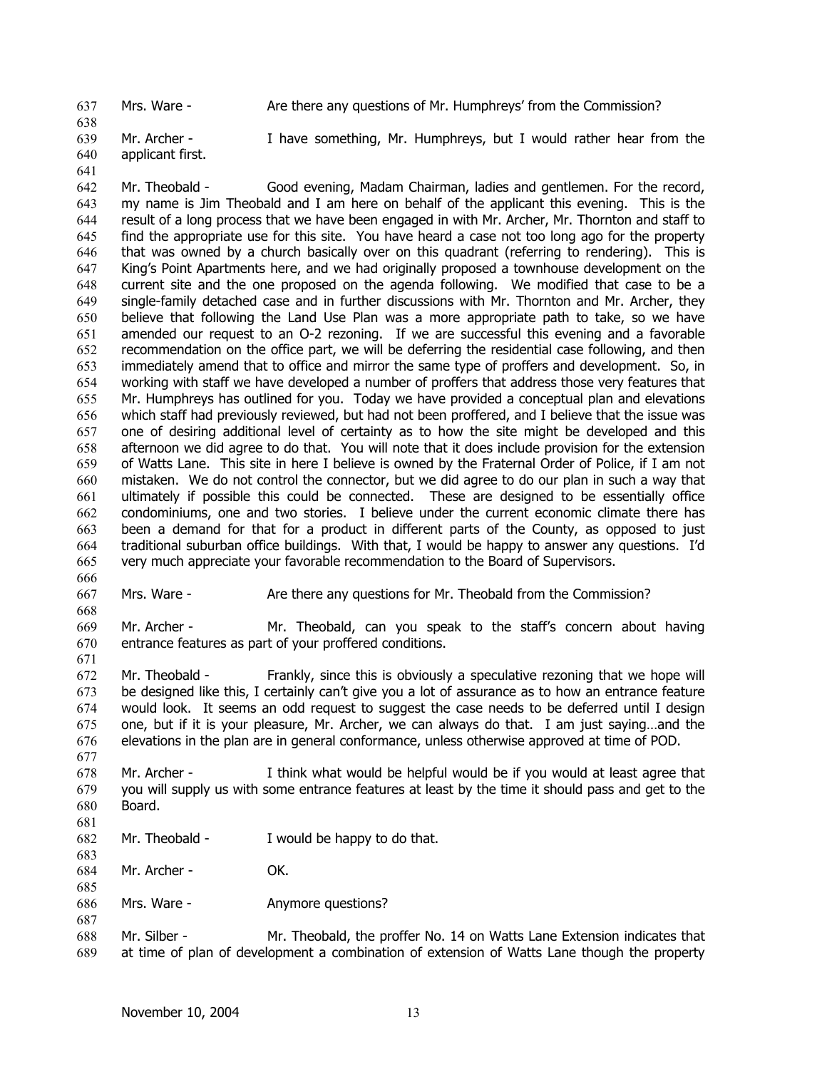637 Mrs. Ware - Are there any questions of Mr. Humphreys' from the Commission?

639 640 Mr. Archer - I have something, Mr. Humphreys, but I would rather hear from the applicant first.

641

638

668

677

683

687

642 643 644 645 646 647 648 649 650 651 652 653 654 655 656 657 658 659 660 661 662 663 664 665 666 Mr. Theobald - Good evening, Madam Chairman, ladies and gentlemen. For the record, my name is Jim Theobald and I am here on behalf of the applicant this evening. This is the result of a long process that we have been engaged in with Mr. Archer, Mr. Thornton and staff to find the appropriate use for this site. You have heard a case not too long ago for the property that was owned by a church basically over on this quadrant (referring to rendering). This is King's Point Apartments here, and we had originally proposed a townhouse development on the current site and the one proposed on the agenda following. We modified that case to be a single-family detached case and in further discussions with Mr. Thornton and Mr. Archer, they believe that following the Land Use Plan was a more appropriate path to take, so we have amended our request to an O-2 rezoning. If we are successful this evening and a favorable recommendation on the office part, we will be deferring the residential case following, and then immediately amend that to office and mirror the same type of proffers and development. So, in working with staff we have developed a number of proffers that address those very features that Mr. Humphreys has outlined for you. Today we have provided a conceptual plan and elevations which staff had previously reviewed, but had not been proffered, and I believe that the issue was one of desiring additional level of certainty as to how the site might be developed and this afternoon we did agree to do that. You will note that it does include provision for the extension of Watts Lane. This site in here I believe is owned by the Fraternal Order of Police, if I am not mistaken. We do not control the connector, but we did agree to do our plan in such a way that ultimately if possible this could be connected. These are designed to be essentially office condominiums, one and two stories. I believe under the current economic climate there has been a demand for that for a product in different parts of the County, as opposed to just traditional suburban office buildings. With that, I would be happy to answer any questions. I'd very much appreciate your favorable recommendation to the Board of Supervisors.

667 Mrs. Ware - Are there any questions for Mr. Theobald from the Commission?

669 670 671 Mr. Archer - Mr. Theobald, can you speak to the staff's concern about having entrance features as part of your proffered conditions.

672 673 674 675 676 Mr. Theobald - Frankly, since this is obviously a speculative rezoning that we hope will be designed like this, I certainly can't give you a lot of assurance as to how an entrance feature would look. It seems an odd request to suggest the case needs to be deferred until I design one, but if it is your pleasure, Mr. Archer, we can always do that. I am just saying…and the elevations in the plan are in general conformance, unless otherwise approved at time of POD.

678 679 680 681 Mr. Archer - I think what would be helpful would be if you would at least agree that you will supply us with some entrance features at least by the time it should pass and get to the Board.

682 Mr. Theobald - I would be happy to do that.

684 Mr. Archer - **OK.** 

685 686 Mrs. Ware - **Anymore questions?** 

688 689 Mr. Silber - Mr. Theobald, the proffer No. 14 on Watts Lane Extension indicates that at time of plan of development a combination of extension of Watts Lane though the property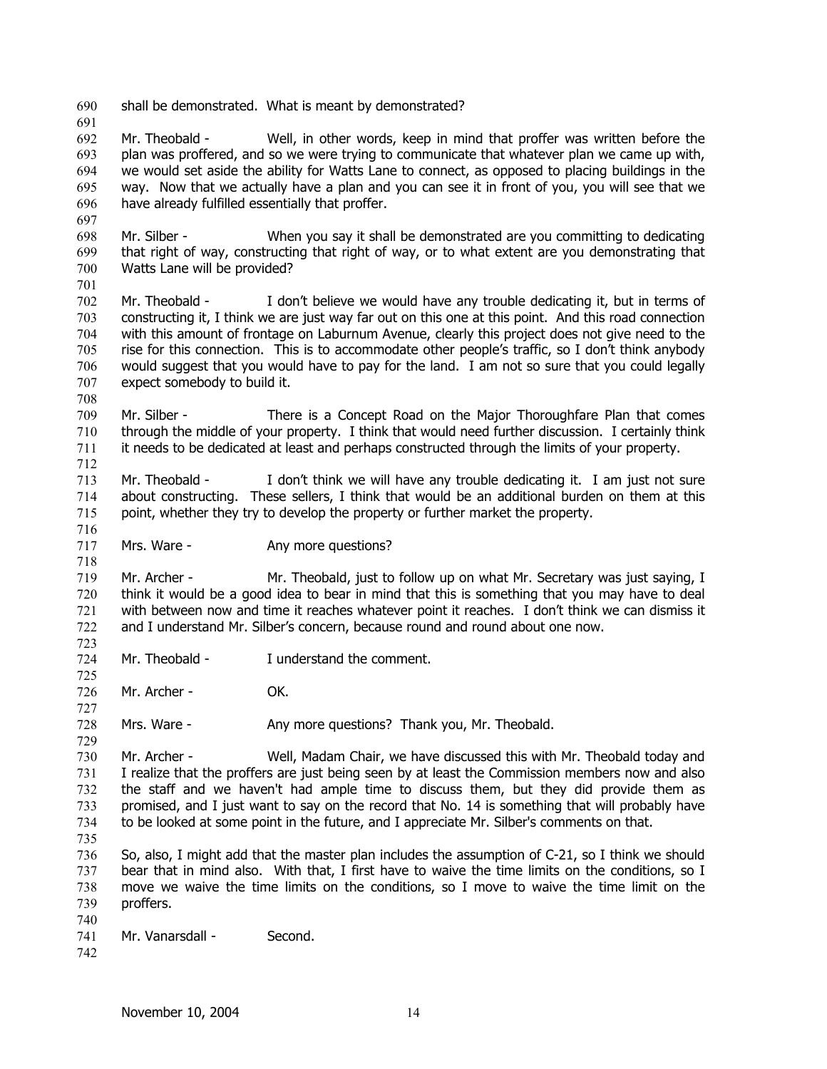691 692 693 694 695 696 697 Mr. Theobald - Well, in other words, keep in mind that proffer was written before the plan was proffered, and so we were trying to communicate that whatever plan we came up with, we would set aside the ability for Watts Lane to connect, as opposed to placing buildings in the way. Now that we actually have a plan and you can see it in front of you, you will see that we have already fulfilled essentially that proffer.

698 699 700 701 Mr. Silber - When you say it shall be demonstrated are you committing to dedicating that right of way, constructing that right of way, or to what extent are you demonstrating that Watts Lane will be provided?

702 703 704 705 706 707 Mr. Theobald - I don't believe we would have any trouble dedicating it, but in terms of constructing it, I think we are just way far out on this one at this point. And this road connection with this amount of frontage on Laburnum Avenue, clearly this project does not give need to the rise for this connection. This is to accommodate other people's traffic, so I don't think anybody would suggest that you would have to pay for the land. I am not so sure that you could legally expect somebody to build it.

709 710 711 Mr. Silber - There is a Concept Road on the Major Thoroughfare Plan that comes through the middle of your property. I think that would need further discussion. I certainly think it needs to be dedicated at least and perhaps constructed through the limits of your property.

713 714 715 Mr. Theobald - I don't think we will have any trouble dedicating it. I am just not sure about constructing. These sellers, I think that would be an additional burden on them at this point, whether they try to develop the property or further market the property.

717 Mrs. Ware - **Any more questions?** 

719 720 721 722 Mr. Archer - Mr. Theobald, just to follow up on what Mr. Secretary was just saying, I think it would be a good idea to bear in mind that this is something that you may have to deal with between now and time it reaches whatever point it reaches. I don't think we can dismiss it and I understand Mr. Silber's concern, because round and round about one now.

724 Mr. Theobald - I understand the comment.

690 shall be demonstrated. What is meant by demonstrated?

726 Mr. Archer - OK.

728 Mrs. Ware - Any more questions? Thank you, Mr. Theobald.

730 731 732 733 734 735 Mr. Archer - Well, Madam Chair, we have discussed this with Mr. Theobald today and I realize that the proffers are just being seen by at least the Commission members now and also the staff and we haven't had ample time to discuss them, but they did provide them as promised, and I just want to say on the record that No. 14 is something that will probably have to be looked at some point in the future, and I appreciate Mr. Silber's comments on that.

736 737 738 739 So, also, I might add that the master plan includes the assumption of C-21, so I think we should bear that in mind also. With that, I first have to waive the time limits on the conditions, so I move we waive the time limits on the conditions, so I move to waive the time limit on the proffers.

- 740 741 Mr. Vanarsdall - Second.
- 742

708

712

716

718

723

725

727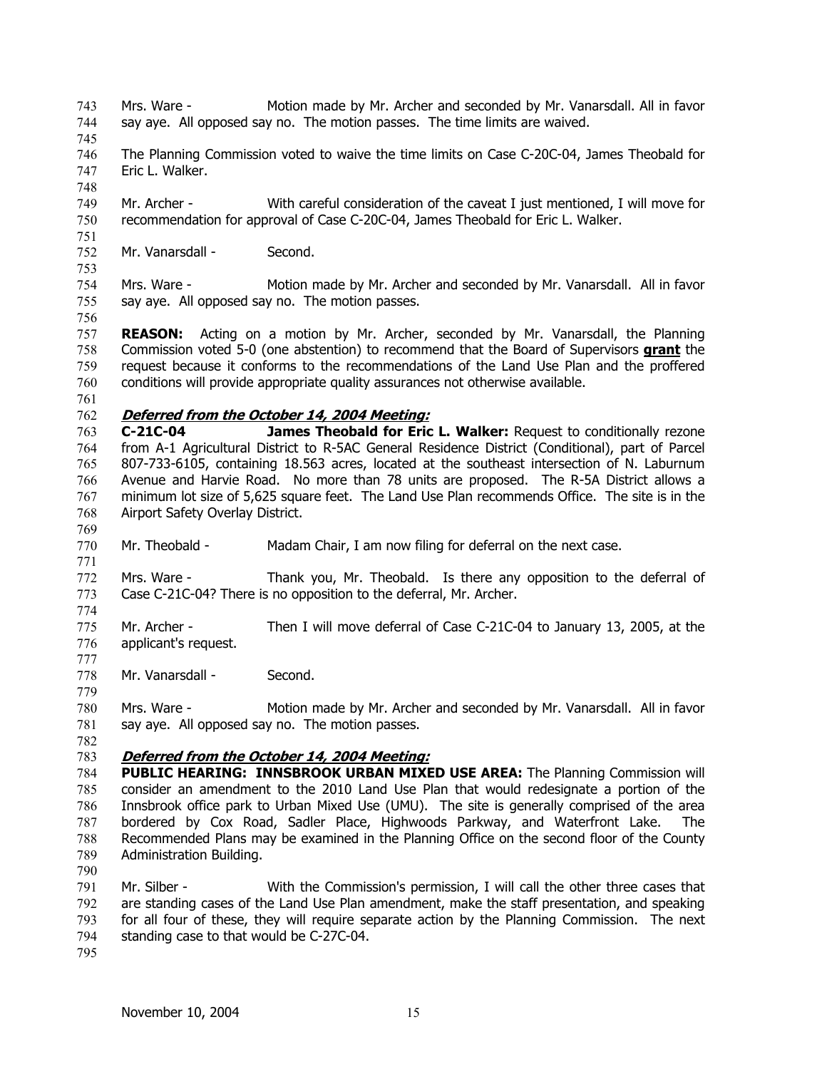Mrs. Ware - Motion made by Mr. Archer and seconded by Mr. Vanarsdall. All in favor say aye. All opposed say no. The motion passes. The time limits are waived. 743 744

745

748

- 746 747 The Planning Commission voted to waive the time limits on Case C-20C-04, James Theobald for Eric L. Walker.
- 749 750 Mr. Archer - With careful consideration of the caveat I just mentioned, I will move for recommendation for approval of Case C-20C-04, James Theobald for Eric L. Walker.
- 751 752 Mr. Vanarsdall - Second.
- 754 755 Mrs. Ware - Motion made by Mr. Archer and seconded by Mr. Vanarsdall. All in favor say aye. All opposed say no. The motion passes.
- 756

753

757 **REASON:** Acting on a motion by Mr. Archer, seconded by Mr. Vanarsdall, the Planning Commission voted 5-0 (one abstention) to recommend that the Board of Supervisors **grant** the request because it conforms to the recommendations of the Land Use Plan and the proffered conditions will provide appropriate quality assurances not otherwise available. 758 759 760

761

769

771

774

777

779

### 762 **Deferred from the October 14, 2004 Meeting:**

763 764 765 766 767 768 **C-21C-04 James Theobald for Eric L. Walker:** Request to conditionally rezone from A-1 Agricultural District to R-5AC General Residence District (Conditional), part of Parcel 807-733-6105, containing 18.563 acres, located at the southeast intersection of N. Laburnum Avenue and Harvie Road. No more than 78 units are proposed. The R-5A District allows a minimum lot size of 5,625 square feet. The Land Use Plan recommends Office. The site is in the Airport Safety Overlay District.

770 Mr. Theobald - Madam Chair, I am now filing for deferral on the next case.

772 773 Mrs. Ware - Thank you, Mr. Theobald. Is there any opposition to the deferral of Case C-21C-04? There is no opposition to the deferral, Mr. Archer.

775 776 Mr. Archer - Then I will move deferral of Case C-21C-04 to January 13, 2005, at the applicant's request.

778 Mr. Vanarsdall - Second.

780 781 Mrs. Ware - Motion made by Mr. Archer and seconded by Mr. Vanarsdall. All in favor say aye. All opposed say no. The motion passes.

782

# 783 **Deferred from the October 14, 2004 Meeting:**

784 785 786 787 788 789 **PUBLIC HEARING: INNSBROOK URBAN MIXED USE AREA:** The Planning Commission will consider an amendment to the 2010 Land Use Plan that would redesignate a portion of the Innsbrook office park to Urban Mixed Use (UMU). The site is generally comprised of the area bordered by Cox Road, Sadler Place, Highwoods Parkway, and Waterfront Lake. The Recommended Plans may be examined in the Planning Office on the second floor of the County Administration Building.

790

791 792 793 794 Mr. Silber - With the Commission's permission, I will call the other three cases that are standing cases of the Land Use Plan amendment, make the staff presentation, and speaking for all four of these, they will require separate action by the Planning Commission. The next standing case to that would be C-27C-04.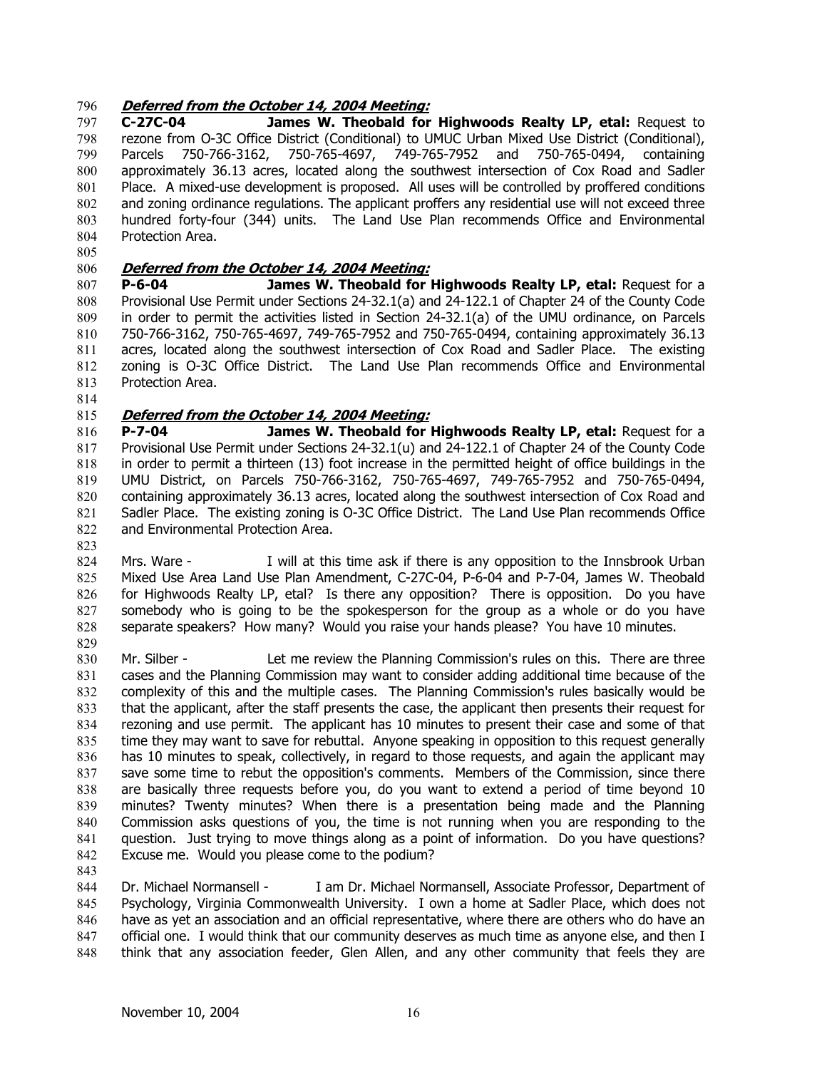## 796 **Deferred from the October 14, 2004 Meeting:**

797 798 799 800 801 802 803 804 **C-27C-04 James W. Theobald for Highwoods Realty LP, etal:** Request to rezone from O-3C Office District (Conditional) to UMUC Urban Mixed Use District (Conditional), Parcels 750-766-3162, 750-765-4697, 749-765-7952 and 750-765-0494, containing approximately 36.13 acres, located along the southwest intersection of Cox Road and Sadler Place. A mixed-use development is proposed. All uses will be controlled by proffered conditions and zoning ordinance regulations. The applicant proffers any residential use will not exceed three hundred forty-four (344) units. The Land Use Plan recommends Office and Environmental Protection Area.

805

# 806 **Deferred from the October 14, 2004 Meeting:**

807 808 809 810 811 812 813 **P-6-04 James W. Theobald for Highwoods Realty LP, etal:** Request for a Provisional Use Permit under Sections 24-32.1(a) and 24-122.1 of Chapter 24 of the County Code in order to permit the activities listed in Section 24-32.1(a) of the UMU ordinance, on Parcels 750-766-3162, 750-765-4697, 749-765-7952 and 750-765-0494, containing approximately 36.13 acres, located along the southwest intersection of Cox Road and Sadler Place. The existing zoning is O-3C Office District. The Land Use Plan recommends Office and Environmental Protection Area.

814

### 815 **Deferred from the October 14, 2004 Meeting:**

816 817 818 819 820 821 822 **P-7-04 James W. Theobald for Highwoods Realty LP, etal:** Request for a Provisional Use Permit under Sections 24-32.1(u) and 24-122.1 of Chapter 24 of the County Code in order to permit a thirteen (13) foot increase in the permitted height of office buildings in the UMU District, on Parcels 750-766-3162, 750-765-4697, 749-765-7952 and 750-765-0494, containing approximately 36.13 acres, located along the southwest intersection of Cox Road and Sadler Place. The existing zoning is O-3C Office District. The Land Use Plan recommends Office and Environmental Protection Area.

823

824 825 826 827 828 829 Mrs. Ware - I will at this time ask if there is any opposition to the Innsbrook Urban Mixed Use Area Land Use Plan Amendment, C-27C-04, P-6-04 and P-7-04, James W. Theobald for Highwoods Realty LP, etal? Is there any opposition? There is opposition. Do you have somebody who is going to be the spokesperson for the group as a whole or do you have separate speakers? How many? Would you raise your hands please? You have 10 minutes.

830 831 832 833 834 835 836 837 838 839 840 841 842 Mr. Silber - Let me review the Planning Commission's rules on this. There are three cases and the Planning Commission may want to consider adding additional time because of the complexity of this and the multiple cases. The Planning Commission's rules basically would be that the applicant, after the staff presents the case, the applicant then presents their request for rezoning and use permit. The applicant has 10 minutes to present their case and some of that time they may want to save for rebuttal. Anyone speaking in opposition to this request generally has 10 minutes to speak, collectively, in regard to those requests, and again the applicant may save some time to rebut the opposition's comments. Members of the Commission, since there are basically three requests before you, do you want to extend a period of time beyond 10 minutes? Twenty minutes? When there is a presentation being made and the Planning Commission asks questions of you, the time is not running when you are responding to the question. Just trying to move things along as a point of information. Do you have questions? Excuse me. Would you please come to the podium?

843

844 845 846 847 848 Dr. Michael Normansell - I am Dr. Michael Normansell, Associate Professor, Department of Psychology, Virginia Commonwealth University. I own a home at Sadler Place, which does not have as yet an association and an official representative, where there are others who do have an official one. I would think that our community deserves as much time as anyone else, and then I think that any association feeder, Glen Allen, and any other community that feels they are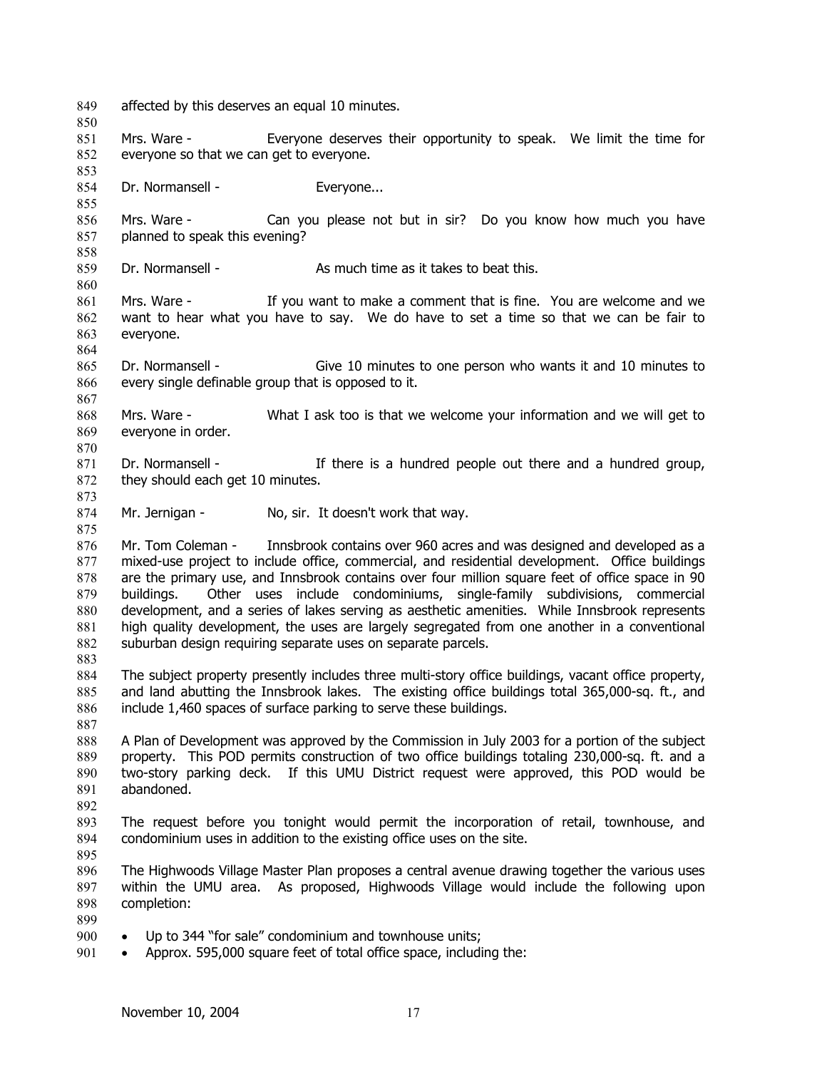- 849 affected by this deserves an equal 10 minutes.
- 851 852 Mrs. Ware - Everyone deserves their opportunity to speak. We limit the time for everyone so that we can get to everyone.
- 854 Dr. Normansell - Everyone...
- 856 857 858 Mrs. Ware - Can you please not but in sir? Do you know how much you have planned to speak this evening?
- 859 Dr. Normansell - As much time as it takes to beat this.
- 861 862 863 Mrs. Ware - If you want to make a comment that is fine. You are welcome and we want to hear what you have to say. We do have to set a time so that we can be fair to everyone.
- 865 866 Dr. Normansell - Give 10 minutes to one person who wants it and 10 minutes to every single definable group that is opposed to it.
- 868 869 Mrs. Ware - What I ask too is that we welcome your information and we will get to everyone in order.
- 871 872 Dr. Normansell - There is a hundred people out there and a hundred group, they should each get 10 minutes.
- 874 Mr. Jernigan - No, sir. It doesn't work that way.
- 876 877 878 879 880 881 882 Mr. Tom Coleman - Innsbrook contains over 960 acres and was designed and developed as a mixed-use project to include office, commercial, and residential development. Office buildings are the primary use, and Innsbrook contains over four million square feet of office space in 90 buildings. Other uses include condominiums, single-family subdivisions, commercial development, and a series of lakes serving as aesthetic amenities. While Innsbrook represents high quality development, the uses are largely segregated from one another in a conventional suburban design requiring separate uses on separate parcels.
- 884 885 886 The subject property presently includes three multi-story office buildings, vacant office property, and land abutting the Innsbrook lakes. The existing office buildings total 365,000-sq. ft., and include 1,460 spaces of surface parking to serve these buildings.
- 888 889 890 891 A Plan of Development was approved by the Commission in July 2003 for a portion of the subject property. This POD permits construction of two office buildings totaling 230,000-sq. ft. and a two-story parking deck. If this UMU District request were approved, this POD would be abandoned.
- 892

850

853

855

860

864

867

870

873

875

883

- 893 894 The request before you tonight would permit the incorporation of retail, townhouse, and condominium uses in addition to the existing office uses on the site.
- 895
- 896 897 898 The Highwoods Village Master Plan proposes a central avenue drawing together the various uses within the UMU area. As proposed, Highwoods Village would include the following upon completion:
- 899
- 900 • Up to 344 "for sale" condominium and townhouse units;
- 901 • Approx. 595,000 square feet of total office space, including the: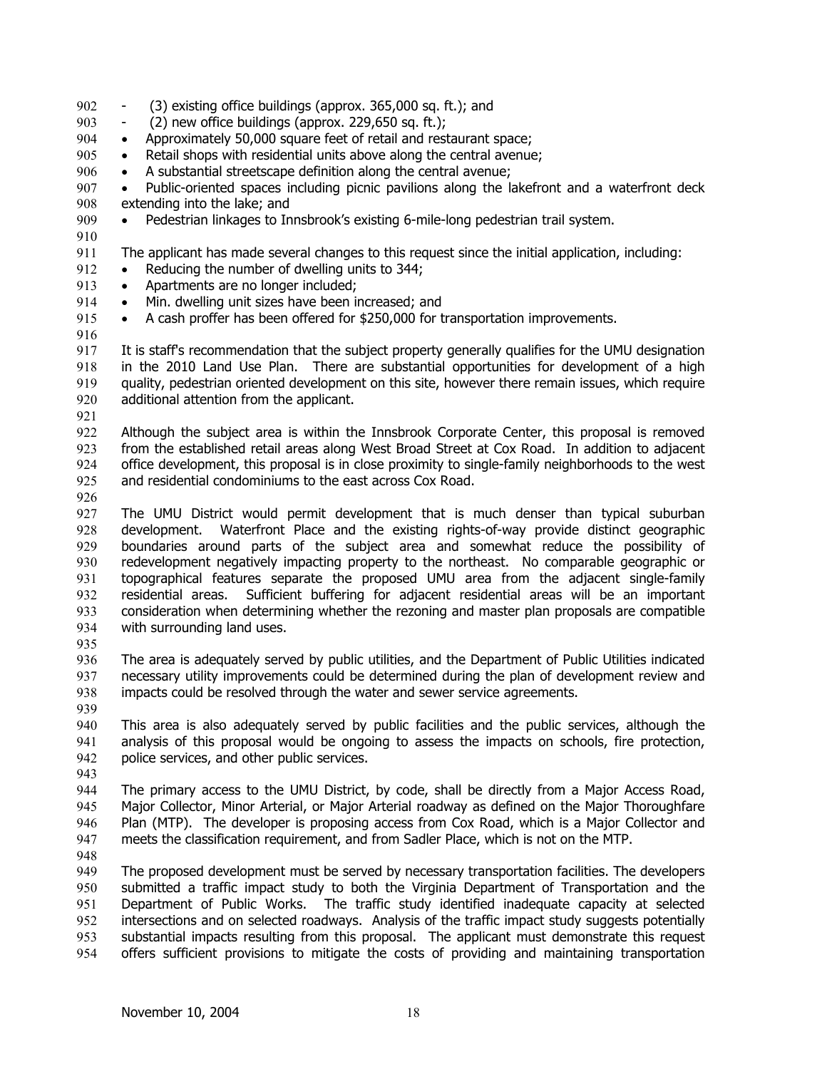- 902 (3) existing office buildings (approx. 365,000 sq. ft.); and
- 903 - (2) new office buildings (approx. 229,650 sq. ft.);
- 904 • Approximately 50,000 square feet of retail and restaurant space;
- 905 • Retail shops with residential units above along the central avenue;
- 906 • A substantial streetscape definition along the central avenue;
- 907 908 • Public-oriented spaces including picnic pavilions along the lakefront and a waterfront deck extending into the lake; and
- 909 • Pedestrian linkages to Innsbrook's existing 6-mile-long pedestrian trail system.
- 911 The applicant has made several changes to this request since the initial application, including:
- 912 • Reducing the number of dwelling units to 344;
- 913 • Apartments are no longer included:
- 914 • Min. dwelling unit sizes have been increased; and
- 915 • A cash proffer has been offered for \$250,000 for transportation improvements.
- 916

910

917 918 919 920 It is staff's recommendation that the subject property generally qualifies for the UMU designation in the 2010 Land Use Plan. There are substantial opportunities for development of a high quality, pedestrian oriented development on this site, however there remain issues, which require additional attention from the applicant.

921

922 923 924 925 Although the subject area is within the Innsbrook Corporate Center, this proposal is removed from the established retail areas along West Broad Street at Cox Road. In addition to adjacent office development, this proposal is in close proximity to single-family neighborhoods to the west and residential condominiums to the east across Cox Road.

926

927 928 929 930 931 932 933 934 The UMU District would permit development that is much denser than typical suburban development. Waterfront Place and the existing rights-of-way provide distinct geographic boundaries around parts of the subject area and somewhat reduce the possibility of redevelopment negatively impacting property to the northeast. No comparable geographic or topographical features separate the proposed UMU area from the adjacent single-family residential areas. Sufficient buffering for adjacent residential areas will be an important consideration when determining whether the rezoning and master plan proposals are compatible with surrounding land uses.

935

936 937 938 The area is adequately served by public utilities, and the Department of Public Utilities indicated necessary utility improvements could be determined during the plan of development review and impacts could be resolved through the water and sewer service agreements.

939

940 941 942 This area is also adequately served by public facilities and the public services, although the analysis of this proposal would be ongoing to assess the impacts on schools, fire protection, police services, and other public services.

943

944 945 946 947 The primary access to the UMU District, by code, shall be directly from a Major Access Road, Major Collector, Minor Arterial, or Major Arterial roadway as defined on the Major Thoroughfare Plan (MTP). The developer is proposing access from Cox Road, which is a Major Collector and meets the classification requirement, and from Sadler Place, which is not on the MTP.

948

949 950 951 952 953 954 The proposed development must be served by necessary transportation facilities. The developers submitted a traffic impact study to both the Virginia Department of Transportation and the Department of Public Works. The traffic study identified inadequate capacity at selected intersections and on selected roadways. Analysis of the traffic impact study suggests potentially substantial impacts resulting from this proposal. The applicant must demonstrate this request offers sufficient provisions to mitigate the costs of providing and maintaining transportation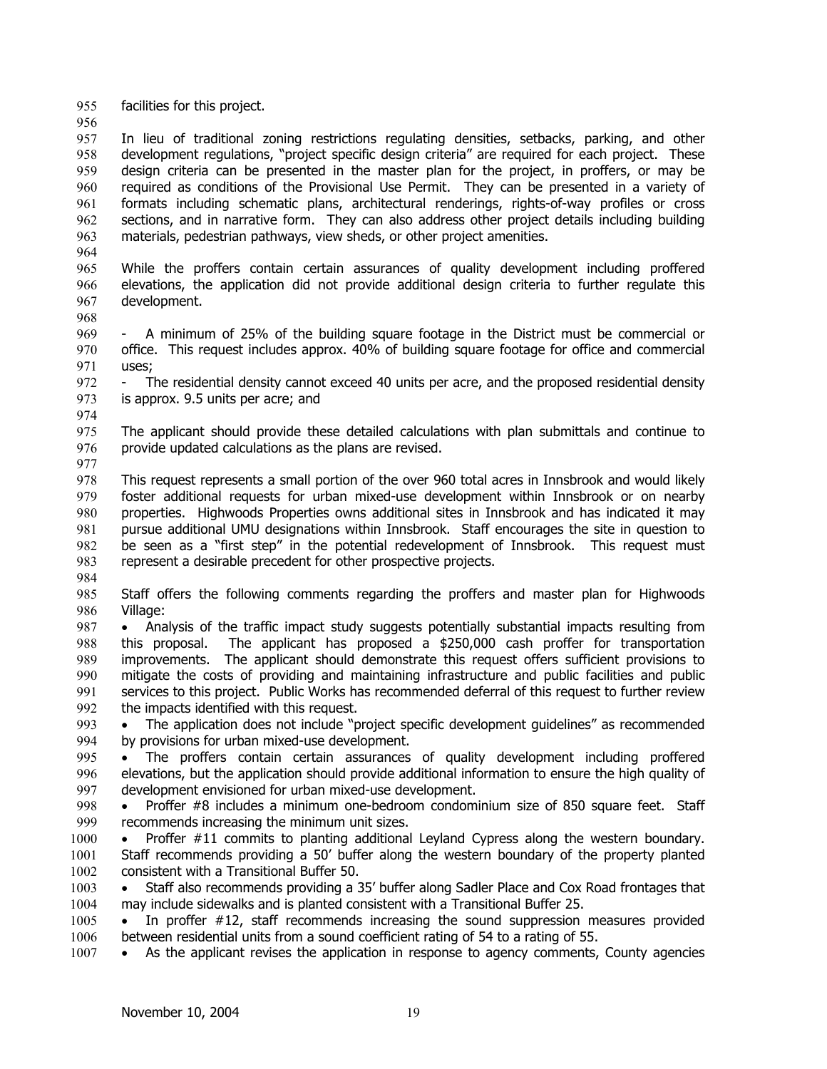955 facilities for this project.

956

957 958 959 960 961 962 963 In lieu of traditional zoning restrictions regulating densities, setbacks, parking, and other development regulations, "project specific design criteria" are required for each project. These design criteria can be presented in the master plan for the project, in proffers, or may be required as conditions of the Provisional Use Permit. They can be presented in a variety of formats including schematic plans, architectural renderings, rights-of-way profiles or cross sections, and in narrative form. They can also address other project details including building materials, pedestrian pathways, view sheds, or other project amenities.

964 965 966 967 While the proffers contain certain assurances of quality development including proffered elevations, the application did not provide additional design criteria to further regulate this development.

968

969 970 971 A minimum of 25% of the building square footage in the District must be commercial or office. This request includes approx. 40% of building square footage for office and commercial uses;

972 973 The residential density cannot exceed 40 units per acre, and the proposed residential density is approx. 9.5 units per acre; and

974

975 976 The applicant should provide these detailed calculations with plan submittals and continue to provide updated calculations as the plans are revised.

977

978 979 980 981 982 983 984 This request represents a small portion of the over 960 total acres in Innsbrook and would likely foster additional requests for urban mixed-use development within Innsbrook or on nearby properties. Highwoods Properties owns additional sites in Innsbrook and has indicated it may pursue additional UMU designations within Innsbrook. Staff encourages the site in question to be seen as a "first step" in the potential redevelopment of Innsbrook. This request must represent a desirable precedent for other prospective projects.

985 986 Staff offers the following comments regarding the proffers and master plan for Highwoods Village:

- 987 988 989 990 991 992 • Analysis of the traffic impact study suggests potentially substantial impacts resulting from this proposal. The applicant has proposed a \$250,000 cash proffer for transportation improvements. The applicant should demonstrate this request offers sufficient provisions to mitigate the costs of providing and maintaining infrastructure and public facilities and public services to this project. Public Works has recommended deferral of this request to further review the impacts identified with this request.
- 993 994 • The application does not include "project specific development guidelines" as recommended by provisions for urban mixed-use development.
- 995 996 997 The proffers contain certain assurances of quality development including proffered elevations, but the application should provide additional information to ensure the high quality of development envisioned for urban mixed-use development.
- 998 999 • Proffer #8 includes a minimum one-bedroom condominium size of 850 square feet. Staff recommends increasing the minimum unit sizes.
- 1000 1001 1002 • Proffer #11 commits to planting additional Leyland Cypress along the western boundary. Staff recommends providing a 50' buffer along the western boundary of the property planted consistent with a Transitional Buffer 50.

1003 1004 • Staff also recommends providing a 35' buffer along Sadler Place and Cox Road frontages that may include sidewalks and is planted consistent with a Transitional Buffer 25.

1005 1006 • In proffer #12, staff recommends increasing the sound suppression measures provided between residential units from a sound coefficient rating of 54 to a rating of 55.

1007 • As the applicant revises the application in response to agency comments, County agencies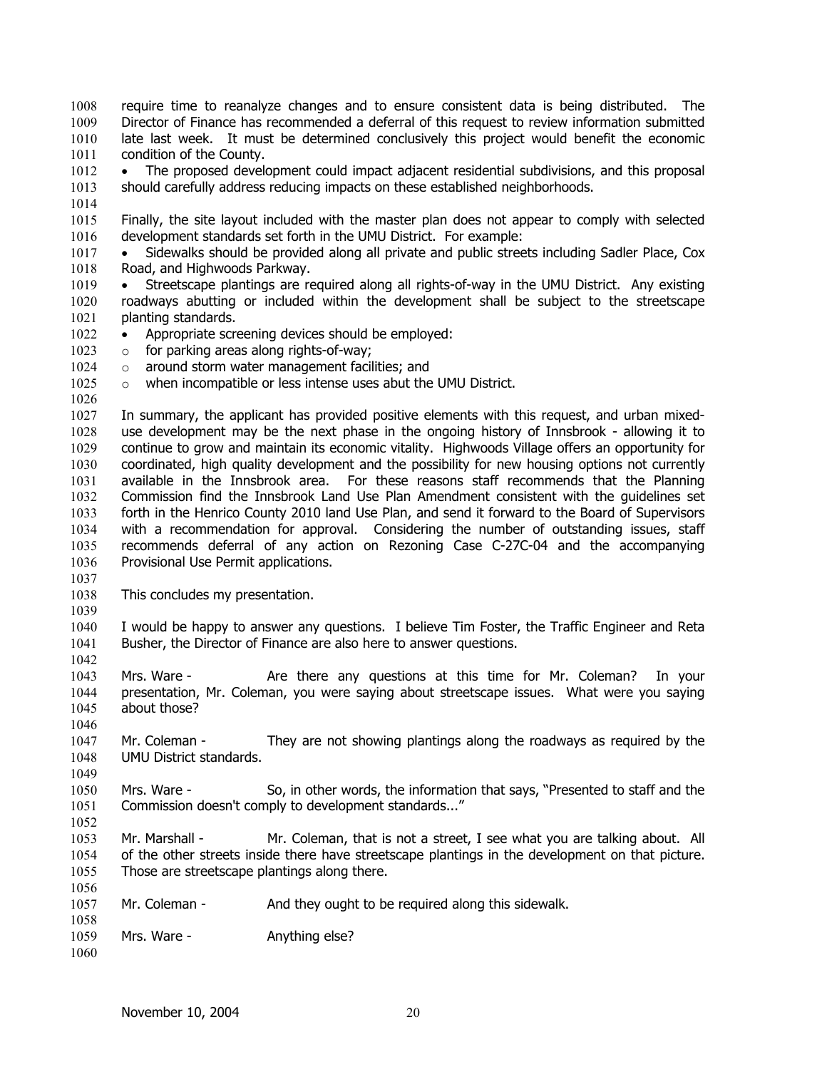require time to reanalyze changes and to ensure consistent data is being distributed. The Director of Finance has recommended a deferral of this request to review information submitted late last week. It must be determined conclusively this project would benefit the economic condition of the County. 1008 1009 1010 1011

1012 1013 • The proposed development could impact adjacent residential subdivisions, and this proposal should carefully address reducing impacts on these established neighborhoods.

1014

1026

1015 1016 Finally, the site layout included with the master plan does not appear to comply with selected development standards set forth in the UMU District. For example:

1017 1018 • Sidewalks should be provided along all private and public streets including Sadler Place, Cox Road, and Highwoods Parkway.

- 1019 1020 1021 • Streetscape plantings are required along all rights-of-way in the UMU District. Any existing roadways abutting or included within the development shall be subject to the streetscape planting standards.
- 1022 • Appropriate screening devices should be employed:
- 1023 o for parking areas along rights-of-way;
- 1024 o around storm water management facilities; and
- 1025 o when incompatible or less intense uses abut the UMU District.

1027 1028 1029 1030 1031 1032 1033 1034 1035 1036 In summary, the applicant has provided positive elements with this request, and urban mixeduse development may be the next phase in the ongoing history of Innsbrook - allowing it to continue to grow and maintain its economic vitality. Highwoods Village offers an opportunity for coordinated, high quality development and the possibility for new housing options not currently available in the Innsbrook area. For these reasons staff recommends that the Planning Commission find the Innsbrook Land Use Plan Amendment consistent with the guidelines set forth in the Henrico County 2010 land Use Plan, and send it forward to the Board of Supervisors with a recommendation for approval. Considering the number of outstanding issues, staff recommends deferral of any action on Rezoning Case C-27C-04 and the accompanying Provisional Use Permit applications.

- 1038 This concludes my presentation.
- 1039

1046

1049

1037

1040 1041 1042 I would be happy to answer any questions. I believe Tim Foster, the Traffic Engineer and Reta Busher, the Director of Finance are also here to answer questions.

1043 1044 1045 Mrs. Ware - The Are there any questions at this time for Mr. Coleman? In your presentation, Mr. Coleman, you were saying about streetscape issues. What were you saying about those?

1047 1048 Mr. Coleman - They are not showing plantings along the roadways as required by the UMU District standards.

1050 1051 1052 Mrs. Ware - So, in other words, the information that says, "Presented to staff and the Commission doesn't comply to development standards..."

1053 1054 1055 Mr. Marshall - Mr. Coleman, that is not a street, I see what you are talking about. All of the other streets inside there have streetscape plantings in the development on that picture. Those are streetscape plantings along there.

1057 Mr. Coleman - And they ought to be required along this sidewalk.

1059 Mrs. Ware - The Anything else?

1056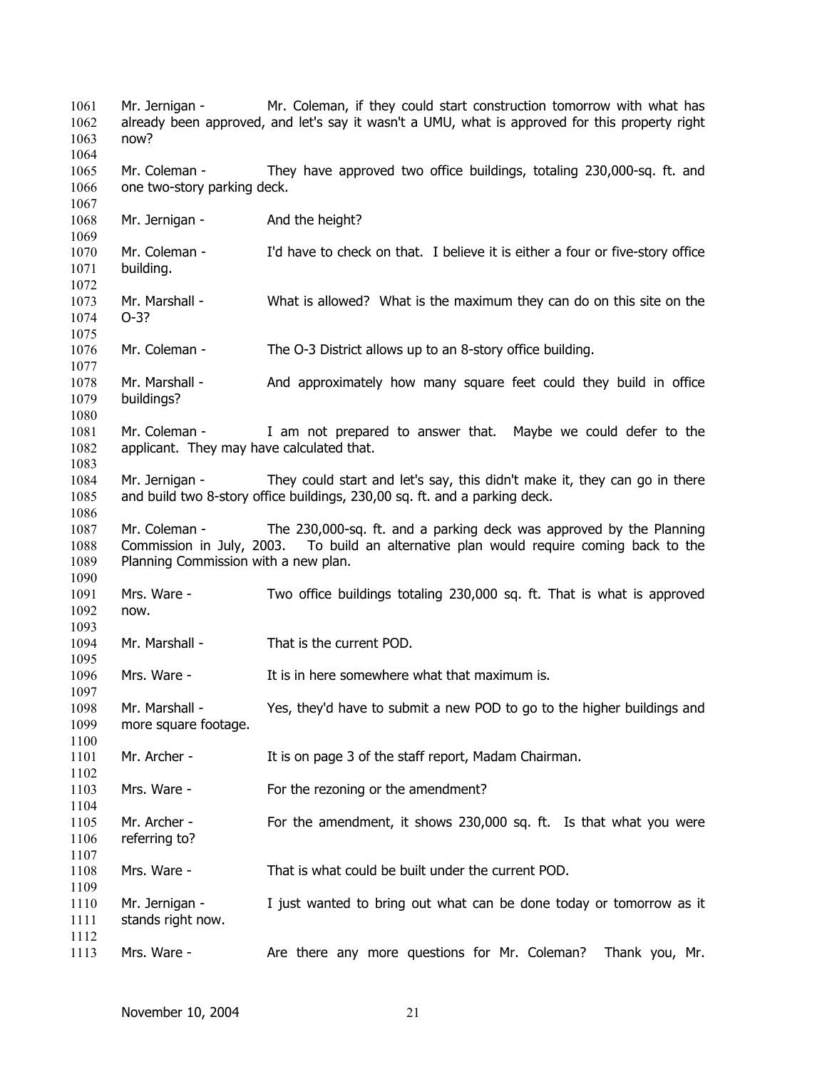Mr. Jernigan - Mr. Coleman, if they could start construction tomorrow with what has already been approved, and let's say it wasn't a UMU, what is approved for this property right now? Mr. Coleman - They have approved two office buildings, totaling 230,000-sq. ft. and one two-story parking deck. Mr. Jernigan - And the height? Mr. Coleman - I'd have to check on that. I believe it is either a four or five-story office building. Mr. Marshall - What is allowed? What is the maximum they can do on this site on the O-3? Mr. Coleman - The O-3 District allows up to an 8-story office building. Mr. Marshall - And approximately how many square feet could they build in office buildings? Mr. Coleman - I am not prepared to answer that. Maybe we could defer to the applicant. They may have calculated that. Mr. Jernigan - They could start and let's say, this didn't make it, they can go in there and build two 8-story office buildings, 230,00 sq. ft. and a parking deck. Mr. Coleman - The 230,000-sq. ft. and a parking deck was approved by the Planning Commission in July, 2003. To build an alternative plan would require coming back to the Planning Commission with a new plan. Mrs. Ware - Two office buildings totaling 230,000 sq. ft. That is what is approved now. Mr. Marshall - That is the current POD. Mrs. Ware - The It is in here somewhere what that maximum is. Mr. Marshall - Yes, they'd have to submit a new POD to go to the higher buildings and more square footage. Mr. Archer - It is on page 3 of the staff report, Madam Chairman. Mrs. Ware - For the rezoning or the amendment? Mr. Archer - For the amendment, it shows 230,000 sq. ft. Is that what you were referring to? Mrs. Ware - That is what could be built under the current POD. Mr. Jernigan - I just wanted to bring out what can be done today or tomorrow as it stands right now. Mrs. Ware - The any more questions for Mr. Coleman? Thank you, Mr.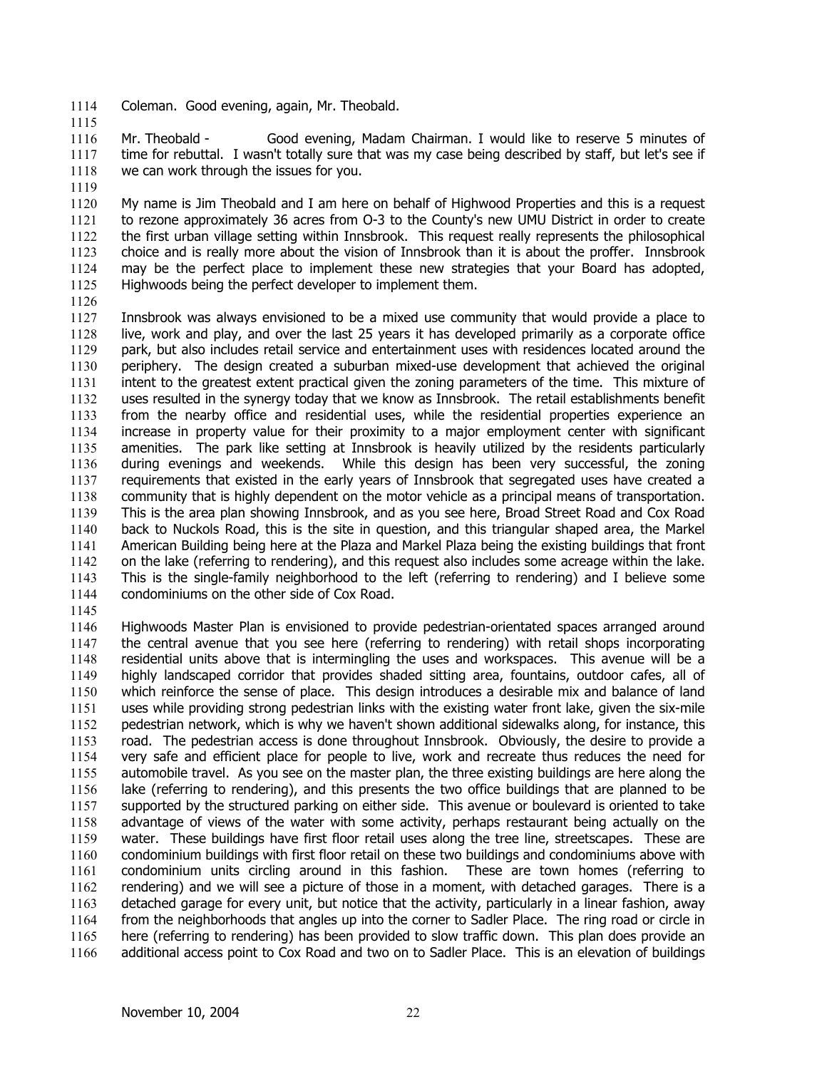- 1114 Coleman. Good evening, again, Mr. Theobald.
- 1115

1119

1116 1117 1118 Mr. Theobald - Good evening, Madam Chairman. I would like to reserve 5 minutes of time for rebuttal. I wasn't totally sure that was my case being described by staff, but let's see if we can work through the issues for you.

1120 1121 1122 1123 1124 1125 My name is Jim Theobald and I am here on behalf of Highwood Properties and this is a request to rezone approximately 36 acres from O-3 to the County's new UMU District in order to create the first urban village setting within Innsbrook. This request really represents the philosophical choice and is really more about the vision of Innsbrook than it is about the proffer. Innsbrook may be the perfect place to implement these new strategies that your Board has adopted, Highwoods being the perfect developer to implement them.

1126

1127 1128 1129 1130 1131 1132 1133 1134 1135 1136 1137 1138 1139 1140 1141 1142 1143 1144 Innsbrook was always envisioned to be a mixed use community that would provide a place to live, work and play, and over the last 25 years it has developed primarily as a corporate office park, but also includes retail service and entertainment uses with residences located around the periphery. The design created a suburban mixed-use development that achieved the original intent to the greatest extent practical given the zoning parameters of the time. This mixture of uses resulted in the synergy today that we know as Innsbrook. The retail establishments benefit from the nearby office and residential uses, while the residential properties experience an increase in property value for their proximity to a major employment center with significant amenities. The park like setting at Innsbrook is heavily utilized by the residents particularly during evenings and weekends. While this design has been very successful, the zoning requirements that existed in the early years of Innsbrook that segregated uses have created a community that is highly dependent on the motor vehicle as a principal means of transportation. This is the area plan showing Innsbrook, and as you see here, Broad Street Road and Cox Road back to Nuckols Road, this is the site in question, and this triangular shaped area, the Markel American Building being here at the Plaza and Markel Plaza being the existing buildings that front on the lake (referring to rendering), and this request also includes some acreage within the lake. This is the single-family neighborhood to the left (referring to rendering) and I believe some condominiums on the other side of Cox Road.

1145

1146 1147 1148 1149 1150 1151 1152 1153 1154 1155 1156 1157 1158 1159 1160 1161 1162 1163 1164 1165 1166 Highwoods Master Plan is envisioned to provide pedestrian-orientated spaces arranged around the central avenue that you see here (referring to rendering) with retail shops incorporating residential units above that is intermingling the uses and workspaces. This avenue will be a highly landscaped corridor that provides shaded sitting area, fountains, outdoor cafes, all of which reinforce the sense of place. This design introduces a desirable mix and balance of land uses while providing strong pedestrian links with the existing water front lake, given the six-mile pedestrian network, which is why we haven't shown additional sidewalks along, for instance, this road. The pedestrian access is done throughout Innsbrook. Obviously, the desire to provide a very safe and efficient place for people to live, work and recreate thus reduces the need for automobile travel. As you see on the master plan, the three existing buildings are here along the lake (referring to rendering), and this presents the two office buildings that are planned to be supported by the structured parking on either side. This avenue or boulevard is oriented to take advantage of views of the water with some activity, perhaps restaurant being actually on the water. These buildings have first floor retail uses along the tree line, streetscapes. These are condominium buildings with first floor retail on these two buildings and condominiums above with condominium units circling around in this fashion. These are town homes (referring to rendering) and we will see a picture of those in a moment, with detached garages. There is a detached garage for every unit, but notice that the activity, particularly in a linear fashion, away from the neighborhoods that angles up into the corner to Sadler Place. The ring road or circle in here (referring to rendering) has been provided to slow traffic down. This plan does provide an additional access point to Cox Road and two on to Sadler Place. This is an elevation of buildings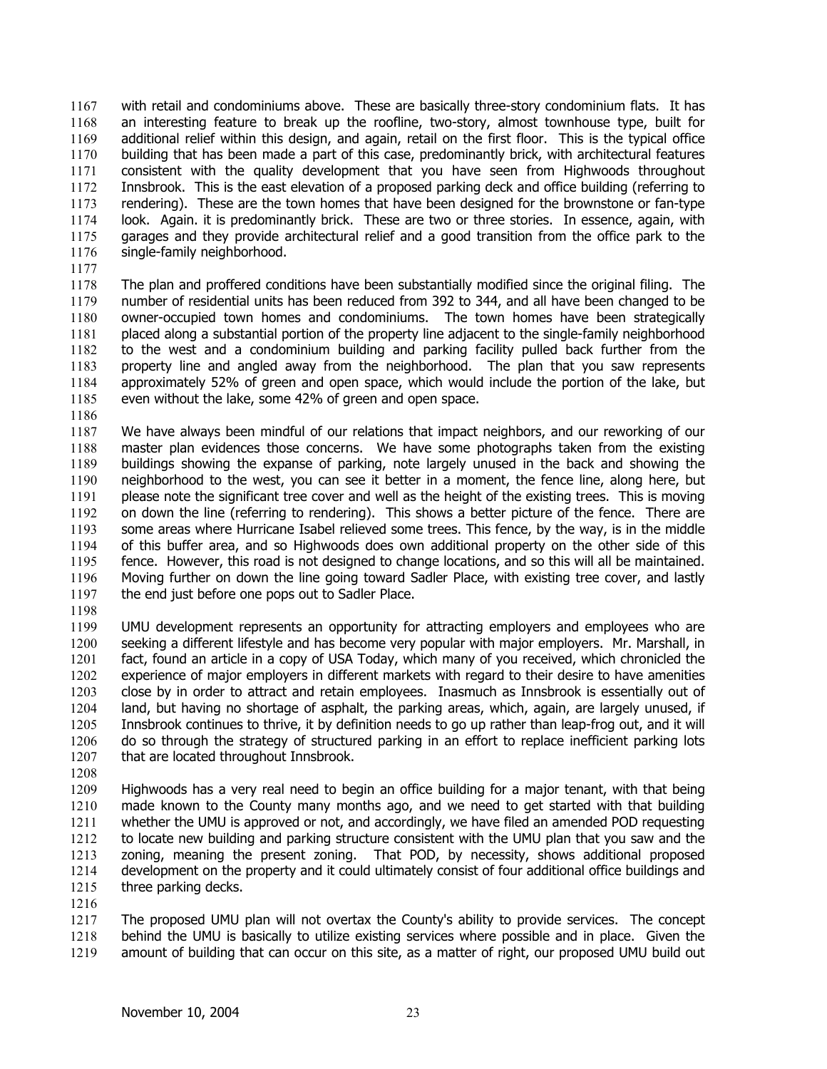with retail and condominiums above. These are basically three-story condominium flats. It has an interesting feature to break up the roofline, two-story, almost townhouse type, built for additional relief within this design, and again, retail on the first floor. This is the typical office building that has been made a part of this case, predominantly brick, with architectural features consistent with the quality development that you have seen from Highwoods throughout Innsbrook. This is the east elevation of a proposed parking deck and office building (referring to rendering). These are the town homes that have been designed for the brownstone or fan-type look. Again. it is predominantly brick. These are two or three stories. In essence, again, with garages and they provide architectural relief and a good transition from the office park to the single-family neighborhood. 1167 1168 1169 1170 1171 1172 1173 1174 1175 1176

1177

1178 1179 1180 1181 1182 1183 1184 1185 The plan and proffered conditions have been substantially modified since the original filing. The number of residential units has been reduced from 392 to 344, and all have been changed to be owner-occupied town homes and condominiums. The town homes have been strategically placed along a substantial portion of the property line adjacent to the single-family neighborhood to the west and a condominium building and parking facility pulled back further from the property line and angled away from the neighborhood. The plan that you saw represents approximately 52% of green and open space, which would include the portion of the lake, but even without the lake, some 42% of green and open space.

1186

1187 1188 1189 1190 1191 1192 1193 1194 1195 1196 1197 We have always been mindful of our relations that impact neighbors, and our reworking of our master plan evidences those concerns. We have some photographs taken from the existing buildings showing the expanse of parking, note largely unused in the back and showing the neighborhood to the west, you can see it better in a moment, the fence line, along here, but please note the significant tree cover and well as the height of the existing trees. This is moving on down the line (referring to rendering). This shows a better picture of the fence. There are some areas where Hurricane Isabel relieved some trees. This fence, by the way, is in the middle of this buffer area, and so Highwoods does own additional property on the other side of this fence. However, this road is not designed to change locations, and so this will all be maintained. Moving further on down the line going toward Sadler Place, with existing tree cover, and lastly the end just before one pops out to Sadler Place.

1198

1199 1200 1201 1202 1203 1204 1205 1206 1207 UMU development represents an opportunity for attracting employers and employees who are seeking a different lifestyle and has become very popular with major employers. Mr. Marshall, in fact, found an article in a copy of USA Today, which many of you received, which chronicled the experience of major employers in different markets with regard to their desire to have amenities close by in order to attract and retain employees. Inasmuch as Innsbrook is essentially out of land, but having no shortage of asphalt, the parking areas, which, again, are largely unused, if Innsbrook continues to thrive, it by definition needs to go up rather than leap-frog out, and it will do so through the strategy of structured parking in an effort to replace inefficient parking lots that are located throughout Innsbrook.

1208

1209 1210 1211 1212 1213 1214 1215 Highwoods has a very real need to begin an office building for a major tenant, with that being made known to the County many months ago, and we need to get started with that building whether the UMU is approved or not, and accordingly, we have filed an amended POD requesting to locate new building and parking structure consistent with the UMU plan that you saw and the zoning, meaning the present zoning. That POD, by necessity, shows additional proposed development on the property and it could ultimately consist of four additional office buildings and three parking decks.

1216

1217 1218 1219 The proposed UMU plan will not overtax the County's ability to provide services. The concept behind the UMU is basically to utilize existing services where possible and in place. Given the amount of building that can occur on this site, as a matter of right, our proposed UMU build out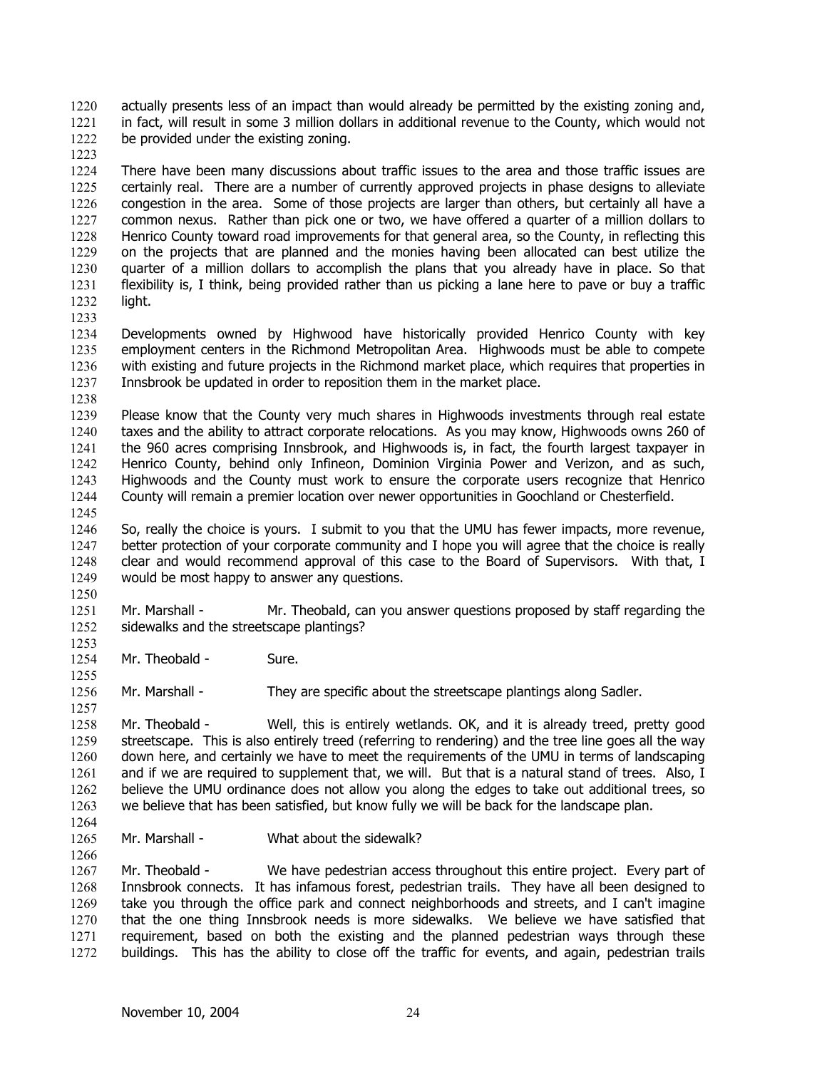actually presents less of an impact than would already be permitted by the existing zoning and, in fact, will result in some 3 million dollars in additional revenue to the County, which would not be provided under the existing zoning. 1220 1221 1222

1224 1225 1226 1227 1228 1229 1230 1231 1232 There have been many discussions about traffic issues to the area and those traffic issues are certainly real. There are a number of currently approved projects in phase designs to alleviate congestion in the area. Some of those projects are larger than others, but certainly all have a common nexus. Rather than pick one or two, we have offered a quarter of a million dollars to Henrico County toward road improvements for that general area, so the County, in reflecting this on the projects that are planned and the monies having been allocated can best utilize the quarter of a million dollars to accomplish the plans that you already have in place. So that flexibility is, I think, being provided rather than us picking a lane here to pave or buy a traffic light.

1233

1238

1223

1234 1235 1236 1237 Developments owned by Highwood have historically provided Henrico County with key employment centers in the Richmond Metropolitan Area. Highwoods must be able to compete with existing and future projects in the Richmond market place, which requires that properties in Innsbrook be updated in order to reposition them in the market place.

1239 1240 1241 1242 1243 1244 1245 Please know that the County very much shares in Highwoods investments through real estate taxes and the ability to attract corporate relocations. As you may know, Highwoods owns 260 of the 960 acres comprising Innsbrook, and Highwoods is, in fact, the fourth largest taxpayer in Henrico County, behind only Infineon, Dominion Virginia Power and Verizon, and as such, Highwoods and the County must work to ensure the corporate users recognize that Henrico County will remain a premier location over newer opportunities in Goochland or Chesterfield.

1246 1247 1248 1249 1250 So, really the choice is yours. I submit to you that the UMU has fewer impacts, more revenue, better protection of your corporate community and I hope you will agree that the choice is really clear and would recommend approval of this case to the Board of Supervisors. With that, I would be most happy to answer any questions.

1251 1252 Mr. Marshall - Mr. Theobald, can you answer questions proposed by staff regarding the sidewalks and the streetscape plantings?

1254 Mr. Theobald - Sure.

1256 Mr. Marshall - They are specific about the streetscape plantings along Sadler.

1258 1259 1260 1261 1262 1263 Mr. Theobald - Well, this is entirely wetlands. OK, and it is already treed, pretty good streetscape. This is also entirely treed (referring to rendering) and the tree line goes all the way down here, and certainly we have to meet the requirements of the UMU in terms of landscaping and if we are required to supplement that, we will. But that is a natural stand of trees. Also, I believe the UMU ordinance does not allow you along the edges to take out additional trees, so we believe that has been satisfied, but know fully we will be back for the landscape plan.

1264 1265

1266

1253

1255

1257

Mr. Marshall - What about the sidewalk?

1267 1268 1269 1270 1271 1272 Mr. Theobald - We have pedestrian access throughout this entire project. Every part of Innsbrook connects. It has infamous forest, pedestrian trails. They have all been designed to take you through the office park and connect neighborhoods and streets, and I can't imagine that the one thing Innsbrook needs is more sidewalks. We believe we have satisfied that requirement, based on both the existing and the planned pedestrian ways through these buildings. This has the ability to close off the traffic for events, and again, pedestrian trails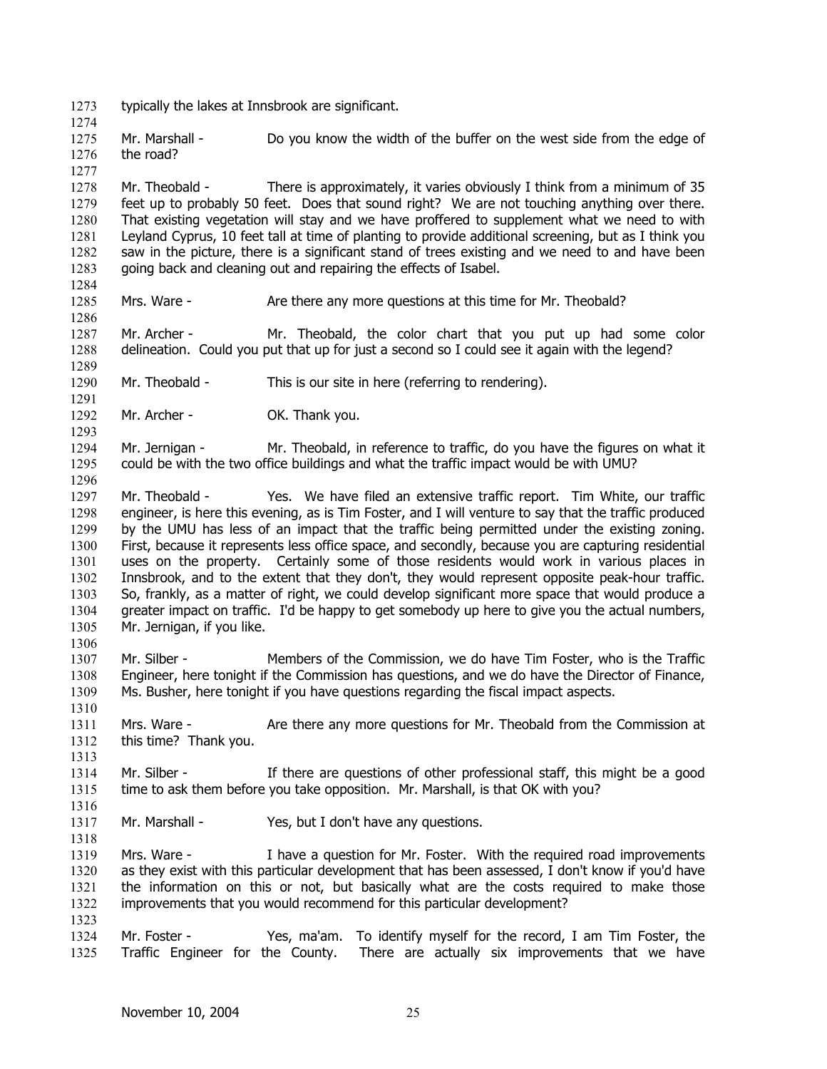1273 typically the lakes at Innsbrook are significant.

1275 1276 Mr. Marshall - Do you know the width of the buffer on the west side from the edge of the road?

1277

1274

1284

1286

1289

1291

1293

1296

1306

1310

1313

1316

1318

1278 1279 1280 1281 1282 1283 Mr. Theobald - There is approximately, it varies obviously I think from a minimum of 35 feet up to probably 50 feet. Does that sound right? We are not touching anything over there. That existing vegetation will stay and we have proffered to supplement what we need to with Leyland Cyprus, 10 feet tall at time of planting to provide additional screening, but as I think you saw in the picture, there is a significant stand of trees existing and we need to and have been going back and cleaning out and repairing the effects of Isabel.

1285 Mrs. Ware - Are there any more questions at this time for Mr. Theobald?

1287 1288 Mr. Archer - Mr. Theobald, the color chart that you put up had some color delineation. Could you put that up for just a second so I could see it again with the legend?

1290 Mr. Theobald - This is our site in here (referring to rendering).

1292 Mr. Archer - OK. Thank you.

1294 1295 Mr. Jernigan - Mr. Theobald, in reference to traffic, do you have the figures on what it could be with the two office buildings and what the traffic impact would be with UMU?

1297 1298 1299 1300 1301 1302 1303 1304 1305 Mr. Theobald - Yes. We have filed an extensive traffic report. Tim White, our traffic engineer, is here this evening, as is Tim Foster, and I will venture to say that the traffic produced by the UMU has less of an impact that the traffic being permitted under the existing zoning. First, because it represents less office space, and secondly, because you are capturing residential uses on the property. Certainly some of those residents would work in various places in Innsbrook, and to the extent that they don't, they would represent opposite peak-hour traffic. So, frankly, as a matter of right, we could develop significant more space that would produce a greater impact on traffic. I'd be happy to get somebody up here to give you the actual numbers, Mr. Jernigan, if you like.

- 1307 1308 1309 Mr. Silber - Members of the Commission, we do have Tim Foster, who is the Traffic Engineer, here tonight if the Commission has questions, and we do have the Director of Finance, Ms. Busher, here tonight if you have questions regarding the fiscal impact aspects.
- 1311 1312 Mrs. Ware - Are there any more questions for Mr. Theobald from the Commission at this time? Thank you.
- 1314 1315 Mr. Silber - If there are questions of other professional staff, this might be a good time to ask them before you take opposition. Mr. Marshall, is that OK with you?
- 1317 Mr. Marshall - Yes, but I don't have any questions.

1319 1320 1321 1322 1323 Mrs. Ware - I have a question for Mr. Foster. With the required road improvements as they exist with this particular development that has been assessed, I don't know if you'd have the information on this or not, but basically what are the costs required to make those improvements that you would recommend for this particular development?

1324 1325 Mr. Foster - Yes, ma'am. To identify myself for the record, I am Tim Foster, the Traffic Engineer for the County. There are actually six improvements that we have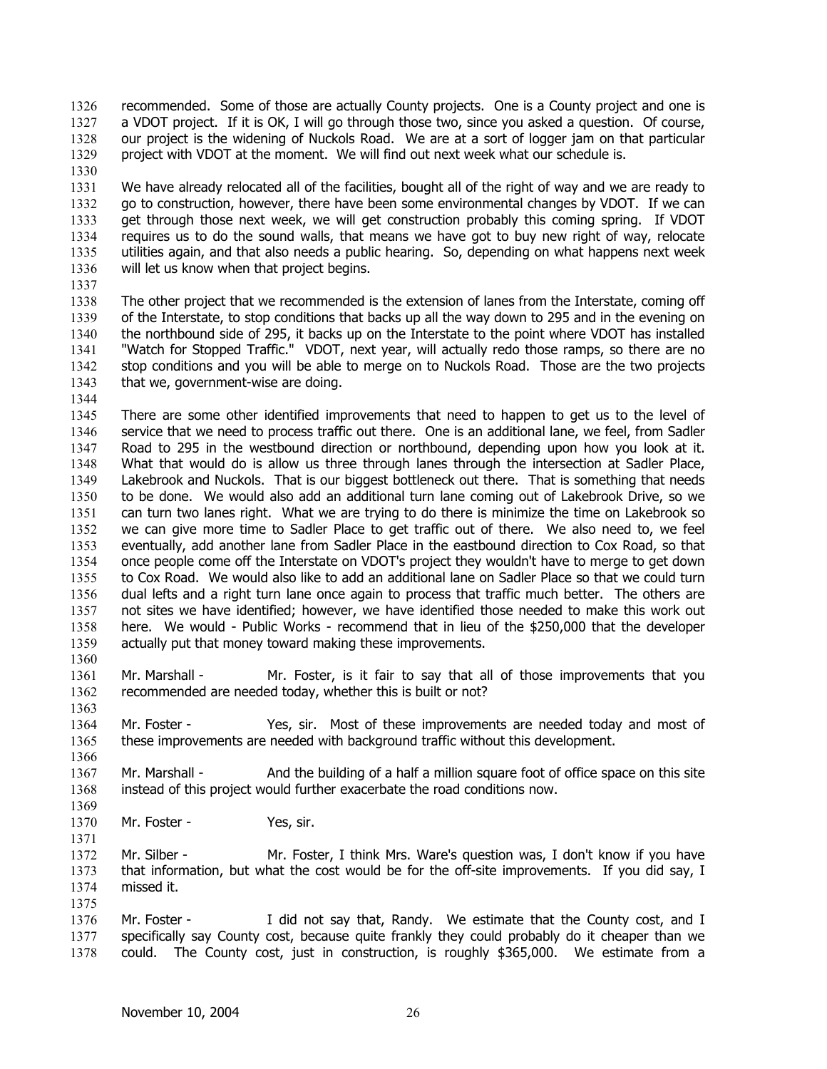- recommended. Some of those are actually County projects. One is a County project and one is a VDOT project. If it is OK, I will go through those two, since you asked a question. Of course, our project is the widening of Nuckols Road. We are at a sort of logger jam on that particular project with VDOT at the moment. We will find out next week what our schedule is. 1326 1327 1328 1329
- 1330

1331 1332 1333 1334 1335 1336 We have already relocated all of the facilities, bought all of the right of way and we are ready to go to construction, however, there have been some environmental changes by VDOT. If we can get through those next week, we will get construction probably this coming spring. If VDOT requires us to do the sound walls, that means we have got to buy new right of way, relocate utilities again, and that also needs a public hearing. So, depending on what happens next week will let us know when that project begins.

1337

1344

1366

1371

1338 1339 1340 1341 1342 1343 The other project that we recommended is the extension of lanes from the Interstate, coming off of the Interstate, to stop conditions that backs up all the way down to 295 and in the evening on the northbound side of 295, it backs up on the Interstate to the point where VDOT has installed "Watch for Stopped Traffic." VDOT, next year, will actually redo those ramps, so there are no stop conditions and you will be able to merge on to Nuckols Road. Those are the two projects that we, government-wise are doing.

1345 1346 1347 1348 1349 1350 1351 1352 1353 1354 1355 1356 1357 1358 1359 1360 There are some other identified improvements that need to happen to get us to the level of service that we need to process traffic out there. One is an additional lane, we feel, from Sadler Road to 295 in the westbound direction or northbound, depending upon how you look at it. What that would do is allow us three through lanes through the intersection at Sadler Place, Lakebrook and Nuckols. That is our biggest bottleneck out there. That is something that needs to be done. We would also add an additional turn lane coming out of Lakebrook Drive, so we can turn two lanes right. What we are trying to do there is minimize the time on Lakebrook so we can give more time to Sadler Place to get traffic out of there. We also need to, we feel eventually, add another lane from Sadler Place in the eastbound direction to Cox Road, so that once people come off the Interstate on VDOT's project they wouldn't have to merge to get down to Cox Road. We would also like to add an additional lane on Sadler Place so that we could turn dual lefts and a right turn lane once again to process that traffic much better. The others are not sites we have identified; however, we have identified those needed to make this work out here. We would - Public Works - recommend that in lieu of the \$250,000 that the developer actually put that money toward making these improvements.

- 1361 1362 1363 Mr. Marshall - Mr. Foster, is it fair to say that all of those improvements that you recommended are needed today, whether this is built or not?
- 1364 1365 Mr. Foster - Yes, sir. Most of these improvements are needed today and most of these improvements are needed with background traffic without this development.
- 1367 1368 1369 Mr. Marshall - And the building of a half a million square foot of office space on this site instead of this project would further exacerbate the road conditions now.
- 1370 Mr. Foster - Yes, sir.
- 1372 1373 1374 1375 Mr. Silber - Mr. Foster, I think Mrs. Ware's question was, I don't know if you have that information, but what the cost would be for the off-site improvements. If you did say, I missed it.
- 1376 1377 1378 Mr. Foster - I did not say that, Randy. We estimate that the County cost, and I specifically say County cost, because quite frankly they could probably do it cheaper than we could. The County cost, just in construction, is roughly \$365,000. We estimate from a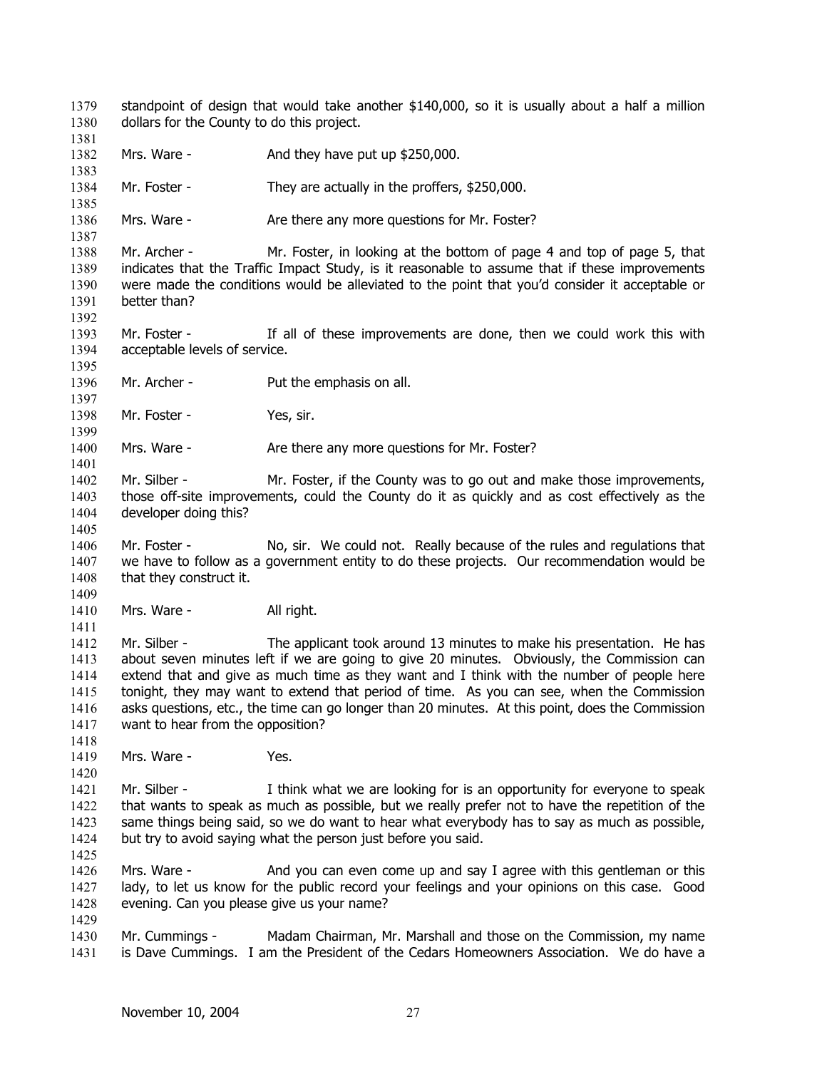standpoint of design that would take another \$140,000, so it is usually about a half a million dollars for the County to do this project. 1379 1380 1381 1382 1383 1384 1385 1386 1387 1388 1389 1390 1391 1392 1393 1394 1395 1396 1397 1398 1399 1400 1401 1402 1403 1404 1405 1406 1407 1408 1409 1410 1411 1412 1413 1414 1415 1416 1417 1418 1419 1420 1421 1422 1423 1424 1425 1426 1427 1428 1429 1430 1431 Mrs. Ware - And they have put up \$250,000. Mr. Foster - They are actually in the proffers, \$250,000. Mrs. Ware - There any more questions for Mr. Foster? Mr. Archer - Mr. Foster, in looking at the bottom of page 4 and top of page 5, that indicates that the Traffic Impact Study, is it reasonable to assume that if these improvements were made the conditions would be alleviated to the point that you'd consider it acceptable or better than? Mr. Foster - If all of these improvements are done, then we could work this with acceptable levels of service. Mr. Archer - Put the emphasis on all. Mr. Foster - Yes, sir. Mrs. Ware - Are there any more questions for Mr. Foster? Mr. Silber - Mr. Foster, if the County was to go out and make those improvements, those off-site improvements, could the County do it as quickly and as cost effectively as the developer doing this? Mr. Foster - No, sir. We could not. Really because of the rules and regulations that we have to follow as a government entity to do these projects. Our recommendation would be that they construct it. Mrs. Ware - All right. Mr. Silber - The applicant took around 13 minutes to make his presentation. He has about seven minutes left if we are going to give 20 minutes. Obviously, the Commission can extend that and give as much time as they want and I think with the number of people here tonight, they may want to extend that period of time. As you can see, when the Commission asks questions, etc., the time can go longer than 20 minutes. At this point, does the Commission want to hear from the opposition? Mrs. Ware - Yes. Mr. Silber - I think what we are looking for is an opportunity for everyone to speak that wants to speak as much as possible, but we really prefer not to have the repetition of the same things being said, so we do want to hear what everybody has to say as much as possible, but try to avoid saying what the person just before you said. Mrs. Ware - And you can even come up and say I agree with this gentleman or this lady, to let us know for the public record your feelings and your opinions on this case. Good evening. Can you please give us your name? Mr. Cummings - Madam Chairman, Mr. Marshall and those on the Commission, my name is Dave Cummings. I am the President of the Cedars Homeowners Association. We do have a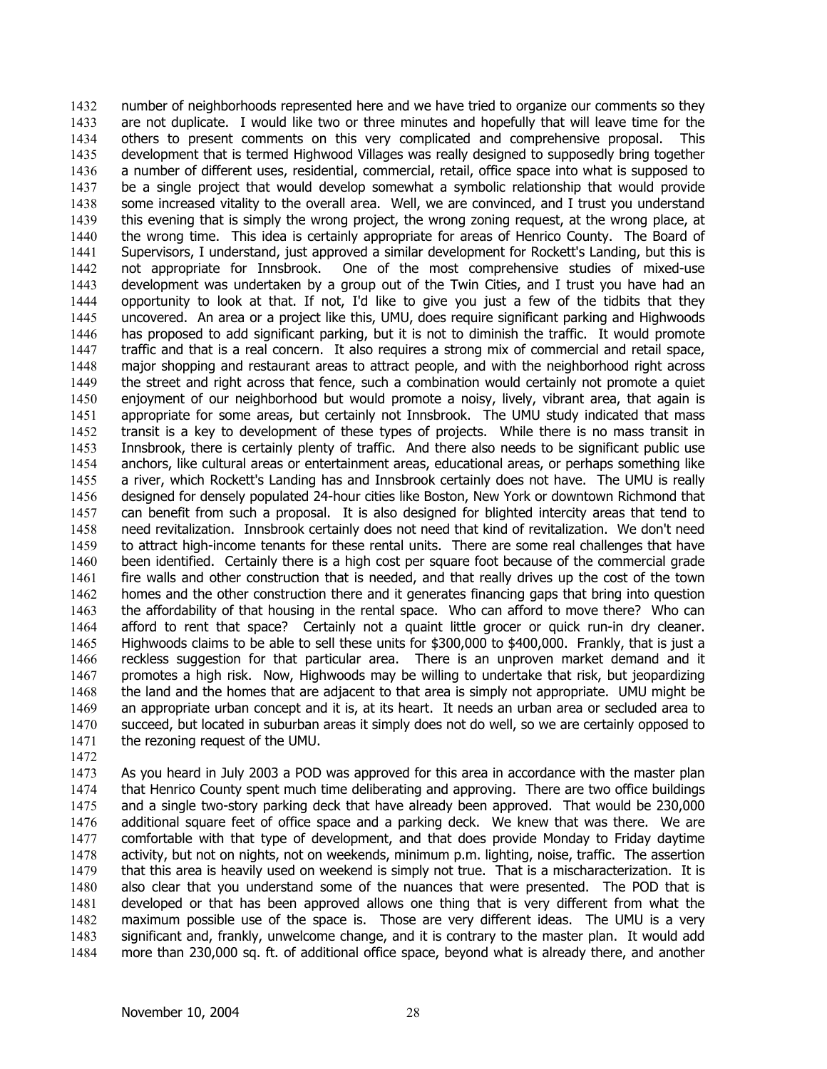number of neighborhoods represented here and we have tried to organize our comments so they are not duplicate. I would like two or three minutes and hopefully that will leave time for the others to present comments on this very complicated and comprehensive proposal. This development that is termed Highwood Villages was really designed to supposedly bring together a number of different uses, residential, commercial, retail, office space into what is supposed to be a single project that would develop somewhat a symbolic relationship that would provide some increased vitality to the overall area. Well, we are convinced, and I trust you understand this evening that is simply the wrong project, the wrong zoning request, at the wrong place, at the wrong time. This idea is certainly appropriate for areas of Henrico County. The Board of Supervisors, I understand, just approved a similar development for Rockett's Landing, but this is not appropriate for Innsbrook. One of the most comprehensive studies of mixed-use development was undertaken by a group out of the Twin Cities, and I trust you have had an opportunity to look at that. If not, I'd like to give you just a few of the tidbits that they uncovered. An area or a project like this, UMU, does require significant parking and Highwoods has proposed to add significant parking, but it is not to diminish the traffic. It would promote traffic and that is a real concern. It also requires a strong mix of commercial and retail space, major shopping and restaurant areas to attract people, and with the neighborhood right across the street and right across that fence, such a combination would certainly not promote a quiet enjoyment of our neighborhood but would promote a noisy, lively, vibrant area, that again is appropriate for some areas, but certainly not Innsbrook. The UMU study indicated that mass transit is a key to development of these types of projects. While there is no mass transit in Innsbrook, there is certainly plenty of traffic. And there also needs to be significant public use anchors, like cultural areas or entertainment areas, educational areas, or perhaps something like a river, which Rockett's Landing has and Innsbrook certainly does not have. The UMU is really designed for densely populated 24-hour cities like Boston, New York or downtown Richmond that can benefit from such a proposal. It is also designed for blighted intercity areas that tend to need revitalization. Innsbrook certainly does not need that kind of revitalization. We don't need to attract high-income tenants for these rental units. There are some real challenges that have been identified. Certainly there is a high cost per square foot because of the commercial grade fire walls and other construction that is needed, and that really drives up the cost of the town homes and the other construction there and it generates financing gaps that bring into question the affordability of that housing in the rental space. Who can afford to move there? Who can afford to rent that space? Certainly not a quaint little grocer or quick run-in dry cleaner. Highwoods claims to be able to sell these units for \$300,000 to \$400,000. Frankly, that is just a reckless suggestion for that particular area. There is an unproven market demand and it promotes a high risk. Now, Highwoods may be willing to undertake that risk, but jeopardizing the land and the homes that are adjacent to that area is simply not appropriate. UMU might be an appropriate urban concept and it is, at its heart. It needs an urban area or secluded area to succeed, but located in suburban areas it simply does not do well, so we are certainly opposed to the rezoning request of the UMU. 1432 1433 1434 1435 1436 1437 1438 1439 1440 1441 1442 1443 1444 1445 1446 1447 1448 1449 1450 1451 1452 1453 1454 1455 1456 1457 1458 1459 1460 1461 1462 1463 1464 1465 1466 1467 1468 1469 1470 1471

1472

1473 1474 1475 1476 1477 1478 1479 1480 1481 1482 1483 1484 As you heard in July 2003 a POD was approved for this area in accordance with the master plan that Henrico County spent much time deliberating and approving. There are two office buildings and a single two-story parking deck that have already been approved. That would be 230,000 additional square feet of office space and a parking deck. We knew that was there. We are comfortable with that type of development, and that does provide Monday to Friday daytime activity, but not on nights, not on weekends, minimum p.m. lighting, noise, traffic. The assertion that this area is heavily used on weekend is simply not true. That is a mischaracterization. It is also clear that you understand some of the nuances that were presented. The POD that is developed or that has been approved allows one thing that is very different from what the maximum possible use of the space is. Those are very different ideas. The UMU is a very significant and, frankly, unwelcome change, and it is contrary to the master plan. It would add more than 230,000 sq. ft. of additional office space, beyond what is already there, and another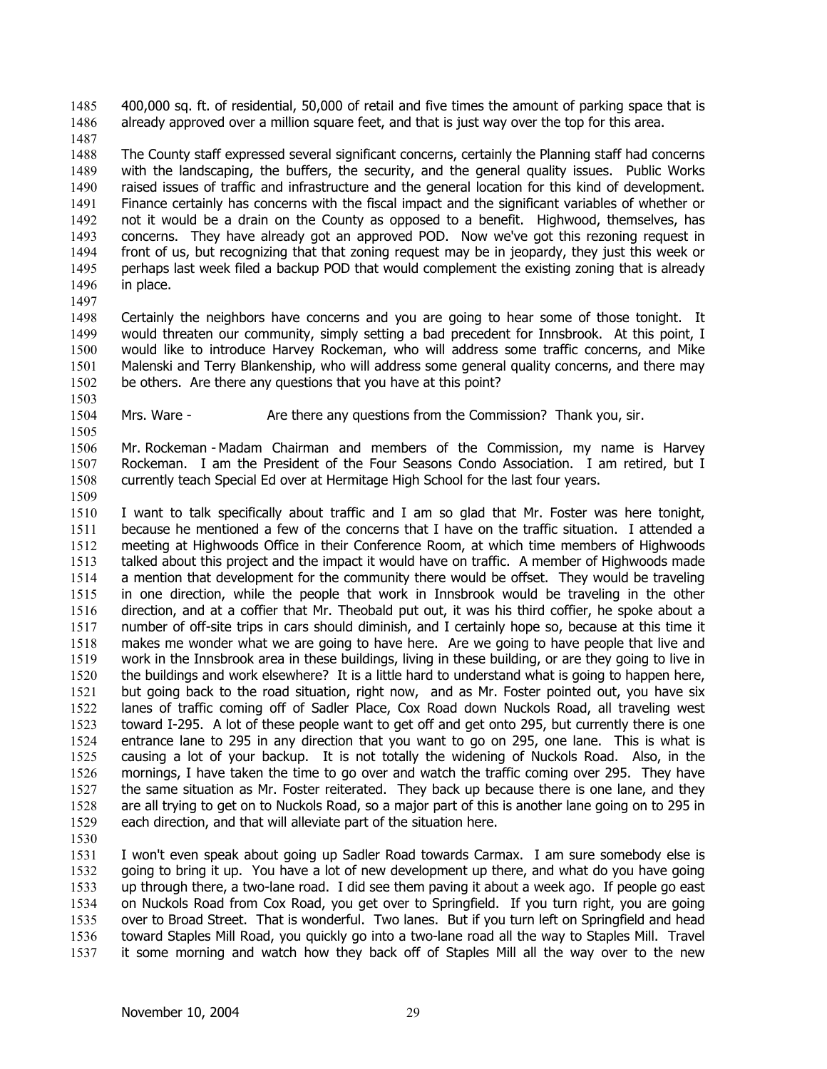400,000 sq. ft. of residential, 50,000 of retail and five times the amount of parking space that is already approved over a million square feet, and that is just way over the top for this area. 1485 1486

1487

1488 1489 1490 1491 1492 1493 1494 1495 1496 The County staff expressed several significant concerns, certainly the Planning staff had concerns with the landscaping, the buffers, the security, and the general quality issues. Public Works raised issues of traffic and infrastructure and the general location for this kind of development. Finance certainly has concerns with the fiscal impact and the significant variables of whether or not it would be a drain on the County as opposed to a benefit. Highwood, themselves, has concerns. They have already got an approved POD. Now we've got this rezoning request in front of us, but recognizing that that zoning request may be in jeopardy, they just this week or perhaps last week filed a backup POD that would complement the existing zoning that is already in place.

1497

1498 1499 1500 1501 1502 1503 Certainly the neighbors have concerns and you are going to hear some of those tonight. It would threaten our community, simply setting a bad precedent for Innsbrook. At this point, I would like to introduce Harvey Rockeman, who will address some traffic concerns, and Mike Malenski and Terry Blankenship, who will address some general quality concerns, and there may be others. Are there any questions that you have at this point?

1504 Mrs. Ware - Are there any questions from the Commission? Thank you, sir.

1506 1507 1508 Mr. Rockeman - Madam Chairman and members of the Commission, my name is Harvey Rockeman. I am the President of the Four Seasons Condo Association. I am retired, but I currently teach Special Ed over at Hermitage High School for the last four years.

1509

1505

1510 1511 1512 1513 1514 1515 1516 1517 1518 1519 1520 1521 1522 1523 1524 1525 1526 1527 1528 1529 I want to talk specifically about traffic and I am so glad that Mr. Foster was here tonight, because he mentioned a few of the concerns that I have on the traffic situation. I attended a meeting at Highwoods Office in their Conference Room, at which time members of Highwoods talked about this project and the impact it would have on traffic. A member of Highwoods made a mention that development for the community there would be offset. They would be traveling in one direction, while the people that work in Innsbrook would be traveling in the other direction, and at a coffier that Mr. Theobald put out, it was his third coffier, he spoke about a number of off-site trips in cars should diminish, and I certainly hope so, because at this time it makes me wonder what we are going to have here. Are we going to have people that live and work in the Innsbrook area in these buildings, living in these building, or are they going to live in the buildings and work elsewhere? It is a little hard to understand what is going to happen here, but going back to the road situation, right now, and as Mr. Foster pointed out, you have six lanes of traffic coming off of Sadler Place, Cox Road down Nuckols Road, all traveling west toward I-295. A lot of these people want to get off and get onto 295, but currently there is one entrance lane to 295 in any direction that you want to go on 295, one lane. This is what is causing a lot of your backup. It is not totally the widening of Nuckols Road. Also, in the mornings, I have taken the time to go over and watch the traffic coming over 295. They have the same situation as Mr. Foster reiterated. They back up because there is one lane, and they are all trying to get on to Nuckols Road, so a major part of this is another lane going on to 295 in each direction, and that will alleviate part of the situation here.

1530

1531 1532 1533 1534 1535 1536 1537 I won't even speak about going up Sadler Road towards Carmax. I am sure somebody else is going to bring it up. You have a lot of new development up there, and what do you have going up through there, a two-lane road. I did see them paving it about a week ago. If people go east on Nuckols Road from Cox Road, you get over to Springfield. If you turn right, you are going over to Broad Street. That is wonderful. Two lanes. But if you turn left on Springfield and head toward Staples Mill Road, you quickly go into a two-lane road all the way to Staples Mill. Travel it some morning and watch how they back off of Staples Mill all the way over to the new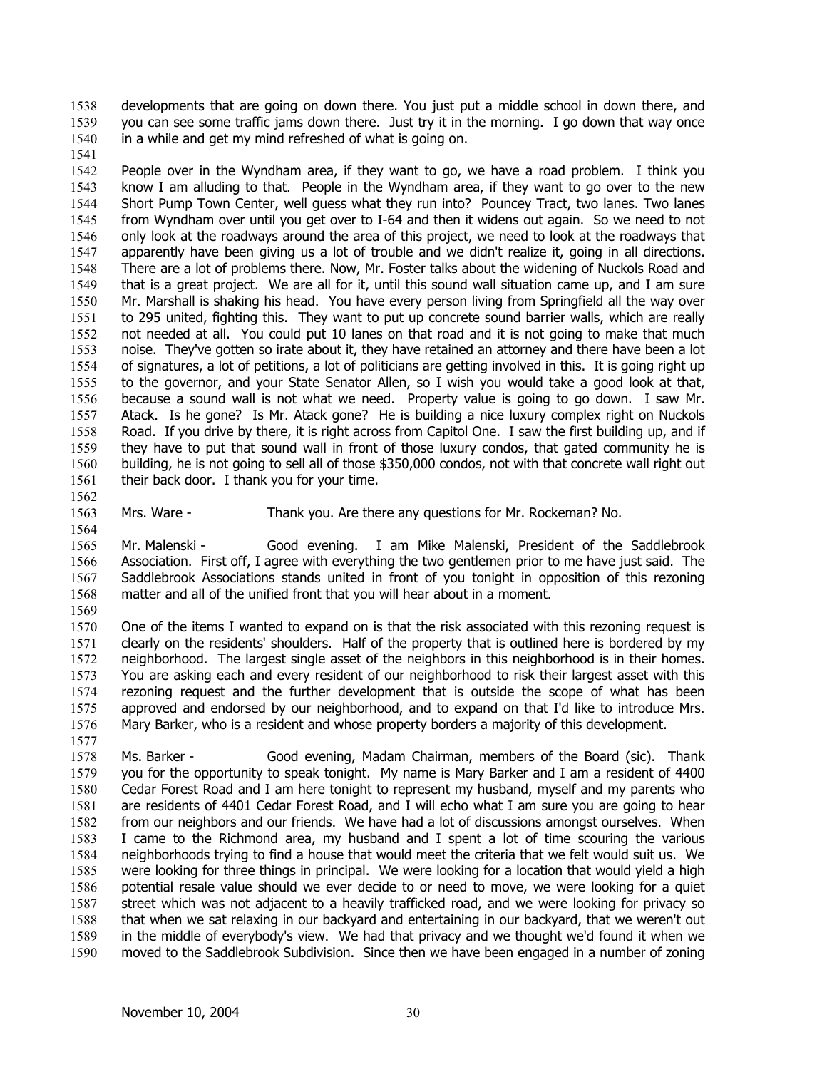developments that are going on down there. You just put a middle school in down there, and you can see some traffic jams down there. Just try it in the morning. I go down that way once in a while and get my mind refreshed of what is going on. 1538 1539 1540

1541

1542 1543 1544 1545 1546 1547 1548 1549 1550 1551 1552 1553 1554 1555 1556 1557 1558 1559 1560 1561 People over in the Wyndham area, if they want to go, we have a road problem. I think you know I am alluding to that. People in the Wyndham area, if they want to go over to the new Short Pump Town Center, well guess what they run into? Pouncey Tract, two lanes. Two lanes from Wyndham over until you get over to I-64 and then it widens out again. So we need to not only look at the roadways around the area of this project, we need to look at the roadways that apparently have been giving us a lot of trouble and we didn't realize it, going in all directions. There are a lot of problems there. Now, Mr. Foster talks about the widening of Nuckols Road and that is a great project. We are all for it, until this sound wall situation came up, and I am sure Mr. Marshall is shaking his head. You have every person living from Springfield all the way over to 295 united, fighting this. They want to put up concrete sound barrier walls, which are really not needed at all. You could put 10 lanes on that road and it is not going to make that much noise. They've gotten so irate about it, they have retained an attorney and there have been a lot of signatures, a lot of petitions, a lot of politicians are getting involved in this. It is going right up to the governor, and your State Senator Allen, so I wish you would take a good look at that, because a sound wall is not what we need. Property value is going to go down. I saw Mr. Atack. Is he gone? Is Mr. Atack gone? He is building a nice luxury complex right on Nuckols Road. If you drive by there, it is right across from Capitol One. I saw the first building up, and if they have to put that sound wall in front of those luxury condos, that gated community he is building, he is not going to sell all of those \$350,000 condos, not with that concrete wall right out their back door. I thank you for your time.

1562 1563

Mrs. Ware - Thank you. Are there any questions for Mr. Rockeman? No.

1564

1565 1566 1567 1568 Mr. Malenski - Good evening. I am Mike Malenski, President of the Saddlebrook Association. First off, I agree with everything the two gentlemen prior to me have just said. The Saddlebrook Associations stands united in front of you tonight in opposition of this rezoning matter and all of the unified front that you will hear about in a moment.

1569

1570 1571 1572 1573 1574 1575 1576 1577 One of the items I wanted to expand on is that the risk associated with this rezoning request is clearly on the residents' shoulders. Half of the property that is outlined here is bordered by my neighborhood. The largest single asset of the neighbors in this neighborhood is in their homes. You are asking each and every resident of our neighborhood to risk their largest asset with this rezoning request and the further development that is outside the scope of what has been approved and endorsed by our neighborhood, and to expand on that I'd like to introduce Mrs. Mary Barker, who is a resident and whose property borders a majority of this development.

1578 1579 1580 1581 1582 1583 1584 1585 1586 1587 1588 1589 1590 Ms. Barker - Good evening, Madam Chairman, members of the Board (sic). Thank you for the opportunity to speak tonight. My name is Mary Barker and I am a resident of 4400 Cedar Forest Road and I am here tonight to represent my husband, myself and my parents who are residents of 4401 Cedar Forest Road, and I will echo what I am sure you are going to hear from our neighbors and our friends. We have had a lot of discussions amongst ourselves. When I came to the Richmond area, my husband and I spent a lot of time scouring the various neighborhoods trying to find a house that would meet the criteria that we felt would suit us. We were looking for three things in principal. We were looking for a location that would yield a high potential resale value should we ever decide to or need to move, we were looking for a quiet street which was not adjacent to a heavily trafficked road, and we were looking for privacy so that when we sat relaxing in our backyard and entertaining in our backyard, that we weren't out in the middle of everybody's view. We had that privacy and we thought we'd found it when we moved to the Saddlebrook Subdivision. Since then we have been engaged in a number of zoning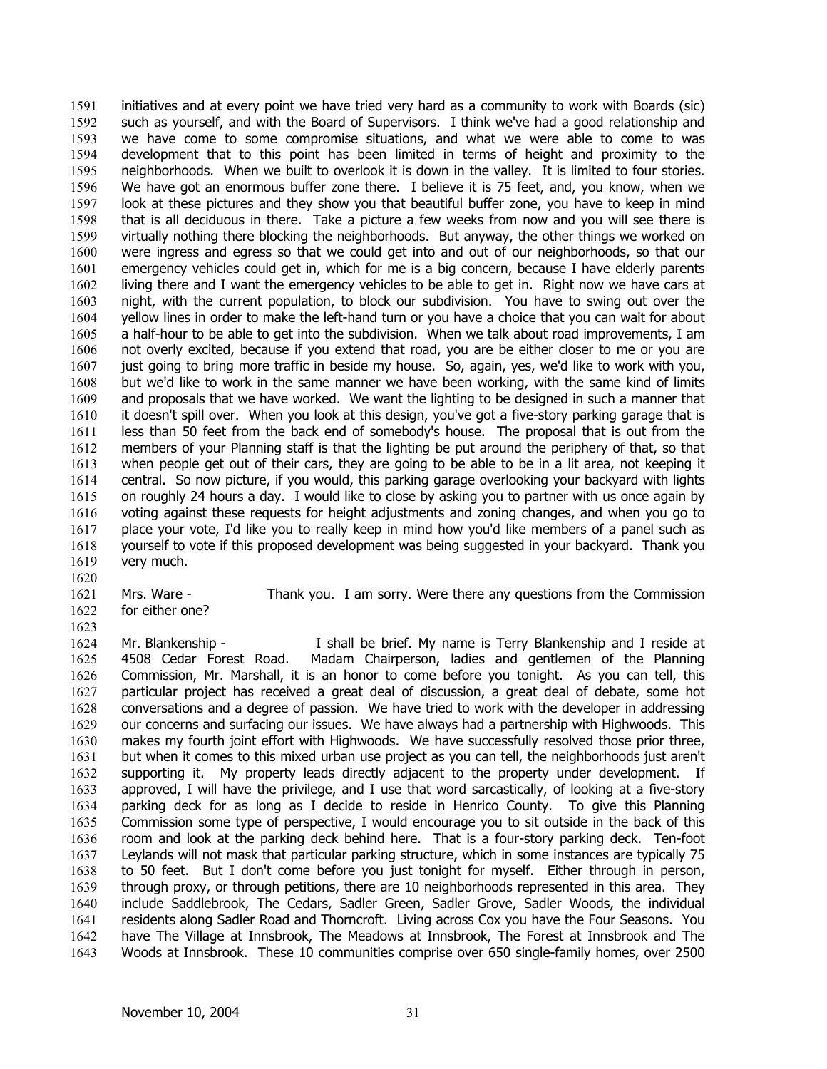initiatives and at every point we have tried very hard as a community to work with Boards (sic) such as yourself, and with the Board of Supervisors. I think we've had a good relationship and we have come to some compromise situations, and what we were able to come to was development that to this point has been limited in terms of height and proximity to the neighborhoods. When we built to overlook it is down in the valley. It is limited to four stories. We have got an enormous buffer zone there. I believe it is 75 feet, and, you know, when we look at these pictures and they show you that beautiful buffer zone, you have to keep in mind that is all deciduous in there. Take a picture a few weeks from now and you will see there is virtually nothing there blocking the neighborhoods. But anyway, the other things we worked on were ingress and egress so that we could get into and out of our neighborhoods, so that our emergency vehicles could get in, which for me is a big concern, because I have elderly parents living there and I want the emergency vehicles to be able to get in. Right now we have cars at night, with the current population, to block our subdivision. You have to swing out over the yellow lines in order to make the left-hand turn or you have a choice that you can wait for about a half-hour to be able to get into the subdivision. When we talk about road improvements, I am not overly excited, because if you extend that road, you are be either closer to me or you are just going to bring more traffic in beside my house. So, again, yes, we'd like to work with you, but we'd like to work in the same manner we have been working, with the same kind of limits and proposals that we have worked. We want the lighting to be designed in such a manner that it doesn't spill over. When you look at this design, you've got a five-story parking garage that is less than 50 feet from the back end of somebody's house. The proposal that is out from the members of your Planning staff is that the lighting be put around the periphery of that, so that when people get out of their cars, they are going to be able to be in a lit area, not keeping it central. So now picture, if you would, this parking garage overlooking your backyard with lights on roughly 24 hours a day. I would like to close by asking you to partner with us once again by voting against these requests for height adjustments and zoning changes, and when you go to place your vote, I'd like you to really keep in mind how you'd like members of a panel such as yourself to vote if this proposed development was being suggested in your backyard. Thank you very much. 1591 1592 1593 1594 1595 1596 1597 1598 1599 1600 1601 1602 1603 1604 1605 1606 1607 1608 1609 1610 1611 1612 1613 1614 1615 1616 1617 1618 1619

- 1620
- 1621 for either one?
- 1622 1623

Mrs. Ware - Thank you. I am sorry. Were there any questions from the Commission

1624 1625 1626 1627 1628 1629 1630 1631 1632 1633 1634 1635 1636 1637 1638 1639 1640 1641 1642 1643 Mr. Blankenship - The Shall be brief. My name is Terry Blankenship and I reside at 4508 Cedar Forest Road. Madam Chairperson, ladies and gentlemen of the Planning Commission, Mr. Marshall, it is an honor to come before you tonight. As you can tell, this particular project has received a great deal of discussion, a great deal of debate, some hot conversations and a degree of passion. We have tried to work with the developer in addressing our concerns and surfacing our issues. We have always had a partnership with Highwoods. This makes my fourth joint effort with Highwoods. We have successfully resolved those prior three, but when it comes to this mixed urban use project as you can tell, the neighborhoods just aren't supporting it. My property leads directly adjacent to the property under development. If approved, I will have the privilege, and I use that word sarcastically, of looking at a five-story parking deck for as long as I decide to reside in Henrico County. To give this Planning Commission some type of perspective, I would encourage you to sit outside in the back of this room and look at the parking deck behind here. That is a four-story parking deck. Ten-foot Leylands will not mask that particular parking structure, which in some instances are typically 75 to 50 feet. But I don't come before you just tonight for myself. Either through in person, through proxy, or through petitions, there are 10 neighborhoods represented in this area. They include Saddlebrook, The Cedars, Sadler Green, Sadler Grove, Sadler Woods, the individual residents along Sadler Road and Thorncroft. Living across Cox you have the Four Seasons. You have The Village at Innsbrook, The Meadows at Innsbrook, The Forest at Innsbrook and The Woods at Innsbrook. These 10 communities comprise over 650 single-family homes, over 2500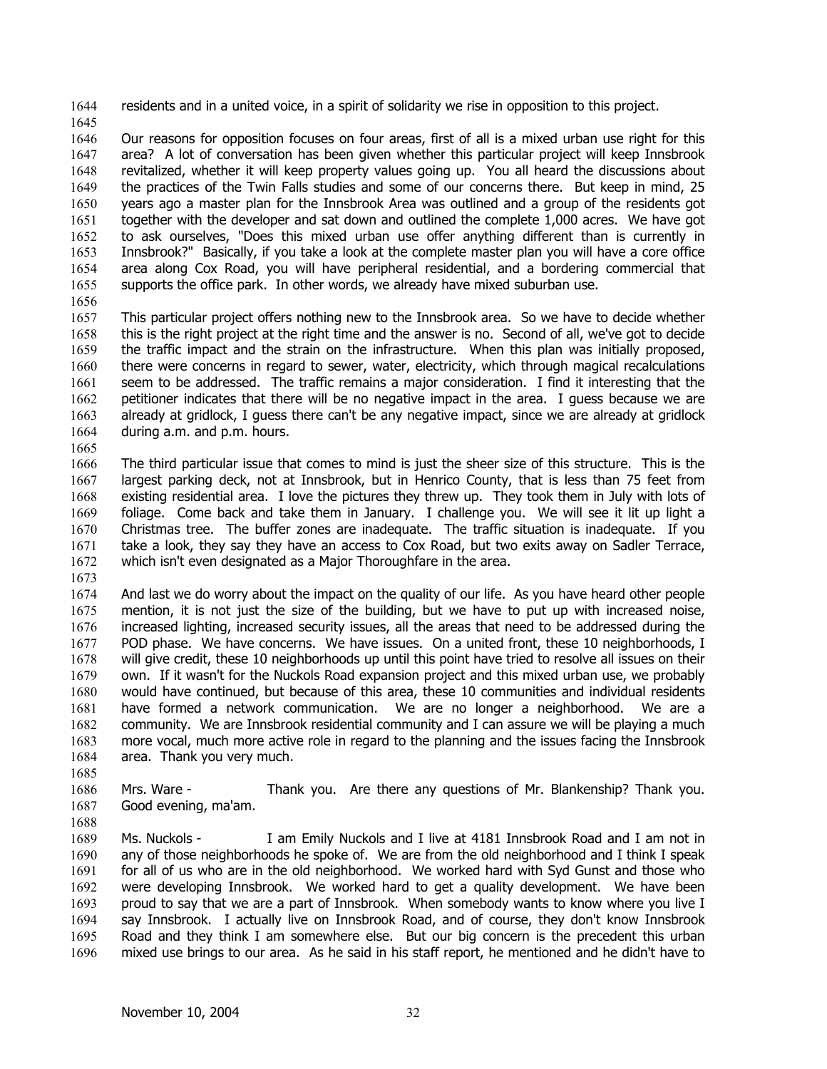1644 residents and in a united voice, in a spirit of solidarity we rise in opposition to this project.

1645

1646 1647 1648 1649 1650 1651 1652 1653 1654 1655 Our reasons for opposition focuses on four areas, first of all is a mixed urban use right for this area? A lot of conversation has been given whether this particular project will keep Innsbrook revitalized, whether it will keep property values going up. You all heard the discussions about the practices of the Twin Falls studies and some of our concerns there. But keep in mind, 25 years ago a master plan for the Innsbrook Area was outlined and a group of the residents got together with the developer and sat down and outlined the complete 1,000 acres. We have got to ask ourselves, "Does this mixed urban use offer anything different than is currently in Innsbrook?" Basically, if you take a look at the complete master plan you will have a core office area along Cox Road, you will have peripheral residential, and a bordering commercial that supports the office park. In other words, we already have mixed suburban use.

1656

1657 1658 1659 1660 1661 1662 1663 1664 This particular project offers nothing new to the Innsbrook area. So we have to decide whether this is the right project at the right time and the answer is no. Second of all, we've got to decide the traffic impact and the strain on the infrastructure. When this plan was initially proposed, there were concerns in regard to sewer, water, electricity, which through magical recalculations seem to be addressed. The traffic remains a major consideration. I find it interesting that the petitioner indicates that there will be no negative impact in the area. I guess because we are already at gridlock, I guess there can't be any negative impact, since we are already at gridlock during a.m. and p.m. hours.

1665

1666 1667 1668 1669 1670 1671 1672 The third particular issue that comes to mind is just the sheer size of this structure. This is the largest parking deck, not at Innsbrook, but in Henrico County, that is less than 75 feet from existing residential area. I love the pictures they threw up. They took them in July with lots of foliage. Come back and take them in January. I challenge you. We will see it lit up light a Christmas tree. The buffer zones are inadequate. The traffic situation is inadequate. If you take a look, they say they have an access to Cox Road, but two exits away on Sadler Terrace, which isn't even designated as a Major Thoroughfare in the area.

1673

1685

1674 1675 1676 1677 1678 1679 1680 1681 1682 1683 1684 And last we do worry about the impact on the quality of our life. As you have heard other people mention, it is not just the size of the building, but we have to put up with increased noise, increased lighting, increased security issues, all the areas that need to be addressed during the POD phase. We have concerns. We have issues. On a united front, these 10 neighborhoods, I will give credit, these 10 neighborhoods up until this point have tried to resolve all issues on their own. If it wasn't for the Nuckols Road expansion project and this mixed urban use, we probably would have continued, but because of this area, these 10 communities and individual residents have formed a network communication. We are no longer a neighborhood. We are a community. We are Innsbrook residential community and I can assure we will be playing a much more vocal, much more active role in regard to the planning and the issues facing the Innsbrook area. Thank you very much.

1686 1687 1688 Mrs. Ware - Thank you. Are there any questions of Mr. Blankenship? Thank you. Good evening, ma'am.

1689 1690 1691 1692 1693 1694 1695 1696 Ms. Nuckols - I am Emily Nuckols and I live at 4181 Innsbrook Road and I am not in any of those neighborhoods he spoke of. We are from the old neighborhood and I think I speak for all of us who are in the old neighborhood. We worked hard with Syd Gunst and those who were developing Innsbrook. We worked hard to get a quality development. We have been proud to say that we are a part of Innsbrook. When somebody wants to know where you live I say Innsbrook. I actually live on Innsbrook Road, and of course, they don't know Innsbrook Road and they think I am somewhere else. But our big concern is the precedent this urban mixed use brings to our area. As he said in his staff report, he mentioned and he didn't have to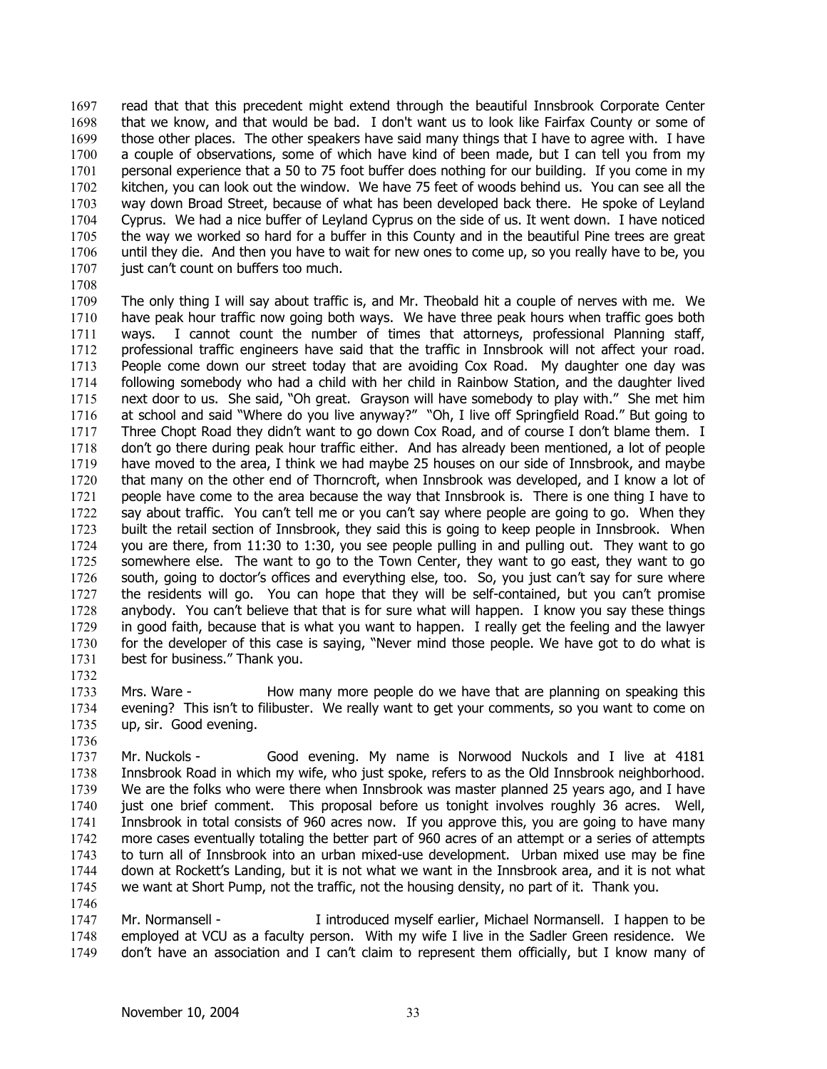read that that this precedent might extend through the beautiful Innsbrook Corporate Center that we know, and that would be bad. I don't want us to look like Fairfax County or some of those other places. The other speakers have said many things that I have to agree with. I have a couple of observations, some of which have kind of been made, but I can tell you from my personal experience that a 50 to 75 foot buffer does nothing for our building. If you come in my kitchen, you can look out the window. We have 75 feet of woods behind us. You can see all the way down Broad Street, because of what has been developed back there. He spoke of Leyland Cyprus. We had a nice buffer of Leyland Cyprus on the side of us. It went down. I have noticed the way we worked so hard for a buffer in this County and in the beautiful Pine trees are great until they die. And then you have to wait for new ones to come up, so you really have to be, you just can't count on buffers too much. 1697 1698 1699 1700 1701 1702 1703 1704 1705 1706 1707 1708

1709 1710 1711 1712 1713 1714 1715 1716 1717 1718 1719 1720 1721 1722 1723 1724 1725 1726 1727 1728 1729 1730 1731 The only thing I will say about traffic is, and Mr. Theobald hit a couple of nerves with me. We have peak hour traffic now going both ways. We have three peak hours when traffic goes both ways. I cannot count the number of times that attorneys, professional Planning staff, professional traffic engineers have said that the traffic in Innsbrook will not affect your road. People come down our street today that are avoiding Cox Road. My daughter one day was following somebody who had a child with her child in Rainbow Station, and the daughter lived next door to us. She said, "Oh great. Grayson will have somebody to play with." She met him at school and said "Where do you live anyway?" "Oh, I live off Springfield Road." But going to Three Chopt Road they didn't want to go down Cox Road, and of course I don't blame them. I don't go there during peak hour traffic either. And has already been mentioned, a lot of people have moved to the area, I think we had maybe 25 houses on our side of Innsbrook, and maybe that many on the other end of Thorncroft, when Innsbrook was developed, and I know a lot of people have come to the area because the way that Innsbrook is. There is one thing I have to say about traffic. You can't tell me or you can't say where people are going to go. When they built the retail section of Innsbrook, they said this is going to keep people in Innsbrook. When you are there, from 11:30 to 1:30, you see people pulling in and pulling out. They want to go somewhere else. The want to go to the Town Center, they want to go east, they want to go south, going to doctor's offices and everything else, too. So, you just can't say for sure where the residents will go. You can hope that they will be self-contained, but you can't promise anybody. You can't believe that that is for sure what will happen. I know you say these things in good faith, because that is what you want to happen. I really get the feeling and the lawyer for the developer of this case is saying, "Never mind those people. We have got to do what is best for business." Thank you.

1733 1734 1735 Mrs. Ware - How many more people do we have that are planning on speaking this evening? This isn't to filibuster. We really want to get your comments, so you want to come on up, sir. Good evening.

1736

1732

1737 1738 1739 1740 1741 1742 1743 1744 1745 Mr. Nuckols - Good evening. My name is Norwood Nuckols and I live at 4181 Innsbrook Road in which my wife, who just spoke, refers to as the Old Innsbrook neighborhood. We are the folks who were there when Innsbrook was master planned 25 years ago, and I have just one brief comment. This proposal before us tonight involves roughly 36 acres. Well, Innsbrook in total consists of 960 acres now. If you approve this, you are going to have many more cases eventually totaling the better part of 960 acres of an attempt or a series of attempts to turn all of Innsbrook into an urban mixed-use development. Urban mixed use may be fine down at Rockett's Landing, but it is not what we want in the Innsbrook area, and it is not what we want at Short Pump, not the traffic, not the housing density, no part of it. Thank you.

1746

1747 1748 1749 Mr. Normansell - I introduced myself earlier, Michael Normansell. I happen to be employed at VCU as a faculty person. With my wife I live in the Sadler Green residence. We don't have an association and I can't claim to represent them officially, but I know many of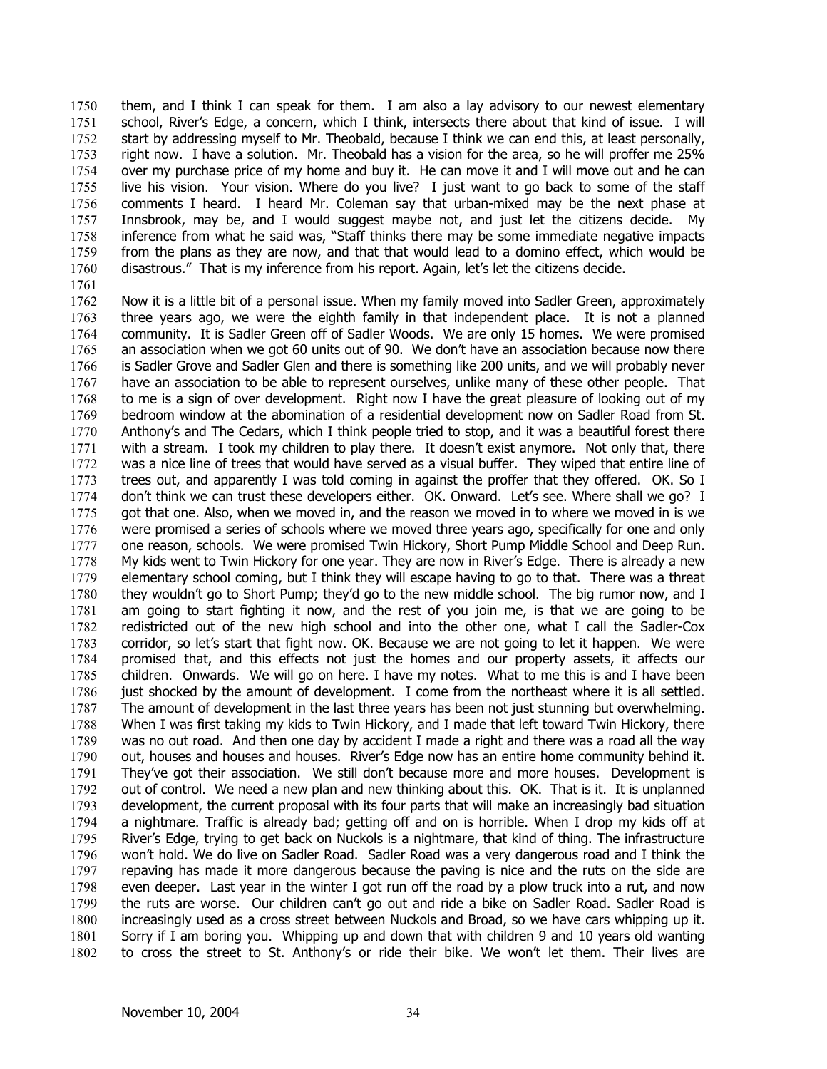them, and I think I can speak for them. I am also a lay advisory to our newest elementary school, River's Edge, a concern, which I think, intersects there about that kind of issue. I will start by addressing myself to Mr. Theobald, because I think we can end this, at least personally, right now. I have a solution. Mr. Theobald has a vision for the area, so he will proffer me 25% over my purchase price of my home and buy it. He can move it and I will move out and he can live his vision. Your vision. Where do you live? I just want to go back to some of the staff comments I heard. I heard Mr. Coleman say that urban-mixed may be the next phase at Innsbrook, may be, and I would suggest maybe not, and just let the citizens decide. My inference from what he said was, "Staff thinks there may be some immediate negative impacts from the plans as they are now, and that that would lead to a domino effect, which would be disastrous." That is my inference from his report. Again, let's let the citizens decide. 1750 1751 1752 1753 1754 1755 1756 1757 1758 1759 1760 1761

1762 1763 1764 1765 1766 1767 1768 1769 1770 1771 1772 1773 1774 1775 1776 1777 1778 1779 1780 1781 1782 1783 1784 1785 1786 1787 1788 1789 1790 1791 1792 1793 1794 1795 1796 1797 1798 1799 1800 1801 1802 Now it is a little bit of a personal issue. When my family moved into Sadler Green, approximately three years ago, we were the eighth family in that independent place. It is not a planned community. It is Sadler Green off of Sadler Woods. We are only 15 homes. We were promised an association when we got 60 units out of 90. We don't have an association because now there is Sadler Grove and Sadler Glen and there is something like 200 units, and we will probably never have an association to be able to represent ourselves, unlike many of these other people. That to me is a sign of over development. Right now I have the great pleasure of looking out of my bedroom window at the abomination of a residential development now on Sadler Road from St. Anthony's and The Cedars, which I think people tried to stop, and it was a beautiful forest there with a stream. I took my children to play there. It doesn't exist anymore. Not only that, there was a nice line of trees that would have served as a visual buffer. They wiped that entire line of trees out, and apparently I was told coming in against the proffer that they offered. OK. So I don't think we can trust these developers either. OK. Onward. Let's see. Where shall we go? I got that one. Also, when we moved in, and the reason we moved in to where we moved in is we were promised a series of schools where we moved three years ago, specifically for one and only one reason, schools. We were promised Twin Hickory, Short Pump Middle School and Deep Run. My kids went to Twin Hickory for one year. They are now in River's Edge. There is already a new elementary school coming, but I think they will escape having to go to that. There was a threat they wouldn't go to Short Pump; they'd go to the new middle school. The big rumor now, and I am going to start fighting it now, and the rest of you join me, is that we are going to be redistricted out of the new high school and into the other one, what I call the Sadler-Cox corridor, so let's start that fight now. OK. Because we are not going to let it happen. We were promised that, and this effects not just the homes and our property assets, it affects our children. Onwards. We will go on here. I have my notes. What to me this is and I have been just shocked by the amount of development. I come from the northeast where it is all settled. The amount of development in the last three years has been not just stunning but overwhelming. When I was first taking my kids to Twin Hickory, and I made that left toward Twin Hickory, there was no out road. And then one day by accident I made a right and there was a road all the way out, houses and houses and houses. River's Edge now has an entire home community behind it. They've got their association. We still don't because more and more houses. Development is out of control. We need a new plan and new thinking about this. OK. That is it. It is unplanned development, the current proposal with its four parts that will make an increasingly bad situation a nightmare. Traffic is already bad; getting off and on is horrible. When I drop my kids off at River's Edge, trying to get back on Nuckols is a nightmare, that kind of thing. The infrastructure won't hold. We do live on Sadler Road. Sadler Road was a very dangerous road and I think the repaving has made it more dangerous because the paving is nice and the ruts on the side are even deeper. Last year in the winter I got run off the road by a plow truck into a rut, and now the ruts are worse. Our children can't go out and ride a bike on Sadler Road. Sadler Road is increasingly used as a cross street between Nuckols and Broad, so we have cars whipping up it. Sorry if I am boring you. Whipping up and down that with children 9 and 10 years old wanting to cross the street to St. Anthony's or ride their bike. We won't let them. Their lives are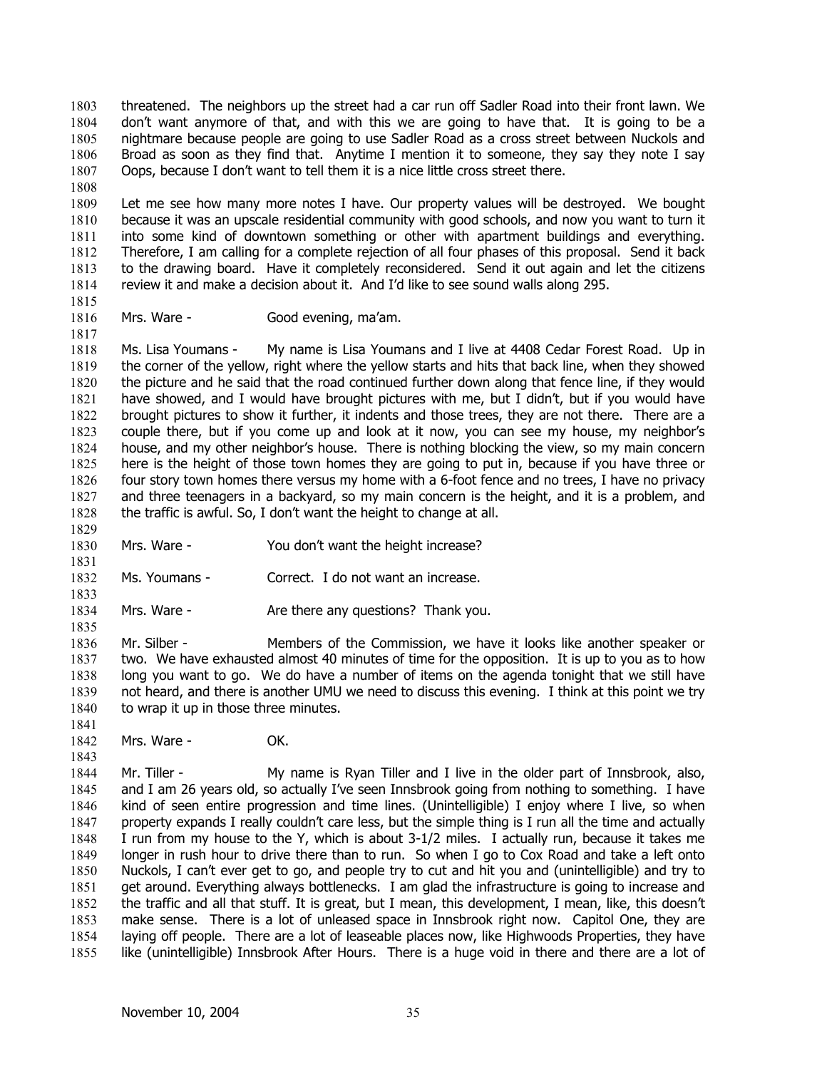threatened. The neighbors up the street had a car run off Sadler Road into their front lawn. We don't want anymore of that, and with this we are going to have that. It is going to be a nightmare because people are going to use Sadler Road as a cross street between Nuckols and Broad as soon as they find that. Anytime I mention it to someone, they say they note I say Oops, because I don't want to tell them it is a nice little cross street there. 1803 1804 1805 1806 1807

1809 1810 1811 1812 1813 1814 Let me see how many more notes I have. Our property values will be destroyed. We bought because it was an upscale residential community with good schools, and now you want to turn it into some kind of downtown something or other with apartment buildings and everything. Therefore, I am calling for a complete rejection of all four phases of this proposal. Send it back to the drawing board. Have it completely reconsidered. Send it out again and let the citizens review it and make a decision about it. And I'd like to see sound walls along 295.

1815

1817

1831

1833

1835

1843

1808

1816

Mrs. Ware - Good evening, ma'am.

1818 1819 1820 1821 1822 1823 1824 1825 1826 1827 1828 1829 Ms. Lisa Youmans - My name is Lisa Youmans and I live at 4408 Cedar Forest Road. Up in the corner of the yellow, right where the yellow starts and hits that back line, when they showed the picture and he said that the road continued further down along that fence line, if they would have showed, and I would have brought pictures with me, but I didn't, but if you would have brought pictures to show it further, it indents and those trees, they are not there. There are a couple there, but if you come up and look at it now, you can see my house, my neighbor's house, and my other neighbor's house. There is nothing blocking the view, so my main concern here is the height of those town homes they are going to put in, because if you have three or four story town homes there versus my home with a 6-foot fence and no trees, I have no privacy and three teenagers in a backyard, so my main concern is the height, and it is a problem, and the traffic is awful. So, I don't want the height to change at all.

- 1830 Mrs. Ware - You don't want the height increase?
- 1832 Ms. Youmans - Correct. I do not want an increase.
- 1834 Mrs. Ware - There any questions? Thank you.

1836 1837 1838 1839 1840 Mr. Silber - Members of the Commission, we have it looks like another speaker or two. We have exhausted almost 40 minutes of time for the opposition. It is up to you as to how long you want to go. We do have a number of items on the agenda tonight that we still have not heard, and there is another UMU we need to discuss this evening. I think at this point we try to wrap it up in those three minutes.

1841 1842 Mrs. Ware - **OK.** 

1844 1845 1846 1847 1848 1849 1850 1851 1852 1853 1854 1855 Mr. Tiller - My name is Ryan Tiller and I live in the older part of Innsbrook, also, and I am 26 years old, so actually I've seen Innsbrook going from nothing to something. I have kind of seen entire progression and time lines. (Unintelligible) I enjoy where I live, so when property expands I really couldn't care less, but the simple thing is I run all the time and actually I run from my house to the Y, which is about 3-1/2 miles. I actually run, because it takes me longer in rush hour to drive there than to run. So when I go to Cox Road and take a left onto Nuckols, I can't ever get to go, and people try to cut and hit you and (unintelligible) and try to get around. Everything always bottlenecks. I am glad the infrastructure is going to increase and the traffic and all that stuff. It is great, but I mean, this development, I mean, like, this doesn't make sense. There is a lot of unleased space in Innsbrook right now. Capitol One, they are laying off people. There are a lot of leaseable places now, like Highwoods Properties, they have like (unintelligible) Innsbrook After Hours. There is a huge void in there and there are a lot of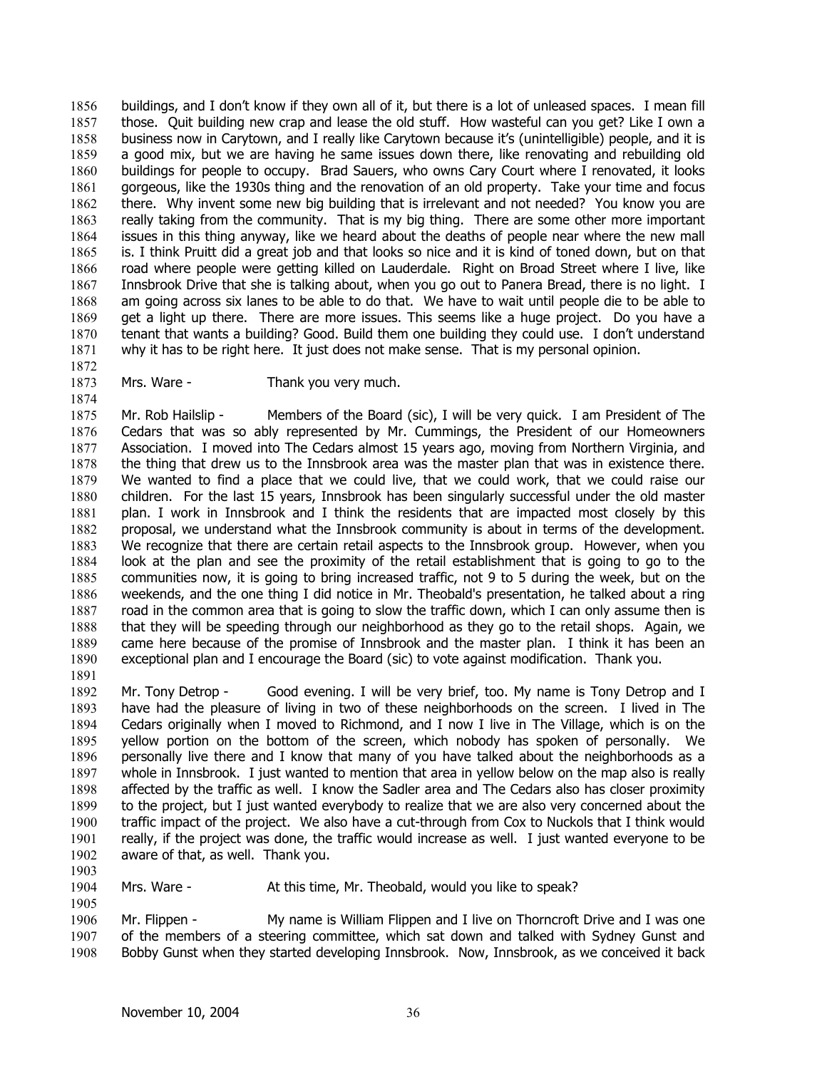buildings, and I don't know if they own all of it, but there is a lot of unleased spaces. I mean fill those. Quit building new crap and lease the old stuff. How wasteful can you get? Like I own a business now in Carytown, and I really like Carytown because it's (unintelligible) people, and it is a good mix, but we are having he same issues down there, like renovating and rebuilding old buildings for people to occupy. Brad Sauers, who owns Cary Court where I renovated, it looks gorgeous, like the 1930s thing and the renovation of an old property. Take your time and focus there. Why invent some new big building that is irrelevant and not needed? You know you are really taking from the community. That is my big thing. There are some other more important issues in this thing anyway, like we heard about the deaths of people near where the new mall is. I think Pruitt did a great job and that looks so nice and it is kind of toned down, but on that road where people were getting killed on Lauderdale. Right on Broad Street where I live, like Innsbrook Drive that she is talking about, when you go out to Panera Bread, there is no light. I am going across six lanes to be able to do that. We have to wait until people die to be able to get a light up there. There are more issues. This seems like a huge project. Do you have a tenant that wants a building? Good. Build them one building they could use. I don't understand why it has to be right here. It just does not make sense. That is my personal opinion. 1856 1857 1858 1859 1860 1861 1862 1863 1864 1865 1866 1867 1868 1869 1870 1871

1872 1873

1874

Mrs. Ware - Thank you very much.

1875 1876 1877 1878 1879 1880 1881 1882 1883 1884 1885 1886 1887 1888 1889 1890 Mr. Rob Hailslip - Members of the Board (sic), I will be very quick. I am President of The Cedars that was so ably represented by Mr. Cummings, the President of our Homeowners Association. I moved into The Cedars almost 15 years ago, moving from Northern Virginia, and the thing that drew us to the Innsbrook area was the master plan that was in existence there. We wanted to find a place that we could live, that we could work, that we could raise our children. For the last 15 years, Innsbrook has been singularly successful under the old master plan. I work in Innsbrook and I think the residents that are impacted most closely by this proposal, we understand what the Innsbrook community is about in terms of the development. We recognize that there are certain retail aspects to the Innsbrook group. However, when you look at the plan and see the proximity of the retail establishment that is going to go to the communities now, it is going to bring increased traffic, not 9 to 5 during the week, but on the weekends, and the one thing I did notice in Mr. Theobald's presentation, he talked about a ring road in the common area that is going to slow the traffic down, which I can only assume then is that they will be speeding through our neighborhood as they go to the retail shops. Again, we came here because of the promise of Innsbrook and the master plan. I think it has been an exceptional plan and I encourage the Board (sic) to vote against modification. Thank you.

1891

1905

1892 1893 1894 1895 1896 1897 1898 1899 1900 1901 1902 1903 Mr. Tony Detrop - Good evening. I will be very brief, too. My name is Tony Detrop and I have had the pleasure of living in two of these neighborhoods on the screen. I lived in The Cedars originally when I moved to Richmond, and I now I live in The Village, which is on the yellow portion on the bottom of the screen, which nobody has spoken of personally. We personally live there and I know that many of you have talked about the neighborhoods as a whole in Innsbrook. I just wanted to mention that area in yellow below on the map also is really affected by the traffic as well. I know the Sadler area and The Cedars also has closer proximity to the project, but I just wanted everybody to realize that we are also very concerned about the traffic impact of the project. We also have a cut-through from Cox to Nuckols that I think would really, if the project was done, the traffic would increase as well. I just wanted everyone to be aware of that, as well. Thank you.

1904 Mrs. Ware - At this time, Mr. Theobald, would you like to speak?

1906 1907 1908 Mr. Flippen - My name is William Flippen and I live on Thorncroft Drive and I was one of the members of a steering committee, which sat down and talked with Sydney Gunst and Bobby Gunst when they started developing Innsbrook. Now, Innsbrook, as we conceived it back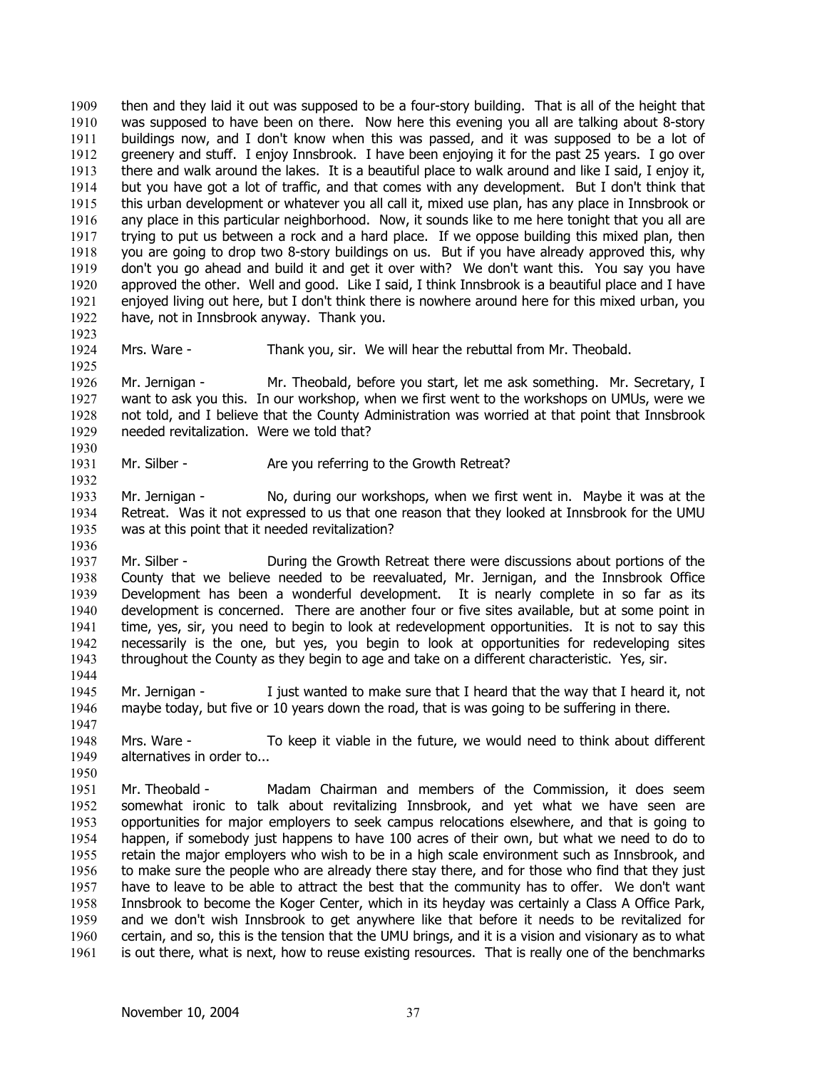then and they laid it out was supposed to be a four-story building. That is all of the height that was supposed to have been on there. Now here this evening you all are talking about 8-story buildings now, and I don't know when this was passed, and it was supposed to be a lot of greenery and stuff. I enjoy Innsbrook. I have been enjoying it for the past 25 years. I go over there and walk around the lakes. It is a beautiful place to walk around and like I said, I enjoy it, but you have got a lot of traffic, and that comes with any development. But I don't think that this urban development or whatever you all call it, mixed use plan, has any place in Innsbrook or any place in this particular neighborhood. Now, it sounds like to me here tonight that you all are trying to put us between a rock and a hard place. If we oppose building this mixed plan, then you are going to drop two 8-story buildings on us. But if you have already approved this, why don't you go ahead and build it and get it over with? We don't want this. You say you have approved the other. Well and good. Like I said, I think Innsbrook is a beautiful place and I have enjoyed living out here, but I don't think there is nowhere around here for this mixed urban, you have, not in Innsbrook anyway. Thank you. 1909 1910 1911 1912 1913 1914 1915 1916 1917 1918 1919 1920 1921 1922 1923

1924 Mrs. Ware - Thank you, sir. We will hear the rebuttal from Mr. Theobald.

1926 1927 1928 1929 1930 Mr. Jernigan - Mr. Theobald, before you start, let me ask something. Mr. Secretary, I want to ask you this. In our workshop, when we first went to the workshops on UMUs, were we not told, and I believe that the County Administration was worried at that point that Innsbrook needed revitalization. Were we told that?

1931 Mr. Silber - **Are you referring to the Growth Retreat?** 

1933 1934 1935 Mr. Jernigan - No, during our workshops, when we first went in. Maybe it was at the Retreat. Was it not expressed to us that one reason that they looked at Innsbrook for the UMU was at this point that it needed revitalization?

- 1937 1938 1939 1940 1941 1942 1943 Mr. Silber - During the Growth Retreat there were discussions about portions of the County that we believe needed to be reevaluated, Mr. Jernigan, and the Innsbrook Office Development has been a wonderful development. It is nearly complete in so far as its development is concerned. There are another four or five sites available, but at some point in time, yes, sir, you need to begin to look at redevelopment opportunities. It is not to say this necessarily is the one, but yes, you begin to look at opportunities for redeveloping sites throughout the County as they begin to age and take on a different characteristic. Yes, sir.
- 1944 1945 1946 Mr. Jernigan - I just wanted to make sure that I heard that the way that I heard it, not maybe today, but five or 10 years down the road, that is was going to be suffering in there.
- 1948 1949 Mrs. Ware - To keep it viable in the future, we would need to think about different alternatives in order to...
- 1951 1952 1953 1954 1955 1956 1957 1958 1959 1960 1961 Mr. Theobald - Madam Chairman and members of the Commission, it does seem somewhat ironic to talk about revitalizing Innsbrook, and yet what we have seen are opportunities for major employers to seek campus relocations elsewhere, and that is going to happen, if somebody just happens to have 100 acres of their own, but what we need to do to retain the major employers who wish to be in a high scale environment such as Innsbrook, and to make sure the people who are already there stay there, and for those who find that they just have to leave to be able to attract the best that the community has to offer. We don't want Innsbrook to become the Koger Center, which in its heyday was certainly a Class A Office Park, and we don't wish Innsbrook to get anywhere like that before it needs to be revitalized for certain, and so, this is the tension that the UMU brings, and it is a vision and visionary as to what is out there, what is next, how to reuse existing resources. That is really one of the benchmarks

1925

1932

1936

1947

1950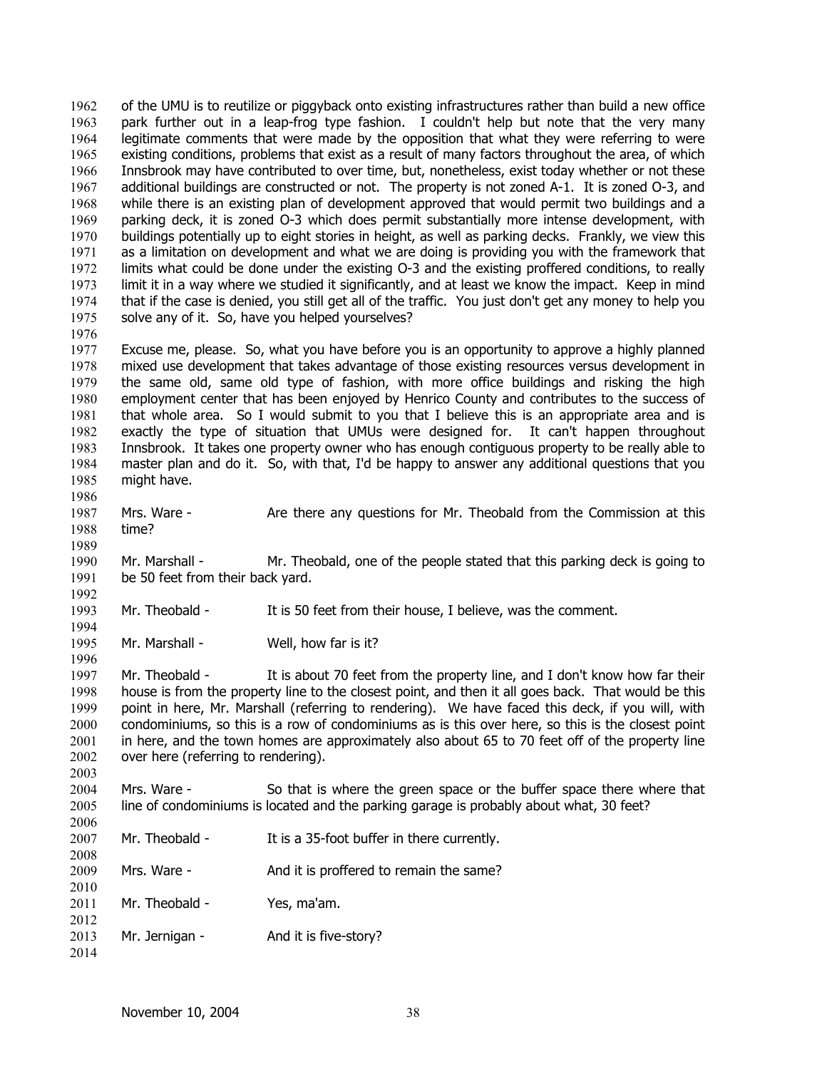of the UMU is to reutilize or piggyback onto existing infrastructures rather than build a new office park further out in a leap-frog type fashion. I couldn't help but note that the very many legitimate comments that were made by the opposition that what they were referring to were existing conditions, problems that exist as a result of many factors throughout the area, of which Innsbrook may have contributed to over time, but, nonetheless, exist today whether or not these additional buildings are constructed or not. The property is not zoned A-1. It is zoned O-3, and while there is an existing plan of development approved that would permit two buildings and a parking deck, it is zoned O-3 which does permit substantially more intense development, with buildings potentially up to eight stories in height, as well as parking decks. Frankly, we view this as a limitation on development and what we are doing is providing you with the framework that limits what could be done under the existing O-3 and the existing proffered conditions, to really limit it in a way where we studied it significantly, and at least we know the impact. Keep in mind that if the case is denied, you still get all of the traffic. You just don't get any money to help you solve any of it. So, have you helped yourselves? 1962 1963 1964 1965 1966 1967 1968 1969 1970 1971 1972 1973 1974 1975 1976 1977 1978 1979 1980 1981 1982 1983 1984 1985 1986 1987 1988 1989 1990 1991 1992 1993 1994 1995 1996 1997 1998 1999 2000 2001 2002 2003 2004 2005 2006 2007 2008 2009 2010 2011 2012 2013 2014 Excuse me, please. So, what you have before you is an opportunity to approve a highly planned mixed use development that takes advantage of those existing resources versus development in the same old, same old type of fashion, with more office buildings and risking the high employment center that has been enjoyed by Henrico County and contributes to the success of that whole area. So I would submit to you that I believe this is an appropriate area and is exactly the type of situation that UMUs were designed for. It can't happen throughout Innsbrook. It takes one property owner who has enough contiguous property to be really able to master plan and do it. So, with that, I'd be happy to answer any additional questions that you might have. Mrs. Ware - Are there any questions for Mr. Theobald from the Commission at this time? Mr. Marshall - Mr. Theobald, one of the people stated that this parking deck is going to be 50 feet from their back yard. Mr. Theobald - It is 50 feet from their house, I believe, was the comment. Mr. Marshall - Well, how far is it? Mr. Theobald - It is about 70 feet from the property line, and I don't know how far their house is from the property line to the closest point, and then it all goes back. That would be this point in here, Mr. Marshall (referring to rendering). We have faced this deck, if you will, with condominiums, so this is a row of condominiums as is this over here, so this is the closest point in here, and the town homes are approximately also about 65 to 70 feet off of the property line over here (referring to rendering). Mrs. Ware - So that is where the green space or the buffer space there where that line of condominiums is located and the parking garage is probably about what, 30 feet? Mr. Theobald - It is a 35-foot buffer in there currently. Mrs. Ware - The And it is proffered to remain the same? Mr. Theobald - Yes, ma'am. Mr. Jernigan - And it is five-story?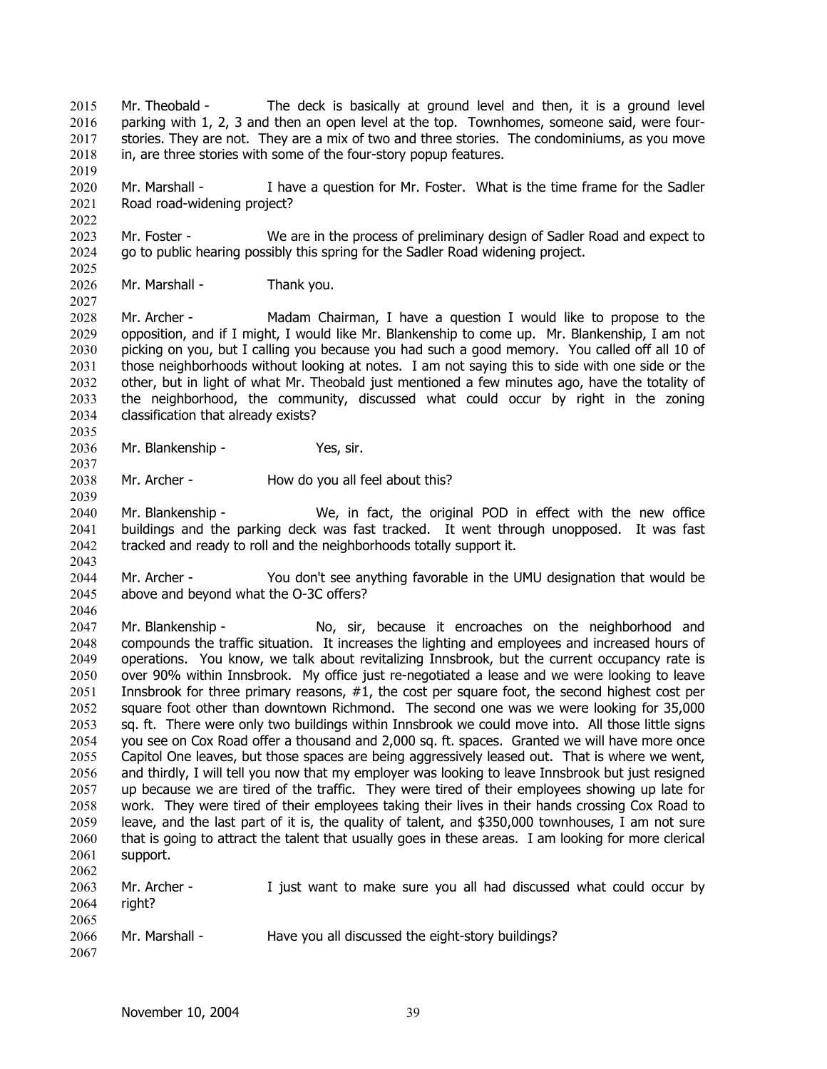Mr. Theobald - The deck is basically at ground level and then, it is a ground level parking with 1, 2, 3 and then an open level at the top. Townhomes, someone said, were fourstories. They are not. They are a mix of two and three stories. The condominiums, as you move in, are three stories with some of the four-story popup features. 2015 2016 2017 2018 2019

2020 2021 Mr. Marshall - I have a question for Mr. Foster. What is the time frame for the Sadler Road road-widening project?

2023 2024 Mr. Foster - We are in the process of preliminary design of Sadler Road and expect to go to public hearing possibly this spring for the Sadler Road widening project.

2026 Mr. Marshall - Thank you.

2022

2025

2027

2035

2037

2039

2028 2029 2030 2031 2032 2033 2034 Mr. Archer - Madam Chairman, I have a question I would like to propose to the opposition, and if I might, I would like Mr. Blankenship to come up. Mr. Blankenship, I am not picking on you, but I calling you because you had such a good memory. You called off all 10 of those neighborhoods without looking at notes. I am not saying this to side with one side or the other, but in light of what Mr. Theobald just mentioned a few minutes ago, have the totality of the neighborhood, the community, discussed what could occur by right in the zoning classification that already exists?

2036 Mr. Blankenship - Yes, sir.

2038 Mr. Archer - How do you all feel about this?

2040 2041 2042 2043 Mr. Blankenship - We, in fact, the original POD in effect with the new office buildings and the parking deck was fast tracked. It went through unopposed. It was fast tracked and ready to roll and the neighborhoods totally support it.

2044 2045 2046 Mr. Archer - You don't see anything favorable in the UMU designation that would be above and beyond what the O-3C offers?

2047 2048 2049 2050 2051 2052 2053 2054 2055 2056 2057 2058 2059 2060 2061 2062 Mr. Blankenship - The No, sir, because it encroaches on the neighborhood and compounds the traffic situation. It increases the lighting and employees and increased hours of operations. You know, we talk about revitalizing Innsbrook, but the current occupancy rate is over 90% within Innsbrook. My office just re-negotiated a lease and we were looking to leave Innsbrook for three primary reasons, #1, the cost per square foot, the second highest cost per square foot other than downtown Richmond. The second one was we were looking for 35,000 sq. ft. There were only two buildings within Innsbrook we could move into. All those little signs you see on Cox Road offer a thousand and 2,000 sq. ft. spaces. Granted we will have more once Capitol One leaves, but those spaces are being aggressively leased out. That is where we went, and thirdly, I will tell you now that my employer was looking to leave Innsbrook but just resigned up because we are tired of the traffic. They were tired of their employees showing up late for work. They were tired of their employees taking their lives in their hands crossing Cox Road to leave, and the last part of it is, the quality of talent, and \$350,000 townhouses, I am not sure that is going to attract the talent that usually goes in these areas. I am looking for more clerical support.

2063 2064 2065 2066 2067 Mr. Archer - I just want to make sure you all had discussed what could occur by right? Mr. Marshall - Have you all discussed the eight-story buildings?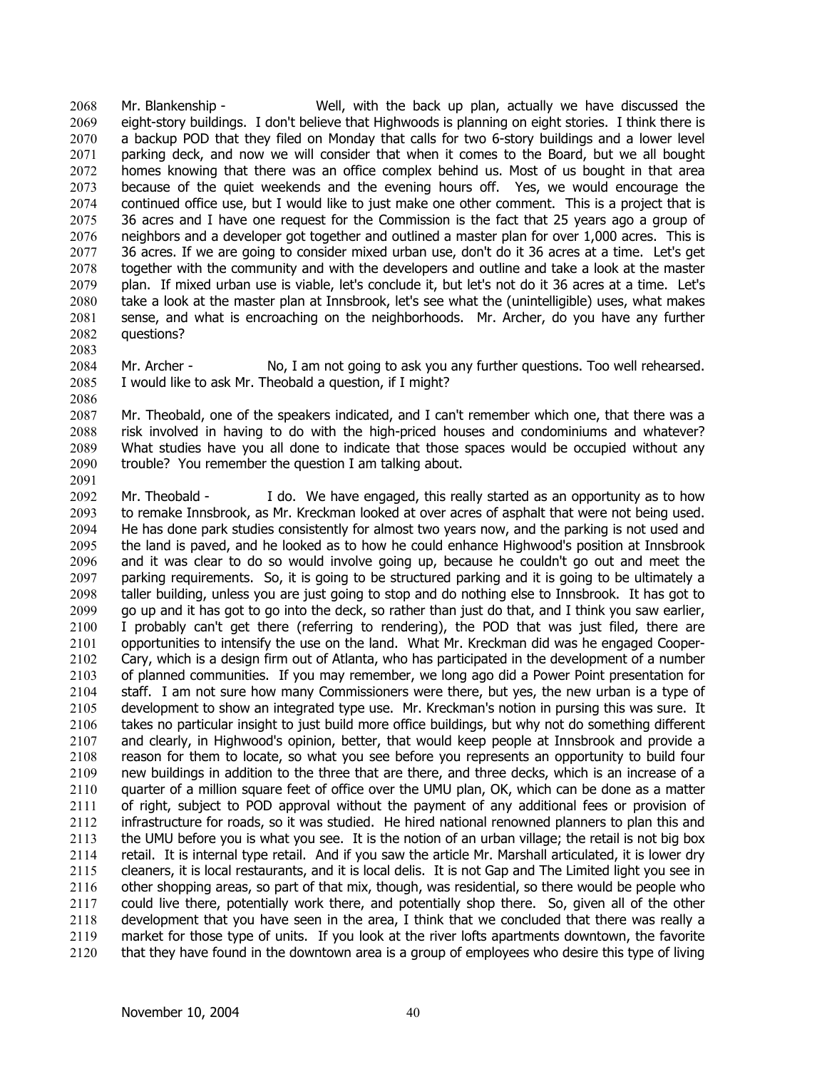Mr. Blankenship - Well, with the back up plan, actually we have discussed the eight-story buildings. I don't believe that Highwoods is planning on eight stories. I think there is a backup POD that they filed on Monday that calls for two 6-story buildings and a lower level parking deck, and now we will consider that when it comes to the Board, but we all bought homes knowing that there was an office complex behind us. Most of us bought in that area because of the quiet weekends and the evening hours off. Yes, we would encourage the continued office use, but I would like to just make one other comment. This is a project that is 36 acres and I have one request for the Commission is the fact that 25 years ago a group of neighbors and a developer got together and outlined a master plan for over 1,000 acres. This is 36 acres. If we are going to consider mixed urban use, don't do it 36 acres at a time. Let's get together with the community and with the developers and outline and take a look at the master plan. If mixed urban use is viable, let's conclude it, but let's not do it 36 acres at a time. Let's take a look at the master plan at Innsbrook, let's see what the (unintelligible) uses, what makes sense, and what is encroaching on the neighborhoods. Mr. Archer, do you have any further questions? 2068 2069 2070 2071 2072 2073 2074 2075 2076 2077 2078 2079 2080 2081 2082

2084 2085 Mr. Archer - No, I am not going to ask you any further questions. Too well rehearsed. I would like to ask Mr. Theobald a question, if I might?

2087 2088 2089 2090 2091 Mr. Theobald, one of the speakers indicated, and I can't remember which one, that there was a risk involved in having to do with the high-priced houses and condominiums and whatever? What studies have you all done to indicate that those spaces would be occupied without any trouble? You remember the question I am talking about.

2092 2093 2094 2095 2096 2097 2098 2099 2100 2101 2102 2103 2104 2105 2106 2107 2108 2109 2110 2111 2112 2113 2114 2115 2116 2117 2118 2119 2120 Mr. Theobald - I do. We have engaged, this really started as an opportunity as to how to remake Innsbrook, as Mr. Kreckman looked at over acres of asphalt that were not being used. He has done park studies consistently for almost two years now, and the parking is not used and the land is paved, and he looked as to how he could enhance Highwood's position at Innsbrook and it was clear to do so would involve going up, because he couldn't go out and meet the parking requirements. So, it is going to be structured parking and it is going to be ultimately a taller building, unless you are just going to stop and do nothing else to Innsbrook. It has got to go up and it has got to go into the deck, so rather than just do that, and I think you saw earlier, I probably can't get there (referring to rendering), the POD that was just filed, there are opportunities to intensify the use on the land. What Mr. Kreckman did was he engaged Cooper-Cary, which is a design firm out of Atlanta, who has participated in the development of a number of planned communities. If you may remember, we long ago did a Power Point presentation for staff. I am not sure how many Commissioners were there, but yes, the new urban is a type of development to show an integrated type use. Mr. Kreckman's notion in pursing this was sure. It takes no particular insight to just build more office buildings, but why not do something different and clearly, in Highwood's opinion, better, that would keep people at Innsbrook and provide a reason for them to locate, so what you see before you represents an opportunity to build four new buildings in addition to the three that are there, and three decks, which is an increase of a quarter of a million square feet of office over the UMU plan, OK, which can be done as a matter of right, subject to POD approval without the payment of any additional fees or provision of infrastructure for roads, so it was studied. He hired national renowned planners to plan this and the UMU before you is what you see. It is the notion of an urban village; the retail is not big box retail. It is internal type retail. And if you saw the article Mr. Marshall articulated, it is lower dry cleaners, it is local restaurants, and it is local delis. It is not Gap and The Limited light you see in other shopping areas, so part of that mix, though, was residential, so there would be people who could live there, potentially work there, and potentially shop there. So, given all of the other development that you have seen in the area, I think that we concluded that there was really a market for those type of units. If you look at the river lofts apartments downtown, the favorite that they have found in the downtown area is a group of employees who desire this type of living

2083

2086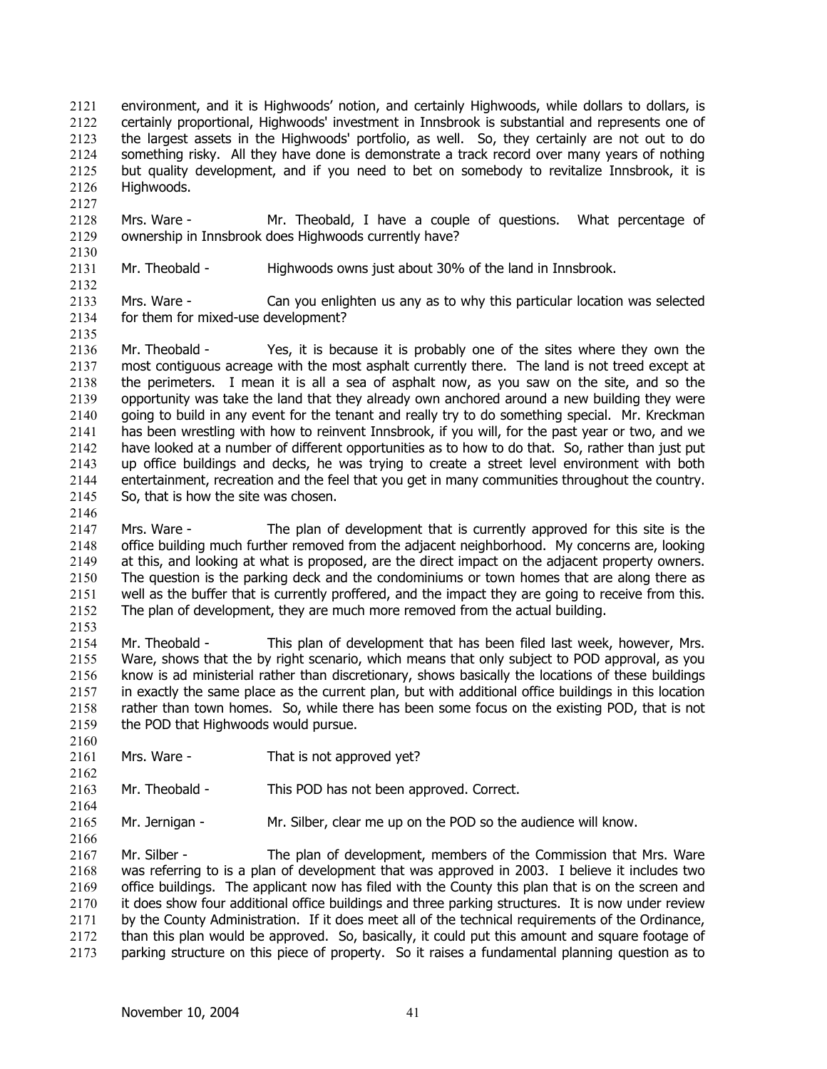environment, and it is Highwoods' notion, and certainly Highwoods, while dollars to dollars, is certainly proportional, Highwoods' investment in Innsbrook is substantial and represents one of the largest assets in the Highwoods' portfolio, as well. So, they certainly are not out to do something risky. All they have done is demonstrate a track record over many years of nothing but quality development, and if you need to bet on somebody to revitalize Innsbrook, it is Highwoods. 2121 2122 2123 2124 2125 2126

2128 2129 Mrs. Ware - Mr. Theobald, I have a couple of questions. What percentage of ownership in Innsbrook does Highwoods currently have?

2131 Mr. Theobald - Highwoods owns just about 30% of the land in Innsbrook.

2133 2134 Mrs. Ware - Can you enlighten us any as to why this particular location was selected for them for mixed-use development?

2136 2137 2138 2139 2140 2141 2142 2143 2144 2145 Mr. Theobald - Yes, it is because it is probably one of the sites where they own the most contiguous acreage with the most asphalt currently there. The land is not treed except at the perimeters. I mean it is all a sea of asphalt now, as you saw on the site, and so the opportunity was take the land that they already own anchored around a new building they were going to build in any event for the tenant and really try to do something special. Mr. Kreckman has been wrestling with how to reinvent Innsbrook, if you will, for the past year or two, and we have looked at a number of different opportunities as to how to do that. So, rather than just put up office buildings and decks, he was trying to create a street level environment with both entertainment, recreation and the feel that you get in many communities throughout the country. So, that is how the site was chosen.

2147 2148 2149 2150 2151 2152 Mrs. Ware - The plan of development that is currently approved for this site is the office building much further removed from the adjacent neighborhood. My concerns are, looking at this, and looking at what is proposed, are the direct impact on the adjacent property owners. The question is the parking deck and the condominiums or town homes that are along there as well as the buffer that is currently proffered, and the impact they are going to receive from this. The plan of development, they are much more removed from the actual building.

2153

2160

2162

2164

2166

2146

2127

2130

2132

2135

2154 2155 2156 2157 2158 2159 Mr. Theobald - This plan of development that has been filed last week, however, Mrs. Ware, shows that the by right scenario, which means that only subject to POD approval, as you know is ad ministerial rather than discretionary, shows basically the locations of these buildings in exactly the same place as the current plan, but with additional office buildings in this location rather than town homes. So, while there has been some focus on the existing POD, that is not the POD that Highwoods would pursue.

2161 Mrs. Ware - That is not approved yet?

2163 Mr. Theobald - This POD has not been approved. Correct.

2165 Mr. Jernigan - Mr. Silber, clear me up on the POD so the audience will know.

2167 2168 2169 2170 2171 2172 2173 Mr. Silber - The plan of development, members of the Commission that Mrs. Ware was referring to is a plan of development that was approved in 2003. I believe it includes two office buildings. The applicant now has filed with the County this plan that is on the screen and it does show four additional office buildings and three parking structures. It is now under review by the County Administration. If it does meet all of the technical requirements of the Ordinance, than this plan would be approved. So, basically, it could put this amount and square footage of parking structure on this piece of property. So it raises a fundamental planning question as to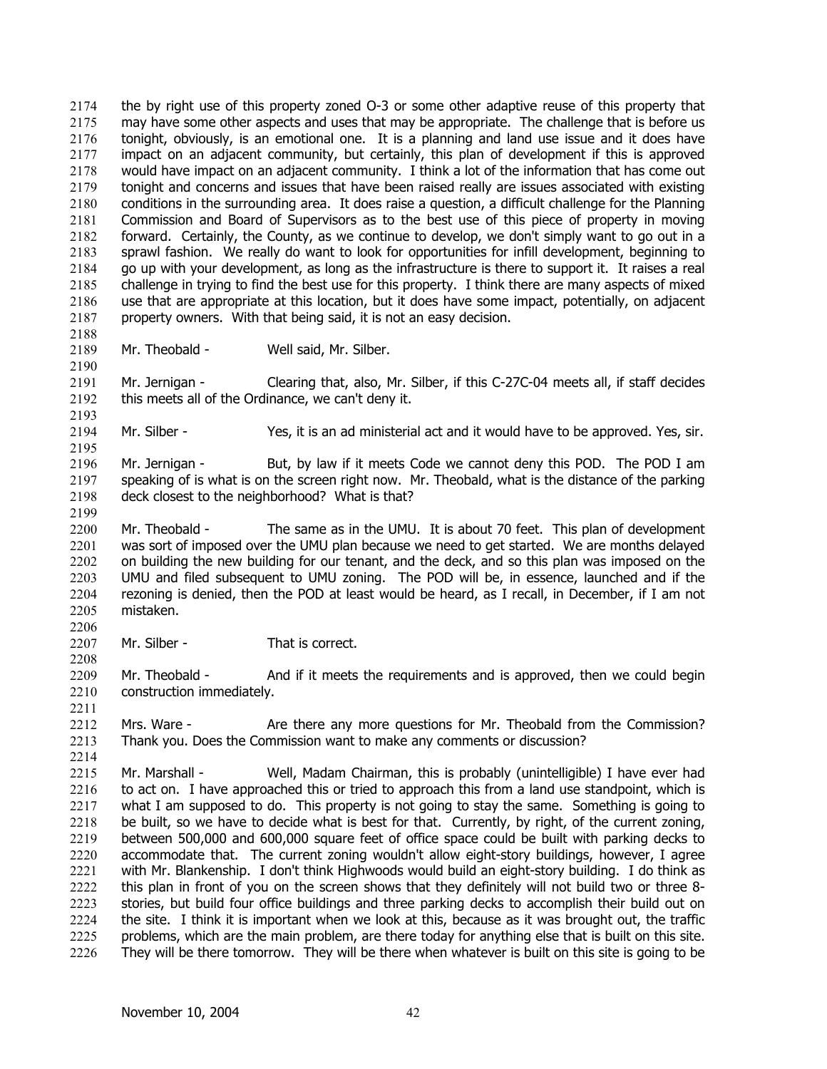the by right use of this property zoned O-3 or some other adaptive reuse of this property that may have some other aspects and uses that may be appropriate. The challenge that is before us tonight, obviously, is an emotional one. It is a planning and land use issue and it does have impact on an adjacent community, but certainly, this plan of development if this is approved would have impact on an adjacent community. I think a lot of the information that has come out tonight and concerns and issues that have been raised really are issues associated with existing conditions in the surrounding area. It does raise a question, a difficult challenge for the Planning Commission and Board of Supervisors as to the best use of this piece of property in moving forward. Certainly, the County, as we continue to develop, we don't simply want to go out in a sprawl fashion. We really do want to look for opportunities for infill development, beginning to go up with your development, as long as the infrastructure is there to support it. It raises a real challenge in trying to find the best use for this property. I think there are many aspects of mixed use that are appropriate at this location, but it does have some impact, potentially, on adjacent property owners. With that being said, it is not an easy decision. 2174 2175 2176 2177 2178 2179 2180 2181 2182 2183 2184 2185 2186 2187 2188 2189 2190 2191 2192 2193 2194 2195 2196 2197 2198 2199 2200 2201 2202 2203 2204 2205 2206 2207 2208 2209 2210 2211 2212 2213 2214 2215 2216 2217 2218 2219 2220 2221 2222 2223 2224 2225 2226 Mr. Theobald - Well said, Mr. Silber. Mr. Jernigan - Clearing that, also, Mr. Silber, if this C-27C-04 meets all, if staff decides this meets all of the Ordinance, we can't deny it. Mr. Silber - Yes, it is an ad ministerial act and it would have to be approved. Yes, sir. Mr. Jernigan - But, by law if it meets Code we cannot deny this POD. The POD I am speaking of is what is on the screen right now. Mr. Theobald, what is the distance of the parking deck closest to the neighborhood? What is that? Mr. Theobald - The same as in the UMU. It is about 70 feet. This plan of development was sort of imposed over the UMU plan because we need to get started. We are months delayed on building the new building for our tenant, and the deck, and so this plan was imposed on the UMU and filed subsequent to UMU zoning. The POD will be, in essence, launched and if the rezoning is denied, then the POD at least would be heard, as I recall, in December, if I am not mistaken. Mr. Silber - That is correct. Mr. Theobald - And if it meets the requirements and is approved, then we could begin construction immediately. Mrs. Ware - Are there any more questions for Mr. Theobald from the Commission? Thank you. Does the Commission want to make any comments or discussion? Mr. Marshall - Well, Madam Chairman, this is probably (unintelligible) I have ever had to act on. I have approached this or tried to approach this from a land use standpoint, which is what I am supposed to do. This property is not going to stay the same. Something is going to be built, so we have to decide what is best for that. Currently, by right, of the current zoning, between 500,000 and 600,000 square feet of office space could be built with parking decks to accommodate that. The current zoning wouldn't allow eight-story buildings, however, I agree with Mr. Blankenship. I don't think Highwoods would build an eight-story building. I do think as this plan in front of you on the screen shows that they definitely will not build two or three 8 stories, but build four office buildings and three parking decks to accomplish their build out on the site. I think it is important when we look at this, because as it was brought out, the traffic problems, which are the main problem, are there today for anything else that is built on this site. They will be there tomorrow. They will be there when whatever is built on this site is going to be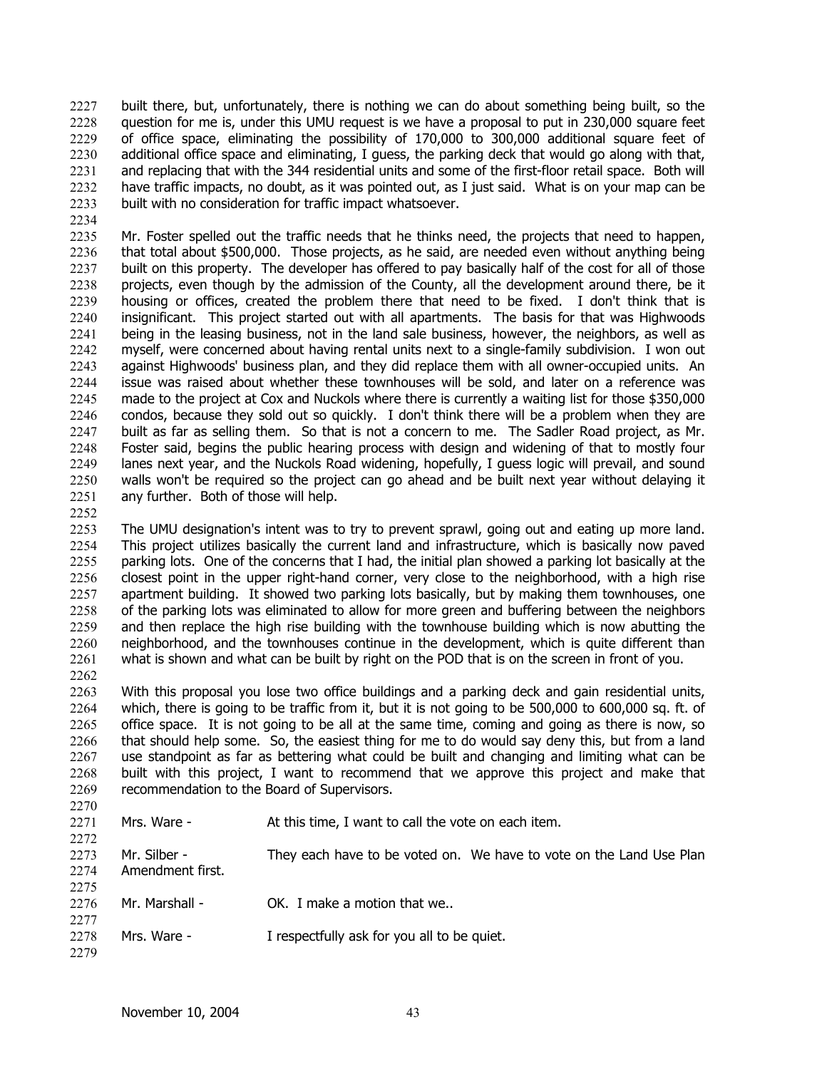built there, but, unfortunately, there is nothing we can do about something being built, so the question for me is, under this UMU request is we have a proposal to put in 230,000 square feet of office space, eliminating the possibility of 170,000 to 300,000 additional square feet of additional office space and eliminating, I guess, the parking deck that would go along with that, and replacing that with the 344 residential units and some of the first-floor retail space. Both will have traffic impacts, no doubt, as it was pointed out, as I just said. What is on your map can be built with no consideration for traffic impact whatsoever. 2227 2228 2229 2230 2231 2232 2233

2235 2236 2237 2238 2239 2240 2241 2242 2243 2244 2245 2246 2247 2248 2249 2250 2251 Mr. Foster spelled out the traffic needs that he thinks need, the projects that need to happen, that total about \$500,000. Those projects, as he said, are needed even without anything being built on this property. The developer has offered to pay basically half of the cost for all of those projects, even though by the admission of the County, all the development around there, be it housing or offices, created the problem there that need to be fixed. I don't think that is insignificant. This project started out with all apartments. The basis for that was Highwoods being in the leasing business, not in the land sale business, however, the neighbors, as well as myself, were concerned about having rental units next to a single-family subdivision. I won out against Highwoods' business plan, and they did replace them with all owner-occupied units. An issue was raised about whether these townhouses will be sold, and later on a reference was made to the project at Cox and Nuckols where there is currently a waiting list for those \$350,000 condos, because they sold out so quickly. I don't think there will be a problem when they are built as far as selling them. So that is not a concern to me. The Sadler Road project, as Mr. Foster said, begins the public hearing process with design and widening of that to mostly four lanes next year, and the Nuckols Road widening, hopefully, I guess logic will prevail, and sound walls won't be required so the project can go ahead and be built next year without delaying it any further. Both of those will help.

2252

2234

2253 2254 2255 2256 2257 2258 2259 2260 2261 2262 The UMU designation's intent was to try to prevent sprawl, going out and eating up more land. This project utilizes basically the current land and infrastructure, which is basically now paved parking lots. One of the concerns that I had, the initial plan showed a parking lot basically at the closest point in the upper right-hand corner, very close to the neighborhood, with a high rise apartment building. It showed two parking lots basically, but by making them townhouses, one of the parking lots was eliminated to allow for more green and buffering between the neighbors and then replace the high rise building with the townhouse building which is now abutting the neighborhood, and the townhouses continue in the development, which is quite different than what is shown and what can be built by right on the POD that is on the screen in front of you.

2263 2264 2265 2266 2267 2268 2269  $2270$ With this proposal you lose two office buildings and a parking deck and gain residential units, which, there is going to be traffic from it, but it is not going to be 500,000 to 600,000 sq. ft. of office space. It is not going to be all at the same time, coming and going as there is now, so that should help some. So, the easiest thing for me to do would say deny this, but from a land use standpoint as far as bettering what could be built and changing and limiting what can be built with this project, I want to recommend that we approve this project and make that recommendation to the Board of Supervisors.

| 22 IV |                  |                                                                     |
|-------|------------------|---------------------------------------------------------------------|
| 2271  | Mrs. Ware -      | At this time, I want to call the vote on each item.                 |
| 2272  |                  |                                                                     |
| 2273  | Mr. Silber -     | They each have to be voted on. We have to vote on the Land Use Plan |
| 2274  | Amendment first. |                                                                     |
| 2275  |                  |                                                                     |
| 2276  | Mr. Marshall -   | OK. I make a motion that we                                         |
| 2277  |                  |                                                                     |
| 2278  | Mrs. Ware -      | I respectfully ask for you all to be quiet.                         |
| 2279  |                  |                                                                     |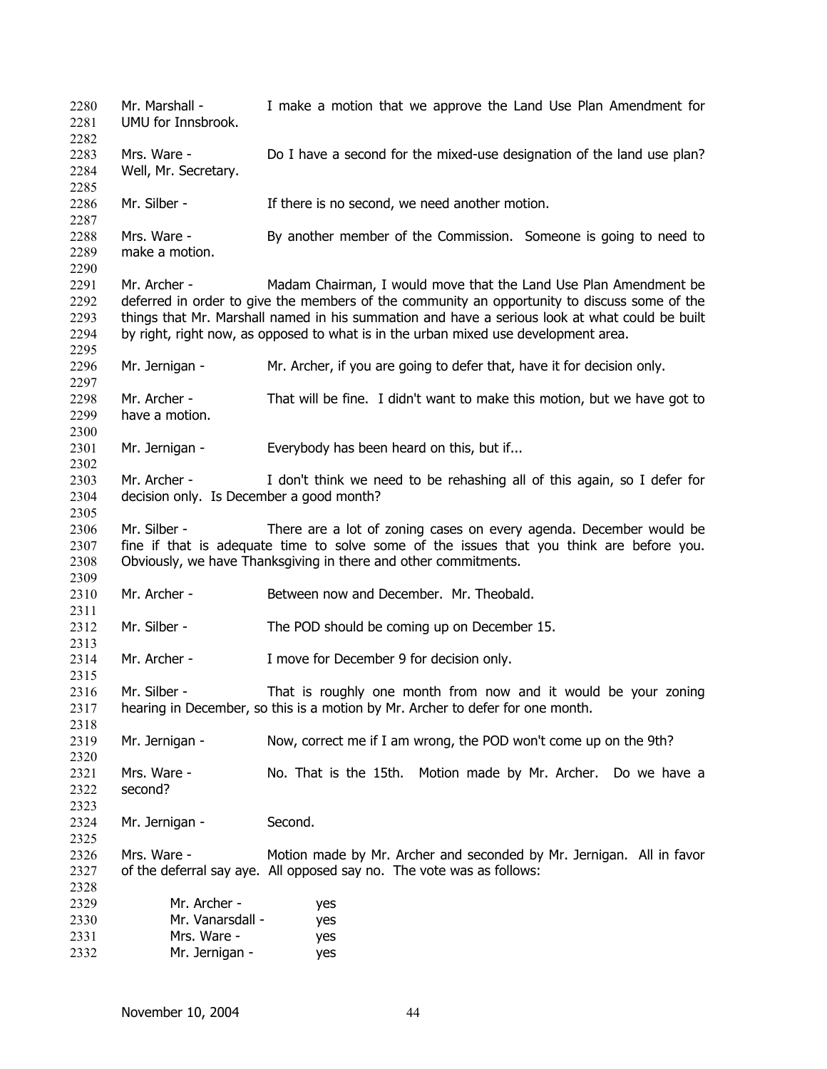Mr. Marshall - I make a motion that we approve the Land Use Plan Amendment for UMU for Innsbrook. 2280 2281 2282 2283 2284 2285 2286 2287 2288 2289 2290 2291 2292 2293 2294 2295 2296 2297 2298 2299 2300 2301 2302 2303 2304 2305 2306 2307 2308 2309 2310 2311 2312 2313 2314 2315 2316 2317 2318 2319 2320 2321 2322 2323 2324 2325 2326 2327 2328 2329 2330 2331 2332 Mrs. Ware - Do I have a second for the mixed-use designation of the land use plan? Well, Mr. Secretary. Mr. Silber - There is no second, we need another motion. Mrs. Ware - By another member of the Commission. Someone is going to need to make a motion. Mr. Archer - Madam Chairman, I would move that the Land Use Plan Amendment be deferred in order to give the members of the community an opportunity to discuss some of the things that Mr. Marshall named in his summation and have a serious look at what could be built by right, right now, as opposed to what is in the urban mixed use development area. Mr. Jernigan - Mr. Archer, if you are going to defer that, have it for decision only. Mr. Archer - That will be fine. I didn't want to make this motion, but we have got to have a motion. Mr. Jernigan - Everybody has been heard on this, but if... Mr. Archer - I don't think we need to be rehashing all of this again, so I defer for decision only. Is December a good month? Mr. Silber - There are a lot of zoning cases on every agenda. December would be fine if that is adequate time to solve some of the issues that you think are before you. Obviously, we have Thanksgiving in there and other commitments. Mr. Archer - Between now and December. Mr. Theobald. Mr. Silber - The POD should be coming up on December 15. Mr. Archer - I move for December 9 for decision only. Mr. Silber - That is roughly one month from now and it would be your zoning hearing in December, so this is a motion by Mr. Archer to defer for one month. Mr. Jernigan - Now, correct me if I am wrong, the POD won't come up on the 9th? Mrs. Ware - No. That is the 15th. Motion made by Mr. Archer. Do we have a second? Mr. Jernigan - Second. Mrs. Ware - Motion made by Mr. Archer and seconded by Mr. Jernigan. All in favor of the deferral say aye. All opposed say no. The vote was as follows: Mr. Archer - yes Mr. Vanarsdall - yes Mrs. Ware - yes Mr. Jernigan - yes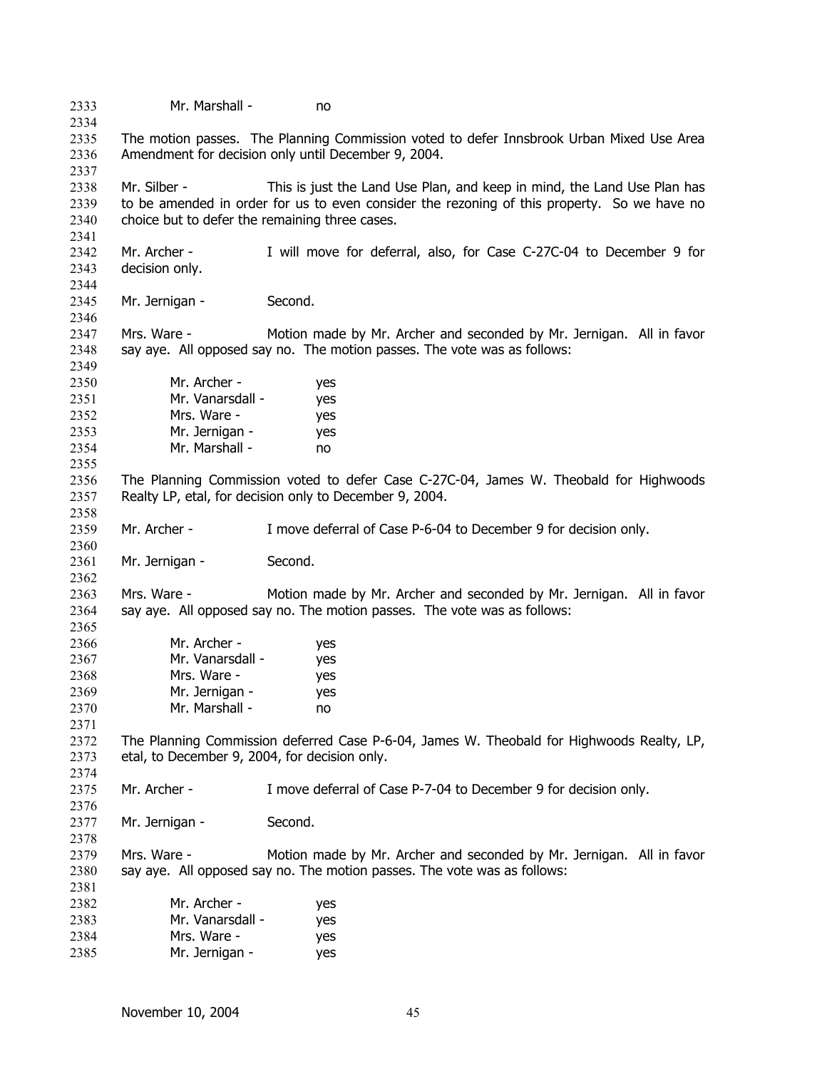| 2333<br>2334                 | Mr. Marshall -                                                                                                                             | no                                                                                                                                                                     |  |
|------------------------------|--------------------------------------------------------------------------------------------------------------------------------------------|------------------------------------------------------------------------------------------------------------------------------------------------------------------------|--|
| 2335<br>2336<br>2337         |                                                                                                                                            | The motion passes. The Planning Commission voted to defer Innsbrook Urban Mixed Use Area<br>Amendment for decision only until December 9, 2004.                        |  |
| 2338<br>2339<br>2340<br>2341 | Mr. Silber -<br>choice but to defer the remaining three cases.                                                                             | This is just the Land Use Plan, and keep in mind, the Land Use Plan has<br>to be amended in order for us to even consider the rezoning of this property. So we have no |  |
| 2342<br>2343<br>2344         | Mr. Archer -<br>decision only.                                                                                                             | I will move for deferral, also, for Case C-27C-04 to December 9 for                                                                                                    |  |
| 2345<br>2346                 | Mr. Jernigan -                                                                                                                             | Second.                                                                                                                                                                |  |
| 2347<br>2348<br>2349         | Mrs. Ware -                                                                                                                                | Motion made by Mr. Archer and seconded by Mr. Jernigan. All in favor<br>say aye. All opposed say no. The motion passes. The vote was as follows:                       |  |
| 2350                         | Mr. Archer -                                                                                                                               | yes                                                                                                                                                                    |  |
| 2351                         | Mr. Vanarsdall -                                                                                                                           | yes                                                                                                                                                                    |  |
| 2352                         | Mrs. Ware -                                                                                                                                | yes                                                                                                                                                                    |  |
| 2353                         | Mr. Jernigan -<br>Mr. Marshall -                                                                                                           | yes                                                                                                                                                                    |  |
| 2354<br>2355                 |                                                                                                                                            | no                                                                                                                                                                     |  |
| 2356                         |                                                                                                                                            | The Planning Commission voted to defer Case C-27C-04, James W. Theobald for Highwoods                                                                                  |  |
| 2357<br>2358                 |                                                                                                                                            | Realty LP, etal, for decision only to December 9, 2004.                                                                                                                |  |
| 2359<br>2360                 | Mr. Archer -                                                                                                                               | I move deferral of Case P-6-04 to December 9 for decision only.                                                                                                        |  |
| 2361<br>2362                 | Mr. Jernigan -                                                                                                                             | Second.                                                                                                                                                                |  |
| 2363<br>2364                 | Mrs. Ware -                                                                                                                                | Motion made by Mr. Archer and seconded by Mr. Jernigan. All in favor<br>say aye. All opposed say no. The motion passes. The vote was as follows:                       |  |
| 2365                         |                                                                                                                                            |                                                                                                                                                                        |  |
| 2366                         | Mr. Archer -                                                                                                                               | yes                                                                                                                                                                    |  |
| 2367                         | Mr. Vanarsdall -                                                                                                                           | yes                                                                                                                                                                    |  |
| 2368                         | Mrs. Ware -                                                                                                                                | yes                                                                                                                                                                    |  |
| 2369                         | Mr. Jernigan -                                                                                                                             | yes                                                                                                                                                                    |  |
| 2370                         | Mr. Marshall -                                                                                                                             | no                                                                                                                                                                     |  |
| 2371                         |                                                                                                                                            |                                                                                                                                                                        |  |
| 2372<br>2373                 | The Planning Commission deferred Case P-6-04, James W. Theobald for Highwoods Realty, LP,<br>etal, to December 9, 2004, for decision only. |                                                                                                                                                                        |  |
| 2374                         |                                                                                                                                            |                                                                                                                                                                        |  |
| 2375                         | Mr. Archer -                                                                                                                               | I move deferral of Case P-7-04 to December 9 for decision only.                                                                                                        |  |
| 2376                         |                                                                                                                                            |                                                                                                                                                                        |  |
| 2377                         | Mr. Jernigan -                                                                                                                             | Second.                                                                                                                                                                |  |
| 2378                         |                                                                                                                                            |                                                                                                                                                                        |  |
| 2379                         | Mrs. Ware -                                                                                                                                | Motion made by Mr. Archer and seconded by Mr. Jernigan. All in favor                                                                                                   |  |
| 2380<br>2381                 |                                                                                                                                            | say aye. All opposed say no. The motion passes. The vote was as follows:                                                                                               |  |
| 2382                         | Mr. Archer -                                                                                                                               | yes                                                                                                                                                                    |  |
| 2383                         | Mr. Vanarsdall -                                                                                                                           | yes                                                                                                                                                                    |  |
| 2384                         | Mrs. Ware -                                                                                                                                | yes                                                                                                                                                                    |  |
| 2385                         | Mr. Jernigan -                                                                                                                             | yes                                                                                                                                                                    |  |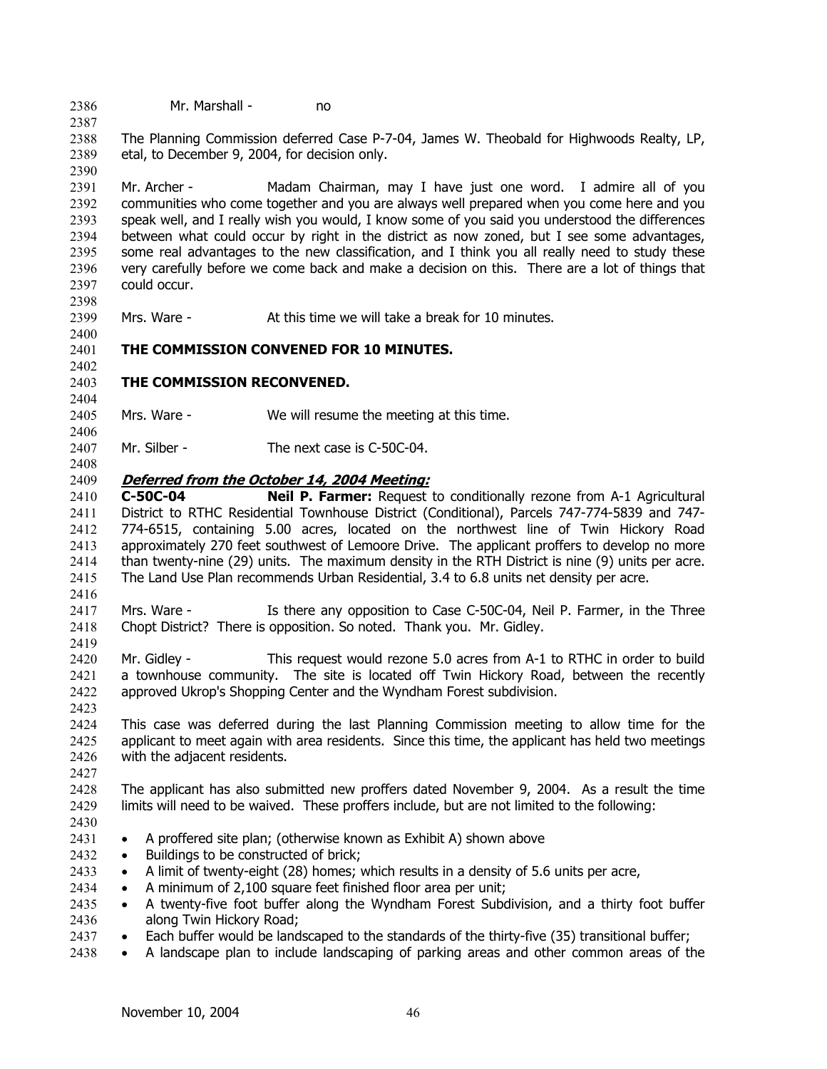2386 Mr. Marshall - no

2387

2390

2398

2400

2402

2404

2406

2408

2419

2423

2388 2389 The Planning Commission deferred Case P-7-04, James W. Theobald for Highwoods Realty, LP, etal, to December 9, 2004, for decision only.

2391 2392 2393 2394 2395 2396 2397 Mr. Archer - Madam Chairman, may I have just one word. I admire all of you communities who come together and you are always well prepared when you come here and you speak well, and I really wish you would, I know some of you said you understood the differences between what could occur by right in the district as now zoned, but I see some advantages, some real advantages to the new classification, and I think you all really need to study these very carefully before we come back and make a decision on this. There are a lot of things that could occur.

2399 Mrs. Ware - At this time we will take a break for 10 minutes.

2401 **THE COMMISSION CONVENED FOR 10 MINUTES.** 

#### 2403 **THE COMMISSION RECONVENED.**

2405 Mrs. Ware - We will resume the meeting at this time.

2407 Mr. Silber - The next case is C-50C-04.

#### 2409 **Deferred from the October 14, 2004 Meeting:**

2410 2411 2412 2413 2414 2415 2416 **C-50C-04 Neil P. Farmer:** Request to conditionally rezone from A-1 Agricultural District to RTHC Residential Townhouse District (Conditional), Parcels 747-774-5839 and 747- 774-6515, containing 5.00 acres, located on the northwest line of Twin Hickory Road approximately 270 feet southwest of Lemoore Drive. The applicant proffers to develop no more than twenty-nine (29) units. The maximum density in the RTH District is nine (9) units per acre. The Land Use Plan recommends Urban Residential, 3.4 to 6.8 units net density per acre.

2417 2418 Mrs. Ware - Is there any opposition to Case C-50C-04, Neil P. Farmer, in the Three Chopt District? There is opposition. So noted. Thank you. Mr. Gidley.

2420 2421 2422 Mr. Gidley - This request would rezone 5.0 acres from A-1 to RTHC in order to build a townhouse community. The site is located off Twin Hickory Road, between the recently approved Ukrop's Shopping Center and the Wyndham Forest subdivision.

2424 2425 2426 This case was deferred during the last Planning Commission meeting to allow time for the applicant to meet again with area residents. Since this time, the applicant has held two meetings with the adjacent residents.

2428 2429 The applicant has also submitted new proffers dated November 9, 2004. As a result the time limits will need to be waived. These proffers include, but are not limited to the following:

2430

2427

- 2431 • A proffered site plan; (otherwise known as Exhibit A) shown above
- 2432 Buildings to be constructed of brick;
- 2433 • A limit of twenty-eight (28) homes; which results in a density of 5.6 units per acre,
- 2434 • A minimum of 2,100 square feet finished floor area per unit;
- 2435 2436 • A twenty-five foot buffer along the Wyndham Forest Subdivision, and a thirty foot buffer along Twin Hickory Road;
- 2437 • Each buffer would be landscaped to the standards of the thirty-five (35) transitional buffer;
- 2438 • A landscape plan to include landscaping of parking areas and other common areas of the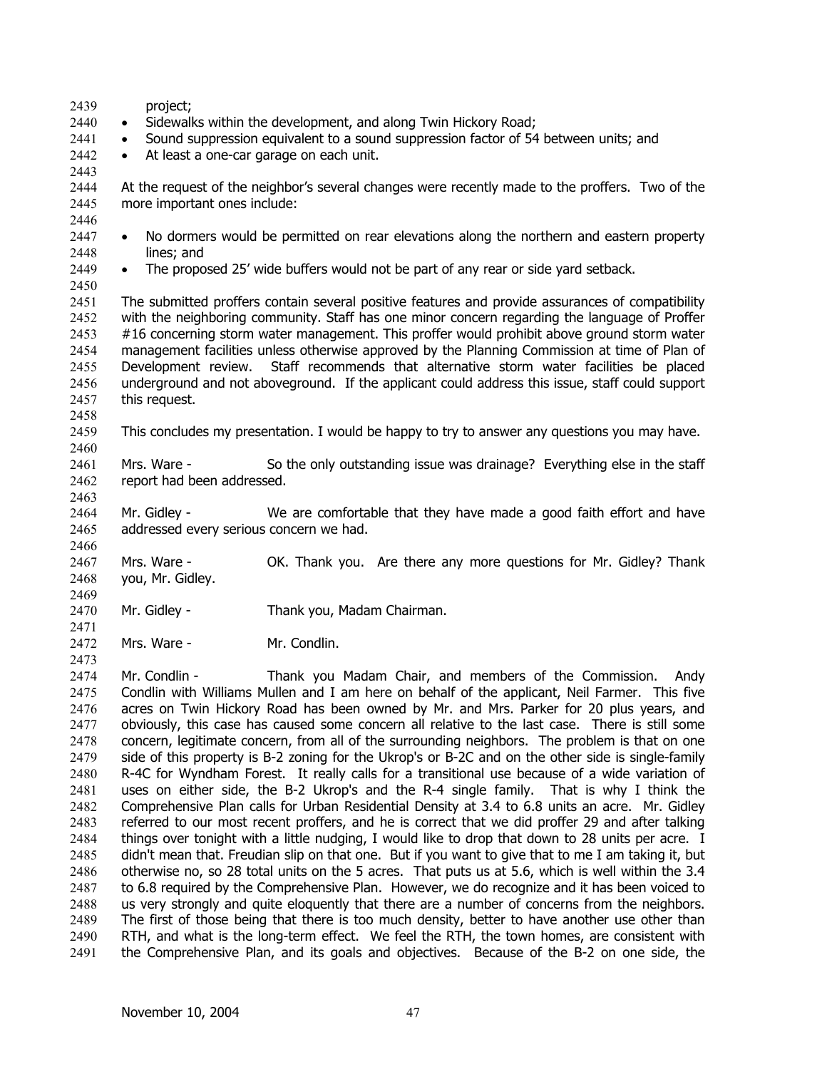| 2439<br>2440<br>2441<br>2442<br>2443                         | project;<br>$\bullet$<br>$\bullet$                                                                                                                                                                                                                                                                                                                                                                                                                                                                                                                                                                                 | Sidewalks within the development, and along Twin Hickory Road;<br>• Sound suppression equivalent to a sound suppression factor of 54 between units; and<br>At least a one-car garage on each unit. |  |  |
|--------------------------------------------------------------|--------------------------------------------------------------------------------------------------------------------------------------------------------------------------------------------------------------------------------------------------------------------------------------------------------------------------------------------------------------------------------------------------------------------------------------------------------------------------------------------------------------------------------------------------------------------------------------------------------------------|----------------------------------------------------------------------------------------------------------------------------------------------------------------------------------------------------|--|--|
| 2444<br>2445<br>2446                                         | At the request of the neighbor's several changes were recently made to the proffers. Two of the<br>more important ones include:                                                                                                                                                                                                                                                                                                                                                                                                                                                                                    |                                                                                                                                                                                                    |  |  |
| 2447<br>2448<br>2449<br>2450                                 | $\bullet$<br>lines; and<br>$\bullet$                                                                                                                                                                                                                                                                                                                                                                                                                                                                                                                                                                               | No dormers would be permitted on rear elevations along the northern and eastern property<br>The proposed 25' wide buffers would not be part of any rear or side yard setback.                      |  |  |
| 2451<br>2452<br>2453<br>2454<br>2455<br>2456<br>2457<br>2458 | The submitted proffers contain several positive features and provide assurances of compatibility<br>with the neighboring community. Staff has one minor concern regarding the language of Proffer<br>#16 concerning storm water management. This proffer would prohibit above ground storm water<br>management facilities unless otherwise approved by the Planning Commission at time of Plan of<br>Staff recommends that alternative storm water facilities be placed<br>Development review.<br>underground and not aboveground. If the applicant could address this issue, staff could support<br>this request. |                                                                                                                                                                                                    |  |  |
| 2459<br>2460                                                 | This concludes my presentation. I would be happy to try to answer any questions you may have.                                                                                                                                                                                                                                                                                                                                                                                                                                                                                                                      |                                                                                                                                                                                                    |  |  |
| 2461<br>2462<br>2463                                         | Mrs. Ware -<br>report had been addressed.                                                                                                                                                                                                                                                                                                                                                                                                                                                                                                                                                                          | So the only outstanding issue was drainage? Everything else in the staff                                                                                                                           |  |  |
| 2464<br>2465<br>2466                                         | Mr. Gidley -<br>addressed every serious concern we had.                                                                                                                                                                                                                                                                                                                                                                                                                                                                                                                                                            | We are comfortable that they have made a good faith effort and have                                                                                                                                |  |  |
| 2467<br>2468<br>2469                                         | Mrs. Ware -<br>you, Mr. Gidley.                                                                                                                                                                                                                                                                                                                                                                                                                                                                                                                                                                                    | OK. Thank you. Are there any more questions for Mr. Gidley? Thank                                                                                                                                  |  |  |
| 2470<br>2471                                                 | Mr. Gidley -                                                                                                                                                                                                                                                                                                                                                                                                                                                                                                                                                                                                       | Thank you, Madam Chairman.                                                                                                                                                                         |  |  |
| 2472                                                         | Mrs. Ware -                                                                                                                                                                                                                                                                                                                                                                                                                                                                                                                                                                                                        | Mr. Condlin.                                                                                                                                                                                       |  |  |

2474 2475 2476 2477 2478 2479 2480 2481 2482 2483 2484 2485 2486 2487 2488 2489 2490 2491 Mr. Condlin - Thank you Madam Chair, and members of the Commission. Andy Condlin with Williams Mullen and I am here on behalf of the applicant, Neil Farmer. This five acres on Twin Hickory Road has been owned by Mr. and Mrs. Parker for 20 plus years, and obviously, this case has caused some concern all relative to the last case. There is still some concern, legitimate concern, from all of the surrounding neighbors. The problem is that on one side of this property is B-2 zoning for the Ukrop's or B-2C and on the other side is single-family R-4C for Wyndham Forest. It really calls for a transitional use because of a wide variation of uses on either side, the B-2 Ukrop's and the R-4 single family. That is why I think the Comprehensive Plan calls for Urban Residential Density at 3.4 to 6.8 units an acre. Mr. Gidley referred to our most recent proffers, and he is correct that we did proffer 29 and after talking things over tonight with a little nudging, I would like to drop that down to 28 units per acre. I didn't mean that. Freudian slip on that one. But if you want to give that to me I am taking it, but otherwise no, so 28 total units on the 5 acres. That puts us at 5.6, which is well within the 3.4 to 6.8 required by the Comprehensive Plan. However, we do recognize and it has been voiced to us very strongly and quite eloquently that there are a number of concerns from the neighbors. The first of those being that there is too much density, better to have another use other than RTH, and what is the long-term effect. We feel the RTH, the town homes, are consistent with the Comprehensive Plan, and its goals and objectives. Because of the B-2 on one side, the

2473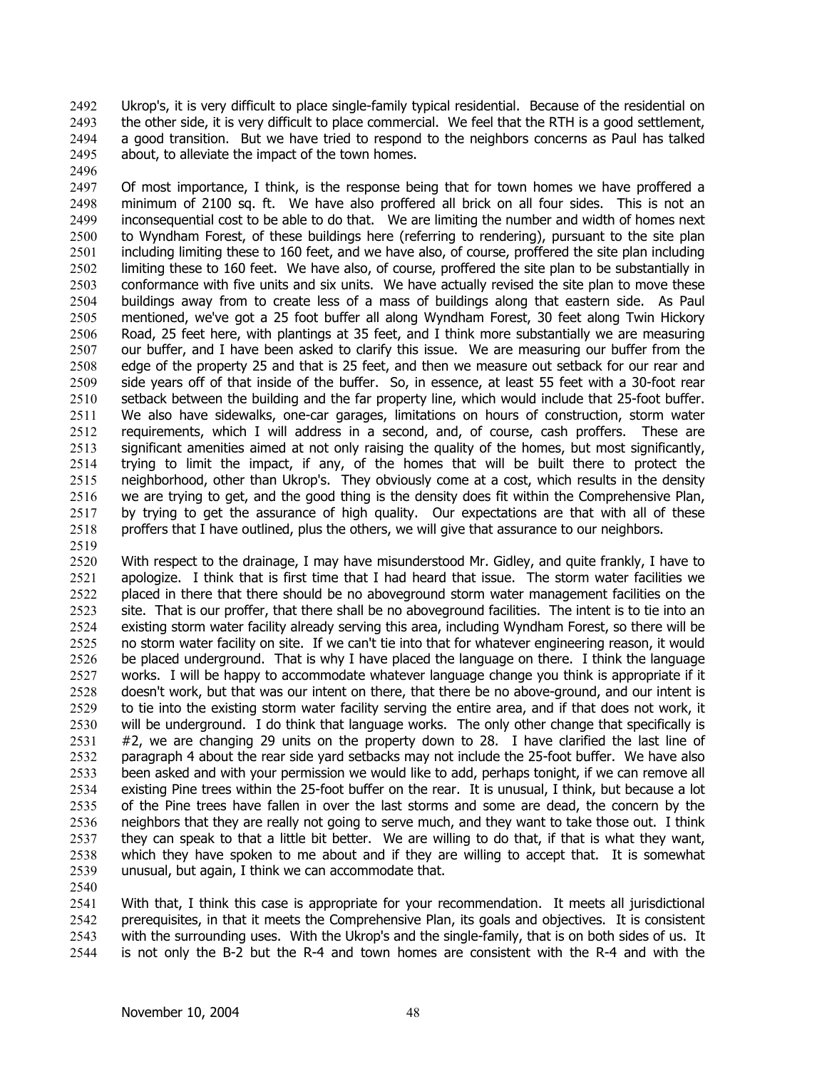Ukrop's, it is very difficult to place single-family typical residential. Because of the residential on the other side, it is very difficult to place commercial. We feel that the RTH is a good settlement, a good transition. But we have tried to respond to the neighbors concerns as Paul has talked about, to alleviate the impact of the town homes. 2492 2493 2494 2495

2497 2498 2499 2500 2501 2502 2503 2504 2505 2506 2507 2508 2509 2510 2511 2512 2513 2514 2515 2516 2517 2518 Of most importance, I think, is the response being that for town homes we have proffered a minimum of 2100 sq. ft. We have also proffered all brick on all four sides. This is not an inconsequential cost to be able to do that. We are limiting the number and width of homes next to Wyndham Forest, of these buildings here (referring to rendering), pursuant to the site plan including limiting these to 160 feet, and we have also, of course, proffered the site plan including limiting these to 160 feet. We have also, of course, proffered the site plan to be substantially in conformance with five units and six units. We have actually revised the site plan to move these buildings away from to create less of a mass of buildings along that eastern side. As Paul mentioned, we've got a 25 foot buffer all along Wyndham Forest, 30 feet along Twin Hickory Road, 25 feet here, with plantings at 35 feet, and I think more substantially we are measuring our buffer, and I have been asked to clarify this issue. We are measuring our buffer from the edge of the property 25 and that is 25 feet, and then we measure out setback for our rear and side years off of that inside of the buffer. So, in essence, at least 55 feet with a 30-foot rear setback between the building and the far property line, which would include that 25-foot buffer. We also have sidewalks, one-car garages, limitations on hours of construction, storm water requirements, which I will address in a second, and, of course, cash proffers. These are significant amenities aimed at not only raising the quality of the homes, but most significantly, trying to limit the impact, if any, of the homes that will be built there to protect the neighborhood, other than Ukrop's. They obviously come at a cost, which results in the density we are trying to get, and the good thing is the density does fit within the Comprehensive Plan, by trying to get the assurance of high quality. Our expectations are that with all of these proffers that I have outlined, plus the others, we will give that assurance to our neighbors.

2519

2496

2520 2521 2522 2523 2524 2525 2526 2527 2528 2529 2530 2531 2532 2533 2534 2535 2536 2537 2538 2539 With respect to the drainage, I may have misunderstood Mr. Gidley, and quite frankly, I have to apologize. I think that is first time that I had heard that issue. The storm water facilities we placed in there that there should be no aboveground storm water management facilities on the site. That is our proffer, that there shall be no aboveground facilities. The intent is to tie into an existing storm water facility already serving this area, including Wyndham Forest, so there will be no storm water facility on site. If we can't tie into that for whatever engineering reason, it would be placed underground. That is why I have placed the language on there. I think the language works. I will be happy to accommodate whatever language change you think is appropriate if it doesn't work, but that was our intent on there, that there be no above-ground, and our intent is to tie into the existing storm water facility serving the entire area, and if that does not work, it will be underground. I do think that language works. The only other change that specifically is #2, we are changing 29 units on the property down to 28. I have clarified the last line of paragraph 4 about the rear side yard setbacks may not include the 25-foot buffer. We have also been asked and with your permission we would like to add, perhaps tonight, if we can remove all existing Pine trees within the 25-foot buffer on the rear. It is unusual, I think, but because a lot of the Pine trees have fallen in over the last storms and some are dead, the concern by the neighbors that they are really not going to serve much, and they want to take those out. I think they can speak to that a little bit better. We are willing to do that, if that is what they want, which they have spoken to me about and if they are willing to accept that. It is somewhat unusual, but again, I think we can accommodate that.

2540 2541 2542 2543 2544 With that, I think this case is appropriate for your recommendation. It meets all jurisdictional prerequisites, in that it meets the Comprehensive Plan, its goals and objectives. It is consistent with the surrounding uses. With the Ukrop's and the single-family, that is on both sides of us. It is not only the B-2 but the R-4 and town homes are consistent with the R-4 and with the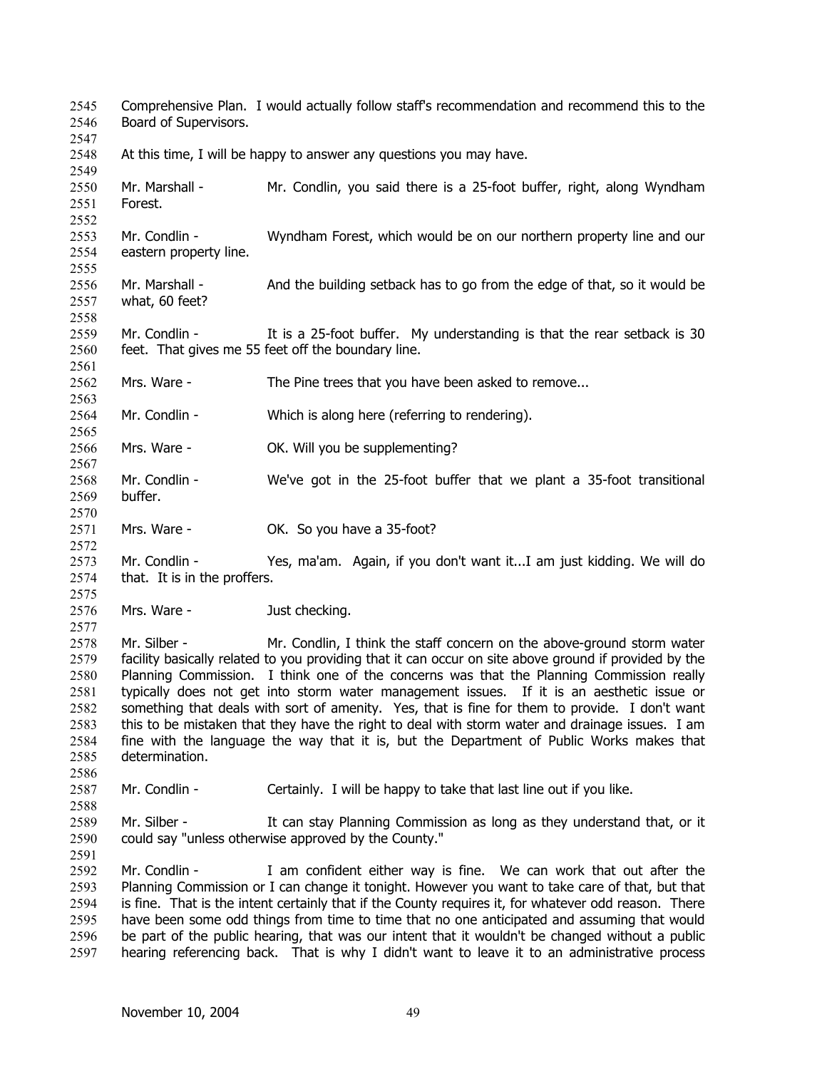Comprehensive Plan. I would actually follow staff's recommendation and recommend this to the Board of Supervisors. 2545 2546 2547 2548 2549 2550 2551 2552 2553 2554 2555 2556 2557 2558 2559 2560 2561 2562 2563 2564 2565 2566 2567 2568 2569 2570 2571 2572 2573 2574 2575 2576 2577 2578 2579 2580 2581 2582 2583 2584 2585 2586 2587 2588 2589 2590 2591 2592 2593 2594 2595 2596 2597 At this time, I will be happy to answer any questions you may have. Mr. Marshall - Mr. Condlin, you said there is a 25-foot buffer, right, along Wyndham Forest. Mr. Condlin - Wyndham Forest, which would be on our northern property line and our eastern property line. Mr. Marshall - And the building setback has to go from the edge of that, so it would be what, 60 feet? Mr. Condlin - It is a 25-foot buffer. My understanding is that the rear setback is 30 feet. That gives me 55 feet off the boundary line. Mrs. Ware - The Pine trees that you have been asked to remove... Mr. Condlin - Which is along here (referring to rendering). Mrs. Ware - **OK. Will you be supplementing?** Mr. Condlin - We've got in the 25-foot buffer that we plant a 35-foot transitional buffer. Mrs. Ware - **OK.** So you have a 35-foot? Mr. Condlin - Yes, ma'am. Again, if you don't want it...I am just kidding. We will do that. It is in the proffers. Mrs. Ware - Just checking. Mr. Silber - Mr. Condlin, I think the staff concern on the above-ground storm water facility basically related to you providing that it can occur on site above ground if provided by the Planning Commission. I think one of the concerns was that the Planning Commission really typically does not get into storm water management issues. If it is an aesthetic issue or something that deals with sort of amenity. Yes, that is fine for them to provide. I don't want this to be mistaken that they have the right to deal with storm water and drainage issues. I am fine with the language the way that it is, but the Department of Public Works makes that determination. Mr. Condlin - Certainly. I will be happy to take that last line out if you like. Mr. Silber - It can stay Planning Commission as long as they understand that, or it could say "unless otherwise approved by the County." Mr. Condlin - I am confident either way is fine. We can work that out after the Planning Commission or I can change it tonight. However you want to take care of that, but that is fine. That is the intent certainly that if the County requires it, for whatever odd reason. There have been some odd things from time to time that no one anticipated and assuming that would be part of the public hearing, that was our intent that it wouldn't be changed without a public hearing referencing back. That is why I didn't want to leave it to an administrative process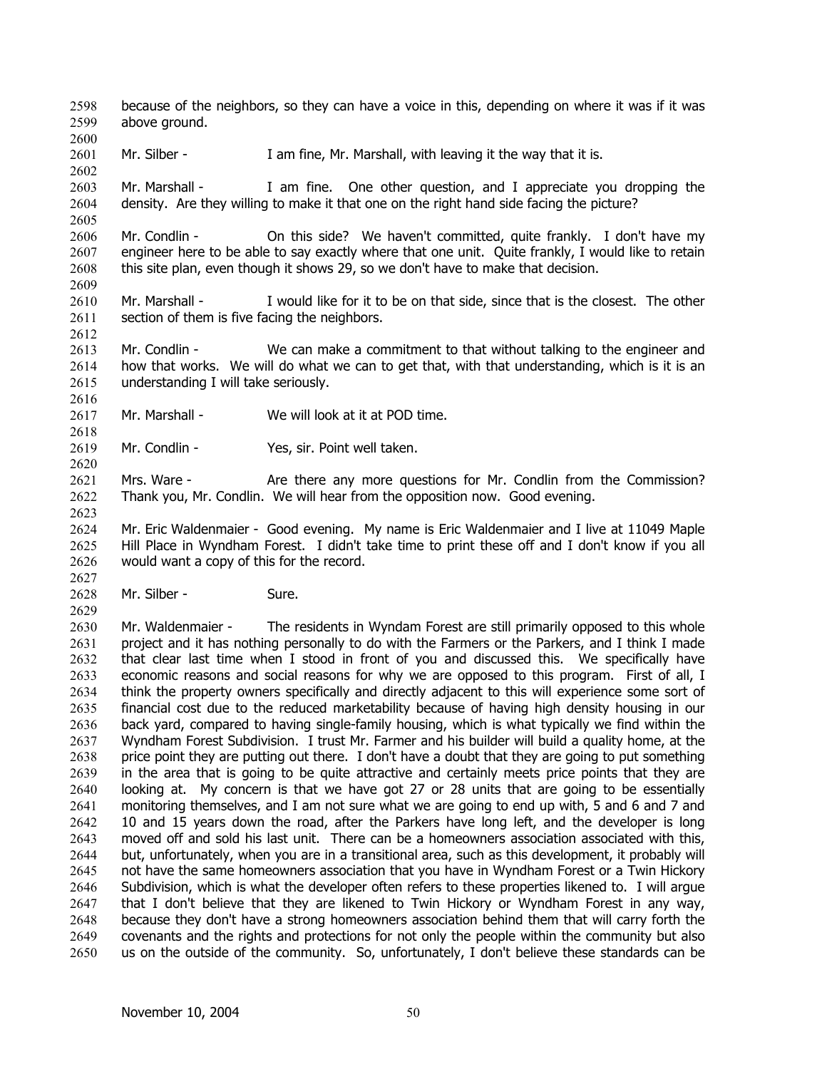because of the neighbors, so they can have a voice in this, depending on where it was if it was above ground. 2598 2599

2601 Mr. Silber - I am fine, Mr. Marshall, with leaving it the way that it is.

2603 2604 Mr. Marshall - I am fine. One other question, and I appreciate you dropping the density. Are they willing to make it that one on the right hand side facing the picture?

2606 2607 2608 2609 Mr. Condlin - On this side? We haven't committed, quite frankly. I don't have my engineer here to be able to say exactly where that one unit. Quite frankly, I would like to retain this site plan, even though it shows 29, so we don't have to make that decision.

2610 2611 2612 Mr. Marshall - I would like for it to be on that side, since that is the closest. The other section of them is five facing the neighbors.

2613 2614 2615 Mr. Condlin - We can make a commitment to that without talking to the engineer and how that works. We will do what we can to get that, with that understanding, which is it is an understanding I will take seriously.

2617 Mr. Marshall - We will look at it at POD time.

2619 Mr. Condlin - Yes, sir. Point well taken.

2621 2622 Mrs. Ware - The Are there any more questions for Mr. Condlin from the Commission? Thank you, Mr. Condlin. We will hear from the opposition now. Good evening.

2624 2625 2626 Mr. Eric Waldenmaier - Good evening. My name is Eric Waldenmaier and I live at 11049 Maple Hill Place in Wyndham Forest. I didn't take time to print these off and I don't know if you all would want a copy of this for the record.

2628 Mr. Silber - Sure.

2629

2627

2600

2602

2605

2616

2618

2620

2623

2630 2631 2632 2633 2634 2635 2636 2637 2638 2639 2640 2641 2642 2643 2644 2645 2646 2647 2648 2649 2650 Mr. Waldenmaier - The residents in Wyndam Forest are still primarily opposed to this whole project and it has nothing personally to do with the Farmers or the Parkers, and I think I made that clear last time when I stood in front of you and discussed this. We specifically have economic reasons and social reasons for why we are opposed to this program. First of all, I think the property owners specifically and directly adjacent to this will experience some sort of financial cost due to the reduced marketability because of having high density housing in our back yard, compared to having single-family housing, which is what typically we find within the Wyndham Forest Subdivision. I trust Mr. Farmer and his builder will build a quality home, at the price point they are putting out there. I don't have a doubt that they are going to put something in the area that is going to be quite attractive and certainly meets price points that they are looking at. My concern is that we have got 27 or 28 units that are going to be essentially monitoring themselves, and I am not sure what we are going to end up with, 5 and 6 and 7 and 10 and 15 years down the road, after the Parkers have long left, and the developer is long moved off and sold his last unit. There can be a homeowners association associated with this, but, unfortunately, when you are in a transitional area, such as this development, it probably will not have the same homeowners association that you have in Wyndham Forest or a Twin Hickory Subdivision, which is what the developer often refers to these properties likened to. I will argue that I don't believe that they are likened to Twin Hickory or Wyndham Forest in any way, because they don't have a strong homeowners association behind them that will carry forth the covenants and the rights and protections for not only the people within the community but also us on the outside of the community. So, unfortunately, I don't believe these standards can be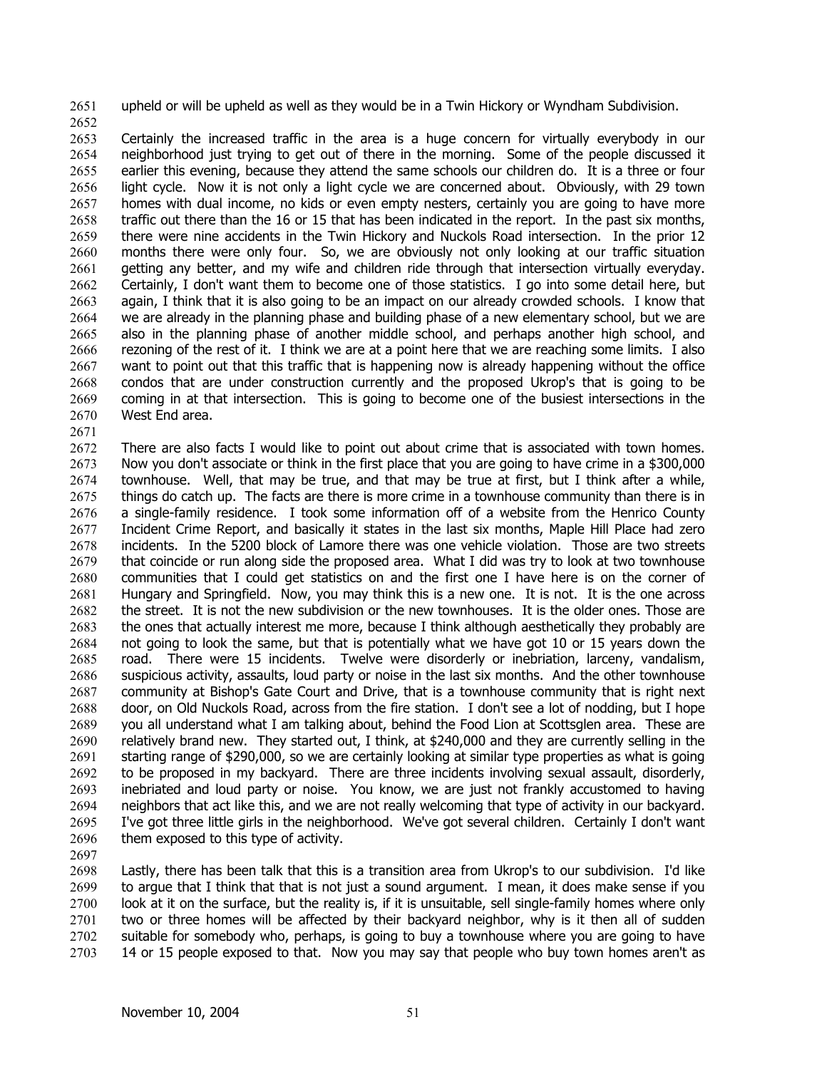2651 upheld or will be upheld as well as they would be in a Twin Hickory or Wyndham Subdivision.

2652

2653 2654 2655 2656 2657 2658 2659 2660 2661 2662 2663 2664 2665 2666 2667 2668 2669 2670 2671 Certainly the increased traffic in the area is a huge concern for virtually everybody in our neighborhood just trying to get out of there in the morning. Some of the people discussed it earlier this evening, because they attend the same schools our children do. It is a three or four light cycle. Now it is not only a light cycle we are concerned about. Obviously, with 29 town homes with dual income, no kids or even empty nesters, certainly you are going to have more traffic out there than the 16 or 15 that has been indicated in the report. In the past six months, there were nine accidents in the Twin Hickory and Nuckols Road intersection. In the prior 12 months there were only four. So, we are obviously not only looking at our traffic situation getting any better, and my wife and children ride through that intersection virtually everyday. Certainly, I don't want them to become one of those statistics. I go into some detail here, but again, I think that it is also going to be an impact on our already crowded schools. I know that we are already in the planning phase and building phase of a new elementary school, but we are also in the planning phase of another middle school, and perhaps another high school, and rezoning of the rest of it. I think we are at a point here that we are reaching some limits. I also want to point out that this traffic that is happening now is already happening without the office condos that are under construction currently and the proposed Ukrop's that is going to be coming in at that intersection. This is going to become one of the busiest intersections in the West End area.

2672 2673 2674 2675 2676 2677 2678 2679 2680 2681 2682 2683 2684 2685 2686 2687 2688 2689 2690 2691 2692 2693 2694 2695 2696 There are also facts I would like to point out about crime that is associated with town homes. Now you don't associate or think in the first place that you are going to have crime in a \$300,000 townhouse. Well, that may be true, and that may be true at first, but I think after a while, things do catch up. The facts are there is more crime in a townhouse community than there is in a single-family residence. I took some information off of a website from the Henrico County Incident Crime Report, and basically it states in the last six months, Maple Hill Place had zero incidents. In the 5200 block of Lamore there was one vehicle violation. Those are two streets that coincide or run along side the proposed area. What I did was try to look at two townhouse communities that I could get statistics on and the first one I have here is on the corner of Hungary and Springfield. Now, you may think this is a new one. It is not. It is the one across the street. It is not the new subdivision or the new townhouses. It is the older ones. Those are the ones that actually interest me more, because I think although aesthetically they probably are not going to look the same, but that is potentially what we have got 10 or 15 years down the road. There were 15 incidents. Twelve were disorderly or inebriation, larceny, vandalism, suspicious activity, assaults, loud party or noise in the last six months. And the other townhouse community at Bishop's Gate Court and Drive, that is a townhouse community that is right next door, on Old Nuckols Road, across from the fire station. I don't see a lot of nodding, but I hope you all understand what I am talking about, behind the Food Lion at Scottsglen area. These are relatively brand new. They started out, I think, at \$240,000 and they are currently selling in the starting range of \$290,000, so we are certainly looking at similar type properties as what is going to be proposed in my backyard. There are three incidents involving sexual assault, disorderly, inebriated and loud party or noise. You know, we are just not frankly accustomed to having neighbors that act like this, and we are not really welcoming that type of activity in our backyard. I've got three little girls in the neighborhood. We've got several children. Certainly I don't want them exposed to this type of activity.

2697

2698 2699 2700 2701 2702 2703 Lastly, there has been talk that this is a transition area from Ukrop's to our subdivision. I'd like to argue that I think that that is not just a sound argument. I mean, it does make sense if you look at it on the surface, but the reality is, if it is unsuitable, sell single-family homes where only two or three homes will be affected by their backyard neighbor, why is it then all of sudden suitable for somebody who, perhaps, is going to buy a townhouse where you are going to have 14 or 15 people exposed to that. Now you may say that people who buy town homes aren't as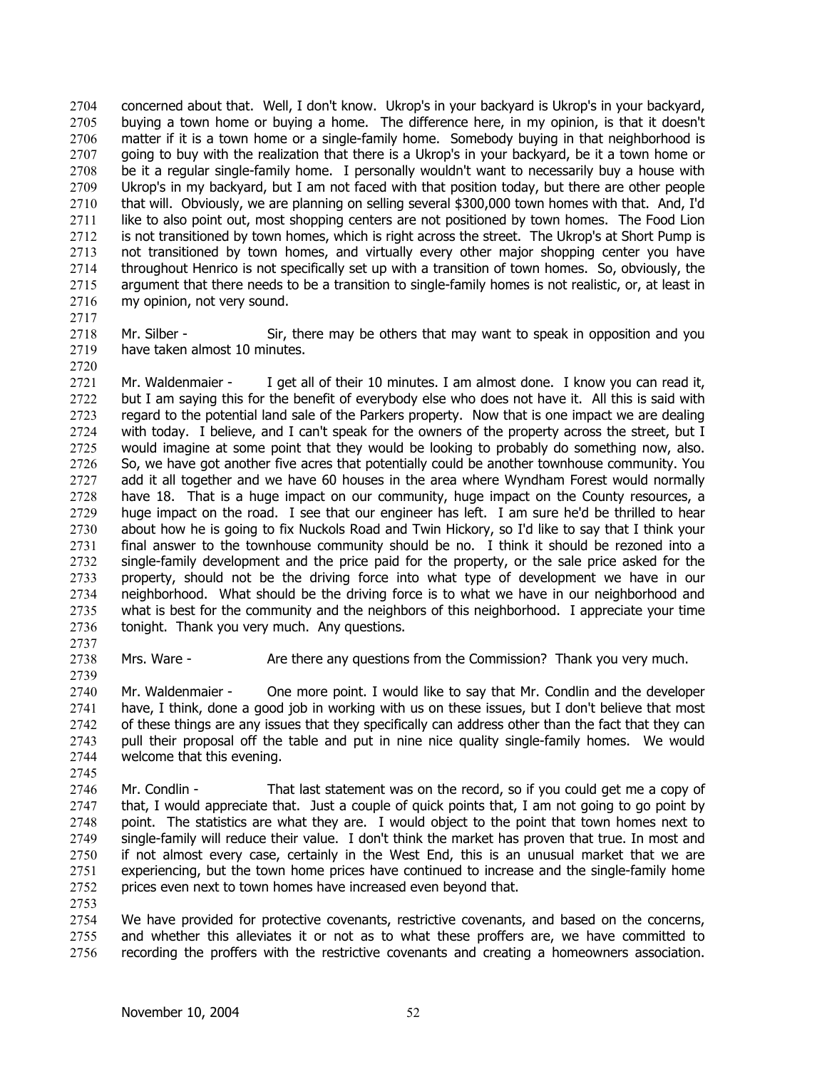concerned about that. Well, I don't know. Ukrop's in your backyard is Ukrop's in your backyard, buying a town home or buying a home. The difference here, in my opinion, is that it doesn't matter if it is a town home or a single-family home. Somebody buying in that neighborhood is going to buy with the realization that there is a Ukrop's in your backyard, be it a town home or be it a regular single-family home. I personally wouldn't want to necessarily buy a house with Ukrop's in my backyard, but I am not faced with that position today, but there are other people that will. Obviously, we are planning on selling several \$300,000 town homes with that. And, I'd like to also point out, most shopping centers are not positioned by town homes. The Food Lion is not transitioned by town homes, which is right across the street. The Ukrop's at Short Pump is not transitioned by town homes, and virtually every other major shopping center you have throughout Henrico is not specifically set up with a transition of town homes. So, obviously, the argument that there needs to be a transition to single-family homes is not realistic, or, at least in my opinion, not very sound. 2704 2705 2706 2707 2708 2709 2710 2711 2712 2713 2714 2715 2716

2717

2720

2718 2719 Mr. Silber - Sir, there may be others that may want to speak in opposition and you have taken almost 10 minutes.

2721 2722 2723 2724 2725 2726 2727 2728 2729 2730 2731 2732 2733 2734 2735 2736 Mr. Waldenmaier - I get all of their 10 minutes. I am almost done. I know you can read it, but I am saying this for the benefit of everybody else who does not have it. All this is said with regard to the potential land sale of the Parkers property. Now that is one impact we are dealing with today. I believe, and I can't speak for the owners of the property across the street, but I would imagine at some point that they would be looking to probably do something now, also. So, we have got another five acres that potentially could be another townhouse community. You add it all together and we have 60 houses in the area where Wyndham Forest would normally have 18. That is a huge impact on our community, huge impact on the County resources, a huge impact on the road. I see that our engineer has left. I am sure he'd be thrilled to hear about how he is going to fix Nuckols Road and Twin Hickory, so I'd like to say that I think your final answer to the townhouse community should be no. I think it should be rezoned into a single-family development and the price paid for the property, or the sale price asked for the property, should not be the driving force into what type of development we have in our neighborhood. What should be the driving force is to what we have in our neighborhood and what is best for the community and the neighbors of this neighborhood. I appreciate your time tonight. Thank you very much. Any questions.

2737 2738 2739

Mrs. Ware - Are there any questions from the Commission? Thank you very much.

2740 2741 2742 2743 2744 Mr. Waldenmaier - One more point. I would like to say that Mr. Condlin and the developer have, I think, done a good job in working with us on these issues, but I don't believe that most of these things are any issues that they specifically can address other than the fact that they can pull their proposal off the table and put in nine nice quality single-family homes. We would welcome that this evening.

2746 2747 2748 2749 2750 2751 2752 Mr. Condlin - That last statement was on the record, so if you could get me a copy of that, I would appreciate that. Just a couple of quick points that, I am not going to go point by point. The statistics are what they are. I would object to the point that town homes next to single-family will reduce their value. I don't think the market has proven that true. In most and if not almost every case, certainly in the West End, this is an unusual market that we are experiencing, but the town home prices have continued to increase and the single-family home prices even next to town homes have increased even beyond that.

2753

2745

2754 2755 2756 We have provided for protective covenants, restrictive covenants, and based on the concerns, and whether this alleviates it or not as to what these proffers are, we have committed to recording the proffers with the restrictive covenants and creating a homeowners association.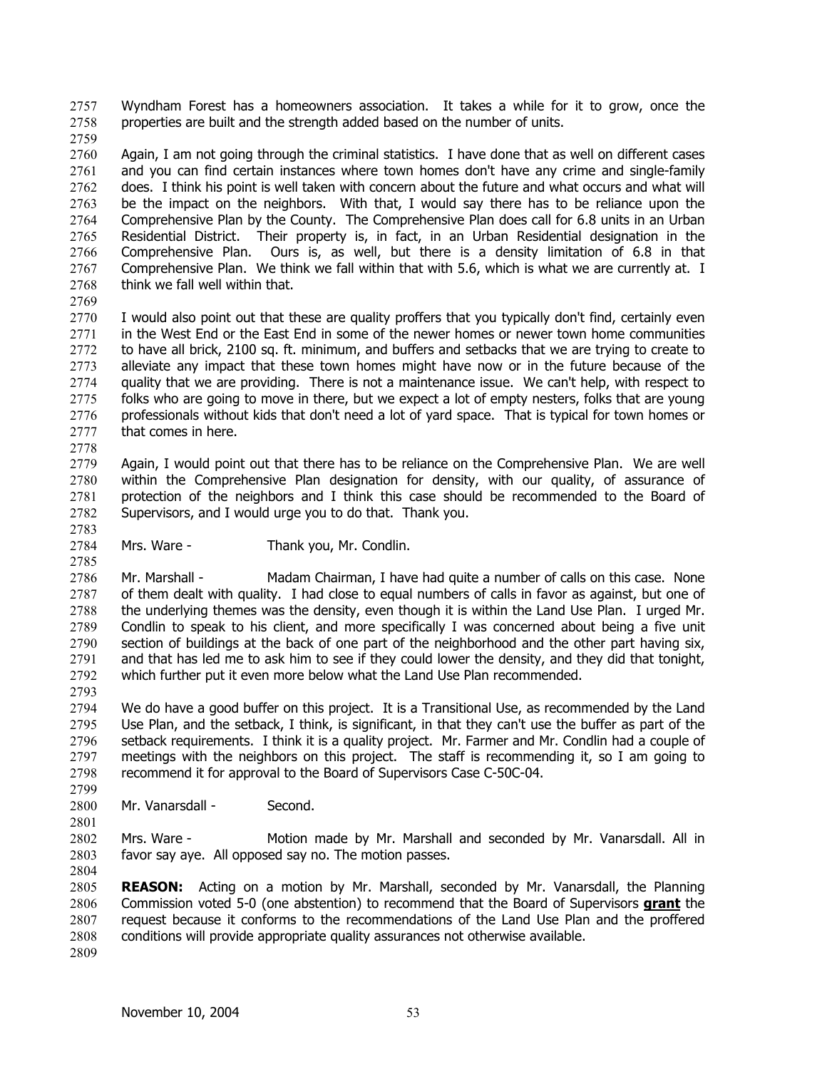Wyndham Forest has a homeowners association. It takes a while for it to grow, once the properties are built and the strength added based on the number of units. 2757 2758

2759

2760 2761 2762 2763 2764 2765 2766 2767 2768 Again, I am not going through the criminal statistics. I have done that as well on different cases and you can find certain instances where town homes don't have any crime and single-family does. I think his point is well taken with concern about the future and what occurs and what will be the impact on the neighbors. With that, I would say there has to be reliance upon the Comprehensive Plan by the County. The Comprehensive Plan does call for 6.8 units in an Urban Residential District. Their property is, in fact, in an Urban Residential designation in the Comprehensive Plan. Ours is, as well, but there is a density limitation of 6.8 in that Comprehensive Plan. We think we fall within that with 5.6, which is what we are currently at. I think we fall well within that.

2769

2770 2771 2772 2773 2774 2775 2776 2777 I would also point out that these are quality proffers that you typically don't find, certainly even in the West End or the East End in some of the newer homes or newer town home communities to have all brick, 2100 sq. ft. minimum, and buffers and setbacks that we are trying to create to alleviate any impact that these town homes might have now or in the future because of the quality that we are providing. There is not a maintenance issue. We can't help, with respect to folks who are going to move in there, but we expect a lot of empty nesters, folks that are young professionals without kids that don't need a lot of yard space. That is typical for town homes or that comes in here.

2778

2779 2780 2781 2782 Again, I would point out that there has to be reliance on the Comprehensive Plan. We are well within the Comprehensive Plan designation for density, with our quality, of assurance of protection of the neighbors and I think this case should be recommended to the Board of Supervisors, and I would urge you to do that. Thank you.

2783 2784 2785

2793

2801

Mrs. Ware - Thank you, Mr. Condlin.

2786 2787 2788 2789 2790 2791 2792 Mr. Marshall - Madam Chairman, I have had quite a number of calls on this case. None of them dealt with quality. I had close to equal numbers of calls in favor as against, but one of the underlying themes was the density, even though it is within the Land Use Plan. I urged Mr. Condlin to speak to his client, and more specifically I was concerned about being a five unit section of buildings at the back of one part of the neighborhood and the other part having six, and that has led me to ask him to see if they could lower the density, and they did that tonight, which further put it even more below what the Land Use Plan recommended.

2794 2795 2796 2797 2798 2799 We do have a good buffer on this project. It is a Transitional Use, as recommended by the Land Use Plan, and the setback, I think, is significant, in that they can't use the buffer as part of the setback requirements. I think it is a quality project. Mr. Farmer and Mr. Condlin had a couple of meetings with the neighbors on this project. The staff is recommending it, so I am going to recommend it for approval to the Board of Supervisors Case C-50C-04.

2800 Mr. Vanarsdall - Second.

2802 2803 2804 Mrs. Ware - Motion made by Mr. Marshall and seconded by Mr. Vanarsdall. All in favor say aye. All opposed say no. The motion passes.

2805 **REASON:** Acting on a motion by Mr. Marshall, seconded by Mr. Vanarsdall, the Planning Commission voted 5-0 (one abstention) to recommend that the Board of Supervisors **grant** the request because it conforms to the recommendations of the Land Use Plan and the proffered conditions will provide appropriate quality assurances not otherwise available. 2806 2807 2808 2809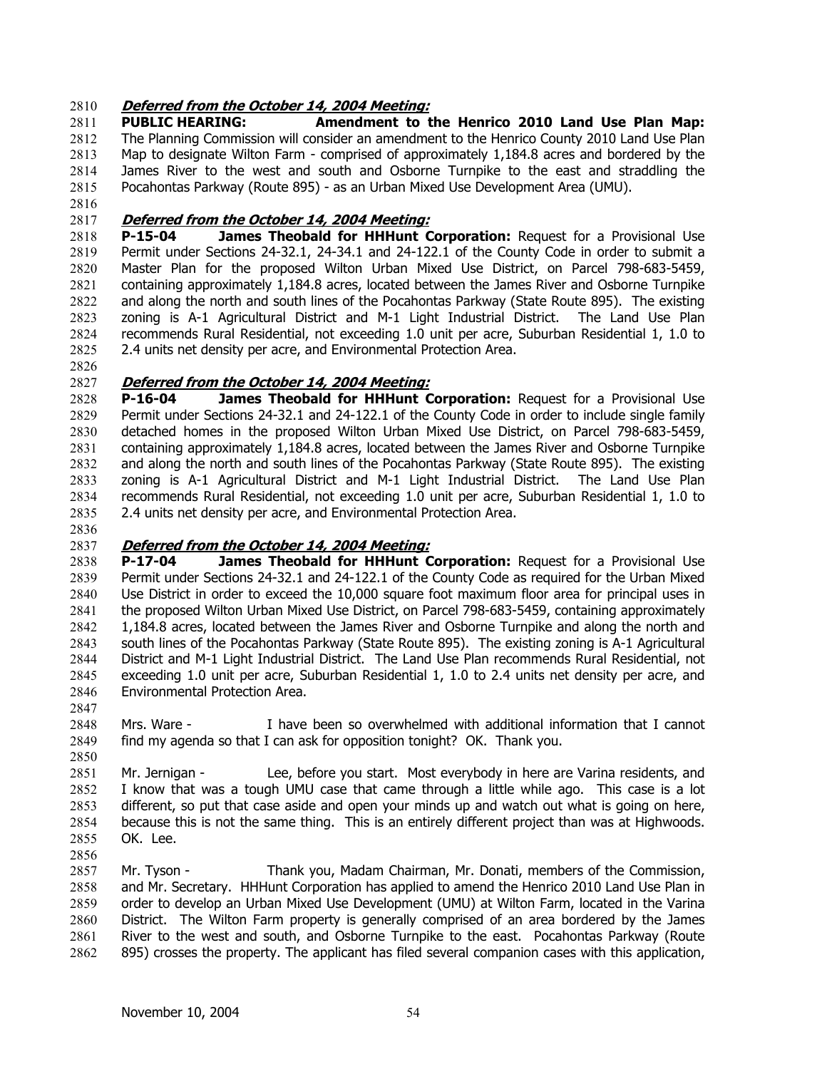# 2810 **Deferred from the October 14, 2004 Meeting:**

2811 2812 2813 2814 2815 **PUBLIC HEARING: Amendment to the Henrico 2010 Land Use Plan Map:**  The Planning Commission will consider an amendment to the Henrico County 2010 Land Use Plan Map to designate Wilton Farm - comprised of approximately 1,184.8 acres and bordered by the James River to the west and south and Osborne Turnpike to the east and straddling the Pocahontas Parkway (Route 895) - as an Urban Mixed Use Development Area (UMU).

2816

### 2817 **Deferred from the October 14, 2004 Meeting:**

2818 2819 2820 2821 2822 2823 2824 2825 **P-15-04 James Theobald for HHHunt Corporation:** Request for a Provisional Use Permit under Sections 24-32.1, 24-34.1 and 24-122.1 of the County Code in order to submit a Master Plan for the proposed Wilton Urban Mixed Use District, on Parcel 798-683-5459, containing approximately 1,184.8 acres, located between the James River and Osborne Turnpike and along the north and south lines of the Pocahontas Parkway (State Route 895). The existing zoning is A-1 Agricultural District and M-1 Light Industrial District. The Land Use Plan recommends Rural Residential, not exceeding 1.0 unit per acre, Suburban Residential 1, 1.0 to 2.4 units net density per acre, and Environmental Protection Area.

2826

# 2827 **Deferred from the October 14, 2004 Meeting:**

2828 2829 2830 2831 2832 2833 2834 2835 **P-16-04 James Theobald for HHHunt Corporation:** Request for a Provisional Use Permit under Sections 24-32.1 and 24-122.1 of the County Code in order to include single family detached homes in the proposed Wilton Urban Mixed Use District, on Parcel 798-683-5459, containing approximately 1,184.8 acres, located between the James River and Osborne Turnpike and along the north and south lines of the Pocahontas Parkway (State Route 895). The existing zoning is A-1 Agricultural District and M-1 Light Industrial District. The Land Use Plan recommends Rural Residential, not exceeding 1.0 unit per acre, Suburban Residential 1, 1.0 to 2.4 units net density per acre, and Environmental Protection Area.

2836

2847

2850

# 2837 **Deferred from the October 14, 2004 Meeting:**

2838 2839 2840 2841 2842 2843 2844 2845 2846 **P-17-04 James Theobald for HHHunt Corporation:** Request for a Provisional Use Permit under Sections 24-32.1 and 24-122.1 of the County Code as required for the Urban Mixed Use District in order to exceed the 10,000 square foot maximum floor area for principal uses in the proposed Wilton Urban Mixed Use District, on Parcel 798-683-5459, containing approximately 1,184.8 acres, located between the James River and Osborne Turnpike and along the north and south lines of the Pocahontas Parkway (State Route 895). The existing zoning is A-1 Agricultural District and M-1 Light Industrial District. The Land Use Plan recommends Rural Residential, not exceeding 1.0 unit per acre, Suburban Residential 1, 1.0 to 2.4 units net density per acre, and Environmental Protection Area.

2848 2849 Mrs. Ware - I have been so overwhelmed with additional information that I cannot find my agenda so that I can ask for opposition tonight? OK. Thank you.

2851 2852 2853 2854 2855 2856 Mr. Jernigan - Lee, before you start. Most everybody in here are Varina residents, and I know that was a tough UMU case that came through a little while ago. This case is a lot different, so put that case aside and open your minds up and watch out what is going on here, because this is not the same thing. This is an entirely different project than was at Highwoods. OK. Lee.

2857 2858 2859 2860 2861 2862 Mr. Tyson - Thank you, Madam Chairman, Mr. Donati, members of the Commission, and Mr. Secretary. HHHunt Corporation has applied to amend the Henrico 2010 Land Use Plan in order to develop an Urban Mixed Use Development (UMU) at Wilton Farm, located in the Varina District. The Wilton Farm property is generally comprised of an area bordered by the James River to the west and south, and Osborne Turnpike to the east. Pocahontas Parkway (Route 895) crosses the property. The applicant has filed several companion cases with this application,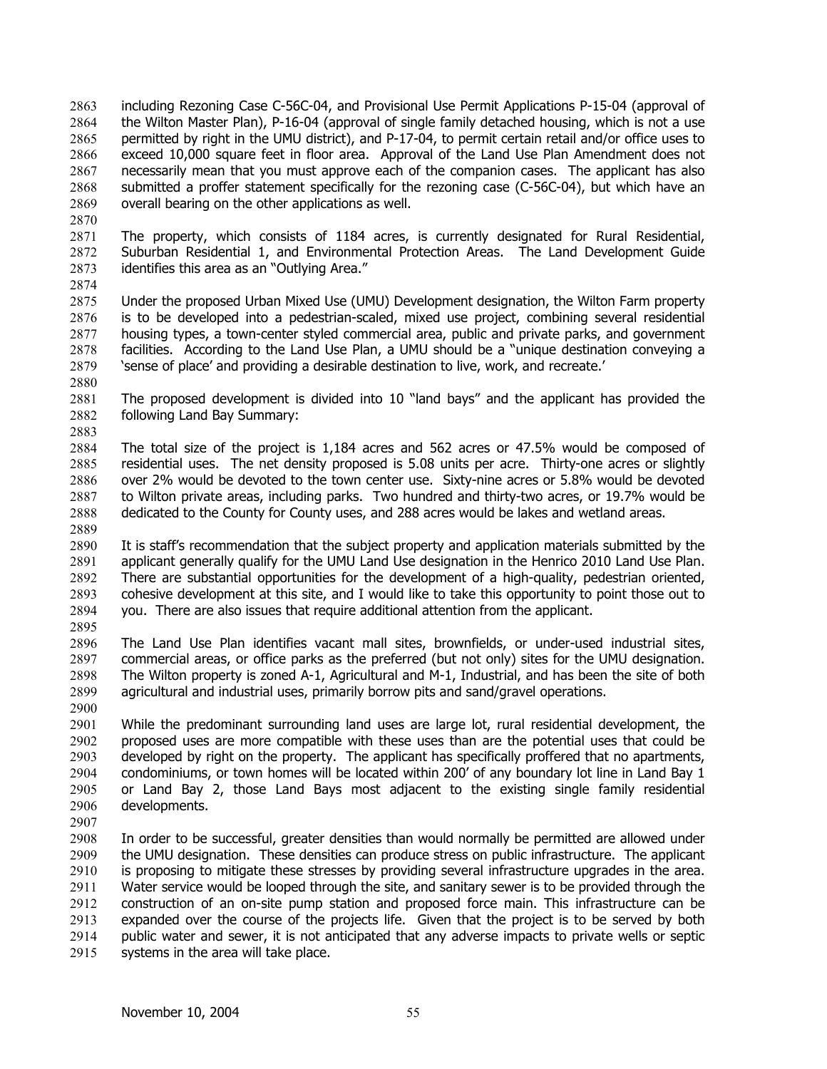including Rezoning Case C-56C-04, and Provisional Use Permit Applications P-15-04 (approval of the Wilton Master Plan), P-16-04 (approval of single family detached housing, which is not a use permitted by right in the UMU district), and P-17-04, to permit certain retail and/or office uses to exceed 10,000 square feet in floor area. Approval of the Land Use Plan Amendment does not necessarily mean that you must approve each of the companion cases. The applicant has also submitted a proffer statement specifically for the rezoning case (C-56C-04), but which have an overall bearing on the other applications as well. 2863 2864 2865 2866 2867 2868 2869

2870

2871 2872 2873 2874 The property, which consists of 1184 acres, is currently designated for Rural Residential, Suburban Residential 1, and Environmental Protection Areas. The Land Development Guide identifies this area as an "Outlying Area."

2875 2876 2877 2878 2879 Under the proposed Urban Mixed Use (UMU) Development designation, the Wilton Farm property is to be developed into a pedestrian-scaled, mixed use project, combining several residential housing types, a town-center styled commercial area, public and private parks, and government facilities. According to the Land Use Plan, a UMU should be a "unique destination conveying a 'sense of place' and providing a desirable destination to live, work, and recreate.'

2880

2881 2882 2883 The proposed development is divided into 10 "land bays" and the applicant has provided the following Land Bay Summary:

2884 2885 2886 2887 2888 2889 The total size of the project is 1,184 acres and 562 acres or 47.5% would be composed of residential uses. The net density proposed is 5.08 units per acre. Thirty-one acres or slightly over 2% would be devoted to the town center use. Sixty-nine acres or 5.8% would be devoted to Wilton private areas, including parks. Two hundred and thirty-two acres, or 19.7% would be dedicated to the County for County uses, and 288 acres would be lakes and wetland areas.

2890 2891 2892 2893 2894 It is staff's recommendation that the subject property and application materials submitted by the applicant generally qualify for the UMU Land Use designation in the Henrico 2010 Land Use Plan. There are substantial opportunities for the development of a high-quality, pedestrian oriented, cohesive development at this site, and I would like to take this opportunity to point those out to you. There are also issues that require additional attention from the applicant.

2895

2896 2897 2898 2899 2900 The Land Use Plan identifies vacant mall sites, brownfields, or under-used industrial sites, commercial areas, or office parks as the preferred (but not only) sites for the UMU designation. The Wilton property is zoned A-1, Agricultural and M-1, Industrial, and has been the site of both agricultural and industrial uses, primarily borrow pits and sand/gravel operations.

2901 2902 2903 2904 2905 2906 While the predominant surrounding land uses are large lot, rural residential development, the proposed uses are more compatible with these uses than are the potential uses that could be developed by right on the property. The applicant has specifically proffered that no apartments, condominiums, or town homes will be located within 200' of any boundary lot line in Land Bay 1 or Land Bay 2, those Land Bays most adjacent to the existing single family residential developments.

2907

2908 2909 2910 2911 2912 2913 2914 2915 In order to be successful, greater densities than would normally be permitted are allowed under the UMU designation. These densities can produce stress on public infrastructure. The applicant is proposing to mitigate these stresses by providing several infrastructure upgrades in the area. Water service would be looped through the site, and sanitary sewer is to be provided through the construction of an on-site pump station and proposed force main. This infrastructure can be expanded over the course of the projects life. Given that the project is to be served by both public water and sewer, it is not anticipated that any adverse impacts to private wells or septic systems in the area will take place.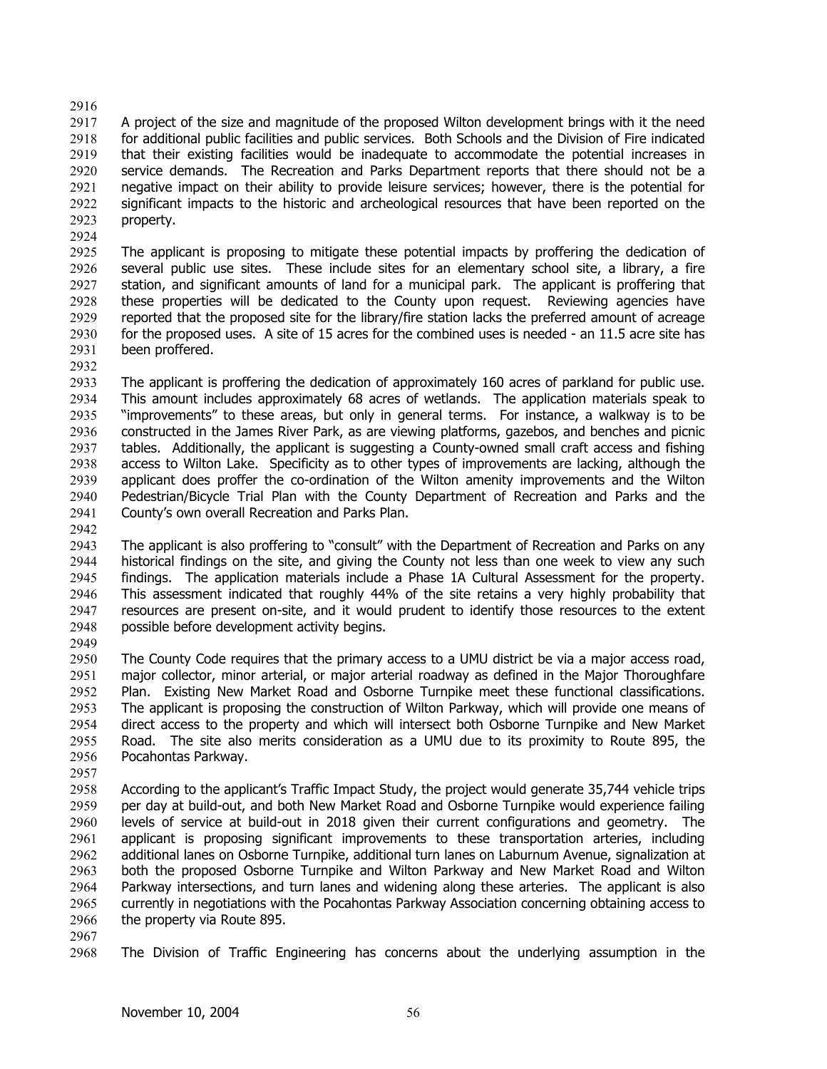### 2916

2917 2918 2919 2920 2921 2922 2923 A project of the size and magnitude of the proposed Wilton development brings with it the need for additional public facilities and public services. Both Schools and the Division of Fire indicated that their existing facilities would be inadequate to accommodate the potential increases in service demands. The Recreation and Parks Department reports that there should not be a negative impact on their ability to provide leisure services; however, there is the potential for significant impacts to the historic and archeological resources that have been reported on the property.

2925 2926 2927 2928 2929 2930 2931 The applicant is proposing to mitigate these potential impacts by proffering the dedication of several public use sites. These include sites for an elementary school site, a library, a fire station, and significant amounts of land for a municipal park. The applicant is proffering that these properties will be dedicated to the County upon request. Reviewing agencies have reported that the proposed site for the library/fire station lacks the preferred amount of acreage for the proposed uses. A site of 15 acres for the combined uses is needed - an 11.5 acre site has been proffered.

2932

2924

2933 2934 2935 2936 2937 2938 2939 2940 2941 The applicant is proffering the dedication of approximately 160 acres of parkland for public use. This amount includes approximately 68 acres of wetlands. The application materials speak to "improvements" to these areas, but only in general terms. For instance, a walkway is to be constructed in the James River Park, as are viewing platforms, gazebos, and benches and picnic tables. Additionally, the applicant is suggesting a County-owned small craft access and fishing access to Wilton Lake. Specificity as to other types of improvements are lacking, although the applicant does proffer the co-ordination of the Wilton amenity improvements and the Wilton Pedestrian/Bicycle Trial Plan with the County Department of Recreation and Parks and the County's own overall Recreation and Parks Plan.

2942

2943 2944 2945 2946 2947 2948 2949 The applicant is also proffering to "consult" with the Department of Recreation and Parks on any historical findings on the site, and giving the County not less than one week to view any such findings. The application materials include a Phase 1A Cultural Assessment for the property. This assessment indicated that roughly 44% of the site retains a very highly probability that resources are present on-site, and it would prudent to identify those resources to the extent possible before development activity begins.

2950 2951 2952 2953 2954 2955 2956 The County Code requires that the primary access to a UMU district be via a major access road, major collector, minor arterial, or major arterial roadway as defined in the Major Thoroughfare Plan. Existing New Market Road and Osborne Turnpike meet these functional classifications. The applicant is proposing the construction of Wilton Parkway, which will provide one means of direct access to the property and which will intersect both Osborne Turnpike and New Market Road. The site also merits consideration as a UMU due to its proximity to Route 895, the Pocahontas Parkway.

2957

2958 2959 2960 2961 2962 2963 2964 2965 2966 According to the applicant's Traffic Impact Study, the project would generate 35,744 vehicle trips per day at build-out, and both New Market Road and Osborne Turnpike would experience failing levels of service at build-out in 2018 given their current configurations and geometry. The applicant is proposing significant improvements to these transportation arteries, including additional lanes on Osborne Turnpike, additional turn lanes on Laburnum Avenue, signalization at both the proposed Osborne Turnpike and Wilton Parkway and New Market Road and Wilton Parkway intersections, and turn lanes and widening along these arteries. The applicant is also currently in negotiations with the Pocahontas Parkway Association concerning obtaining access to the property via Route 895.

2967

2968 The Division of Traffic Engineering has concerns about the underlying assumption in the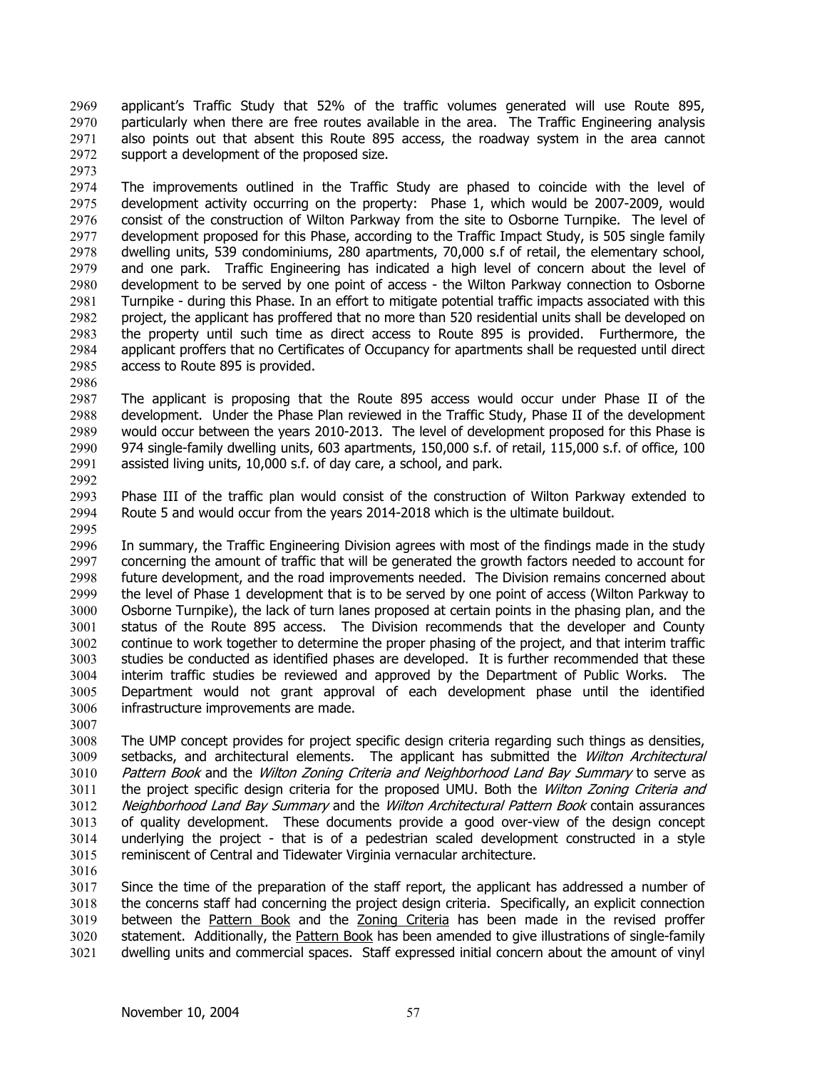applicant's Traffic Study that 52% of the traffic volumes generated will use Route 895, particularly when there are free routes available in the area. The Traffic Engineering analysis also points out that absent this Route 895 access, the roadway system in the area cannot support a development of the proposed size. 2969 2970 2971 2972

2973

2974 2975 2976 2977 2978 2979 2980 2981 2982 2983 2984 2985 The improvements outlined in the Traffic Study are phased to coincide with the level of development activity occurring on the property: Phase 1, which would be 2007-2009, would consist of the construction of Wilton Parkway from the site to Osborne Turnpike. The level of development proposed for this Phase, according to the Traffic Impact Study, is 505 single family dwelling units, 539 condominiums, 280 apartments, 70,000 s.f of retail, the elementary school, and one park. Traffic Engineering has indicated a high level of concern about the level of development to be served by one point of access - the Wilton Parkway connection to Osborne Turnpike - during this Phase. In an effort to mitigate potential traffic impacts associated with this project, the applicant has proffered that no more than 520 residential units shall be developed on the property until such time as direct access to Route 895 is provided. Furthermore, the applicant proffers that no Certificates of Occupancy for apartments shall be requested until direct access to Route 895 is provided.

2986

2987 2988 2989 2990 2991 2992 The applicant is proposing that the Route 895 access would occur under Phase II of the development. Under the Phase Plan reviewed in the Traffic Study, Phase II of the development would occur between the years 2010-2013. The level of development proposed for this Phase is 974 single-family dwelling units, 603 apartments, 150,000 s.f. of retail, 115,000 s.f. of office, 100 assisted living units, 10,000 s.f. of day care, a school, and park.

2993 2994 2995 Phase III of the traffic plan would consist of the construction of Wilton Parkway extended to Route 5 and would occur from the years 2014-2018 which is the ultimate buildout.

2996 2997 2998 2999 3000 3001 3002 3003 3004 3005 3006 In summary, the Traffic Engineering Division agrees with most of the findings made in the study concerning the amount of traffic that will be generated the growth factors needed to account for future development, and the road improvements needed. The Division remains concerned about the level of Phase 1 development that is to be served by one point of access (Wilton Parkway to Osborne Turnpike), the lack of turn lanes proposed at certain points in the phasing plan, and the status of the Route 895 access. The Division recommends that the developer and County continue to work together to determine the proper phasing of the project, and that interim traffic studies be conducted as identified phases are developed. It is further recommended that these interim traffic studies be reviewed and approved by the Department of Public Works. The Department would not grant approval of each development phase until the identified infrastructure improvements are made.

3007

3008 3009 3010 3011 3012 3013 3014 3015 The UMP concept provides for project specific design criteria regarding such things as densities, setbacks, and architectural elements. The applicant has submitted the Wilton Architectural Pattern Book and the Wilton Zoning Criteria and Neighborhood Land Bay Summary to serve as the project specific design criteria for the proposed UMU. Both the Wilton Zoning Criteria and Neighborhood Land Bay Summary and the Wilton Architectural Pattern Book contain assurances of quality development. These documents provide a good over-view of the design concept underlying the project - that is of a pedestrian scaled development constructed in a style reminiscent of Central and Tidewater Virginia vernacular architecture.

3016

3017 3018 Since the time of the preparation of the staff report, the applicant has addressed a number of the concerns staff had concerning the project design criteria. Specifically, an explicit connection between the Pattern Book and the Zoning Criteria has been made in the revised proffer statement. Additionally, the Pattern Book has been amended to give illustrations of single-family 3019 dwelling units and commercial spaces. Staff expressed initial concern about the amount of vinyl 3020 3021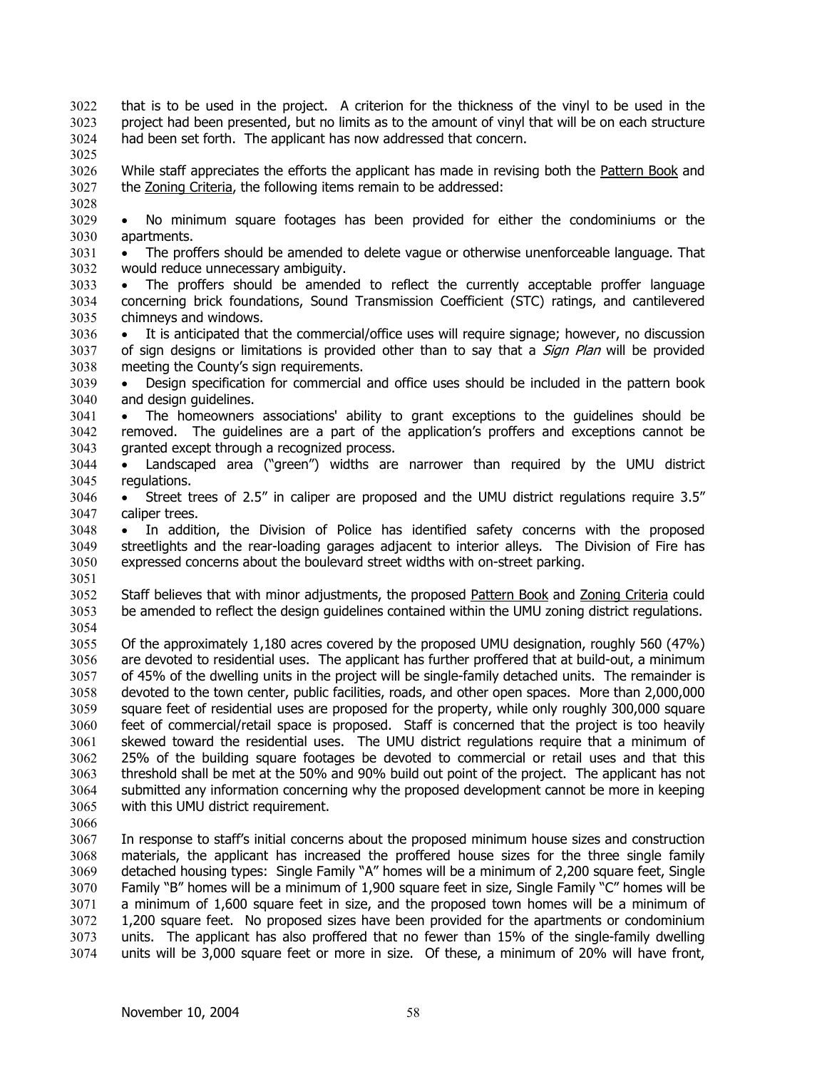- that is to be used in the project. A criterion for the thickness of the vinyl to be used in the project had been presented, but no limits as to the amount of vinyl that will be on each structure had been set forth. The applicant has now addressed that concern. 3022 3023 3024
- 3025

While staff appreciates the efforts the applicant has made in revising both the Pattern Book and 3027 the Zoning Criteria, the following items remain to be addressed: 3026

3028

3029 3030 • No minimum square footages has been provided for either the condominiums or the apartments.

3031 3032 • The proffers should be amended to delete vague or otherwise unenforceable language. That would reduce unnecessary ambiguity.

- 3033 3034 3035 • The proffers should be amended to reflect the currently acceptable proffer language concerning brick foundations, Sound Transmission Coefficient (STC) ratings, and cantilevered chimneys and windows.
- 3036 3037 3038 • It is anticipated that the commercial/office uses will require signage; however, no discussion of sign designs or limitations is provided other than to say that a *Sign Plan* will be provided meeting the County's sign requirements.
- 3039 3040 • Design specification for commercial and office uses should be included in the pattern book and design guidelines.
- 3041 3042 3043 • The homeowners associations' ability to grant exceptions to the guidelines should be removed. The guidelines are a part of the application's proffers and exceptions cannot be granted except through a recognized process.
- 3044 3045 • Landscaped area ("green") widths are narrower than required by the UMU district regulations.
- 3046 3047 • Street trees of 2.5" in caliper are proposed and the UMU district regulations require 3.5" caliper trees.
- 3048 3049 3050 • In addition, the Division of Police has identified safety concerns with the proposed streetlights and the rear-loading garages adjacent to interior alleys. The Division of Fire has expressed concerns about the boulevard street widths with on-street parking.
- 3051

Staff believes that with minor adjustments, the proposed Pattern Book and Zoning Criteria could be amended to reflect the design guidelines contained within the UMU zoning district regulations. 3052 3053 3054

3055 3056 3057 3058 3059 3060 3061 3062 3063 3064 3065 Of the approximately 1,180 acres covered by the proposed UMU designation, roughly 560 (47%) are devoted to residential uses. The applicant has further proffered that at build-out, a minimum of 45% of the dwelling units in the project will be single-family detached units. The remainder is devoted to the town center, public facilities, roads, and other open spaces. More than 2,000,000 square feet of residential uses are proposed for the property, while only roughly 300,000 square feet of commercial/retail space is proposed. Staff is concerned that the project is too heavily skewed toward the residential uses. The UMU district regulations require that a minimum of 25% of the building square footages be devoted to commercial or retail uses and that this threshold shall be met at the 50% and 90% build out point of the project. The applicant has not submitted any information concerning why the proposed development cannot be more in keeping with this UMU district requirement.

3066

3067 3068 3069 3070 3071 3072 3073 3074 In response to staff's initial concerns about the proposed minimum house sizes and construction materials, the applicant has increased the proffered house sizes for the three single family detached housing types: Single Family "A" homes will be a minimum of 2,200 square feet, Single Family "B" homes will be a minimum of 1,900 square feet in size, Single Family "C" homes will be a minimum of 1,600 square feet in size, and the proposed town homes will be a minimum of 1,200 square feet. No proposed sizes have been provided for the apartments or condominium units. The applicant has also proffered that no fewer than 15% of the single-family dwelling units will be 3,000 square feet or more in size. Of these, a minimum of 20% will have front,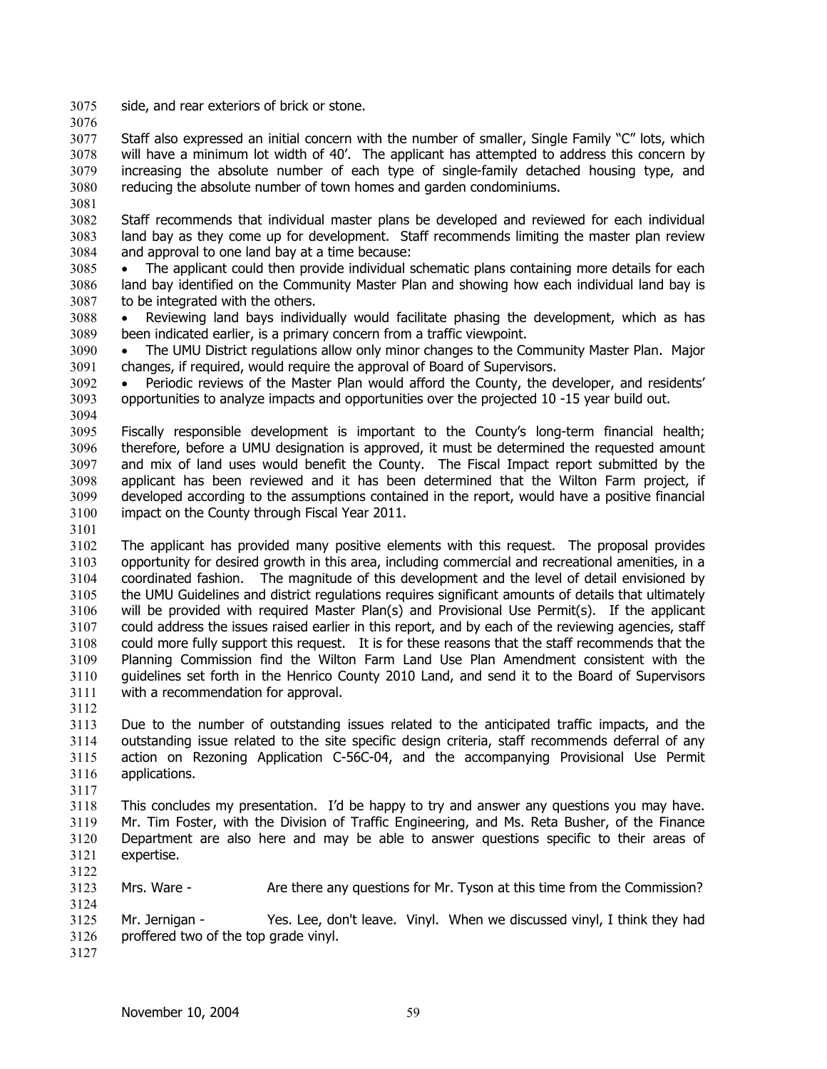3075 side, and rear exteriors of brick or stone.

3076

3077 3078 3079 3080 Staff also expressed an initial concern with the number of smaller, Single Family "C" lots, which will have a minimum lot width of 40'. The applicant has attempted to address this concern by increasing the absolute number of each type of single-family detached housing type, and reducing the absolute number of town homes and garden condominiums.

3081

3082 3083 3084 Staff recommends that individual master plans be developed and reviewed for each individual land bay as they come up for development. Staff recommends limiting the master plan review and approval to one land bay at a time because:

- 3085 3086 3087 The applicant could then provide individual schematic plans containing more details for each land bay identified on the Community Master Plan and showing how each individual land bay is to be integrated with the others.
- 3088 3089 • Reviewing land bays individually would facilitate phasing the development, which as has been indicated earlier, is a primary concern from a traffic viewpoint.

3090 3091 • The UMU District regulations allow only minor changes to the Community Master Plan. Major changes, if required, would require the approval of Board of Supervisors.

3092 3093 3094 • Periodic reviews of the Master Plan would afford the County, the developer, and residents' opportunities to analyze impacts and opportunities over the projected 10 -15 year build out.

3095 3096 3097 3098 3099 3100 Fiscally responsible development is important to the County's long-term financial health; therefore, before a UMU designation is approved, it must be determined the requested amount and mix of land uses would benefit the County. The Fiscal Impact report submitted by the applicant has been reviewed and it has been determined that the Wilton Farm project, if developed according to the assumptions contained in the report, would have a positive financial impact on the County through Fiscal Year 2011.

3101

3102 3103 3104 3105 3106 3107 3108 3109 3110 3111 3112 The applicant has provided many positive elements with this request. The proposal provides opportunity for desired growth in this area, including commercial and recreational amenities, in a coordinated fashion. The magnitude of this development and the level of detail envisioned by the UMU Guidelines and district regulations requires significant amounts of details that ultimately will be provided with required Master Plan(s) and Provisional Use Permit(s). If the applicant could address the issues raised earlier in this report, and by each of the reviewing agencies, staff could more fully support this request. It is for these reasons that the staff recommends that the Planning Commission find the Wilton Farm Land Use Plan Amendment consistent with the guidelines set forth in the Henrico County 2010 Land, and send it to the Board of Supervisors with a recommendation for approval.

3113 3114 3115 3116 Due to the number of outstanding issues related to the anticipated traffic impacts, and the outstanding issue related to the site specific design criteria, staff recommends deferral of any action on Rezoning Application C-56C-04, and the accompanying Provisional Use Permit applications.

3117

3118 3119 3120 3121 3122 This concludes my presentation. I'd be happy to try and answer any questions you may have. Mr. Tim Foster, with the Division of Traffic Engineering, and Ms. Reta Busher, of the Finance Department are also here and may be able to answer questions specific to their areas of expertise.

3123 Mrs. Ware - Are there any questions for Mr. Tyson at this time from the Commission?

3125 3126 Mr. Jernigan - Yes. Lee, don't leave. Vinyl. When we discussed vinyl, I think they had proffered two of the top grade vinyl.

3127

3124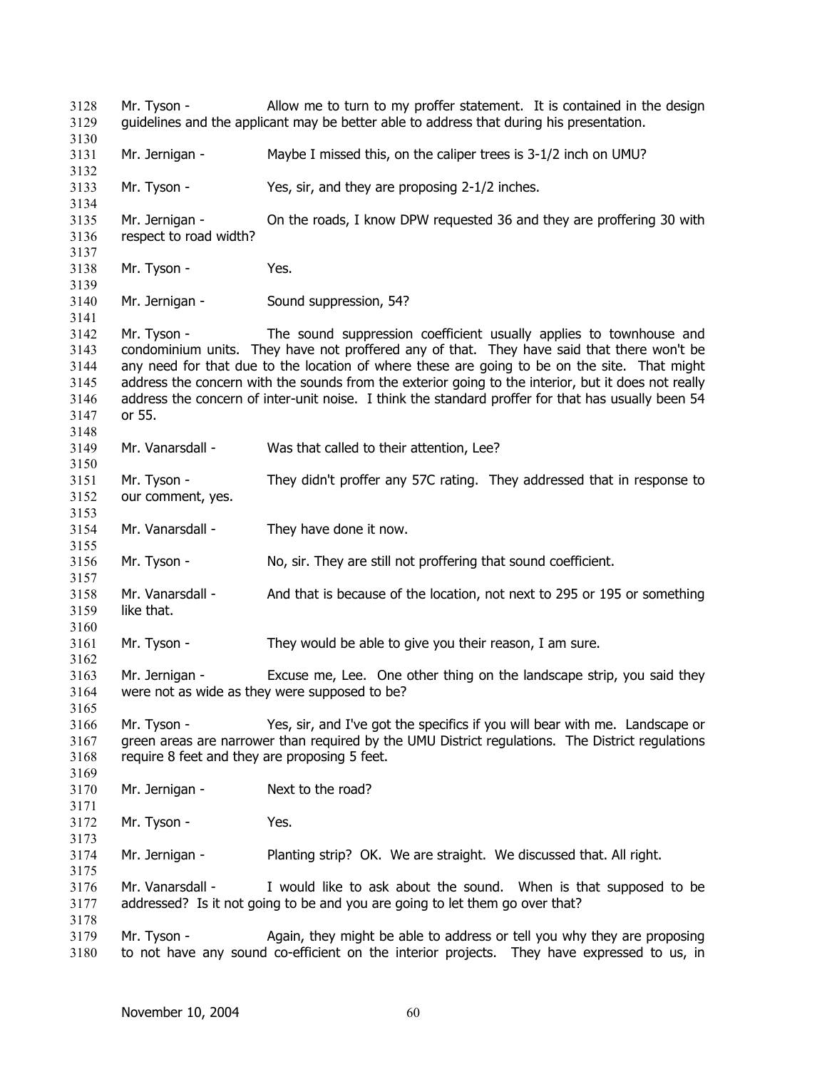Mr. Tyson - Allow me to turn to my proffer statement. It is contained in the design guidelines and the applicant may be better able to address that during his presentation. Mr. Jernigan - Maybe I missed this, on the caliper trees is 3-1/2 inch on UMU? Mr. Tyson - Yes, sir, and they are proposing 2-1/2 inches. Mr. Jernigan - On the roads, I know DPW requested 36 and they are proffering 30 with respect to road width? Mr. Tyson - Yes. Mr. Jernigan - Sound suppression, 54? Mr. Tyson - The sound suppression coefficient usually applies to townhouse and condominium units. They have not proffered any of that. They have said that there won't be any need for that due to the location of where these are going to be on the site. That might address the concern with the sounds from the exterior going to the interior, but it does not really address the concern of inter-unit noise. I think the standard proffer for that has usually been 54 or 55. Mr. Vanarsdall - Was that called to their attention, Lee? Mr. Tyson - They didn't proffer any 57C rating. They addressed that in response to our comment, yes. Mr. Vanarsdall - They have done it now. Mr. Tyson - No, sir. They are still not proffering that sound coefficient. Mr. Vanarsdall - And that is because of the location, not next to 295 or 195 or something like that. Mr. Tyson - They would be able to give you their reason, I am sure. Mr. Jernigan - Excuse me, Lee. One other thing on the landscape strip, you said they were not as wide as they were supposed to be? Mr. Tyson - Yes, sir, and I've got the specifics if you will bear with me. Landscape or green areas are narrower than required by the UMU District regulations. The District regulations require 8 feet and they are proposing 5 feet. Mr. Jernigan - Next to the road? Mr. Tyson - Yes. Mr. Jernigan - Planting strip? OK. We are straight. We discussed that. All right. Mr. Vanarsdall - I would like to ask about the sound. When is that supposed to be addressed? Is it not going to be and you are going to let them go over that? Mr. Tyson - Again, they might be able to address or tell you why they are proposing to not have any sound co-efficient on the interior projects. They have expressed to us, in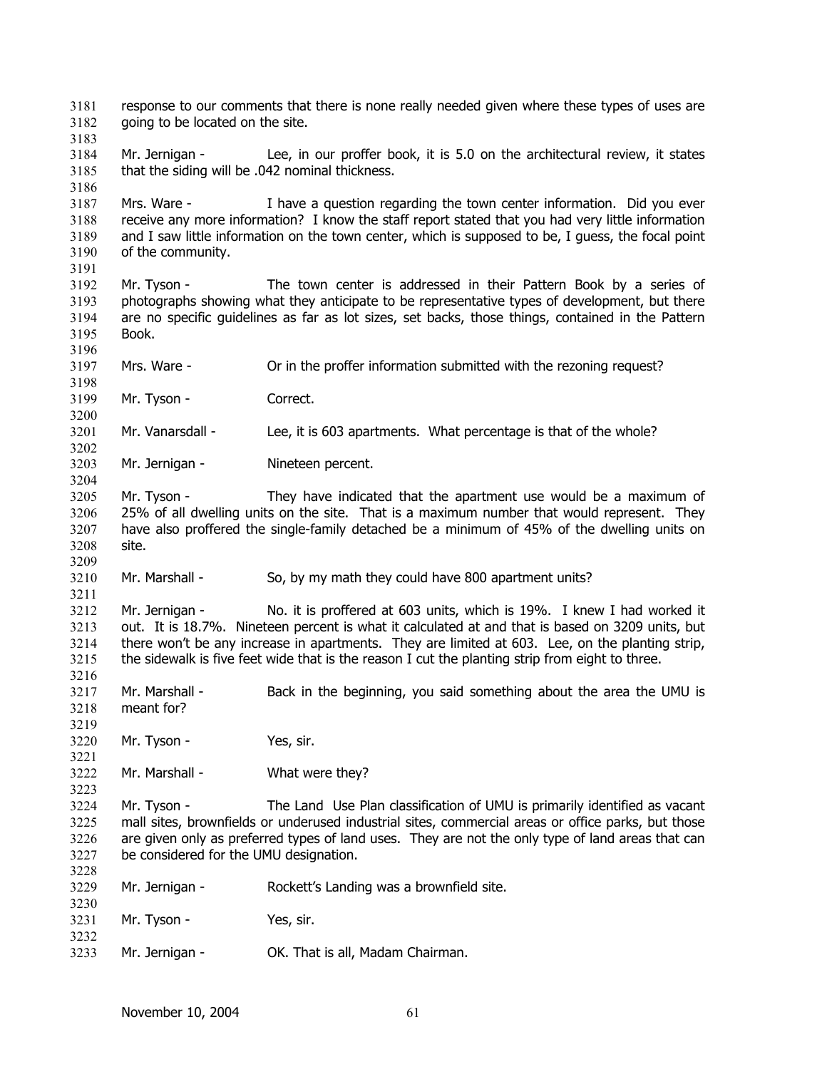response to our comments that there is none really needed given where these types of uses are going to be located on the site. 3181 3182 3183 3184 3185 3186 3187 3188 3189 3190 3191 3192 3193 3194 3195 3196 3197 3198 3199 3200 3201 3202 3203 3204 3205 3206 3207 3208 3209 3210 3211 3212 3213 3214 3215 3216 3217 3218 3219 3220 3221 3222 3223 3224 3225 3226 3227 3228 3229 3230 3231 3232 3233 Mr. Jernigan - Lee, in our proffer book, it is 5.0 on the architectural review, it states that the siding will be .042 nominal thickness. Mrs. Ware - I have a question regarding the town center information. Did you ever receive any more information? I know the staff report stated that you had very little information and I saw little information on the town center, which is supposed to be, I guess, the focal point of the community. Mr. Tyson - The town center is addressed in their Pattern Book by a series of photographs showing what they anticipate to be representative types of development, but there are no specific guidelines as far as lot sizes, set backs, those things, contained in the Pattern Book. Mrs. Ware - Or in the proffer information submitted with the rezoning request? Mr. Tyson - Correct. Mr. Vanarsdall - Lee, it is 603 apartments. What percentage is that of the whole? Mr. Jernigan - Nineteen percent. Mr. Tyson - They have indicated that the apartment use would be a maximum of 25% of all dwelling units on the site. That is a maximum number that would represent. They have also proffered the single-family detached be a minimum of 45% of the dwelling units on site. Mr. Marshall - So, by my math they could have 800 apartment units? Mr. Jernigan - No. it is proffered at 603 units, which is 19%. I knew I had worked it out. It is 18.7%. Nineteen percent is what it calculated at and that is based on 3209 units, but there won't be any increase in apartments. They are limited at 603. Lee, on the planting strip, the sidewalk is five feet wide that is the reason I cut the planting strip from eight to three. Mr. Marshall - Back in the beginning, you said something about the area the UMU is meant for? Mr. Tyson - Yes, sir. Mr. Marshall - What were they? Mr. Tyson - The Land Use Plan classification of UMU is primarily identified as vacant mall sites, brownfields or underused industrial sites, commercial areas or office parks, but those are given only as preferred types of land uses. They are not the only type of land areas that can be considered for the UMU designation. Mr. Jernigan - Rockett's Landing was a brownfield site. Mr. Tyson - Yes, sir. Mr. Jernigan - **OK.** That is all, Madam Chairman.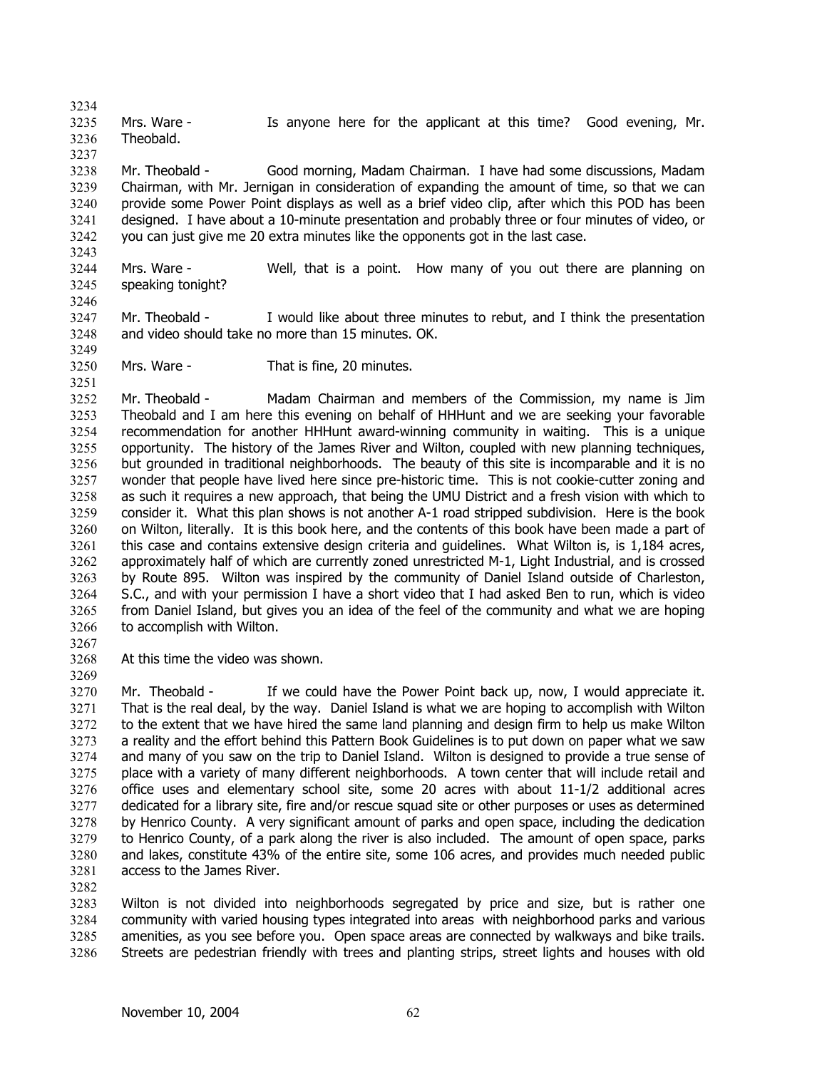3234 3235 3236 Mrs. Ware - Is anyone here for the applicant at this time? Good evening, Mr. Theobald.

3238 3239 3240 3241 3242 Mr. Theobald - Good morning, Madam Chairman. I have had some discussions, Madam Chairman, with Mr. Jernigan in consideration of expanding the amount of time, so that we can provide some Power Point displays as well as a brief video clip, after which this POD has been designed. I have about a 10-minute presentation and probably three or four minutes of video, or you can just give me 20 extra minutes like the opponents got in the last case.

3244 3245 Mrs. Ware - Well, that is a point. How many of you out there are planning on speaking tonight?

3247 3248 Mr. Theobald - I would like about three minutes to rebut, and I think the presentation and video should take no more than 15 minutes. OK.

3250 Mrs. Ware - That is fine, 20 minutes.

3252 3253 3254 3255 3256 3257 3258 3259 3260 3261 3262 3263 3264 3265 3266 Mr. Theobald - Madam Chairman and members of the Commission, my name is Jim Theobald and I am here this evening on behalf of HHHunt and we are seeking your favorable recommendation for another HHHunt award-winning community in waiting. This is a unique opportunity. The history of the James River and Wilton, coupled with new planning techniques, but grounded in traditional neighborhoods. The beauty of this site is incomparable and it is no wonder that people have lived here since pre-historic time. This is not cookie-cutter zoning and as such it requires a new approach, that being the UMU District and a fresh vision with which to consider it. What this plan shows is not another A-1 road stripped subdivision. Here is the book on Wilton, literally. It is this book here, and the contents of this book have been made a part of this case and contains extensive design criteria and guidelines. What Wilton is, is 1,184 acres, approximately half of which are currently zoned unrestricted M-1, Light Industrial, and is crossed by Route 895. Wilton was inspired by the community of Daniel Island outside of Charleston, S.C., and with your permission I have a short video that I had asked Ben to run, which is video from Daniel Island, but gives you an idea of the feel of the community and what we are hoping to accomplish with Wilton.

3267

3237

3243

3246

3249

3251

3268 At this time the video was shown.

3269

3270 3271 3272 3273 3274 3275 3276 3277 3278 3279 3280 3281 Mr. Theobald - If we could have the Power Point back up, now, I would appreciate it. That is the real deal, by the way. Daniel Island is what we are hoping to accomplish with Wilton to the extent that we have hired the same land planning and design firm to help us make Wilton a reality and the effort behind this Pattern Book Guidelines is to put down on paper what we saw and many of you saw on the trip to Daniel Island. Wilton is designed to provide a true sense of place with a variety of many different neighborhoods. A town center that will include retail and office uses and elementary school site, some 20 acres with about 11-1/2 additional acres dedicated for a library site, fire and/or rescue squad site or other purposes or uses as determined by Henrico County. A very significant amount of parks and open space, including the dedication to Henrico County, of a park along the river is also included. The amount of open space, parks and lakes, constitute 43% of the entire site, some 106 acres, and provides much needed public access to the James River.

3282

3283 3284 3285 3286 Wilton is not divided into neighborhoods segregated by price and size, but is rather one community with varied housing types integrated into areas with neighborhood parks and various amenities, as you see before you. Open space areas are connected by walkways and bike trails. Streets are pedestrian friendly with trees and planting strips, street lights and houses with old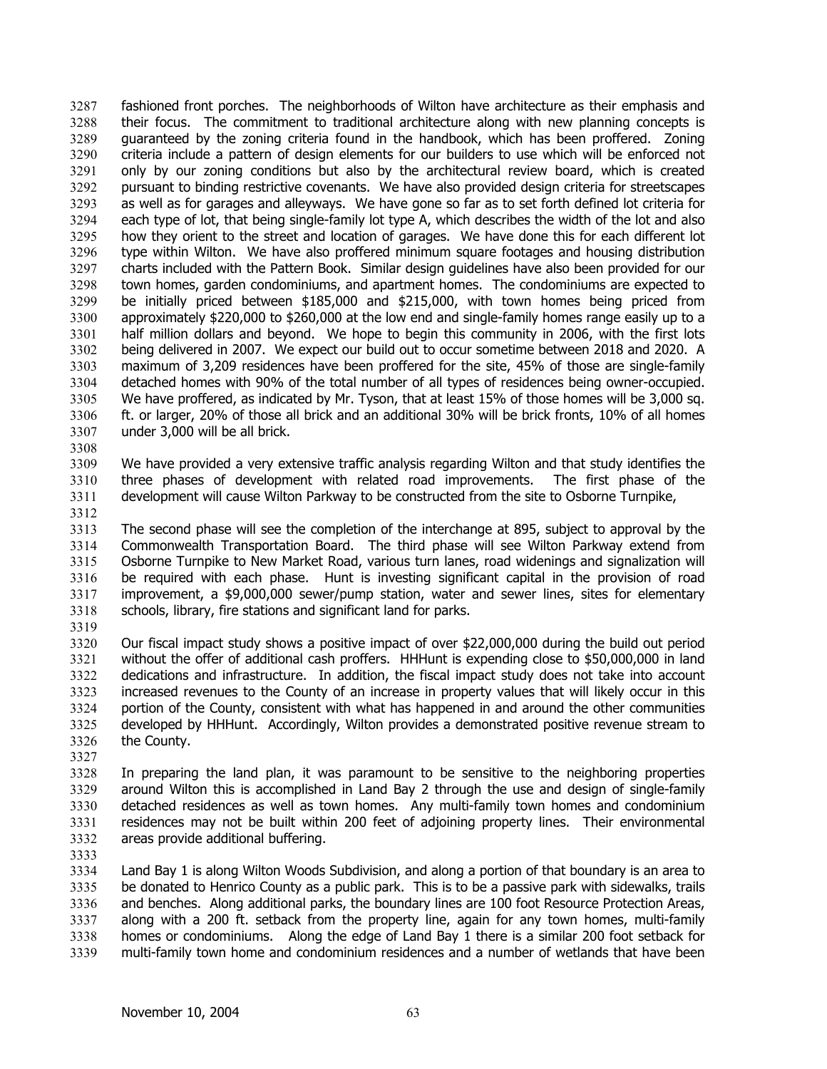fashioned front porches. The neighborhoods of Wilton have architecture as their emphasis and their focus. The commitment to traditional architecture along with new planning concepts is guaranteed by the zoning criteria found in the handbook, which has been proffered. Zoning criteria include a pattern of design elements for our builders to use which will be enforced not only by our zoning conditions but also by the architectural review board, which is created pursuant to binding restrictive covenants. We have also provided design criteria for streetscapes as well as for garages and alleyways. We have gone so far as to set forth defined lot criteria for each type of lot, that being single-family lot type A, which describes the width of the lot and also how they orient to the street and location of garages. We have done this for each different lot type within Wilton. We have also proffered minimum square footages and housing distribution charts included with the Pattern Book. Similar design guidelines have also been provided for our town homes, garden condominiums, and apartment homes. The condominiums are expected to be initially priced between \$185,000 and \$215,000, with town homes being priced from approximately \$220,000 to \$260,000 at the low end and single-family homes range easily up to a half million dollars and beyond. We hope to begin this community in 2006, with the first lots being delivered in 2007. We expect our build out to occur sometime between 2018 and 2020. A maximum of 3,209 residences have been proffered for the site, 45% of those are single-family detached homes with 90% of the total number of all types of residences being owner-occupied. We have proffered, as indicated by Mr. Tyson, that at least 15% of those homes will be 3,000 sq. ft. or larger, 20% of those all brick and an additional 30% will be brick fronts, 10% of all homes under 3,000 will be all brick. 3287 3288 3289 3290 3291 3292 3293 3294 3295 3296 3297 3298 3299 3300 3301 3302 3303 3304 3305 3306 3307

3308

3309 3310 3311 We have provided a very extensive traffic analysis regarding Wilton and that study identifies the three phases of development with related road improvements. The first phase of the development will cause Wilton Parkway to be constructed from the site to Osborne Turnpike,

3312

3313 3314 3315 3316 3317 3318 The second phase will see the completion of the interchange at 895, subject to approval by the Commonwealth Transportation Board. The third phase will see Wilton Parkway extend from Osborne Turnpike to New Market Road, various turn lanes, road widenings and signalization will be required with each phase. Hunt is investing significant capital in the provision of road improvement, a \$9,000,000 sewer/pump station, water and sewer lines, sites for elementary schools, library, fire stations and significant land for parks.

3319

3320 3321 3322 3323 3324 3325 3326 Our fiscal impact study shows a positive impact of over \$22,000,000 during the build out period without the offer of additional cash proffers. HHHunt is expending close to \$50,000,000 in land dedications and infrastructure. In addition, the fiscal impact study does not take into account increased revenues to the County of an increase in property values that will likely occur in this portion of the County, consistent with what has happened in and around the other communities developed by HHHunt. Accordingly, Wilton provides a demonstrated positive revenue stream to the County.

3327

3328 3329 3330 3331 3332 In preparing the land plan, it was paramount to be sensitive to the neighboring properties around Wilton this is accomplished in Land Bay 2 through the use and design of single-family detached residences as well as town homes. Any multi-family town homes and condominium residences may not be built within 200 feet of adjoining property lines. Their environmental areas provide additional buffering.

3333

3334 3335 3336 3337 3338 3339 Land Bay 1 is along Wilton Woods Subdivision, and along a portion of that boundary is an area to be donated to Henrico County as a public park. This is to be a passive park with sidewalks, trails and benches. Along additional parks, the boundary lines are 100 foot Resource Protection Areas, along with a 200 ft. setback from the property line, again for any town homes, multi-family homes or condominiums. Along the edge of Land Bay 1 there is a similar 200 foot setback for multi-family town home and condominium residences and a number of wetlands that have been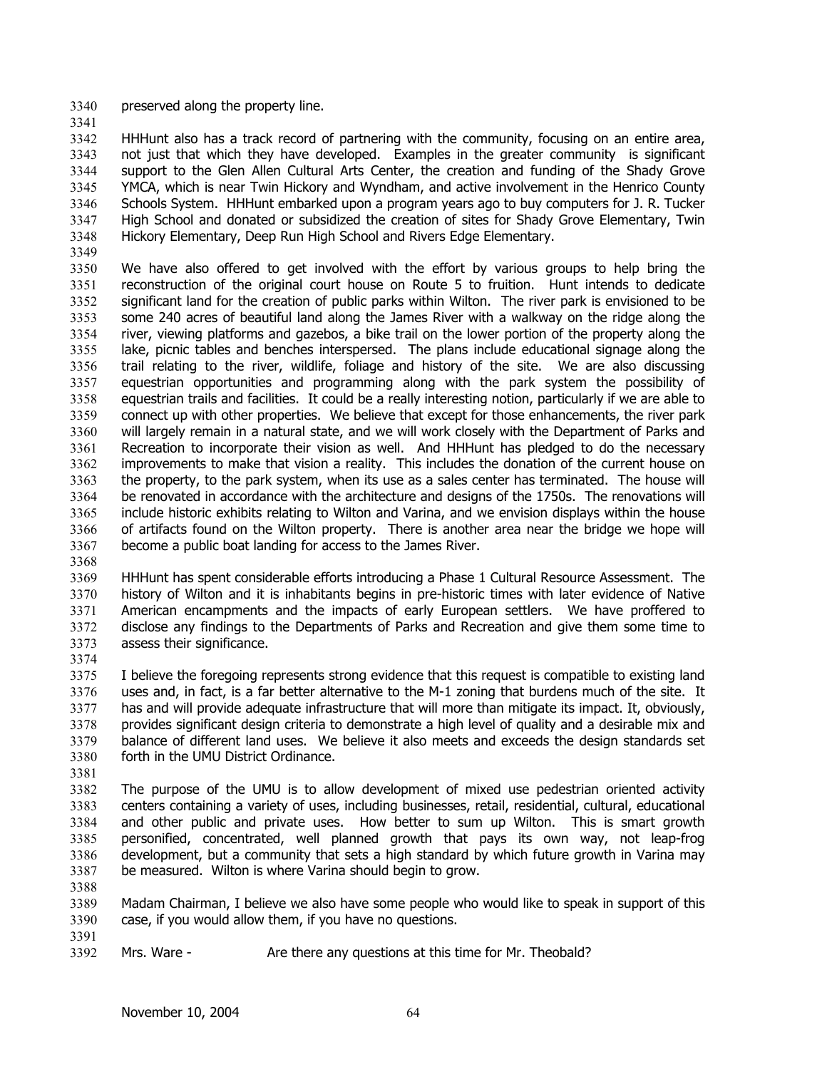- 3340 preserved along the property line.
- 3341

3342 3343 3344 3345 3346 3347 3348 HHHunt also has a track record of partnering with the community, focusing on an entire area, not just that which they have developed. Examples in the greater community is significant support to the Glen Allen Cultural Arts Center, the creation and funding of the Shady Grove YMCA, which is near Twin Hickory and Wyndham, and active involvement in the Henrico County Schools System. HHHunt embarked upon a program years ago to buy computers for J. R. Tucker High School and donated or subsidized the creation of sites for Shady Grove Elementary, Twin Hickory Elementary, Deep Run High School and Rivers Edge Elementary.

3349

3350 3351 3352 3353 3354 3355 3356 3357 3358 3359 3360 3361 3362 3363 3364 3365 3366 3367 We have also offered to get involved with the effort by various groups to help bring the reconstruction of the original court house on Route 5 to fruition. Hunt intends to dedicate significant land for the creation of public parks within Wilton. The river park is envisioned to be some 240 acres of beautiful land along the James River with a walkway on the ridge along the river, viewing platforms and gazebos, a bike trail on the lower portion of the property along the lake, picnic tables and benches interspersed. The plans include educational signage along the trail relating to the river, wildlife, foliage and history of the site. We are also discussing equestrian opportunities and programming along with the park system the possibility of equestrian trails and facilities. It could be a really interesting notion, particularly if we are able to connect up with other properties. We believe that except for those enhancements, the river park will largely remain in a natural state, and we will work closely with the Department of Parks and Recreation to incorporate their vision as well. And HHHunt has pledged to do the necessary improvements to make that vision a reality. This includes the donation of the current house on the property, to the park system, when its use as a sales center has terminated. The house will be renovated in accordance with the architecture and designs of the 1750s. The renovations will include historic exhibits relating to Wilton and Varina, and we envision displays within the house of artifacts found on the Wilton property. There is another area near the bridge we hope will become a public boat landing for access to the James River.

3368

3369 3370 3371 3372 3373 3374 HHHunt has spent considerable efforts introducing a Phase 1 Cultural Resource Assessment. The history of Wilton and it is inhabitants begins in pre-historic times with later evidence of Native American encampments and the impacts of early European settlers. We have proffered to disclose any findings to the Departments of Parks and Recreation and give them some time to assess their significance.

3375 3376 3377 3378 3379 3380 I believe the foregoing represents strong evidence that this request is compatible to existing land uses and, in fact, is a far better alternative to the M-1 zoning that burdens much of the site. It has and will provide adequate infrastructure that will more than mitigate its impact. It, obviously, provides significant design criteria to demonstrate a high level of quality and a desirable mix and balance of different land uses. We believe it also meets and exceeds the design standards set forth in the UMU District Ordinance.

3381

3388

3391

3382 3383 3384 3385 3386 3387 The purpose of the UMU is to allow development of mixed use pedestrian oriented activity centers containing a variety of uses, including businesses, retail, residential, cultural, educational and other public and private uses. How better to sum up Wilton. This is smart growth personified, concentrated, well planned growth that pays its own way, not leap-frog development, but a community that sets a high standard by which future growth in Varina may be measured. Wilton is where Varina should begin to grow.

3389 3390 Madam Chairman, I believe we also have some people who would like to speak in support of this case, if you would allow them, if you have no questions.

3392 Mrs. Ware - The Are there any questions at this time for Mr. Theobald?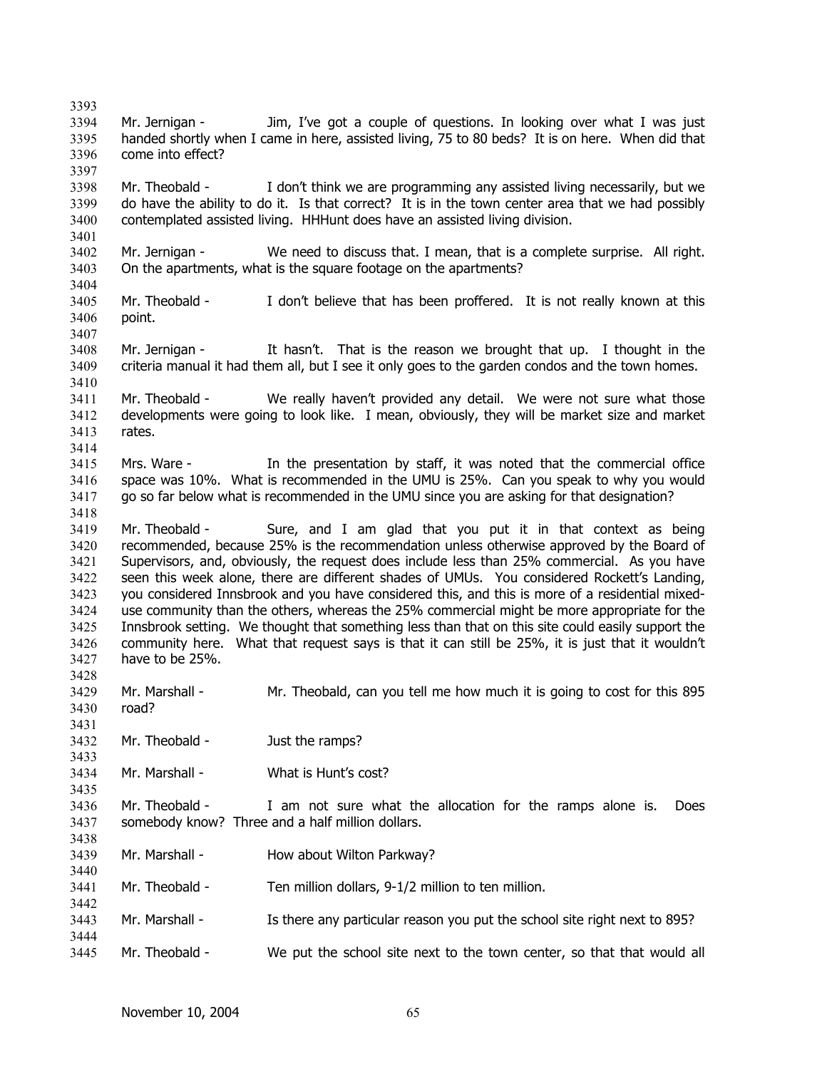3393 3394 3395 3396 3397 3398 3399 3400 3401 3402 3403 3404 3405 3406 3407 3408 3409 3410 3411 3412 3413 3414 3415 3416 3417 3418 3419 3420 3421 3422 3423 3424 3425 3426 3427 3428 3429 3430 3431 3432 3433 3434 3435 3436 3437 3438 3439 3440 3441 3442 3443 3444 3445 Mr. Jernigan - Jim, I've got a couple of questions. In looking over what I was just handed shortly when I came in here, assisted living, 75 to 80 beds? It is on here. When did that come into effect? Mr. Theobald - I don't think we are programming any assisted living necessarily, but we do have the ability to do it. Is that correct? It is in the town center area that we had possibly contemplated assisted living. HHHunt does have an assisted living division. Mr. Jernigan - We need to discuss that. I mean, that is a complete surprise. All right. On the apartments, what is the square footage on the apartments? Mr. Theobald - I don't believe that has been proffered. It is not really known at this point. Mr. Jernigan - It hasn't. That is the reason we brought that up. I thought in the criteria manual it had them all, but I see it only goes to the garden condos and the town homes. Mr. Theobald - We really haven't provided any detail. We were not sure what those developments were going to look like. I mean, obviously, they will be market size and market rates. Mrs. Ware - In the presentation by staff, it was noted that the commercial office space was 10%. What is recommended in the UMU is 25%. Can you speak to why you would go so far below what is recommended in the UMU since you are asking for that designation? Mr. Theobald - Sure, and I am glad that you put it in that context as being recommended, because 25% is the recommendation unless otherwise approved by the Board of Supervisors, and, obviously, the request does include less than 25% commercial. As you have seen this week alone, there are different shades of UMUs. You considered Rockett's Landing, you considered Innsbrook and you have considered this, and this is more of a residential mixeduse community than the others, whereas the 25% commercial might be more appropriate for the Innsbrook setting. We thought that something less than that on this site could easily support the community here. What that request says is that it can still be 25%, it is just that it wouldn't have to be 25%. Mr. Marshall - Mr. Theobald, can you tell me how much it is going to cost for this 895 road? Mr. Theobald - Just the ramps? Mr. Marshall - What is Hunt's cost? Mr. Theobald - I am not sure what the allocation for the ramps alone is. Does somebody know? Three and a half million dollars. Mr. Marshall - How about Wilton Parkway? Mr. Theobald - Ten million dollars, 9-1/2 million to ten million. Mr. Marshall - Is there any particular reason you put the school site right next to 895? Mr. Theobald - We put the school site next to the town center, so that that would all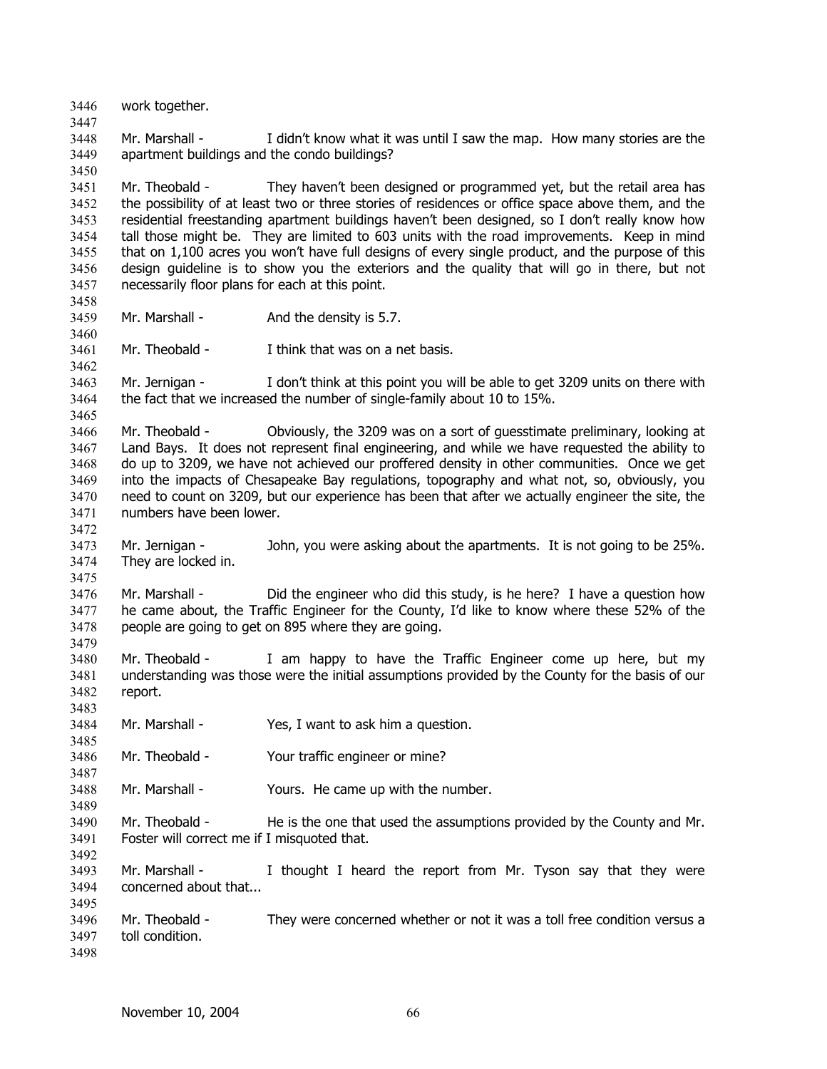3446 work together. 3447 3448 3449 3450 3451 3452 3453 3454 3455 3456 3457 3458 3459 3460 3461 3462 3463 3464 3465 3466 3467 3468 3469 3470 3471 3472 3473 3474 3475 3476 3477 3478 3479 3480 3481 3482 3483 3484 3485 3486 3487 3488 3489 3490 3491 3492 3493 3494 3495 3496 3497 3498 Mr. Marshall - I didn't know what it was until I saw the map. How many stories are the apartment buildings and the condo buildings? Mr. Theobald - They haven't been designed or programmed yet, but the retail area has the possibility of at least two or three stories of residences or office space above them, and the residential freestanding apartment buildings haven't been designed, so I don't really know how tall those might be. They are limited to 603 units with the road improvements. Keep in mind that on 1,100 acres you won't have full designs of every single product, and the purpose of this design guideline is to show you the exteriors and the quality that will go in there, but not necessarily floor plans for each at this point. Mr. Marshall - And the density is 5.7. Mr. Theobald - I think that was on a net basis. Mr. Jernigan - I don't think at this point you will be able to get 3209 units on there with the fact that we increased the number of single-family about 10 to 15%. Mr. Theobald - Obviously, the 3209 was on a sort of guesstimate preliminary, looking at Land Bays. It does not represent final engineering, and while we have requested the ability to do up to 3209, we have not achieved our proffered density in other communities. Once we get into the impacts of Chesapeake Bay regulations, topography and what not, so, obviously, you need to count on 3209, but our experience has been that after we actually engineer the site, the numbers have been lower. Mr. Jernigan - John, you were asking about the apartments. It is not going to be 25%. They are locked in. Mr. Marshall - Did the engineer who did this study, is he here? I have a question how he came about, the Traffic Engineer for the County, I'd like to know where these 52% of the people are going to get on 895 where they are going. Mr. Theobald - I am happy to have the Traffic Engineer come up here, but my understanding was those were the initial assumptions provided by the County for the basis of our report. Mr. Marshall - Yes, I want to ask him a question. Mr. Theobald - Your traffic engineer or mine? Mr. Marshall - Yours. He came up with the number. Mr. Theobald - He is the one that used the assumptions provided by the County and Mr. Foster will correct me if I misquoted that. Mr. Marshall - I thought I heard the report from Mr. Tyson say that they were concerned about that... Mr. Theobald - They were concerned whether or not it was a toll free condition versus a toll condition.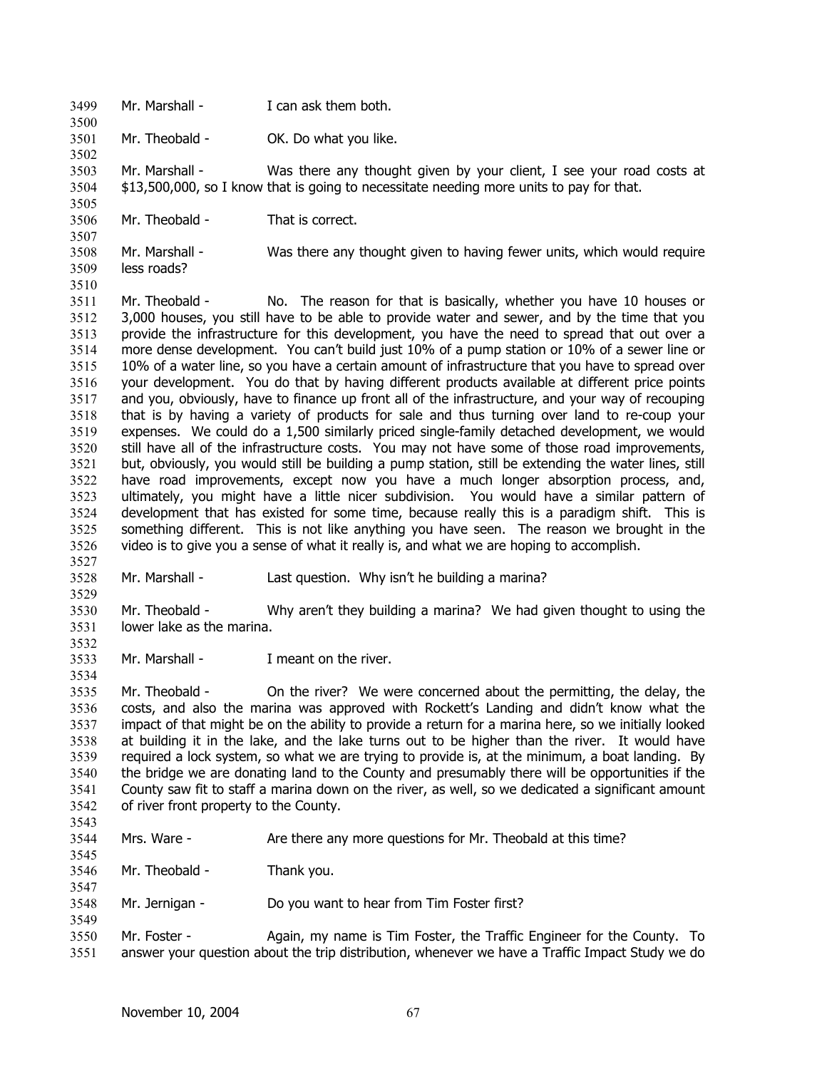3499 Mr. Marshall - I can ask them both.

3500

3502

3505

3527

3529

3532

3534

3543

3547

3549

3501 Mr. Theobald - OK. Do what you like.

3503 3504 Mr. Marshall - Was there any thought given by your client, I see your road costs at \$13,500,000, so I know that is going to necessitate needing more units to pay for that.

3506 Mr. Theobald - That is correct.

3507 3508 3509 3510 Mr. Marshall - Was there any thought given to having fewer units, which would require less roads?

3511 3512 3513 3514 3515 3516 3517 3518 3519 3520 3521 3522 3523 3524 3525 3526 Mr. Theobald - No. The reason for that is basically, whether you have 10 houses or 3,000 houses, you still have to be able to provide water and sewer, and by the time that you provide the infrastructure for this development, you have the need to spread that out over a more dense development. You can't build just 10% of a pump station or 10% of a sewer line or 10% of a water line, so you have a certain amount of infrastructure that you have to spread over your development. You do that by having different products available at different price points and you, obviously, have to finance up front all of the infrastructure, and your way of recouping that is by having a variety of products for sale and thus turning over land to re-coup your expenses. We could do a 1,500 similarly priced single-family detached development, we would still have all of the infrastructure costs. You may not have some of those road improvements, but, obviously, you would still be building a pump station, still be extending the water lines, still have road improvements, except now you have a much longer absorption process, and, ultimately, you might have a little nicer subdivision. You would have a similar pattern of development that has existed for some time, because really this is a paradigm shift. This is something different. This is not like anything you have seen. The reason we brought in the video is to give you a sense of what it really is, and what we are hoping to accomplish.

3528 Mr. Marshall - Last question. Why isn't he building a marina?

3530 3531 Mr. Theobald - Why aren't they building a marina? We had given thought to using the lower lake as the marina.

3533 Mr. Marshall - Theant on the river.

3535 3536 3537 3538 3539 3540 3541 3542 Mr. Theobald - On the river? We were concerned about the permitting, the delay, the costs, and also the marina was approved with Rockett's Landing and didn't know what the impact of that might be on the ability to provide a return for a marina here, so we initially looked at building it in the lake, and the lake turns out to be higher than the river. It would have required a lock system, so what we are trying to provide is, at the minimum, a boat landing. By the bridge we are donating land to the County and presumably there will be opportunities if the County saw fit to staff a marina down on the river, as well, so we dedicated a significant amount of river front property to the County.

3544 3545 Mrs. Ware - Are there any more questions for Mr. Theobald at this time?

3546 Mr. Theobald - Thank you.

3548 Mr. Jernigan - Do you want to hear from Tim Foster first?

3550 3551 Mr. Foster - Again, my name is Tim Foster, the Traffic Engineer for the County. To answer your question about the trip distribution, whenever we have a Traffic Impact Study we do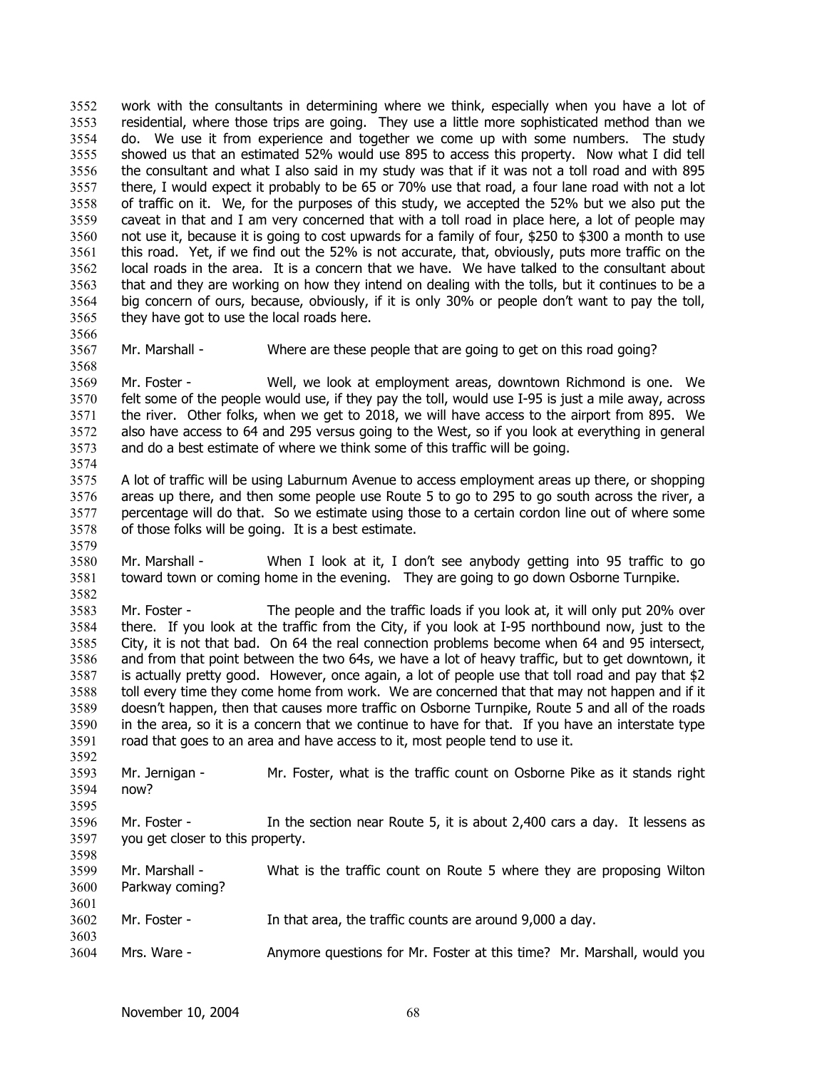work with the consultants in determining where we think, especially when you have a lot of residential, where those trips are going. They use a little more sophisticated method than we do. We use it from experience and together we come up with some numbers. The study showed us that an estimated 52% would use 895 to access this property. Now what I did tell the consultant and what I also said in my study was that if it was not a toll road and with 895 there, I would expect it probably to be 65 or 70% use that road, a four lane road with not a lot of traffic on it. We, for the purposes of this study, we accepted the 52% but we also put the caveat in that and I am very concerned that with a toll road in place here, a lot of people may not use it, because it is going to cost upwards for a family of four, \$250 to \$300 a month to use this road. Yet, if we find out the 52% is not accurate, that, obviously, puts more traffic on the local roads in the area. It is a concern that we have. We have talked to the consultant about that and they are working on how they intend on dealing with the tolls, but it continues to be a big concern of ours, because, obviously, if it is only 30% or people don't want to pay the toll, they have got to use the local roads here. 3552 3553 3554 3555 3556 3557 3558 3559 3560 3561 3562 3563 3564 3565 3566

3567 Mr. Marshall - Where are these people that are going to get on this road going?

3569 3570 3571 3572 3573 Mr. Foster - Well, we look at employment areas, downtown Richmond is one. We felt some of the people would use, if they pay the toll, would use I-95 is just a mile away, across the river. Other folks, when we get to 2018, we will have access to the airport from 895. We also have access to 64 and 295 versus going to the West, so if you look at everything in general and do a best estimate of where we think some of this traffic will be going.

- 3575 3576 3577 3578 A lot of traffic will be using Laburnum Avenue to access employment areas up there, or shopping areas up there, and then some people use Route 5 to go to 295 to go south across the river, a percentage will do that. So we estimate using those to a certain cordon line out of where some of those folks will be going. It is a best estimate.
- 3580 3581 Mr. Marshall - When I look at it, I don't see anybody getting into 95 traffic to go toward town or coming home in the evening. They are going to go down Osborne Turnpike.

3583 3584 3585 3586 3587 3588 3589 3590 3591 Mr. Foster - The people and the traffic loads if you look at, it will only put 20% over there. If you look at the traffic from the City, if you look at I-95 northbound now, just to the City, it is not that bad. On 64 the real connection problems become when 64 and 95 intersect, and from that point between the two 64s, we have a lot of heavy traffic, but to get downtown, it is actually pretty good. However, once again, a lot of people use that toll road and pay that \$2 toll every time they come home from work. We are concerned that that may not happen and if it doesn't happen, then that causes more traffic on Osborne Turnpike, Route 5 and all of the roads in the area, so it is a concern that we continue to have for that. If you have an interstate type road that goes to an area and have access to it, most people tend to use it.

3592 3593 3594 3595 Mr. Jernigan - Mr. Foster, what is the traffic count on Osborne Pike as it stands right now?

3596 3597 3598 Mr. Foster - In the section near Route 5, it is about 2,400 cars a day. It lessens as you get closer to this property.

- 3599 3600 3601 Mr. Marshall - What is the traffic count on Route 5 where they are proposing Wilton Parkway coming?
- 3602 3603 Mr. Foster - In that area, the traffic counts are around 9,000 a day.
- 3604 Mrs. Ware - Anymore questions for Mr. Foster at this time? Mr. Marshall, would you

3568

3574

3579

3582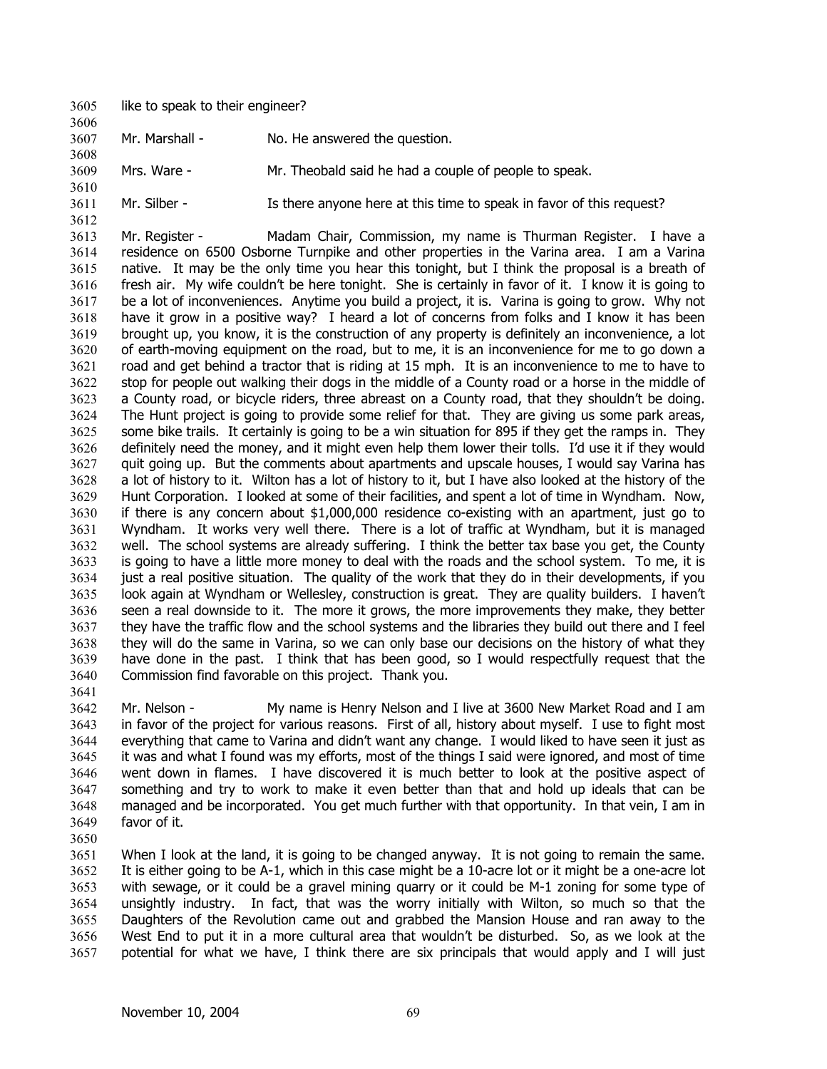3605 like to speak to their engineer?

3606

3610

3612

3641

3650

- 3607 Mr. Marshall - No. He answered the question.
- 3608 3609 Mrs. Ware - Mr. Theobald said he had a couple of people to speak.
- 3611 Mr. Silber - Is there anyone here at this time to speak in favor of this request?

3613 3614 3615 3616 3617 3618 3619 3620 3621 3622 3623 3624 3625 3626 3627 3628 3629 3630 3631 3632 3633 3634 3635 3636 3637 3638 3639 3640 Mr. Register - Madam Chair, Commission, my name is Thurman Register. I have a residence on 6500 Osborne Turnpike and other properties in the Varina area. I am a Varina native. It may be the only time you hear this tonight, but I think the proposal is a breath of fresh air. My wife couldn't be here tonight. She is certainly in favor of it. I know it is going to be a lot of inconveniences. Anytime you build a project, it is. Varina is going to grow. Why not have it grow in a positive way? I heard a lot of concerns from folks and I know it has been brought up, you know, it is the construction of any property is definitely an inconvenience, a lot of earth-moving equipment on the road, but to me, it is an inconvenience for me to go down a road and get behind a tractor that is riding at 15 mph. It is an inconvenience to me to have to stop for people out walking their dogs in the middle of a County road or a horse in the middle of a County road, or bicycle riders, three abreast on a County road, that they shouldn't be doing. The Hunt project is going to provide some relief for that. They are giving us some park areas, some bike trails. It certainly is going to be a win situation for 895 if they get the ramps in. They definitely need the money, and it might even help them lower their tolls. I'd use it if they would quit going up. But the comments about apartments and upscale houses, I would say Varina has a lot of history to it. Wilton has a lot of history to it, but I have also looked at the history of the Hunt Corporation. I looked at some of their facilities, and spent a lot of time in Wyndham. Now, if there is any concern about \$1,000,000 residence co-existing with an apartment, just go to Wyndham. It works very well there. There is a lot of traffic at Wyndham, but it is managed well. The school systems are already suffering. I think the better tax base you get, the County is going to have a little more money to deal with the roads and the school system. To me, it is just a real positive situation. The quality of the work that they do in their developments, if you look again at Wyndham or Wellesley, construction is great. They are quality builders. I haven't seen a real downside to it. The more it grows, the more improvements they make, they better they have the traffic flow and the school systems and the libraries they build out there and I feel they will do the same in Varina, so we can only base our decisions on the history of what they have done in the past. I think that has been good, so I would respectfully request that the Commission find favorable on this project. Thank you.

3642 3643 3644 3645 3646 3647 3648 3649 Mr. Nelson - My name is Henry Nelson and I live at 3600 New Market Road and I am in favor of the project for various reasons. First of all, history about myself. I use to fight most everything that came to Varina and didn't want any change. I would liked to have seen it just as it was and what I found was my efforts, most of the things I said were ignored, and most of time went down in flames. I have discovered it is much better to look at the positive aspect of something and try to work to make it even better than that and hold up ideals that can be managed and be incorporated. You get much further with that opportunity. In that vein, I am in favor of it.

3651 3652 3653 3654 3655 3656 3657 When I look at the land, it is going to be changed anyway. It is not going to remain the same. It is either going to be A-1, which in this case might be a 10-acre lot or it might be a one-acre lot with sewage, or it could be a gravel mining quarry or it could be M-1 zoning for some type of unsightly industry. In fact, that was the worry initially with Wilton, so much so that the Daughters of the Revolution came out and grabbed the Mansion House and ran away to the West End to put it in a more cultural area that wouldn't be disturbed. So, as we look at the potential for what we have, I think there are six principals that would apply and I will just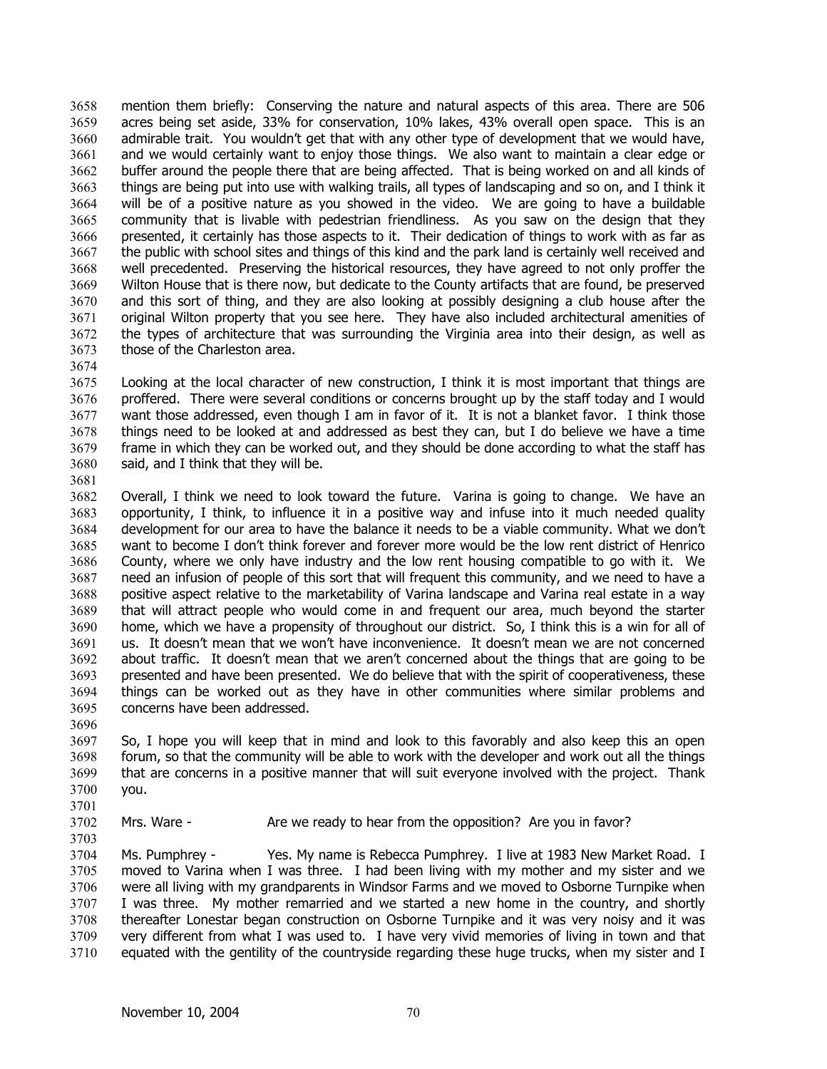mention them briefly: Conserving the nature and natural aspects of this area. There are 506 acres being set aside, 33% for conservation, 10% lakes, 43% overall open space. This is an admirable trait. You wouldn't get that with any other type of development that we would have, and we would certainly want to enjoy those things. We also want to maintain a clear edge or buffer around the people there that are being affected. That is being worked on and all kinds of things are being put into use with walking trails, all types of landscaping and so on, and I think it will be of a positive nature as you showed in the video. We are going to have a buildable community that is livable with pedestrian friendliness. As you saw on the design that they presented, it certainly has those aspects to it. Their dedication of things to work with as far as the public with school sites and things of this kind and the park land is certainly well received and well precedented. Preserving the historical resources, they have agreed to not only proffer the Wilton House that is there now, but dedicate to the County artifacts that are found, be preserved and this sort of thing, and they are also looking at possibly designing a club house after the original Wilton property that you see here. They have also included architectural amenities of the types of architecture that was surrounding the Virginia area into their design, as well as those of the Charleston area. 3658 3659 3660 3661 3662 3663 3664 3665 3666 3667 3668 3669 3670 3671 3672 3673

3674

3675 3676 3677 3678 3679 3680 3681 Looking at the local character of new construction, I think it is most important that things are proffered. There were several conditions or concerns brought up by the staff today and I would want those addressed, even though I am in favor of it. It is not a blanket favor. I think those things need to be looked at and addressed as best they can, but I do believe we have a time frame in which they can be worked out, and they should be done according to what the staff has said, and I think that they will be.

3682 3683 3684 3685 3686 3687 3688 3689 3690 3691 3692 3693 3694 3695 Overall, I think we need to look toward the future. Varina is going to change. We have an opportunity, I think, to influence it in a positive way and infuse into it much needed quality development for our area to have the balance it needs to be a viable community. What we don't want to become I don't think forever and forever more would be the low rent district of Henrico County, where we only have industry and the low rent housing compatible to go with it. We need an infusion of people of this sort that will frequent this community, and we need to have a positive aspect relative to the marketability of Varina landscape and Varina real estate in a way that will attract people who would come in and frequent our area, much beyond the starter home, which we have a propensity of throughout our district. So, I think this is a win for all of us. It doesn't mean that we won't have inconvenience. It doesn't mean we are not concerned about traffic. It doesn't mean that we aren't concerned about the things that are going to be presented and have been presented. We do believe that with the spirit of cooperativeness, these things can be worked out as they have in other communities where similar problems and concerns have been addressed.

3697 3698 3699 3700 So, I hope you will keep that in mind and look to this favorably and also keep this an open forum, so that the community will be able to work with the developer and work out all the things that are concerns in a positive manner that will suit everyone involved with the project. Thank you.

3701

3696

3702 3703 Mrs. Ware - Are we ready to hear from the opposition? Are you in favor?

3704 3705 3706 3707 3708 3709 3710 Ms. Pumphrey - Yes. My name is Rebecca Pumphrey. I live at 1983 New Market Road. I moved to Varina when I was three. I had been living with my mother and my sister and we were all living with my grandparents in Windsor Farms and we moved to Osborne Turnpike when I was three. My mother remarried and we started a new home in the country, and shortly thereafter Lonestar began construction on Osborne Turnpike and it was very noisy and it was very different from what I was used to. I have very vivid memories of living in town and that equated with the gentility of the countryside regarding these huge trucks, when my sister and I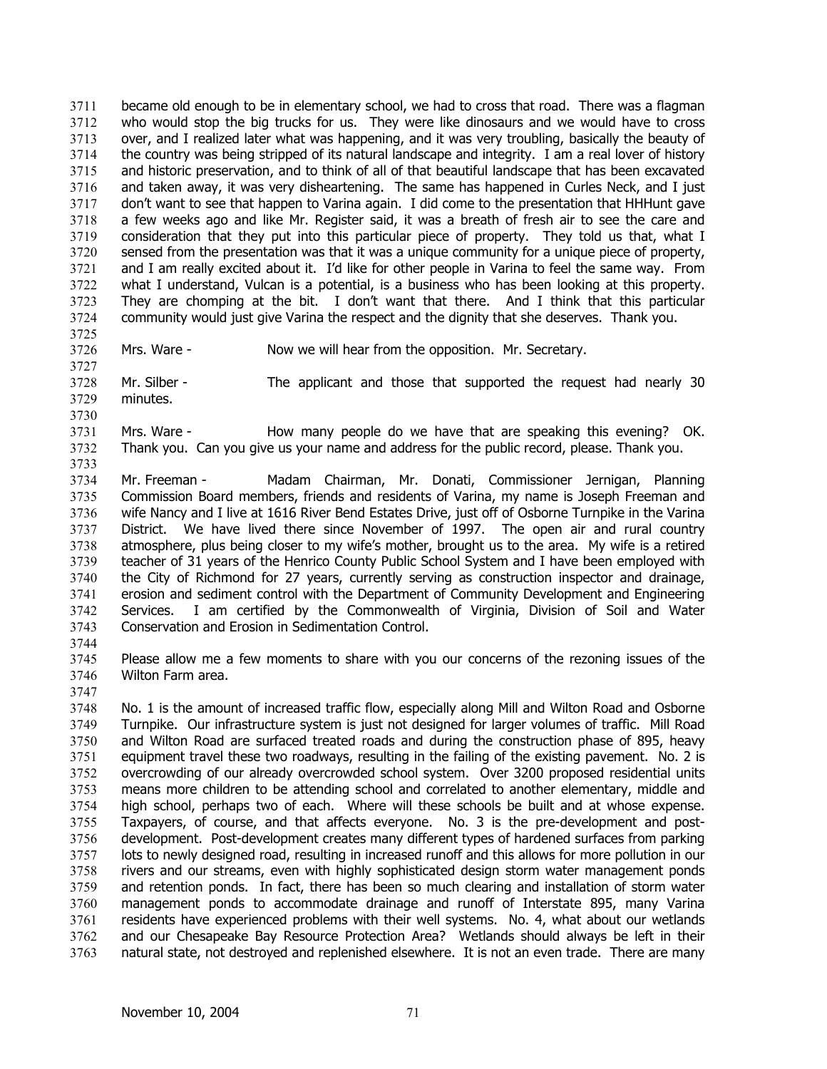became old enough to be in elementary school, we had to cross that road. There was a flagman who would stop the big trucks for us. They were like dinosaurs and we would have to cross over, and I realized later what was happening, and it was very troubling, basically the beauty of the country was being stripped of its natural landscape and integrity. I am a real lover of history and historic preservation, and to think of all of that beautiful landscape that has been excavated and taken away, it was very disheartening. The same has happened in Curles Neck, and I just don't want to see that happen to Varina again. I did come to the presentation that HHHunt gave a few weeks ago and like Mr. Register said, it was a breath of fresh air to see the care and consideration that they put into this particular piece of property. They told us that, what I sensed from the presentation was that it was a unique community for a unique piece of property, and I am really excited about it. I'd like for other people in Varina to feel the same way. From what I understand, Vulcan is a potential, is a business who has been looking at this property. They are chomping at the bit. I don't want that there. And I think that this particular community would just give Varina the respect and the dignity that she deserves. Thank you. 3711 3712 3713 3714 3715 3716 3717 3718 3719 3720 3721 3722 3723 3724

3725

3730

3733

3726 3727 Mrs. Ware - Now we will hear from the opposition. Mr. Secretary.

3728 3729 Mr. Silber - The applicant and those that supported the request had nearly 30 minutes.

3731 3732 Mrs. Ware - How many people do we have that are speaking this evening? OK. Thank you. Can you give us your name and address for the public record, please. Thank you.

- 3734 3735 3736 3737 3738 3739 3740 3741 3742 3743 Mr. Freeman - Madam Chairman, Mr. Donati, Commissioner Jernigan, Planning Commission Board members, friends and residents of Varina, my name is Joseph Freeman and wife Nancy and I live at 1616 River Bend Estates Drive, just off of Osborne Turnpike in the Varina District. We have lived there since November of 1997. The open air and rural country atmosphere, plus being closer to my wife's mother, brought us to the area. My wife is a retired teacher of 31 years of the Henrico County Public School System and I have been employed with the City of Richmond for 27 years, currently serving as construction inspector and drainage, erosion and sediment control with the Department of Community Development and Engineering Services. I am certified by the Commonwealth of Virginia, Division of Soil and Water Conservation and Erosion in Sedimentation Control.
- 3744

3745 3746 Please allow me a few moments to share with you our concerns of the rezoning issues of the Wilton Farm area.

3747 3748 3749 3750 3751 3752 3753 3754 3755 3756 3757 3758 3759 3760 3761 3762 3763 No. 1 is the amount of increased traffic flow, especially along Mill and Wilton Road and Osborne Turnpike. Our infrastructure system is just not designed for larger volumes of traffic. Mill Road and Wilton Road are surfaced treated roads and during the construction phase of 895, heavy equipment travel these two roadways, resulting in the failing of the existing pavement. No. 2 is overcrowding of our already overcrowded school system. Over 3200 proposed residential units means more children to be attending school and correlated to another elementary, middle and high school, perhaps two of each. Where will these schools be built and at whose expense. Taxpayers, of course, and that affects everyone. No. 3 is the pre-development and postdevelopment. Post-development creates many different types of hardened surfaces from parking lots to newly designed road, resulting in increased runoff and this allows for more pollution in our rivers and our streams, even with highly sophisticated design storm water management ponds and retention ponds. In fact, there has been so much clearing and installation of storm water management ponds to accommodate drainage and runoff of Interstate 895, many Varina residents have experienced problems with their well systems. No. 4, what about our wetlands and our Chesapeake Bay Resource Protection Area? Wetlands should always be left in their natural state, not destroyed and replenished elsewhere. It is not an even trade. There are many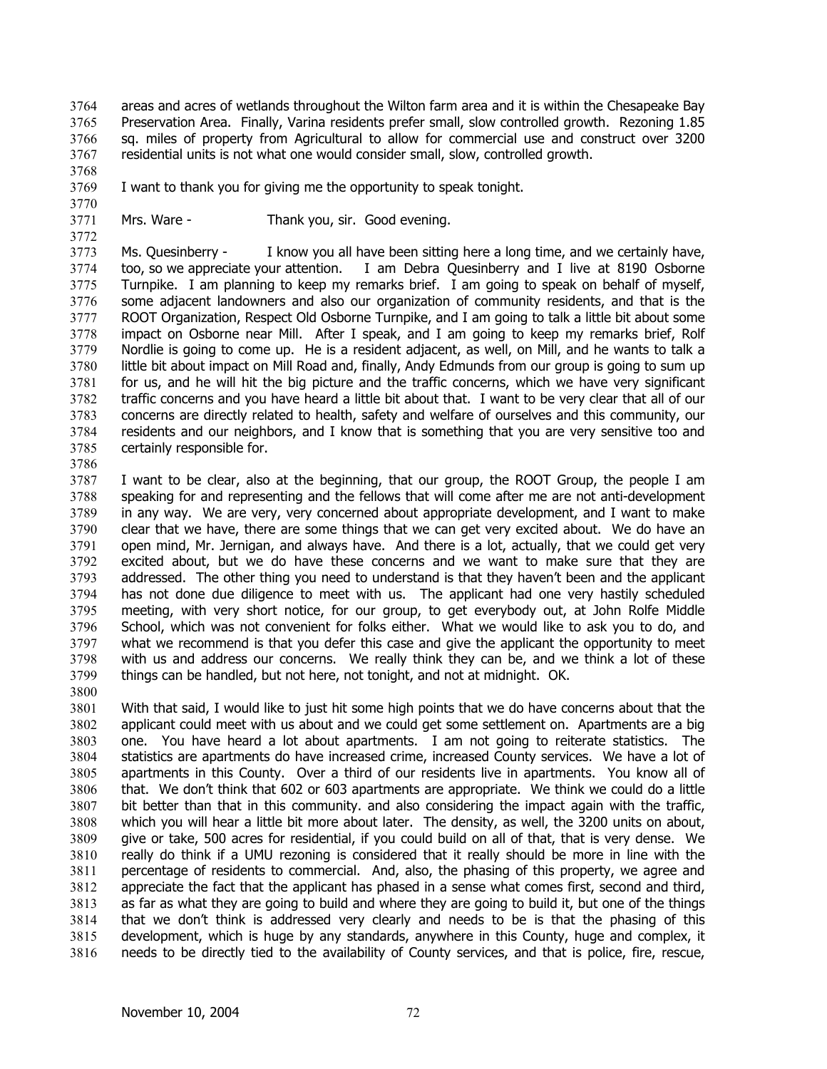areas and acres of wetlands throughout the Wilton farm area and it is within the Chesapeake Bay Preservation Area. Finally, Varina residents prefer small, slow controlled growth. Rezoning 1.85 sq. miles of property from Agricultural to allow for commercial use and construct over 3200 residential units is not what one would consider small, slow, controlled growth. 3764 3765 3766 3767

- 3768 3769
	- I want to thank you for giving me the opportunity to speak tonight.
- 3770 3771

3772

Mrs. Ware - Thank you, sir. Good evening.

3773 3774 3775 3776 3777 3778 3779 3780 3781 3782 3783 3784 3785 Ms. Quesinberry - I know you all have been sitting here a long time, and we certainly have, too, so we appreciate your attention. I am Debra Quesinberry and I live at 8190 Osborne Turnpike. I am planning to keep my remarks brief. I am going to speak on behalf of myself, some adjacent landowners and also our organization of community residents, and that is the ROOT Organization, Respect Old Osborne Turnpike, and I am going to talk a little bit about some impact on Osborne near Mill. After I speak, and I am going to keep my remarks brief, Rolf Nordlie is going to come up. He is a resident adjacent, as well, on Mill, and he wants to talk a little bit about impact on Mill Road and, finally, Andy Edmunds from our group is going to sum up for us, and he will hit the big picture and the traffic concerns, which we have very significant traffic concerns and you have heard a little bit about that. I want to be very clear that all of our concerns are directly related to health, safety and welfare of ourselves and this community, our residents and our neighbors, and I know that is something that you are very sensitive too and certainly responsible for.

3786

3787 3788 3789 3790 3791 3792 3793 3794 3795 3796 3797 3798 3799 3800 I want to be clear, also at the beginning, that our group, the ROOT Group, the people I am speaking for and representing and the fellows that will come after me are not anti-development in any way. We are very, very concerned about appropriate development, and I want to make clear that we have, there are some things that we can get very excited about. We do have an open mind, Mr. Jernigan, and always have. And there is a lot, actually, that we could get very excited about, but we do have these concerns and we want to make sure that they are addressed. The other thing you need to understand is that they haven't been and the applicant has not done due diligence to meet with us. The applicant had one very hastily scheduled meeting, with very short notice, for our group, to get everybody out, at John Rolfe Middle School, which was not convenient for folks either. What we would like to ask you to do, and what we recommend is that you defer this case and give the applicant the opportunity to meet with us and address our concerns. We really think they can be, and we think a lot of these things can be handled, but not here, not tonight, and not at midnight. OK.

3801 3802 3803 3804 3805 3806 3807 3808 3809 3810 3811 3812 3813 3814 3815 3816 With that said, I would like to just hit some high points that we do have concerns about that the applicant could meet with us about and we could get some settlement on. Apartments are a big one. You have heard a lot about apartments. I am not going to reiterate statistics. The statistics are apartments do have increased crime, increased County services. We have a lot of apartments in this County. Over a third of our residents live in apartments. You know all of that. We don't think that 602 or 603 apartments are appropriate. We think we could do a little bit better than that in this community. and also considering the impact again with the traffic, which you will hear a little bit more about later. The density, as well, the 3200 units on about, give or take, 500 acres for residential, if you could build on all of that, that is very dense. We really do think if a UMU rezoning is considered that it really should be more in line with the percentage of residents to commercial. And, also, the phasing of this property, we agree and appreciate the fact that the applicant has phased in a sense what comes first, second and third, as far as what they are going to build and where they are going to build it, but one of the things that we don't think is addressed very clearly and needs to be is that the phasing of this development, which is huge by any standards, anywhere in this County, huge and complex, it needs to be directly tied to the availability of County services, and that is police, fire, rescue,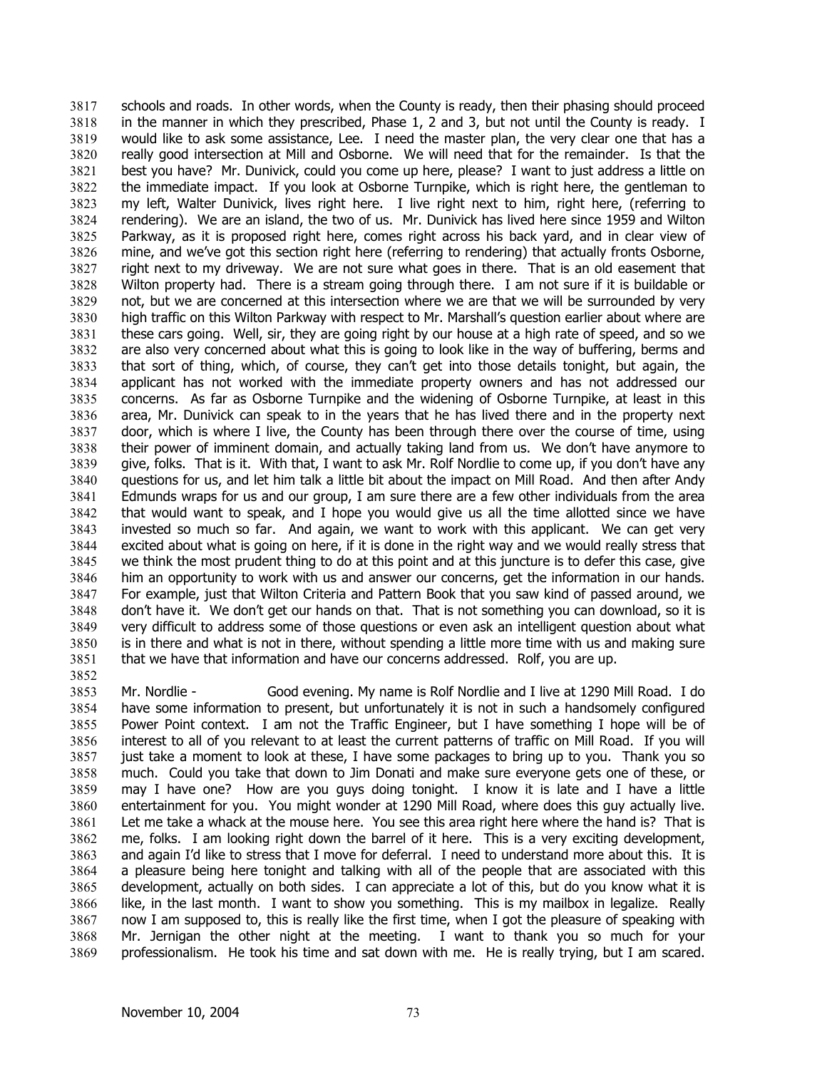schools and roads. In other words, when the County is ready, then their phasing should proceed in the manner in which they prescribed, Phase 1, 2 and 3, but not until the County is ready. I would like to ask some assistance, Lee. I need the master plan, the very clear one that has a really good intersection at Mill and Osborne. We will need that for the remainder. Is that the best you have? Mr. Dunivick, could you come up here, please? I want to just address a little on the immediate impact. If you look at Osborne Turnpike, which is right here, the gentleman to my left, Walter Dunivick, lives right here. I live right next to him, right here, (referring to rendering). We are an island, the two of us. Mr. Dunivick has lived here since 1959 and Wilton Parkway, as it is proposed right here, comes right across his back yard, and in clear view of mine, and we've got this section right here (referring to rendering) that actually fronts Osborne, right next to my driveway. We are not sure what goes in there. That is an old easement that Wilton property had. There is a stream going through there. I am not sure if it is buildable or not, but we are concerned at this intersection where we are that we will be surrounded by very high traffic on this Wilton Parkway with respect to Mr. Marshall's question earlier about where are these cars going. Well, sir, they are going right by our house at a high rate of speed, and so we are also very concerned about what this is going to look like in the way of buffering, berms and that sort of thing, which, of course, they can't get into those details tonight, but again, the applicant has not worked with the immediate property owners and has not addressed our concerns. As far as Osborne Turnpike and the widening of Osborne Turnpike, at least in this area, Mr. Dunivick can speak to in the years that he has lived there and in the property next door, which is where I live, the County has been through there over the course of time, using their power of imminent domain, and actually taking land from us. We don't have anymore to give, folks. That is it. With that, I want to ask Mr. Rolf Nordlie to come up, if you don't have any questions for us, and let him talk a little bit about the impact on Mill Road. And then after Andy Edmunds wraps for us and our group, I am sure there are a few other individuals from the area that would want to speak, and I hope you would give us all the time allotted since we have invested so much so far. And again, we want to work with this applicant. We can get very excited about what is going on here, if it is done in the right way and we would really stress that we think the most prudent thing to do at this point and at this juncture is to defer this case, give him an opportunity to work with us and answer our concerns, get the information in our hands. For example, just that Wilton Criteria and Pattern Book that you saw kind of passed around, we don't have it. We don't get our hands on that. That is not something you can download, so it is very difficult to address some of those questions or even ask an intelligent question about what is in there and what is not in there, without spending a little more time with us and making sure that we have that information and have our concerns addressed. Rolf, you are up. 3817 3818 3819 3820 3821 3822 3823 3824 3825 3826 3827 3828 3829 3830 3831 3832 3833 3834 3835 3836 3837 3838 3839 3840 3841 3842 3843 3844 3845 3846 3847 3848 3849 3850 3851 3852

3853 3854 3855 3856 3857 3858 3859 3860 3861 3862 3863 3864 3865 3866 3867 3868 3869 Mr. Nordlie - Good evening. My name is Rolf Nordlie and I live at 1290 Mill Road. I do have some information to present, but unfortunately it is not in such a handsomely configured Power Point context. I am not the Traffic Engineer, but I have something I hope will be of interest to all of you relevant to at least the current patterns of traffic on Mill Road. If you will just take a moment to look at these, I have some packages to bring up to you. Thank you so much. Could you take that down to Jim Donati and make sure everyone gets one of these, or may I have one? How are you guys doing tonight. I know it is late and I have a little entertainment for you. You might wonder at 1290 Mill Road, where does this guy actually live. Let me take a whack at the mouse here. You see this area right here where the hand is? That is me, folks. I am looking right down the barrel of it here. This is a very exciting development, and again I'd like to stress that I move for deferral. I need to understand more about this. It is a pleasure being here tonight and talking with all of the people that are associated with this development, actually on both sides. I can appreciate a lot of this, but do you know what it is like, in the last month. I want to show you something. This is my mailbox in legalize. Really now I am supposed to, this is really like the first time, when I got the pleasure of speaking with Mr. Jernigan the other night at the meeting. I want to thank you so much for your professionalism. He took his time and sat down with me. He is really trying, but I am scared.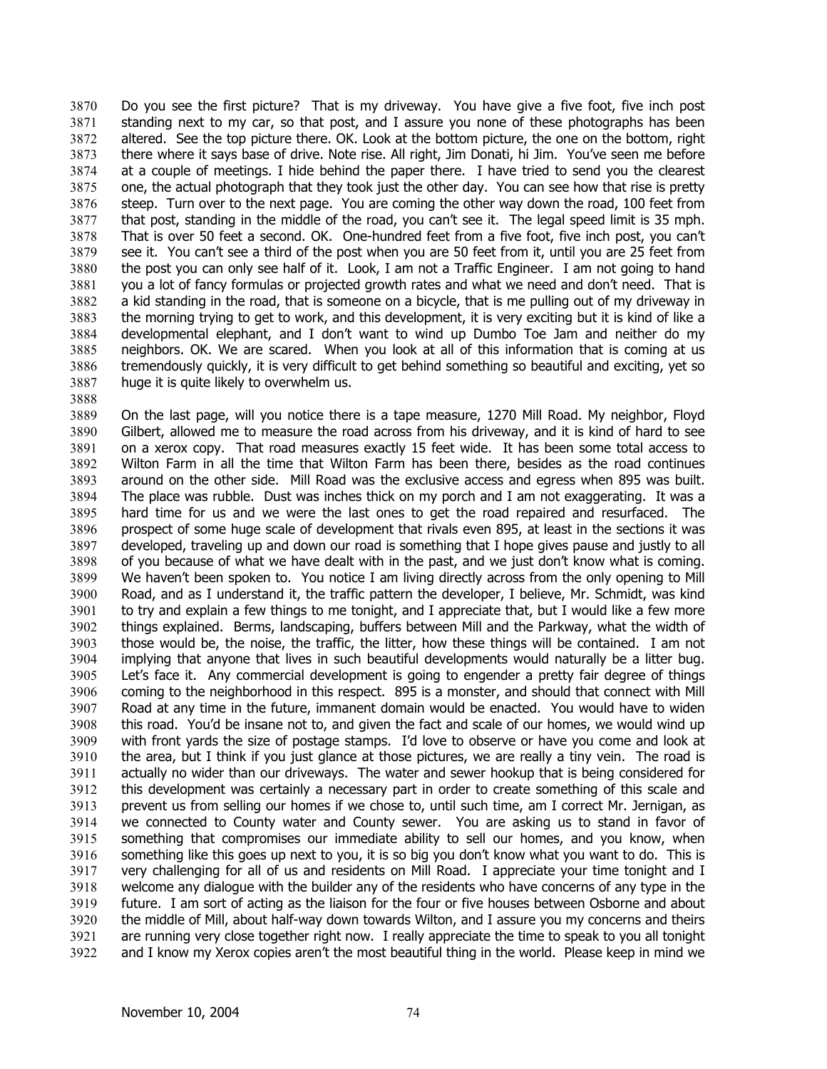Do you see the first picture? That is my driveway. You have give a five foot, five inch post standing next to my car, so that post, and I assure you none of these photographs has been altered. See the top picture there. OK. Look at the bottom picture, the one on the bottom, right there where it says base of drive. Note rise. All right, Jim Donati, hi Jim. You've seen me before at a couple of meetings. I hide behind the paper there. I have tried to send you the clearest one, the actual photograph that they took just the other day. You can see how that rise is pretty steep. Turn over to the next page. You are coming the other way down the road, 100 feet from that post, standing in the middle of the road, you can't see it. The legal speed limit is 35 mph. That is over 50 feet a second. OK. One-hundred feet from a five foot, five inch post, you can't see it. You can't see a third of the post when you are 50 feet from it, until you are 25 feet from the post you can only see half of it. Look, I am not a Traffic Engineer. I am not going to hand you a lot of fancy formulas or projected growth rates and what we need and don't need. That is a kid standing in the road, that is someone on a bicycle, that is me pulling out of my driveway in the morning trying to get to work, and this development, it is very exciting but it is kind of like a developmental elephant, and I don't want to wind up Dumbo Toe Jam and neither do my neighbors. OK. We are scared. When you look at all of this information that is coming at us tremendously quickly, it is very difficult to get behind something so beautiful and exciting, yet so huge it is quite likely to overwhelm us. 3870 3871 3872 3873 3874 3875 3876 3877 3878 3879 3880 3881 3882 3883 3884 3885 3886 3887

3889 3890 3891 3892 3893 3894 3895 3896 3897 3898 3899 3900 3901 3902 3903 3904 3905 3906 3907 3908 3909 3910 3911 3912 3913 3914 3915 3916 3917 3918 3919 3920 3921 3922 On the last page, will you notice there is a tape measure, 1270 Mill Road. My neighbor, Floyd Gilbert, allowed me to measure the road across from his driveway, and it is kind of hard to see on a xerox copy. That road measures exactly 15 feet wide. It has been some total access to Wilton Farm in all the time that Wilton Farm has been there, besides as the road continues around on the other side. Mill Road was the exclusive access and egress when 895 was built. The place was rubble. Dust was inches thick on my porch and I am not exaggerating. It was a hard time for us and we were the last ones to get the road repaired and resurfaced. The prospect of some huge scale of development that rivals even 895, at least in the sections it was developed, traveling up and down our road is something that I hope gives pause and justly to all of you because of what we have dealt with in the past, and we just don't know what is coming. We haven't been spoken to. You notice I am living directly across from the only opening to Mill Road, and as I understand it, the traffic pattern the developer, I believe, Mr. Schmidt, was kind to try and explain a few things to me tonight, and I appreciate that, but I would like a few more things explained. Berms, landscaping, buffers between Mill and the Parkway, what the width of those would be, the noise, the traffic, the litter, how these things will be contained. I am not implying that anyone that lives in such beautiful developments would naturally be a litter bug. Let's face it. Any commercial development is going to engender a pretty fair degree of things coming to the neighborhood in this respect. 895 is a monster, and should that connect with Mill Road at any time in the future, immanent domain would be enacted. You would have to widen this road. You'd be insane not to, and given the fact and scale of our homes, we would wind up with front yards the size of postage stamps. I'd love to observe or have you come and look at the area, but I think if you just glance at those pictures, we are really a tiny vein. The road is actually no wider than our driveways. The water and sewer hookup that is being considered for this development was certainly a necessary part in order to create something of this scale and prevent us from selling our homes if we chose to, until such time, am I correct Mr. Jernigan, as we connected to County water and County sewer. You are asking us to stand in favor of something that compromises our immediate ability to sell our homes, and you know, when something like this goes up next to you, it is so big you don't know what you want to do. This is very challenging for all of us and residents on Mill Road. I appreciate your time tonight and I welcome any dialogue with the builder any of the residents who have concerns of any type in the future. I am sort of acting as the liaison for the four or five houses between Osborne and about the middle of Mill, about half-way down towards Wilton, and I assure you my concerns and theirs are running very close together right now. I really appreciate the time to speak to you all tonight and I know my Xerox copies aren't the most beautiful thing in the world. Please keep in mind we

3888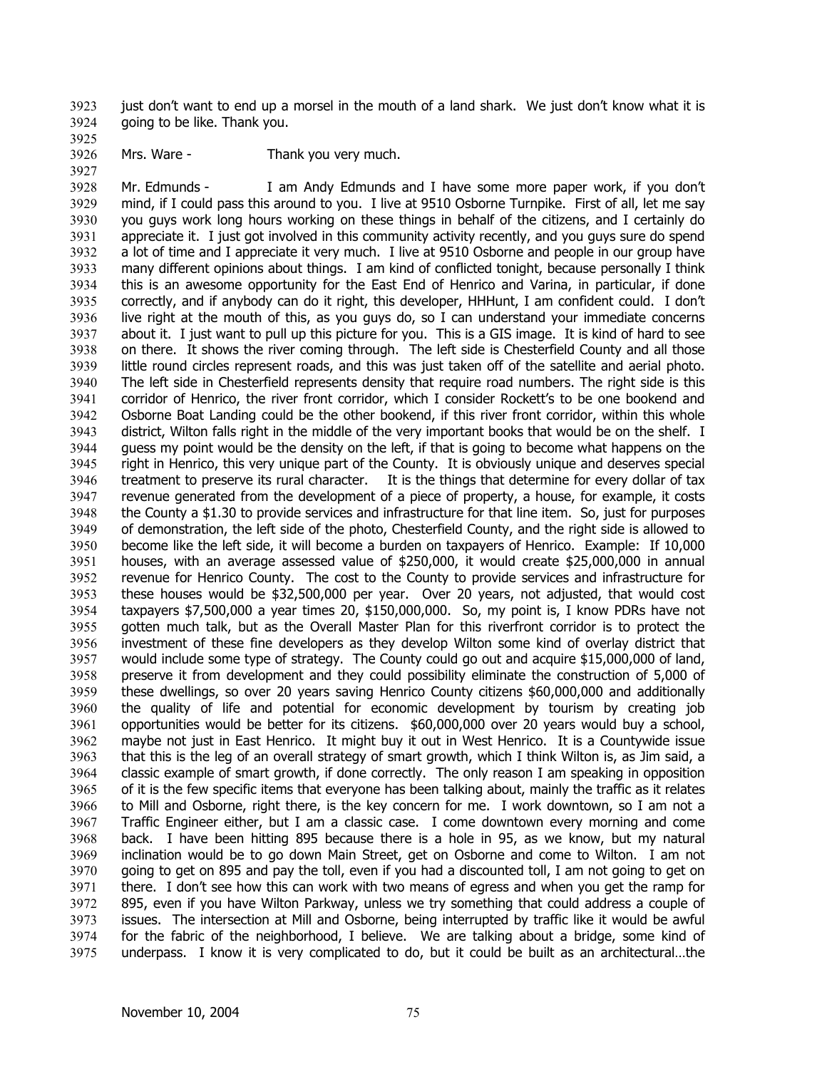just don't want to end up a morsel in the mouth of a land shark. We just don't know what it is going to be like. Thank you. 3923 3924

3925 3926

3927

Mrs. Ware - Thank you very much.

3928 3929 3930 3931 3932 3933 3934 3935 3936 3937 3938 3939 3940 3941 3942 3943 3944 3945 3946 3947 3948 3949 3950 3951 3952 3953 3954 3955 3956 3957 3958 3959 3960 3961 3962 3963 3964 3965 3966 3967 3968 3969 3970 3971 3972 3973 3974 3975 Mr. Edmunds - I am Andy Edmunds and I have some more paper work, if you don't mind, if I could pass this around to you. I live at 9510 Osborne Turnpike. First of all, let me say you guys work long hours working on these things in behalf of the citizens, and I certainly do appreciate it. I just got involved in this community activity recently, and you guys sure do spend a lot of time and I appreciate it very much. I live at 9510 Osborne and people in our group have many different opinions about things. I am kind of conflicted tonight, because personally I think this is an awesome opportunity for the East End of Henrico and Varina, in particular, if done correctly, and if anybody can do it right, this developer, HHHunt, I am confident could. I don't live right at the mouth of this, as you guys do, so I can understand your immediate concerns about it. I just want to pull up this picture for you. This is a GIS image. It is kind of hard to see on there. It shows the river coming through. The left side is Chesterfield County and all those little round circles represent roads, and this was just taken off of the satellite and aerial photo. The left side in Chesterfield represents density that require road numbers. The right side is this corridor of Henrico, the river front corridor, which I consider Rockett's to be one bookend and Osborne Boat Landing could be the other bookend, if this river front corridor, within this whole district, Wilton falls right in the middle of the very important books that would be on the shelf. I guess my point would be the density on the left, if that is going to become what happens on the right in Henrico, this very unique part of the County. It is obviously unique and deserves special treatment to preserve its rural character. It is the things that determine for every dollar of tax revenue generated from the development of a piece of property, a house, for example, it costs the County a \$1.30 to provide services and infrastructure for that line item. So, just for purposes of demonstration, the left side of the photo, Chesterfield County, and the right side is allowed to become like the left side, it will become a burden on taxpayers of Henrico. Example: If 10,000 houses, with an average assessed value of \$250,000, it would create \$25,000,000 in annual revenue for Henrico County. The cost to the County to provide services and infrastructure for these houses would be \$32,500,000 per year. Over 20 years, not adjusted, that would cost taxpayers \$7,500,000 a year times 20, \$150,000,000. So, my point is, I know PDRs have not gotten much talk, but as the Overall Master Plan for this riverfront corridor is to protect the investment of these fine developers as they develop Wilton some kind of overlay district that would include some type of strategy. The County could go out and acquire \$15,000,000 of land, preserve it from development and they could possibility eliminate the construction of 5,000 of these dwellings, so over 20 years saving Henrico County citizens \$60,000,000 and additionally the quality of life and potential for economic development by tourism by creating job opportunities would be better for its citizens. \$60,000,000 over 20 years would buy a school, maybe not just in East Henrico. It might buy it out in West Henrico. It is a Countywide issue that this is the leg of an overall strategy of smart growth, which I think Wilton is, as Jim said, a classic example of smart growth, if done correctly. The only reason I am speaking in opposition of it is the few specific items that everyone has been talking about, mainly the traffic as it relates to Mill and Osborne, right there, is the key concern for me. I work downtown, so I am not a Traffic Engineer either, but I am a classic case. I come downtown every morning and come back. I have been hitting 895 because there is a hole in 95, as we know, but my natural inclination would be to go down Main Street, get on Osborne and come to Wilton. I am not going to get on 895 and pay the toll, even if you had a discounted toll, I am not going to get on there. I don't see how this can work with two means of egress and when you get the ramp for 895, even if you have Wilton Parkway, unless we try something that could address a couple of issues. The intersection at Mill and Osborne, being interrupted by traffic like it would be awful for the fabric of the neighborhood, I believe. We are talking about a bridge, some kind of underpass. I know it is very complicated to do, but it could be built as an architectural…the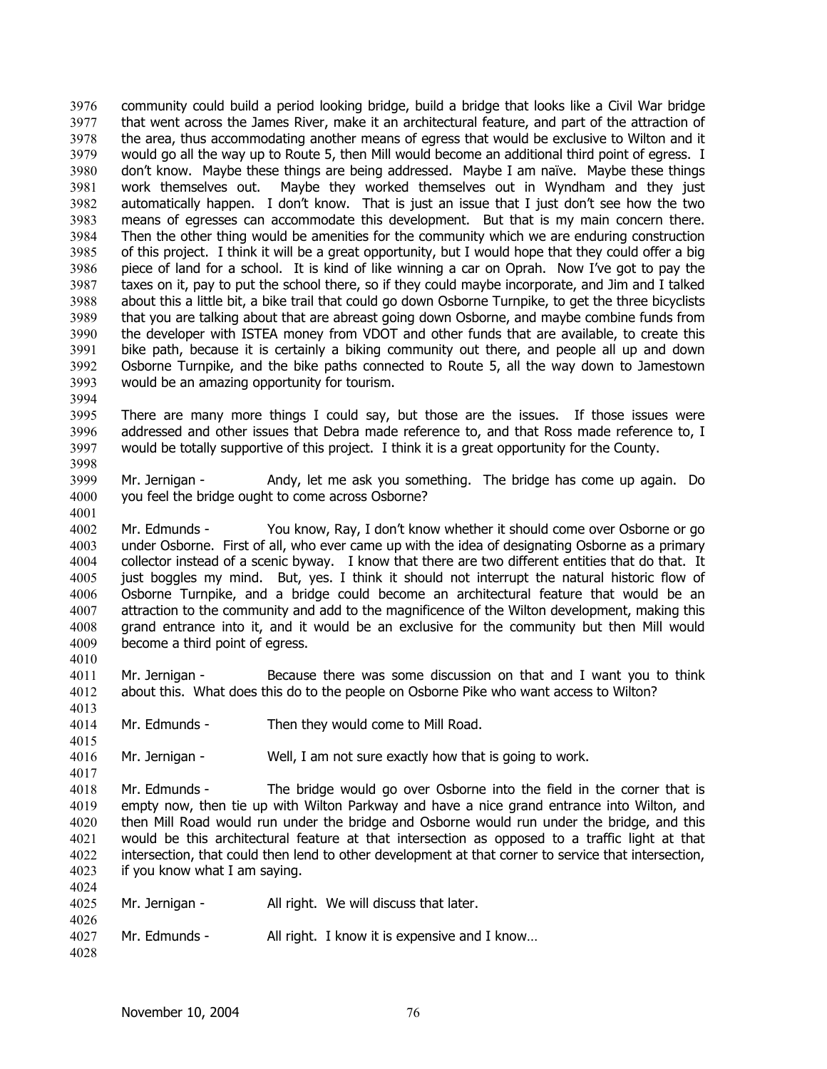community could build a period looking bridge, build a bridge that looks like a Civil War bridge that went across the James River, make it an architectural feature, and part of the attraction of the area, thus accommodating another means of egress that would be exclusive to Wilton and it would go all the way up to Route 5, then Mill would become an additional third point of egress. I don't know. Maybe these things are being addressed. Maybe I am naïve. Maybe these things work themselves out. Maybe they worked themselves out in Wyndham and they just automatically happen. I don't know. That is just an issue that I just don't see how the two means of egresses can accommodate this development. But that is my main concern there. Then the other thing would be amenities for the community which we are enduring construction of this project. I think it will be a great opportunity, but I would hope that they could offer a big piece of land for a school. It is kind of like winning a car on Oprah. Now I've got to pay the taxes on it, pay to put the school there, so if they could maybe incorporate, and Jim and I talked about this a little bit, a bike trail that could go down Osborne Turnpike, to get the three bicyclists that you are talking about that are abreast going down Osborne, and maybe combine funds from the developer with ISTEA money from VDOT and other funds that are available, to create this bike path, because it is certainly a biking community out there, and people all up and down Osborne Turnpike, and the bike paths connected to Route 5, all the way down to Jamestown would be an amazing opportunity for tourism. 3976 3977 3978 3979 3980 3981 3982 3983 3984 3985 3986 3987 3988 3989 3990 3991 3992 3993

3995 3996 3997 There are many more things I could say, but those are the issues. If those issues were addressed and other issues that Debra made reference to, and that Ross made reference to, I would be totally supportive of this project. I think it is a great opportunity for the County.

3999 4000 Mr. Jernigan - Andy, let me ask you something. The bridge has come up again. Do you feel the bridge ought to come across Osborne?

4002 4003 4004 4005 4006 4007 4008 4009 Mr. Edmunds - You know, Ray, I don't know whether it should come over Osborne or go under Osborne. First of all, who ever came up with the idea of designating Osborne as a primary collector instead of a scenic byway. I know that there are two different entities that do that. It just boggles my mind. But, yes. I think it should not interrupt the natural historic flow of Osborne Turnpike, and a bridge could become an architectural feature that would be an attraction to the community and add to the magnificence of the Wilton development, making this grand entrance into it, and it would be an exclusive for the community but then Mill would become a third point of egress.

4011 4012 Mr. Jernigan - Because there was some discussion on that and I want you to think about this. What does this do to the people on Osborne Pike who want access to Wilton?

4014 Mr. Edmunds - Then they would come to Mill Road.

4016 Mr. Jernigan - Well, I am not sure exactly how that is going to work.

4018 4019 4020 4021 4022 4023 Mr. Edmunds - The bridge would go over Osborne into the field in the corner that is empty now, then tie up with Wilton Parkway and have a nice grand entrance into Wilton, and then Mill Road would run under the bridge and Osborne would run under the bridge, and this would be this architectural feature at that intersection as opposed to a traffic light at that intersection, that could then lend to other development at that corner to service that intersection, if you know what I am saying.

| 4025 | Mr. Jernigan - | All right. We will discuss that later. |
|------|----------------|----------------------------------------|
| 4026 |                |                                        |

- 4027 Mr. Edmunds - All right. I know it is expensive and I know...
- 4028

4024

3994

3998

4001

4010

4013

4015

4017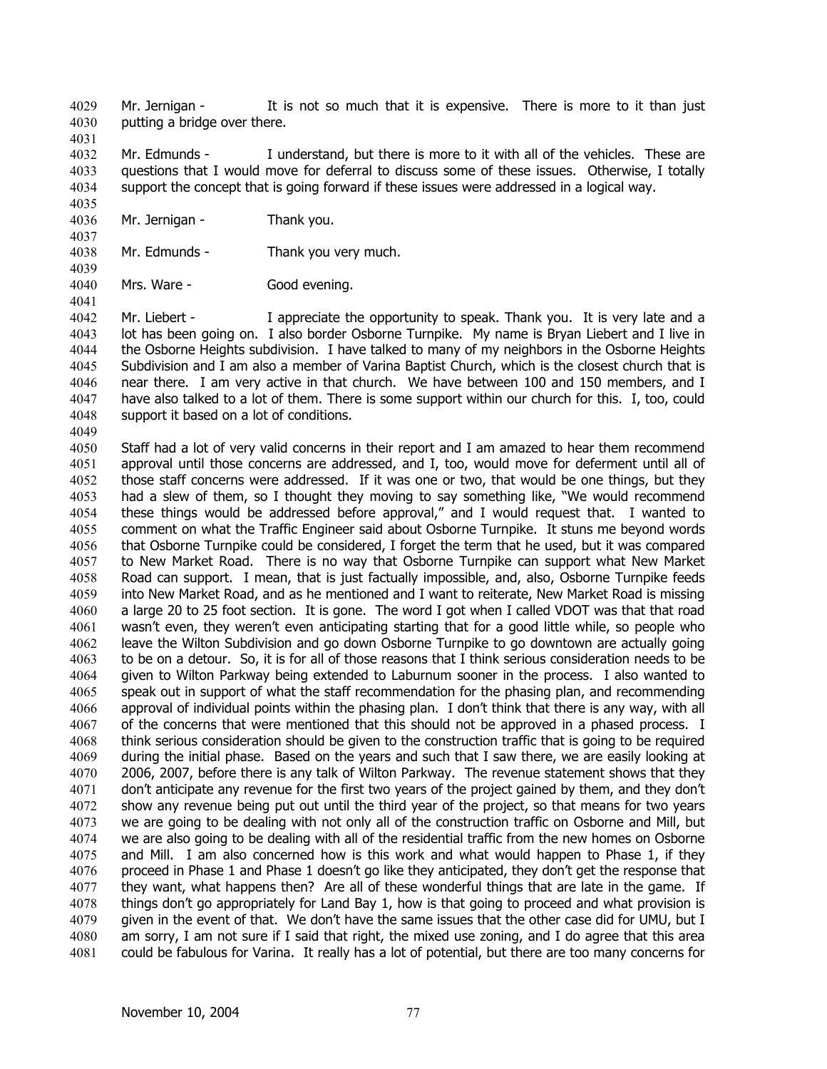Mr. Jernigan - It is not so much that it is expensive. There is more to it than just putting a bridge over there. 4029 4030

4032 4033 4034 Mr. Edmunds - I understand, but there is more to it with all of the vehicles. These are questions that I would move for deferral to discuss some of these issues. Otherwise, I totally support the concept that is going forward if these issues were addressed in a logical way.

- 4036 Mr. Jernigan - Thank you.
- 4038 Mr. Edmunds - Thank you very much.
- 4040 Mrs. Ware - Good evening.

4042 4043 4044 4045 4046 4047 4048 Mr. Liebert - I appreciate the opportunity to speak. Thank you. It is very late and a lot has been going on. I also border Osborne Turnpike. My name is Bryan Liebert and I live in the Osborne Heights subdivision. I have talked to many of my neighbors in the Osborne Heights Subdivision and I am also a member of Varina Baptist Church, which is the closest church that is near there. I am very active in that church. We have between 100 and 150 members, and I have also talked to a lot of them. There is some support within our church for this. I, too, could support it based on a lot of conditions.

4049

4031

4035

4037

4039

4041

4050 4051 4052 4053 4054 4055 4056 4057 4058 4059 4060 4061 4062 4063 4064 4065 4066 4067 4068 4069 4070 4071 4072 4073 4074 4075 4076 4077 4078 4079 4080 4081 Staff had a lot of very valid concerns in their report and I am amazed to hear them recommend approval until those concerns are addressed, and I, too, would move for deferment until all of those staff concerns were addressed. If it was one or two, that would be one things, but they had a slew of them, so I thought they moving to say something like, "We would recommend these things would be addressed before approval," and I would request that. I wanted to comment on what the Traffic Engineer said about Osborne Turnpike. It stuns me beyond words that Osborne Turnpike could be considered, I forget the term that he used, but it was compared to New Market Road. There is no way that Osborne Turnpike can support what New Market Road can support. I mean, that is just factually impossible, and, also, Osborne Turnpike feeds into New Market Road, and as he mentioned and I want to reiterate, New Market Road is missing a large 20 to 25 foot section. It is gone. The word I got when I called VDOT was that that road wasn't even, they weren't even anticipating starting that for a good little while, so people who leave the Wilton Subdivision and go down Osborne Turnpike to go downtown are actually going to be on a detour. So, it is for all of those reasons that I think serious consideration needs to be given to Wilton Parkway being extended to Laburnum sooner in the process. I also wanted to speak out in support of what the staff recommendation for the phasing plan, and recommending approval of individual points within the phasing plan. I don't think that there is any way, with all of the concerns that were mentioned that this should not be approved in a phased process. I think serious consideration should be given to the construction traffic that is going to be required during the initial phase. Based on the years and such that I saw there, we are easily looking at 2006, 2007, before there is any talk of Wilton Parkway. The revenue statement shows that they don't anticipate any revenue for the first two years of the project gained by them, and they don't show any revenue being put out until the third year of the project, so that means for two years we are going to be dealing with not only all of the construction traffic on Osborne and Mill, but we are also going to be dealing with all of the residential traffic from the new homes on Osborne and Mill. I am also concerned how is this work and what would happen to Phase 1, if they proceed in Phase 1 and Phase 1 doesn't go like they anticipated, they don't get the response that they want, what happens then? Are all of these wonderful things that are late in the game. If things don't go appropriately for Land Bay 1, how is that going to proceed and what provision is given in the event of that. We don't have the same issues that the other case did for UMU, but I am sorry, I am not sure if I said that right, the mixed use zoning, and I do agree that this area could be fabulous for Varina. It really has a lot of potential, but there are too many concerns for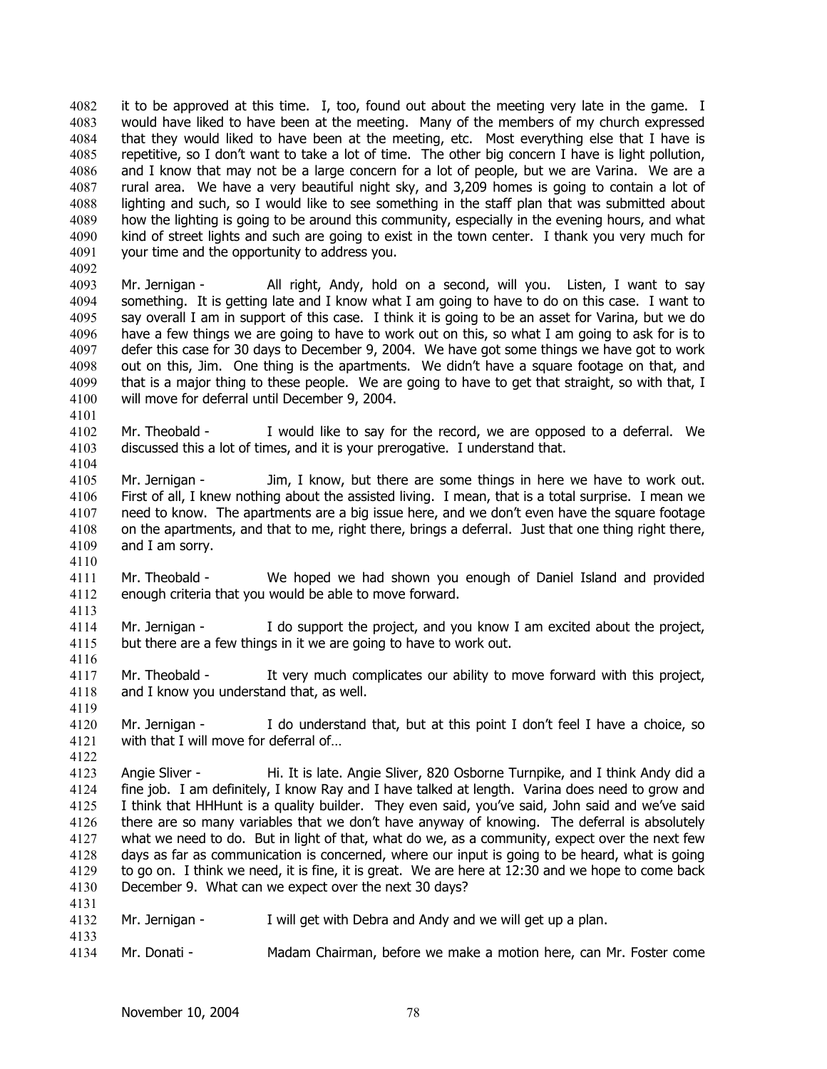it to be approved at this time. I, too, found out about the meeting very late in the game. I would have liked to have been at the meeting. Many of the members of my church expressed that they would liked to have been at the meeting, etc. Most everything else that I have is repetitive, so I don't want to take a lot of time. The other big concern I have is light pollution, and I know that may not be a large concern for a lot of people, but we are Varina. We are a rural area. We have a very beautiful night sky, and 3,209 homes is going to contain a lot of lighting and such, so I would like to see something in the staff plan that was submitted about how the lighting is going to be around this community, especially in the evening hours, and what kind of street lights and such are going to exist in the town center. I thank you very much for your time and the opportunity to address you. 4082 4083 4084 4085 4086 4087 4088 4089 4090 4091 4092

4093 4094 4095 4096 4097 4098 4099 4100 4101 Mr. Jernigan - All right, Andy, hold on a second, will you. Listen, I want to say something. It is getting late and I know what I am going to have to do on this case. I want to say overall I am in support of this case. I think it is going to be an asset for Varina, but we do have a few things we are going to have to work out on this, so what I am going to ask for is to defer this case for 30 days to December 9, 2004. We have got some things we have got to work out on this, Jim. One thing is the apartments. We didn't have a square footage on that, and that is a major thing to these people. We are going to have to get that straight, so with that, I will move for deferral until December 9, 2004.

4102 4103 4104 Mr. Theobald - I would like to say for the record, we are opposed to a deferral. We discussed this a lot of times, and it is your prerogative. I understand that.

- 4105 4106 4107 4108 4109 Mr. Jernigan - Jim, I know, but there are some things in here we have to work out. First of all, I knew nothing about the assisted living. I mean, that is a total surprise. I mean we need to know. The apartments are a big issue here, and we don't even have the square footage on the apartments, and that to me, right there, brings a deferral. Just that one thing right there, and I am sorry.
- 4110

4119

4122

4133

4111 4112 4113 Mr. Theobald - We hoped we had shown you enough of Daniel Island and provided enough criteria that you would be able to move forward.

- 4114 4115 4116 Mr. Jernigan - I do support the project, and you know I am excited about the project, but there are a few things in it we are going to have to work out.
- 4117 4118 Mr. Theobald - It very much complicates our ability to move forward with this project, and I know you understand that, as well.
- 4120 4121 Mr. Jernigan - I do understand that, but at this point I don't feel I have a choice, so with that I will move for deferral of...
- 4123 4124 4125 4126 4127 4128 4129 4130 4131 Angie Sliver - Hi. It is late. Angie Sliver, 820 Osborne Turnpike, and I think Andy did a fine job. I am definitely, I know Ray and I have talked at length. Varina does need to grow and I think that HHHunt is a quality builder. They even said, you've said, John said and we've said there are so many variables that we don't have anyway of knowing. The deferral is absolutely what we need to do. But in light of that, what do we, as a community, expect over the next few days as far as communication is concerned, where our input is going to be heard, what is going to go on. I think we need, it is fine, it is great. We are here at 12:30 and we hope to come back December 9. What can we expect over the next 30 days?
- 4132 Mr. Jernigan - I will get with Debra and Andy and we will get up a plan.
- 4134 Mr. Donati - Madam Chairman, before we make a motion here, can Mr. Foster come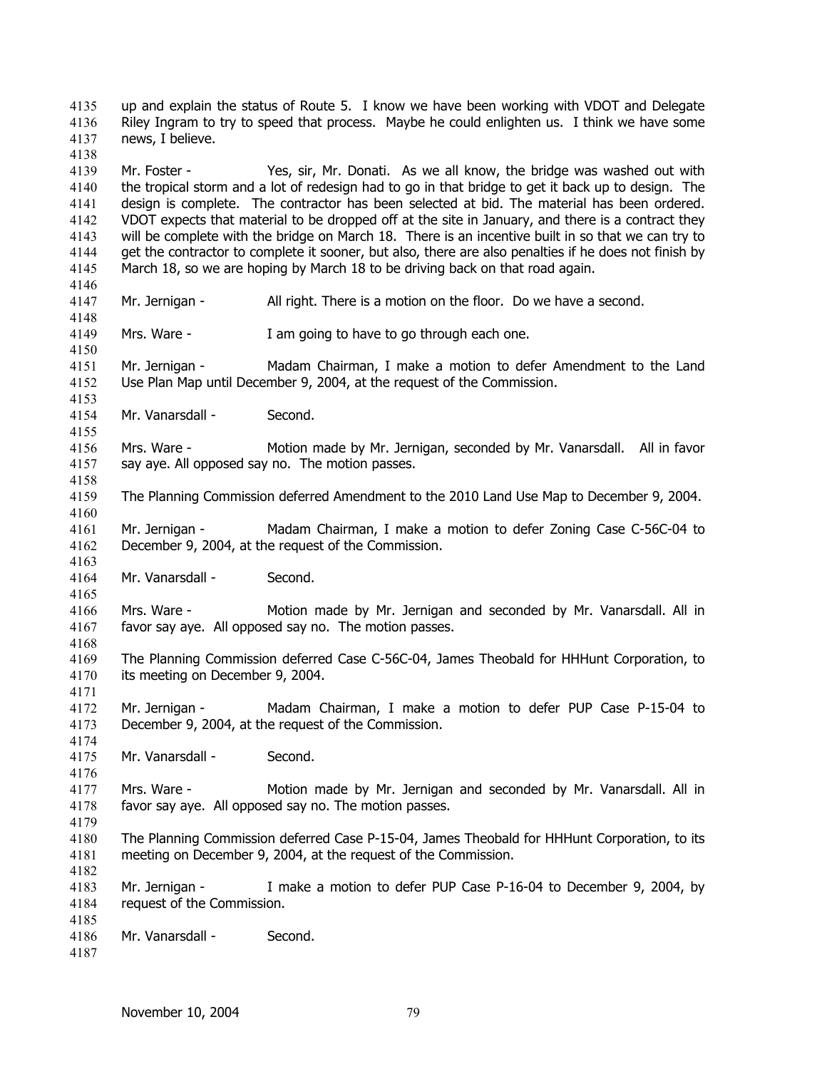up and explain the status of Route 5. I know we have been working with VDOT and Delegate Riley Ingram to try to speed that process. Maybe he could enlighten us. I think we have some news, I believe. 4135 4136 4137 4138

4139 4140 4141 4142 4143 4144 4145 Mr. Foster - Yes, sir, Mr. Donati. As we all know, the bridge was washed out with the tropical storm and a lot of redesign had to go in that bridge to get it back up to design. The design is complete. The contractor has been selected at bid. The material has been ordered. VDOT expects that material to be dropped off at the site in January, and there is a contract they will be complete with the bridge on March 18. There is an incentive built in so that we can try to get the contractor to complete it sooner, but also, there are also penalties if he does not finish by March 18, so we are hoping by March 18 to be driving back on that road again.

4147 Mr. Jernigan - All right. There is a motion on the floor. Do we have a second.

4149 Mrs. Ware - I am going to have to go through each one.

4151 4152 Mr. Jernigan - Madam Chairman, I make a motion to defer Amendment to the Land Use Plan Map until December 9, 2004, at the request of the Commission.

4154 Mr. Vanarsdall - Second.

4156 4157 Mrs. Ware - Motion made by Mr. Jernigan, seconded by Mr. Vanarsdall. All in favor say aye. All opposed say no. The motion passes.

4159 The Planning Commission deferred Amendment to the 2010 Land Use Map to December 9, 2004.

4161 4162 Mr. Jernigan - Madam Chairman, I make a motion to defer Zoning Case C-56C-04 to December 9, 2004, at the request of the Commission.

4164 Mr. Vanarsdall - Second.

4166 4167 Mrs. Ware - Motion made by Mr. Jernigan and seconded by Mr. Vanarsdall. All in favor say aye. All opposed say no. The motion passes.

4169 4170 The Planning Commission deferred Case C-56C-04, James Theobald for HHHunt Corporation, to its meeting on December 9, 2004.

4172 4173 Mr. Jernigan - Madam Chairman, I make a motion to defer PUP Case P-15-04 to December 9, 2004, at the request of the Commission.

4175 Mr. Vanarsdall - Second.

4177 4178 Mrs. Ware - Motion made by Mr. Jernigan and seconded by Mr. Vanarsdall. All in favor say aye. All opposed say no. The motion passes.

4180 4181 The Planning Commission deferred Case P-15-04, James Theobald for HHHunt Corporation, to its meeting on December 9, 2004, at the request of the Commission.

4183 4184 Mr. Jernigan - I make a motion to defer PUP Case P-16-04 to December 9, 2004, by request of the Commission.

4186 Mr. Vanarsdall - Second.

4185

4146

4148

4150

4153

4155

4158

4160

4163

4165

4168

4171

4174

4176

4179

4182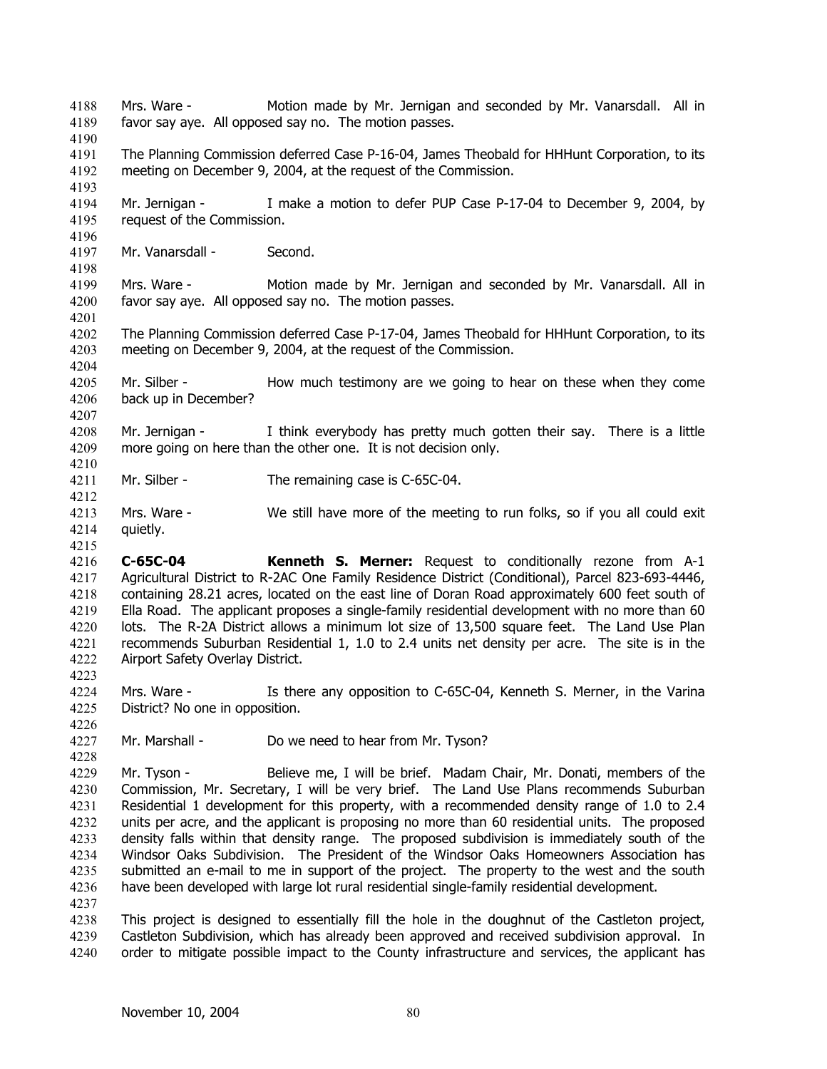Mrs. Ware - Motion made by Mr. Jernigan and seconded by Mr. Vanarsdall. All in favor say aye. All opposed say no. The motion passes. 4188 4189 4190 4191 4192 4193 4194 4195 4196 4197 4198 4199 4200 4201 4202 4203 4204 4205 4206 4207 4208 4209 4210 4211 4212 4213 4214 4215 4216 4217 4218 4219 4220 4221 4222 4223 4224 4225 4226 4227 4228 4229 4230 4231 4232 4233 4234 4235 4236 4237 4238 4239 4240 The Planning Commission deferred Case P-16-04, James Theobald for HHHunt Corporation, to its meeting on December 9, 2004, at the request of the Commission. Mr. Jernigan - I make a motion to defer PUP Case P-17-04 to December 9, 2004, by request of the Commission. Mr. Vanarsdall - Second. Mrs. Ware - Motion made by Mr. Jernigan and seconded by Mr. Vanarsdall. All in favor say aye. All opposed say no. The motion passes. The Planning Commission deferred Case P-17-04, James Theobald for HHHunt Corporation, to its meeting on December 9, 2004, at the request of the Commission. Mr. Silber - How much testimony are we going to hear on these when they come back up in December? Mr. Jernigan - I think everybody has pretty much gotten their say. There is a little more going on here than the other one. It is not decision only. Mr. Silber - The remaining case is C-65C-04. Mrs. Ware - We still have more of the meeting to run folks, so if you all could exit quietly. **C-65C-04 Kenneth S. Merner:** Request to conditionally rezone from A-1 Agricultural District to R-2AC One Family Residence District (Conditional), Parcel 823-693-4446, containing 28.21 acres, located on the east line of Doran Road approximately 600 feet south of Ella Road. The applicant proposes a single-family residential development with no more than 60 lots. The R-2A District allows a minimum lot size of 13,500 square feet. The Land Use Plan recommends Suburban Residential 1, 1.0 to 2.4 units net density per acre. The site is in the Airport Safety Overlay District. Mrs. Ware - Is there any opposition to C-65C-04, Kenneth S. Merner, in the Varina District? No one in opposition. Mr. Marshall - Do we need to hear from Mr. Tyson? Mr. Tyson - Believe me, I will be brief. Madam Chair, Mr. Donati, members of the Commission, Mr. Secretary, I will be very brief. The Land Use Plans recommends Suburban Residential 1 development for this property, with a recommended density range of 1.0 to 2.4 units per acre, and the applicant is proposing no more than 60 residential units. The proposed density falls within that density range. The proposed subdivision is immediately south of the Windsor Oaks Subdivision. The President of the Windsor Oaks Homeowners Association has submitted an e-mail to me in support of the project. The property to the west and the south have been developed with large lot rural residential single-family residential development. This project is designed to essentially fill the hole in the doughnut of the Castleton project, Castleton Subdivision, which has already been approved and received subdivision approval. In order to mitigate possible impact to the County infrastructure and services, the applicant has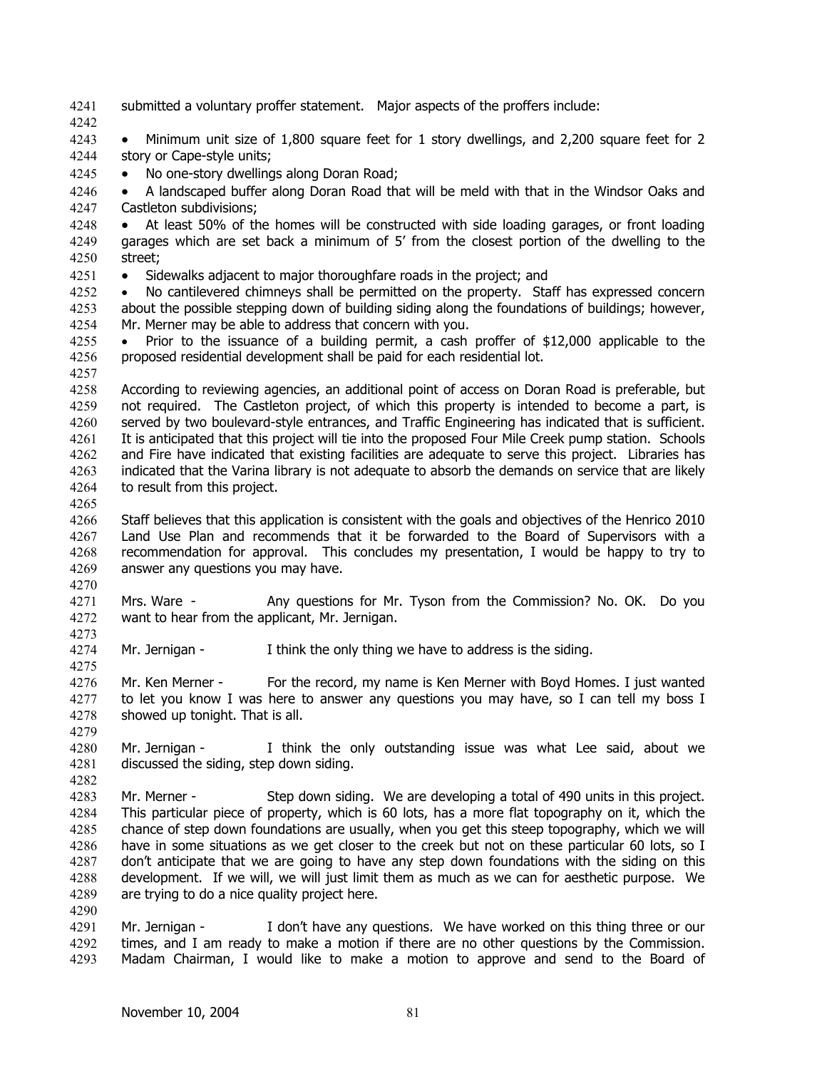- 4241 submitted a voluntary proffer statement. Major aspects of the proffers include:
- 4242

4243 4244 • Minimum unit size of 1,800 square feet for 1 story dwellings, and 2,200 square feet for 2 story or Cape-style units;

4245 • No one-story dwellings along Doran Road;

4246 4247 • A landscaped buffer along Doran Road that will be meld with that in the Windsor Oaks and Castleton subdivisions;

4248 4249 4250 • At least 50% of the homes will be constructed with side loading garages, or front loading garages which are set back a minimum of 5' from the closest portion of the dwelling to the street;

4251 • Sidewalks adjacent to major thoroughfare roads in the project; and

4252 4253 4254 • No cantilevered chimneys shall be permitted on the property. Staff has expressed concern about the possible stepping down of building siding along the foundations of buildings; however, Mr. Merner may be able to address that concern with you.

4255 4256 • Prior to the issuance of a building permit, a cash proffer of \$12,000 applicable to the proposed residential development shall be paid for each residential lot.

4258 4259 4260 4261 4262 4263 4264 According to reviewing agencies, an additional point of access on Doran Road is preferable, but not required. The Castleton project, of which this property is intended to become a part, is served by two boulevard-style entrances, and Traffic Engineering has indicated that is sufficient. It is anticipated that this project will tie into the proposed Four Mile Creek pump station. Schools and Fire have indicated that existing facilities are adequate to serve this project. Libraries has indicated that the Varina library is not adequate to absorb the demands on service that are likely to result from this project.

4265

4273

4275

4290

4257

4266 4267 4268 4269 4270 Staff believes that this application is consistent with the goals and objectives of the Henrico 2010 Land Use Plan and recommends that it be forwarded to the Board of Supervisors with a recommendation for approval. This concludes my presentation, I would be happy to try to answer any questions you may have.

4271 4272 Mrs. Ware - Any questions for Mr. Tyson from the Commission? No. OK. Do you want to hear from the applicant, Mr. Jernigan.

4274 Mr. Jernigan - I think the only thing we have to address is the siding.

4276 4277 4278 4279 Mr. Ken Merner - For the record, my name is Ken Merner with Boyd Homes. I just wanted to let you know I was here to answer any questions you may have, so I can tell my boss I showed up tonight. That is all.

4280 4281 4282 Mr. Jernigan - I think the only outstanding issue was what Lee said, about we discussed the siding, step down siding.

4283 4284 4285 4286 4287 4288 4289 Mr. Merner - Step down siding. We are developing a total of 490 units in this project. This particular piece of property, which is 60 lots, has a more flat topography on it, which the chance of step down foundations are usually, when you get this steep topography, which we will have in some situations as we get closer to the creek but not on these particular 60 lots, so I don't anticipate that we are going to have any step down foundations with the siding on this development. If we will, we will just limit them as much as we can for aesthetic purpose. We are trying to do a nice quality project here.

4291 4292 4293 Mr. Jernigan - I don't have any questions. We have worked on this thing three or our times, and I am ready to make a motion if there are no other questions by the Commission. Madam Chairman, I would like to make a motion to approve and send to the Board of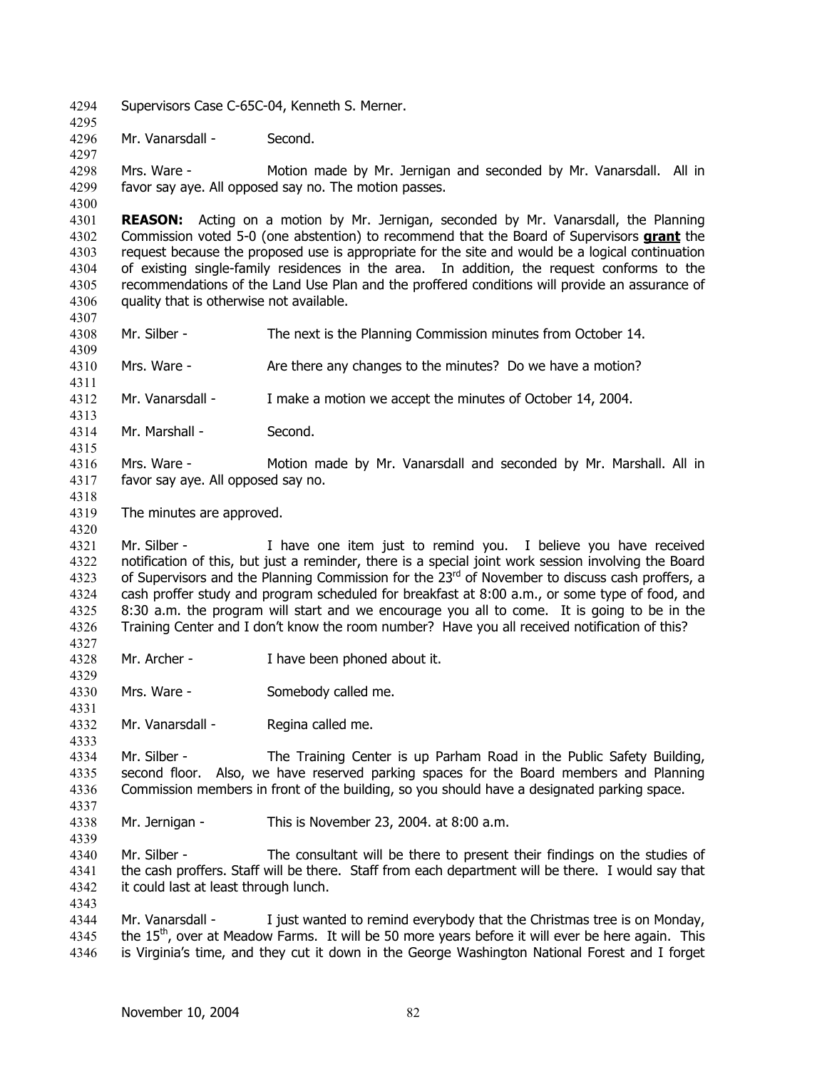- 4294 Supervisors Case C-65C-04, Kenneth S. Merner.
- 4296 Mr. Vanarsdall - Second.

4295

4297

4300

4307

4309

4311

4313

4318

4320

4327

4329

4331

4333

4337

4339

4343

4298 4299 Mrs. Ware - Motion made by Mr. Jernigan and seconded by Mr. Vanarsdall. All in favor say aye. All opposed say no. The motion passes.

4301 **REASON:** Acting on a motion by Mr. Jernigan, seconded by Mr. Vanarsdall, the Planning Commission voted 5-0 (one abstention) to recommend that the Board of Supervisors **grant** the request because the proposed use is appropriate for the site and would be a logical continuation of existing single-family residences in the area. In addition, the request conforms to the recommendations of the Land Use Plan and the proffered conditions will provide an assurance of quality that is otherwise not available. 4302 4303 4304 4305 4306

4308 Mr. Silber - The next is the Planning Commission minutes from October 14.

4310 Mrs. Ware - Are there any changes to the minutes? Do we have a motion?

4312 Mr. Vanarsdall - I make a motion we accept the minutes of October 14, 2004.

- 4314 4315 Mr. Marshall - Second.
- 4316 4317 Mrs. Ware - Motion made by Mr. Vanarsdall and seconded by Mr. Marshall. All in favor say aye. All opposed say no.
- 4319 The minutes are approved.

4321 4322 4323 4324 4325 4326 Mr. Silber - I have one item just to remind you. I believe you have received notification of this, but just a reminder, there is a special joint work session involving the Board of Supervisors and the Planning Commission for the  $23<sup>rd</sup>$  of November to discuss cash proffers, a cash proffer study and program scheduled for breakfast at 8:00 a.m., or some type of food, and 8:30 a.m. the program will start and we encourage you all to come. It is going to be in the Training Center and I don't know the room number? Have you all received notification of this?

- 4328 Mr. Archer - I have been phoned about it.
- 4330 Mrs. Ware - Somebody called me.
- 4332 Mr. Vanarsdall - Regina called me.

4334 4335 4336 Mr. Silber - The Training Center is up Parham Road in the Public Safety Building, second floor. Also, we have reserved parking spaces for the Board members and Planning Commission members in front of the building, so you should have a designated parking space.

4338 Mr. Jernigan - This is November 23, 2004. at 8:00 a.m.

4340 4341 4342 Mr. Silber - The consultant will be there to present their findings on the studies of the cash proffers. Staff will be there. Staff from each department will be there. I would say that it could last at least through lunch.

4344 4345 4346 Mr. Vanarsdall - I just wanted to remind everybody that the Christmas tree is on Monday, the 15<sup>th</sup>, over at Meadow Farms. It will be 50 more years before it will ever be here again. This is Virginia's time, and they cut it down in the George Washington National Forest and I forget